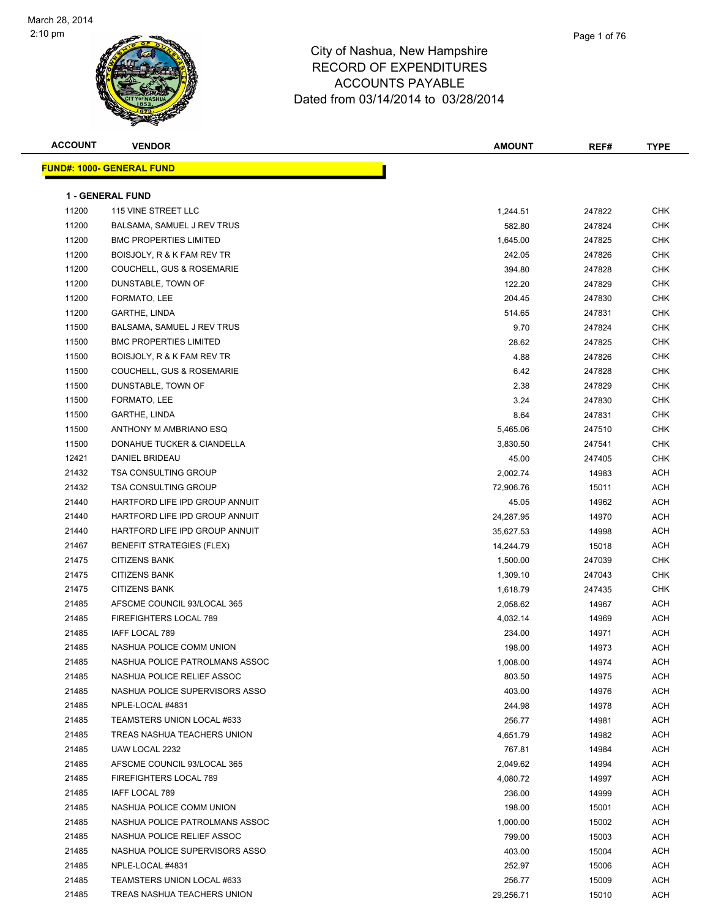

| <b>ACCOUNT</b> | <b>VENDOR</b>                        | <b>AMOUNT</b> | REF#   | <b>TYPE</b> |
|----------------|--------------------------------------|---------------|--------|-------------|
|                | <b>FUND#: 1000- GENERAL FUND</b>     |               |        |             |
|                |                                      |               |        |             |
|                | 1 - GENERAL FUND                     |               |        |             |
| 11200          | 115 VINE STREET LLC                  | 1,244.51      | 247822 | <b>CHK</b>  |
| 11200          | BALSAMA, SAMUEL J REV TRUS           | 582.80        | 247824 | <b>CHK</b>  |
| 11200          | <b>BMC PROPERTIES LIMITED</b>        | 1,645.00      | 247825 | <b>CHK</b>  |
| 11200          | BOISJOLY, R & K FAM REV TR           | 242.05        | 247826 | <b>CHK</b>  |
| 11200          | <b>COUCHELL, GUS &amp; ROSEMARIE</b> | 394.80        | 247828 | CHK         |
| 11200          | DUNSTABLE, TOWN OF                   | 122.20        | 247829 | CHK         |
| 11200          | FORMATO, LEE                         | 204.45        | 247830 | CHK         |
| 11200          | GARTHE, LINDA                        | 514.65        | 247831 | CHK         |
| 11500          | BALSAMA, SAMUEL J REV TRUS           | 9.70          | 247824 | <b>CHK</b>  |
| 11500          | <b>BMC PROPERTIES LIMITED</b>        | 28.62         | 247825 | <b>CHK</b>  |
| 11500          | BOISJOLY, R & K FAM REV TR           | 4.88          | 247826 | <b>CHK</b>  |
| 11500          | <b>COUCHELL, GUS &amp; ROSEMARIE</b> | 6.42          | 247828 | <b>CHK</b>  |
| 11500          | DUNSTABLE, TOWN OF                   | 2.38          | 247829 | <b>CHK</b>  |
| 11500          | FORMATO, LEE                         | 3.24          | 247830 | <b>CHK</b>  |
| 11500          | GARTHE, LINDA                        | 8.64          | 247831 | <b>CHK</b>  |
| 11500          | ANTHONY M AMBRIANO ESQ               | 5,465.06      | 247510 | CHK         |
| 11500          | DONAHUE TUCKER & CIANDELLA           | 3,830.50      | 247541 | CHK         |
| 12421          | DANIEL BRIDEAU                       | 45.00         | 247405 | CHK         |
| 21432          | <b>TSA CONSULTING GROUP</b>          | 2,002.74      | 14983  | ACH         |
| 21432          | <b>TSA CONSULTING GROUP</b>          | 72,906.76     | 15011  | ACH         |
| 21440          | HARTFORD LIFE IPD GROUP ANNUIT       | 45.05         | 14962  | ACH         |
| 21440          | HARTFORD LIFE IPD GROUP ANNUIT       | 24,287.95     | 14970  | ACH         |
| 21440          | HARTFORD LIFE IPD GROUP ANNUIT       | 35,627.53     | 14998  | ACH         |
| 21467          | <b>BENEFIT STRATEGIES (FLEX)</b>     | 14,244.79     | 15018  | ACH         |
| 21475          | <b>CITIZENS BANK</b>                 | 1,500.00      | 247039 | <b>CHK</b>  |
| 21475          | <b>CITIZENS BANK</b>                 | 1,309.10      | 247043 | CHK         |
| 21475          | <b>CITIZENS BANK</b>                 | 1,618.79      | 247435 | <b>CHK</b>  |
| 21485          | AFSCME COUNCIL 93/LOCAL 365          | 2,058.62      | 14967  | ACH         |
| 21485          | FIREFIGHTERS LOCAL 789               | 4,032.14      | 14969  | ACH         |
| 21485          | IAFF LOCAL 789                       | 234.00        | 14971  | ACH         |
| 21485          | NASHUA POLICE COMM UNION             | 198.00        | 14973  | ACH         |
| 21485          | NASHUA POLICE PATROLMANS ASSOC       | 1,008.00      | 14974  | ACH         |
| 21485          | NASHUA POLICE RELIEF ASSOC           | 803.50        | 14975  | ACH         |
| 21485          | NASHUA POLICE SUPERVISORS ASSO       | 403.00        | 14976  | ACH         |
| 21485          | NPLE-LOCAL #4831                     | 244.98        | 14978  | ACH         |
| 21485          | TEAMSTERS UNION LOCAL #633           | 256.77        | 14981  | ACH         |
| 21485          | TREAS NASHUA TEACHERS UNION          | 4,651.79      | 14982  | ACH         |
| 21485          | UAW LOCAL 2232                       | 767.81        | 14984  | ACH         |
| 21485          | AFSCME COUNCIL 93/LOCAL 365          | 2,049.62      | 14994  | ACH         |
| 21485          | FIREFIGHTERS LOCAL 789               | 4,080.72      | 14997  | ACH         |
| 21485          | IAFF LOCAL 789                       | 236.00        | 14999  | ACH         |
| 21485          | NASHUA POLICE COMM UNION             | 198.00        | 15001  | ACH         |
| 21485          | NASHUA POLICE PATROLMANS ASSOC       | 1,000.00      | 15002  | ACH         |
| 21485          | NASHUA POLICE RELIEF ASSOC           | 799.00        | 15003  | ACH         |
| 21485          | NASHUA POLICE SUPERVISORS ASSO       | 403.00        | 15004  | ACH         |
| 21485          | NPLE-LOCAL #4831                     | 252.97        | 15006  | ACH         |
| 21485          | TEAMSTERS UNION LOCAL #633           | 256.77        | 15009  | ACH         |
| 21485          | TREAS NASHUA TEACHERS UNION          | 29,256.71     | 15010  | ACH         |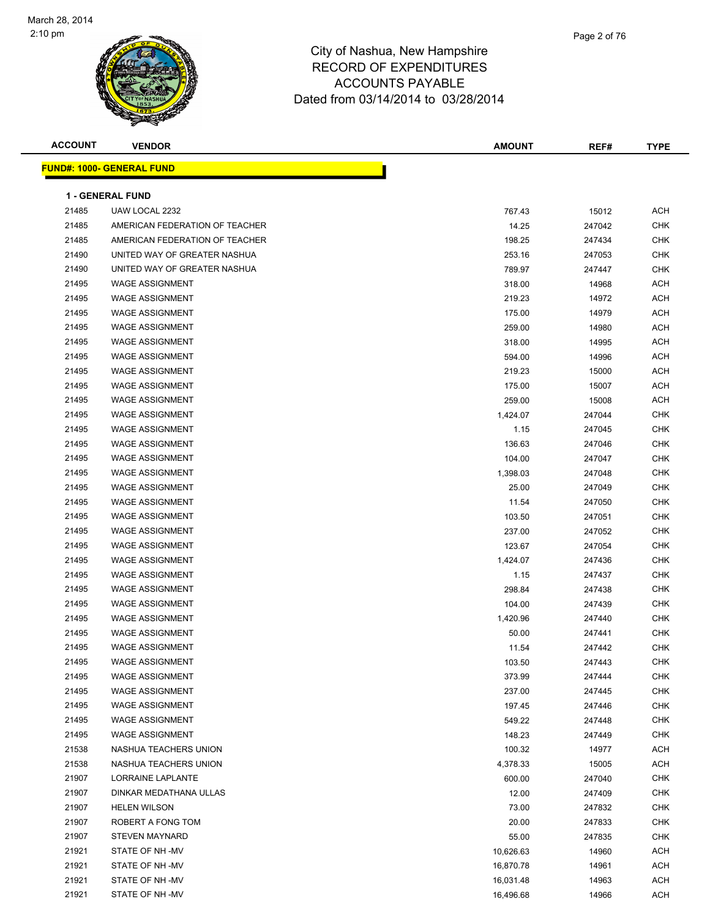

| <b>ACCOUNT</b> | <b>VENDOR</b>                    | <b>AMOUNT</b> | REF#   | <b>TYPE</b> |
|----------------|----------------------------------|---------------|--------|-------------|
|                | <b>FUND#: 1000- GENERAL FUND</b> |               |        |             |
|                |                                  |               |        |             |
|                | <b>1 - GENERAL FUND</b>          |               |        |             |
| 21485          | UAW LOCAL 2232                   | 767.43        | 15012  | <b>ACH</b>  |
| 21485          | AMERICAN FEDERATION OF TEACHER   | 14.25         | 247042 | <b>CHK</b>  |
| 21485          | AMERICAN FEDERATION OF TEACHER   | 198.25        | 247434 | CHK         |
| 21490          | UNITED WAY OF GREATER NASHUA     | 253.16        | 247053 | <b>CHK</b>  |
| 21490          | UNITED WAY OF GREATER NASHUA     | 789.97        | 247447 | <b>CHK</b>  |
| 21495          | <b>WAGE ASSIGNMENT</b>           | 318.00        | 14968  | <b>ACH</b>  |
| 21495          | <b>WAGE ASSIGNMENT</b>           | 219.23        | 14972  | <b>ACH</b>  |
| 21495          | <b>WAGE ASSIGNMENT</b>           | 175.00        | 14979  | <b>ACH</b>  |
| 21495          | <b>WAGE ASSIGNMENT</b>           | 259.00        | 14980  | <b>ACH</b>  |
| 21495          | <b>WAGE ASSIGNMENT</b>           | 318.00        | 14995  | <b>ACH</b>  |
| 21495          | <b>WAGE ASSIGNMENT</b>           | 594.00        | 14996  | <b>ACH</b>  |
| 21495          | <b>WAGE ASSIGNMENT</b>           | 219.23        | 15000  | <b>ACH</b>  |
| 21495          | <b>WAGE ASSIGNMENT</b>           | 175.00        | 15007  | <b>ACH</b>  |
| 21495          | <b>WAGE ASSIGNMENT</b>           | 259.00        | 15008  | <b>ACH</b>  |
| 21495          | <b>WAGE ASSIGNMENT</b>           | 1,424.07      | 247044 | CHK         |
| 21495          | <b>WAGE ASSIGNMENT</b>           | 1.15          | 247045 | CHK         |
| 21495          | <b>WAGE ASSIGNMENT</b>           | 136.63        | 247046 | CHK         |
| 21495          | <b>WAGE ASSIGNMENT</b>           | 104.00        | 247047 | <b>CHK</b>  |
| 21495          | <b>WAGE ASSIGNMENT</b>           | 1,398.03      | 247048 | <b>CHK</b>  |
| 21495          | <b>WAGE ASSIGNMENT</b>           | 25.00         | 247049 | CHK         |
| 21495          | <b>WAGE ASSIGNMENT</b>           | 11.54         | 247050 | <b>CHK</b>  |
| 21495          | <b>WAGE ASSIGNMENT</b>           | 103.50        | 247051 | <b>CHK</b>  |
| 21495          | <b>WAGE ASSIGNMENT</b>           | 237.00        | 247052 | <b>CHK</b>  |
| 21495          | <b>WAGE ASSIGNMENT</b>           | 123.67        | 247054 | <b>CHK</b>  |
| 21495          | <b>WAGE ASSIGNMENT</b>           | 1,424.07      | 247436 | CHK         |
| 21495          | <b>WAGE ASSIGNMENT</b>           | 1.15          | 247437 | CHK         |
| 21495          | <b>WAGE ASSIGNMENT</b>           | 298.84        | 247438 | <b>CHK</b>  |
| 21495          | <b>WAGE ASSIGNMENT</b>           | 104.00        | 247439 | <b>CHK</b>  |
| 21495          | <b>WAGE ASSIGNMENT</b>           | 1,420.96      | 247440 | <b>CHK</b>  |
| 21495          | <b>WAGE ASSIGNMENT</b>           | 50.00         | 247441 | <b>CHK</b>  |
| 21495          | <b>WAGE ASSIGNMENT</b>           | 11.54         | 247442 | <b>CHK</b>  |
| 21495          | <b>WAGE ASSIGNMENT</b>           | 103.50        | 247443 | CHK         |
| 21495          | <b>WAGE ASSIGNMENT</b>           | 373.99        | 247444 | <b>CHK</b>  |
| 21495          | WAGE ASSIGNMENT                  | 237.00        | 247445 | <b>CHK</b>  |
| 21495          | <b>WAGE ASSIGNMENT</b>           | 197.45        | 247446 | <b>CHK</b>  |
| 21495          | <b>WAGE ASSIGNMENT</b>           | 549.22        | 247448 | <b>CHK</b>  |
| 21495          | WAGE ASSIGNMENT                  | 148.23        | 247449 | <b>CHK</b>  |
| 21538          | NASHUA TEACHERS UNION            | 100.32        | 14977  | ACH         |
| 21538          | NASHUA TEACHERS UNION            | 4,378.33      | 15005  | ACH         |
| 21907          | LORRAINE LAPLANTE                | 600.00        | 247040 | CHK         |
| 21907          | DINKAR MEDATHANA ULLAS           | 12.00         | 247409 | CHK         |
| 21907          | <b>HELEN WILSON</b>              | 73.00         | 247832 | CHK         |
| 21907          | ROBERT A FONG TOM                | 20.00         | 247833 | CHK         |
| 21907          | <b>STEVEN MAYNARD</b>            | 55.00         | 247835 | <b>CHK</b>  |
| 21921          | STATE OF NH-MV                   | 10,626.63     | 14960  | ACH         |
| 21921          | STATE OF NH-MV                   | 16,870.78     | 14961  | ACH         |
| 21921          | STATE OF NH-MV                   | 16,031.48     | 14963  | ACH         |
| 21921          | STATE OF NH-MV                   | 16,496.68     | 14966  | <b>ACH</b>  |
|                |                                  |               |        |             |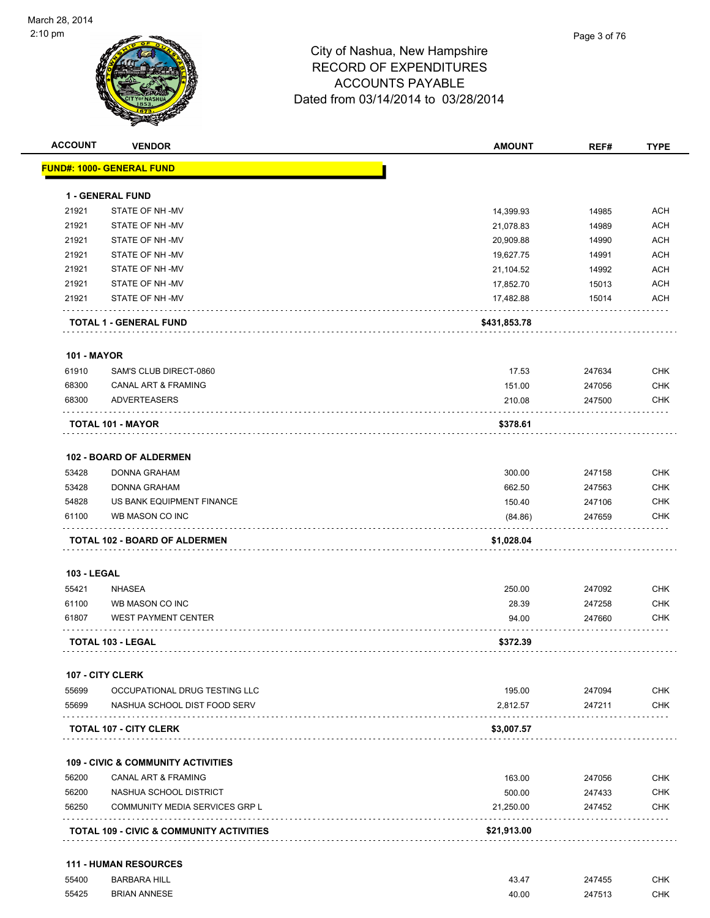

| <b>ACCOUNT</b>     | <b>VENDOR</b>                                 | <b>AMOUNT</b> | REF#   | <b>TYPE</b> |
|--------------------|-----------------------------------------------|---------------|--------|-------------|
|                    | <b>FUND#: 1000- GENERAL FUND</b>              |               |        |             |
|                    | 1 - GENERAL FUND                              |               |        |             |
| 21921              | STATE OF NH-MV                                | 14,399.93     | 14985  | <b>ACH</b>  |
| 21921              | STATE OF NH-MV                                | 21,078.83     | 14989  | <b>ACH</b>  |
| 21921              | STATE OF NH-MV                                | 20,909.88     | 14990  | <b>ACH</b>  |
| 21921              | STATE OF NH-MV                                | 19,627.75     | 14991  | <b>ACH</b>  |
| 21921              | STATE OF NH-MV                                | 21,104.52     | 14992  | <b>ACH</b>  |
| 21921              | STATE OF NH-MV                                | 17,852.70     | 15013  | <b>ACH</b>  |
| 21921              | STATE OF NH-MV                                | 17,482.88     | 15014  | <b>ACH</b>  |
|                    | <b>TOTAL 1 - GENERAL FUND</b>                 | \$431,853.78  |        |             |
| <b>101 - MAYOR</b> |                                               |               |        |             |
| 61910              | SAM'S CLUB DIRECT-0860                        | 17.53         | 247634 | <b>CHK</b>  |
| 68300              | <b>CANAL ART &amp; FRAMING</b>                | 151.00        | 247056 | <b>CHK</b>  |
| 68300              | <b>ADVERTEASERS</b>                           | 210.08        | 247500 | <b>CHK</b>  |
|                    | TOTAL 101 - MAYOR                             | \$378.61      |        |             |
|                    | 102 - BOARD OF ALDERMEN                       |               |        |             |
| 53428              | <b>DONNA GRAHAM</b>                           | 300.00        | 247158 | <b>CHK</b>  |
| 53428              | DONNA GRAHAM                                  | 662.50        | 247563 | <b>CHK</b>  |
| 54828              | US BANK EQUIPMENT FINANCE                     | 150.40        | 247106 | <b>CHK</b>  |
| 61100              | WB MASON CO INC                               | (84.86)       | 247659 | <b>CHK</b>  |
|                    | <b>TOTAL 102 - BOARD OF ALDERMEN</b>          | \$1,028.04    |        |             |
| <b>103 - LEGAL</b> |                                               |               |        |             |
| 55421              | <b>NHASEA</b>                                 | 250.00        | 247092 | <b>CHK</b>  |
| 61100              | WB MASON CO INC                               | 28.39         | 247258 | <b>CHK</b>  |
| 61807              | <b>WEST PAYMENT CENTER</b>                    | 94.00         | 247660 | <b>CHK</b>  |
|                    | <b>TOTAL 103 - LEGAL</b>                      | \$372.39      |        |             |
|                    | 107 - CITY CLERK                              |               |        |             |
| 55699              | OCCUPATIONAL DRUG TESTING LLC                 | 195.00        | 247094 | <b>CHK</b>  |
| 55699              | NASHUA SCHOOL DIST FOOD SERV                  | 2,812.57      | 247211 | <b>CHK</b>  |
|                    | <b>TOTAL 107 - CITY CLERK</b>                 | \$3,007.57    |        |             |
|                    | <b>109 - CIVIC &amp; COMMUNITY ACTIVITIES</b> |               |        |             |
| 56200              | <b>CANAL ART &amp; FRAMING</b>                | 163.00        | 247056 | <b>CHK</b>  |
| 56200              | NASHUA SCHOOL DISTRICT                        | 500.00        | 247433 | <b>CHK</b>  |
| 56250              | COMMUNITY MEDIA SERVICES GRP L                | 21,250.00     | 247452 | <b>CHK</b>  |
|                    | TOTAL 109 - CIVIC & COMMUNITY ACTIVITIES      | \$21,913.00   |        |             |
|                    |                                               |               |        |             |
|                    | <b>111 - HUMAN RESOURCES</b>                  |               |        |             |

| 55400 | <b>BARBARA HILL</b> | 43.47 | 247455 | <b>CHK</b> |
|-------|---------------------|-------|--------|------------|
| 55425 | <b>BRIAN ANNESE</b> | 40.00 | 247513 | <b>CHK</b> |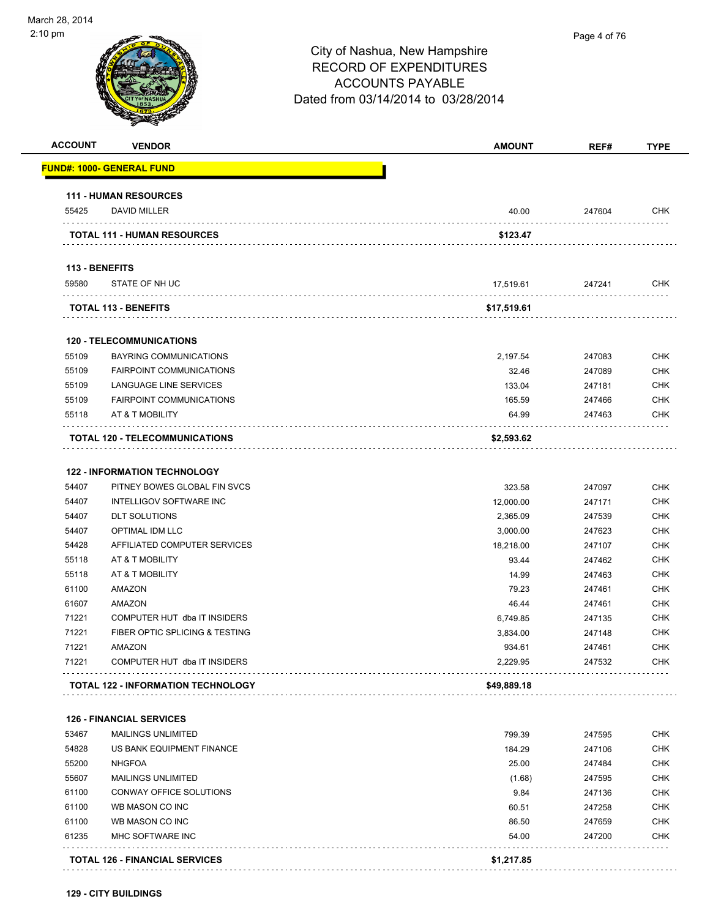| <b>FUND#: 1000- GENERAL FUND</b><br><b>111 - HUMAN RESOURCES</b><br>DAVID MILLER<br><b>TOTAL 111 - HUMAN RESOURCES</b> | 40.00                                                                                                                                         |                                                                   |                                                          |
|------------------------------------------------------------------------------------------------------------------------|-----------------------------------------------------------------------------------------------------------------------------------------------|-------------------------------------------------------------------|----------------------------------------------------------|
|                                                                                                                        |                                                                                                                                               |                                                                   |                                                          |
|                                                                                                                        |                                                                                                                                               |                                                                   |                                                          |
|                                                                                                                        |                                                                                                                                               | 247604                                                            | <b>CHK</b>                                               |
|                                                                                                                        | \$123.47                                                                                                                                      |                                                                   |                                                          |
|                                                                                                                        |                                                                                                                                               |                                                                   |                                                          |
| 113 - BENEFITS<br>STATE OF NH UC                                                                                       | 17,519.61                                                                                                                                     | 247241                                                            | <b>CHK</b>                                               |
|                                                                                                                        |                                                                                                                                               |                                                                   |                                                          |
| <b>TOTAL 113 - BENEFITS</b>                                                                                            | \$17,519.61                                                                                                                                   |                                                                   |                                                          |
| <b>120 - TELECOMMUNICATIONS</b>                                                                                        |                                                                                                                                               |                                                                   |                                                          |
| BAYRING COMMUNICATIONS                                                                                                 | 2,197.54                                                                                                                                      | 247083                                                            | <b>CHK</b>                                               |
| <b>FAIRPOINT COMMUNICATIONS</b>                                                                                        | 32.46                                                                                                                                         | 247089                                                            | <b>CHK</b>                                               |
| LANGUAGE LINE SERVICES                                                                                                 | 133.04                                                                                                                                        | 247181                                                            | <b>CHK</b>                                               |
| <b>FAIRPOINT COMMUNICATIONS</b>                                                                                        | 165.59                                                                                                                                        | 247466                                                            | <b>CHK</b>                                               |
| AT & T MOBILITY                                                                                                        | 64.99                                                                                                                                         | 247463                                                            | <b>CHK</b>                                               |
| <b>TOTAL 120 - TELECOMMUNICATIONS</b>                                                                                  | \$2,593.62                                                                                                                                    |                                                                   |                                                          |
|                                                                                                                        |                                                                                                                                               |                                                                   |                                                          |
| <b>122 - INFORMATION TECHNOLOGY</b>                                                                                    |                                                                                                                                               |                                                                   |                                                          |
| PITNEY BOWES GLOBAL FIN SVCS<br><b>INTELLIGOV SOFTWARE INC</b>                                                         | 323.58                                                                                                                                        | 247097                                                            | <b>CHK</b><br><b>CHK</b>                                 |
| <b>DLT SOLUTIONS</b>                                                                                                   | 12,000.00<br>2,365.09                                                                                                                         | 247171<br>247539                                                  | <b>CHK</b>                                               |
| <b>OPTIMAL IDM LLC</b>                                                                                                 | 3,000.00                                                                                                                                      | 247623                                                            | <b>CHK</b>                                               |
| AFFILIATED COMPUTER SERVICES                                                                                           | 18,218.00                                                                                                                                     | 247107                                                            | <b>CHK</b>                                               |
| AT & T MOBILITY                                                                                                        | 93.44                                                                                                                                         | 247462                                                            | <b>CHK</b>                                               |
| AT & T MOBILITY                                                                                                        | 14.99                                                                                                                                         | 247463                                                            | <b>CHK</b>                                               |
| AMAZON                                                                                                                 | 79.23                                                                                                                                         | 247461                                                            | <b>CHK</b>                                               |
| <b>AMAZON</b>                                                                                                          | 46.44                                                                                                                                         | 247461                                                            | <b>CHK</b>                                               |
| COMPUTER HUT dba IT INSIDERS                                                                                           | 6,749.85                                                                                                                                      | 247135                                                            | <b>CHK</b>                                               |
| FIBER OPTIC SPLICING & TESTING                                                                                         | 3,834.00                                                                                                                                      | 247148                                                            | <b>CHK</b>                                               |
| AMAZON                                                                                                                 | 934.61                                                                                                                                        | 247461                                                            | <b>CHK</b>                                               |
| COMPUTER HUT dba IT INSIDERS                                                                                           | 2,229.95                                                                                                                                      | 247532                                                            | <b>CHK</b>                                               |
| <b>TOTAL 122 - INFORMATION TECHNOLOGY</b>                                                                              | \$49,889.18                                                                                                                                   |                                                                   |                                                          |
|                                                                                                                        |                                                                                                                                               |                                                                   |                                                          |
| <b>126 - FINANCIAL SERVICES</b><br><b>MAILINGS UNLIMITED</b>                                                           | 799.39                                                                                                                                        | 247595                                                            | <b>CHK</b>                                               |
|                                                                                                                        |                                                                                                                                               |                                                                   | <b>CHK</b>                                               |
| <b>NHGFOA</b>                                                                                                          |                                                                                                                                               |                                                                   | <b>CHK</b>                                               |
|                                                                                                                        |                                                                                                                                               |                                                                   | <b>CHK</b>                                               |
|                                                                                                                        |                                                                                                                                               |                                                                   | <b>CHK</b>                                               |
| WB MASON CO INC                                                                                                        |                                                                                                                                               |                                                                   | <b>CHK</b>                                               |
|                                                                                                                        |                                                                                                                                               |                                                                   | <b>CHK</b>                                               |
| MHC SOFTWARE INC                                                                                                       | 54.00                                                                                                                                         | 247200                                                            | <b>CHK</b>                                               |
|                                                                                                                        |                                                                                                                                               |                                                                   |                                                          |
|                                                                                                                        | US BANK EQUIPMENT FINANCE<br><b>MAILINGS UNLIMITED</b><br>CONWAY OFFICE SOLUTIONS<br>WB MASON CO INC<br><b>TOTAL 126 - FINANCIAL SERVICES</b> | 184.29<br>25.00<br>(1.68)<br>9.84<br>60.51<br>86.50<br>\$1,217.85 | 247106<br>247484<br>247595<br>247136<br>247258<br>247659 |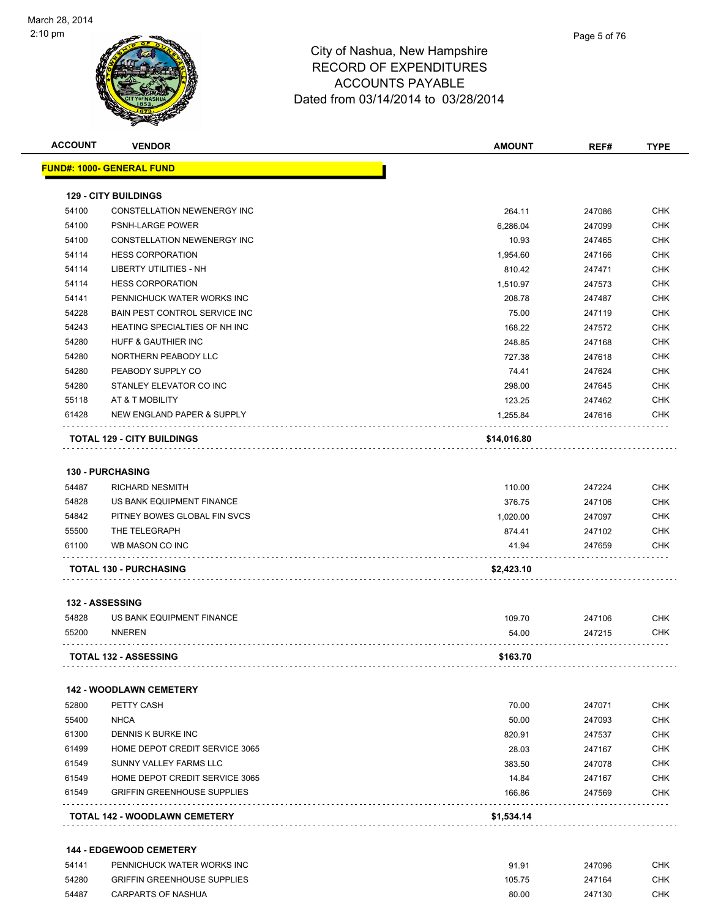

| <b>ACCOUNT</b> | <b>VENDOR</b>                      | <b>AMOUNT</b> | REF#   | <b>TYPE</b>              |
|----------------|------------------------------------|---------------|--------|--------------------------|
|                | <u> FUND#: 1000- GENERAL FUND</u>  |               |        |                          |
|                | <b>129 - CITY BUILDINGS</b>        |               |        |                          |
| 54100          | CONSTELLATION NEWENERGY INC        | 264.11        | 247086 | <b>CHK</b>               |
| 54100          | <b>PSNH-LARGE POWER</b>            | 6,286.04      | 247099 | <b>CHK</b>               |
| 54100          | CONSTELLATION NEWENERGY INC        | 10.93         | 247465 | <b>CHK</b>               |
| 54114          | <b>HESS CORPORATION</b>            | 1,954.60      | 247166 | <b>CHK</b>               |
| 54114          | LIBERTY UTILITIES - NH             | 810.42        | 247471 | <b>CHK</b>               |
| 54114          | <b>HESS CORPORATION</b>            | 1,510.97      | 247573 | <b>CHK</b>               |
| 54141          | PENNICHUCK WATER WORKS INC         | 208.78        | 247487 | <b>CHK</b>               |
| 54228          | BAIN PEST CONTROL SERVICE INC      | 75.00         | 247119 | <b>CHK</b>               |
| 54243          | HEATING SPECIALTIES OF NH INC      | 168.22        | 247572 | <b>CHK</b>               |
| 54280          | HUFF & GAUTHIER INC                | 248.85        | 247168 | <b>CHK</b>               |
| 54280          | NORTHERN PEABODY LLC               | 727.38        | 247618 | <b>CHK</b>               |
| 54280          | PEABODY SUPPLY CO                  | 74.41         | 247624 | <b>CHK</b>               |
| 54280          | STANLEY ELEVATOR CO INC            | 298.00        | 247645 | <b>CHK</b>               |
| 55118          | AT & T MOBILITY                    | 123.25        | 247462 | <b>CHK</b>               |
| 61428          | NEW ENGLAND PAPER & SUPPLY         | 1,255.84      | 247616 | <b>CHK</b>               |
|                | <b>TOTAL 129 - CITY BUILDINGS</b>  | \$14,016.80   |        |                          |
|                |                                    |               |        |                          |
|                | <b>130 - PURCHASING</b>            |               |        |                          |
| 54487          | <b>RICHARD NESMITH</b>             | 110.00        | 247224 | <b>CHK</b>               |
| 54828          | US BANK EQUIPMENT FINANCE          | 376.75        | 247106 | <b>CHK</b>               |
| 54842          | PITNEY BOWES GLOBAL FIN SVCS       | 1,020.00      | 247097 | <b>CHK</b>               |
| 55500<br>61100 | THE TELEGRAPH<br>WB MASON CO INC   | 874.41        | 247102 | <b>CHK</b><br><b>CHK</b> |
|                |                                    | 41.94         | 247659 |                          |
|                | <b>TOTAL 130 - PURCHASING</b>      | \$2,423.10    |        |                          |
|                | 132 - ASSESSING                    |               |        |                          |
| 54828          | US BANK EQUIPMENT FINANCE          | 109.70        | 247106 | <b>CHK</b>               |
| 55200          | <b>NNEREN</b>                      | 54.00         | 247215 | <b>CHK</b>               |
|                | TOTAL 132 - ASSESSING              | \$163.70      |        |                          |
|                | <b>142 - WOODLAWN CEMETERY</b>     |               |        |                          |
| 52800          | PETTY CASH                         | 70.00         | 247071 | <b>CHK</b>               |
| 55400          | <b>NHCA</b>                        | 50.00         | 247093 | <b>CHK</b>               |
| 61300          | DENNIS K BURKE INC                 | 820.91        | 247537 | <b>CHK</b>               |
| 61499          | HOME DEPOT CREDIT SERVICE 3065     | 28.03         | 247167 | <b>CHK</b>               |
| 61549          | SUNNY VALLEY FARMS LLC             | 383.50        | 247078 | <b>CHK</b>               |
| 61549          | HOME DEPOT CREDIT SERVICE 3065     | 14.84         | 247167 | <b>CHK</b>               |
| 61549          | <b>GRIFFIN GREENHOUSE SUPPLIES</b> | 166.86        | 247569 | <b>CHK</b>               |
|                |                                    |               |        |                          |
|                | TOTAL 142 - WOODLAWN CEMETERY      | \$1,534.14    |        |                          |

| 54141 | PENNICHUCK WATER WORKS INC         | 91.91  | 247096 | снк        |
|-------|------------------------------------|--------|--------|------------|
| 54280 | <b>GRIFFIN GREENHOUSE SUPPLIES</b> | 105.75 | 247164 | CHK.       |
| 54487 | <b>CARPARTS OF NASHUA</b>          | 80.00  | 247130 | <b>CHK</b> |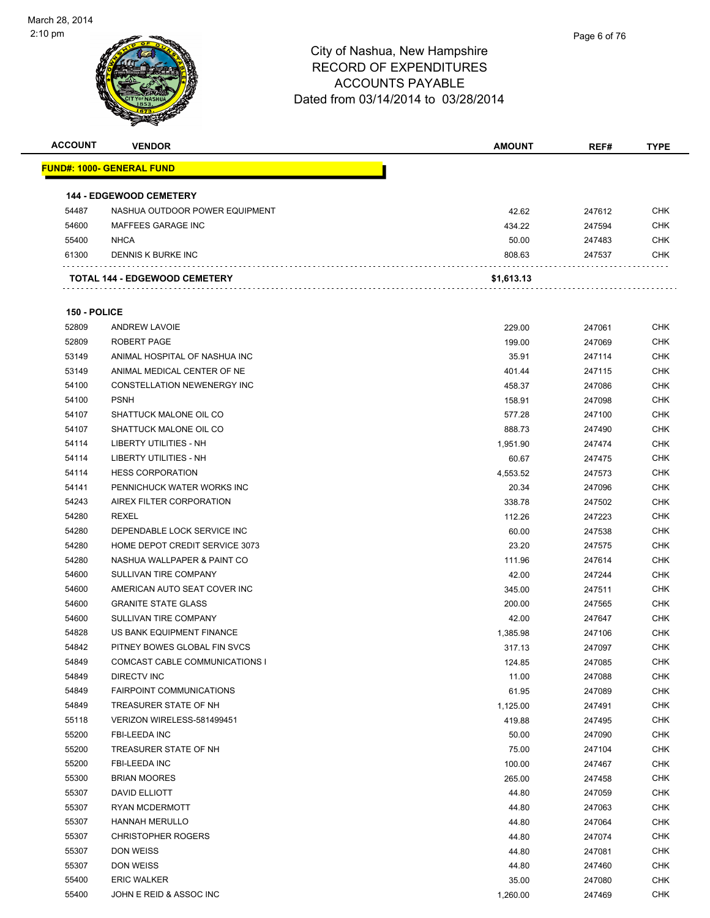| <b>ACCOUNT</b> | <b>VENDOR</b>                        | <b>AMOUNT</b> | REF#   | <b>TYPE</b> |
|----------------|--------------------------------------|---------------|--------|-------------|
|                | <u> FUND#: 1000- GENERAL FUND</u>    |               |        |             |
|                |                                      |               |        |             |
|                | <b>144 - EDGEWOOD CEMETERY</b>       |               |        |             |
| 54487          | NASHUA OUTDOOR POWER EQUIPMENT       | 42.62         | 247612 | <b>CHK</b>  |
| 54600          | MAFFEES GARAGE INC                   | 434.22        | 247594 | <b>CHK</b>  |
| 55400          | <b>NHCA</b>                          | 50.00         | 247483 | <b>CHK</b>  |
| 61300          | DENNIS K BURKE INC                   | 808.63        | 247537 | <b>CHK</b>  |
|                |                                      |               |        |             |
|                | <b>TOTAL 144 - EDGEWOOD CEMETERY</b> | \$1,613.13    |        |             |
|                |                                      |               |        |             |
| 150 - POLICE   |                                      |               |        |             |
| 52809          | <b>ANDREW LAVOIE</b>                 | 229.00        | 247061 | <b>CHK</b>  |
| 52809          | ROBERT PAGE                          | 199.00        | 247069 | <b>CHK</b>  |
| 53149          | ANIMAL HOSPITAL OF NASHUA INC        | 35.91         | 247114 | <b>CHK</b>  |
| 53149          | ANIMAL MEDICAL CENTER OF NE          | 401.44        | 247115 | <b>CHK</b>  |
| 54100          | <b>CONSTELLATION NEWENERGY INC</b>   | 458.37        | 247086 | <b>CHK</b>  |
| 54100          | <b>PSNH</b>                          | 158.91        | 247098 | <b>CHK</b>  |
| 54107          | SHATTUCK MALONE OIL CO               | 577.28        | 247100 | <b>CHK</b>  |
| 54107          | SHATTUCK MALONE OIL CO               | 888.73        | 247490 | CHK         |
| 54114          | <b>LIBERTY UTILITIES - NH</b>        | 1.951.90      | 247474 | <b>CHK</b>  |
| 54114          | LIBERTY UTILITIES - NH               | 60.67         | 247475 | <b>CHK</b>  |
| 54114          | <b>HESS CORPORATION</b>              | 4,553.52      | 247573 | <b>CHK</b>  |
| 54141          | PENNICHUCK WATER WORKS INC           | 20.34         | 247096 | <b>CHK</b>  |
| 54243          | AIREX FILTER CORPORATION             | 338.78        | 247502 | <b>CHK</b>  |
| 54280          | REXEL                                | 112.26        | 247223 | CHK         |
| 54280          | DEPENDABLE LOCK SERVICE INC          | 60.00         | 247538 | <b>CHK</b>  |
| 54280          | HOME DEPOT CREDIT SERVICE 3073       | 23.20         | 247575 | <b>CHK</b>  |
| 54280          | NASHUA WALLPAPER & PAINT CO          | 111.96        | 247614 | <b>CHK</b>  |
| 54600          | SULLIVAN TIRE COMPANY                | 42.00         | 247244 | <b>CHK</b>  |
| 54600          | AMERICAN AUTO SEAT COVER INC         | 345.00        | 247511 | <b>CHK</b>  |
| 54600          | <b>GRANITE STATE GLASS</b>           | 200.00        | 247565 | <b>CHK</b>  |
| 54600          | SULLIVAN TIRE COMPANY                | 42.00         | 247647 | CHK         |
| 54828          | US BANK EQUIPMENT FINANCE            | 1,385.98      | 247106 | <b>CHK</b>  |
| 54842          | PITNEY BOWES GLOBAL FIN SVCS         | 317.13        | 247097 | <b>CHK</b>  |
| 54849          | COMCAST CABLE COMMUNICATIONS I       | 124.85        | 247085 | <b>CHK</b>  |
| 54849          | DIRECTV INC                          | 11.00         | 247088 | <b>CHK</b>  |
| 54849          | FAIRPOINT COMMUNICATIONS             | 61.95         | 247089 | <b>CHK</b>  |
| 54849          | TREASURER STATE OF NH                | 1,125.00      | 247491 | <b>CHK</b>  |
| 55118          | VERIZON WIRELESS-581499451           | 419.88        | 247495 | <b>CHK</b>  |
| 55200          | FBI-LEEDA INC                        | 50.00         | 247090 | <b>CHK</b>  |
| 55200          | TREASURER STATE OF NH                | 75.00         | 247104 | <b>CHK</b>  |
| 55200          | FBI-LEEDA INC                        | 100.00        | 247467 | <b>CHK</b>  |
| 55300          | <b>BRIAN MOORES</b>                  | 265.00        | 247458 | <b>CHK</b>  |
| 55307          | DAVID ELLIOTT                        | 44.80         | 247059 | <b>CHK</b>  |
| 55307          | <b>RYAN MCDERMOTT</b>                | 44.80         | 247063 | <b>CHK</b>  |
| 55307          | <b>HANNAH MERULLO</b>                | 44.80         | 247064 | <b>CHK</b>  |
| 55307          | <b>CHRISTOPHER ROGERS</b>            | 44.80         | 247074 | <b>CHK</b>  |
| 55307          | DON WEISS                            | 44.80         | 247081 | <b>CHK</b>  |
| 55307          | DON WEISS                            | 44.80         | 247460 | <b>CHK</b>  |
| 55400          | <b>ERIC WALKER</b>                   | 35.00         | 247080 | <b>CHK</b>  |
| 55400          | JOHN E REID & ASSOC INC              | 1,260.00      | 247469 | <b>CHK</b>  |
|                |                                      |               |        |             |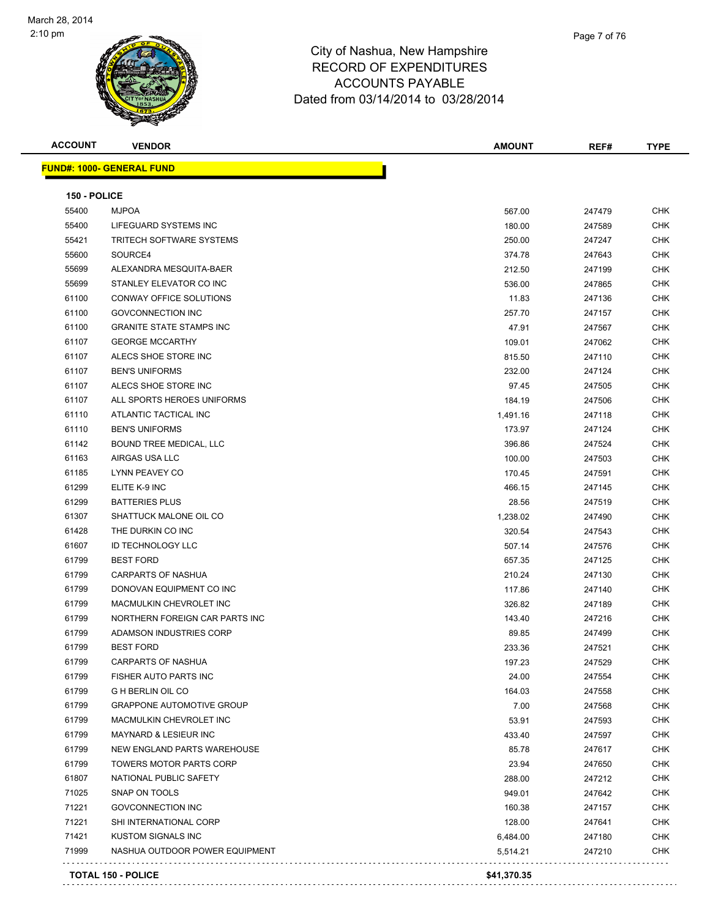

**ACCOUNT VENDOR AMOUNT REF# TYPE**

Page 7 of 76

. . . . . . . . . . . . . . 

. . . . . . . . .

|              | <b>FUND#: 1000- GENERAL FUND</b> |          |        |
|--------------|----------------------------------|----------|--------|
| 150 - POLICE |                                  |          |        |
| 55400        | <b>MJPOA</b>                     | 567.00   | 247479 |
| 55400        | LIFEGUARD SYSTEMS INC            | 180.00   | 247589 |
| 55421        | <b>TRITECH SOFTWARE SYSTEMS</b>  | 250.00   | 247247 |
| 55600        | SOURCE4                          | 374.78   | 247643 |
| 55699        | ALEXANDRA MESQUITA-BAER          | 212.50   | 247199 |
| 55699        | STANLEY ELEVATOR CO INC          | 536.00   | 247865 |
| 61100        | CONWAY OFFICE SOLUTIONS          | 11.83    | 247136 |
| 61100        | <b>GOVCONNECTION INC</b>         | 257.70   | 247157 |
| 61100        | <b>GRANITE STATE STAMPS INC</b>  | 47.91    | 247567 |
| 61107        | <b>GEORGE MCCARTHY</b>           | 109.01   | 247062 |
| 61107        | ALECS SHOE STORE INC             | 815.50   | 247110 |
| 61107        | <b>BEN'S UNIFORMS</b>            | 232.00   | 247124 |
| 61107        | ALECS SHOE STORE INC             | 97.45    | 247505 |
| 61107        | ALL SPORTS HEROES UNIFORMS       | 184.19   | 247506 |
| 61110        | ATLANTIC TACTICAL INC            | 1,491.16 | 247118 |
| 61110        | <b>BEN'S UNIFORMS</b>            | 173.97   | 247124 |
| 61142        | BOUND TREE MEDICAL, LLC          | 396.86   | 247524 |
| 61163        | AIRGAS USA LLC                   | 100.00   | 247503 |
| 61185        | LYNN PEAVEY CO                   | 170.45   | 247591 |
| 61299        | ELITE K-9 INC                    | 466.15   | 247145 |
| 61299        | <b>BATTERIES PLUS</b>            | 28.56    | 247519 |
| 61307        | SHATTUCK MALONE OIL CO           | 1,238.02 | 247490 |
| 61428        | THE DURKIN CO INC                | 320.54   | 247543 |
| 61607        | <b>ID TECHNOLOGY LLC</b>         | 507.14   | 247576 |
| 61799        | <b>BEST FORD</b>                 | 657.35   | 247125 |
| 61799        | <b>CARPARTS OF NASHUA</b>        | 210.24   | 247130 |
| 61799        | DONOVAN EQUIPMENT CO INC         | 117.86   | 247140 |
| 61799        | MACMULKIN CHEVROLET INC          | 326.82   | 247189 |
| 61799        | NORTHERN FOREIGN CAR PARTS INC   | 143.40   | 247216 |
| 61799        | ADAMSON INDUSTRIES CORP          | 89.85    | 247499 |
| 61799        | <b>BEST FORD</b>                 | 233.36   | 247521 |
| 61799        | <b>CARPARTS OF NASHUA</b>        | 197.23   | 247529 |
| 61799        | <b>FISHER AUTO PARTS INC</b>     | 24.00    | 247554 |
| 61799        | <b>G H BERLIN OIL CO</b>         | 164.03   | 247558 |
| 61799        | <b>GRAPPONE AUTOMOTIVE GROUP</b> | 7.00     | 247568 |
| 61799        | MACMULKIN CHEVROLET INC          | 53.91    | 247593 |
| 61799        | <b>MAYNARD &amp; LESIEUR INC</b> | 433.40   | 247597 |
| 61799        | NEW ENGLAND PARTS WAREHOUSE      | 85.78    | 247617 |
| 61799        | TOWERS MOTOR PARTS CORP          | 23.94    | 247650 |
| 61807        | NATIONAL PUBLIC SAFETY           | 288.00   | 247212 |

 SNAP ON TOOLS 949.01 247642 CHK The Same Contract of the Contract of the Contract of the Contract of the Contract of the Contract of the Contract of the Contract of the Contract of the Contract of the Contract of the Contract of the Contract of the Contr The SHI INTERNATIONAL CORP 128.00 247641 CHK KUSTOM SIGNALS INC 6,484.00 247180 CHK NASHUA OUTDOOR POWER EQUIPMENT 5,514.21 247210 CHK

**TOTAL 150 - POLICE \$41,370.35**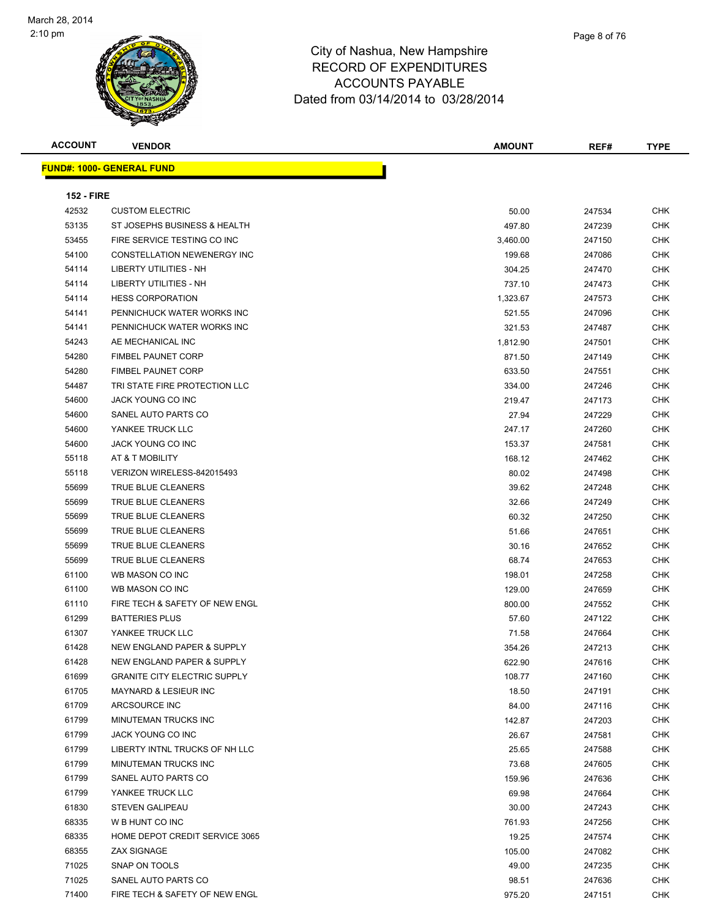

| Page 8 of 76 |
|--------------|
|              |

| <b>FUND#: 1000- GENERAL FUND</b><br><b>152 - FIRE</b><br>42532<br><b>CHK</b><br><b>CUSTOM ELECTRIC</b><br>50.00<br>247534<br><b>CHK</b><br>53135<br>ST JOSEPHS BUSINESS & HEALTH<br>497.80<br>247239<br>53455<br>FIRE SERVICE TESTING CO INC<br>247150<br><b>CHK</b><br>3,460.00<br>54100<br><b>CONSTELLATION NEWENERGY INC</b><br><b>CHK</b><br>199.68<br>247086<br><b>LIBERTY UTILITIES - NH</b><br>54114<br>304.25<br>247470<br><b>CHK</b><br><b>LIBERTY UTILITIES - NH</b><br>54114<br>737.10<br><b>CHK</b><br>247473<br><b>HESS CORPORATION</b><br>54114<br>1,323.67<br>247573<br><b>CHK</b><br>54141<br>PENNICHUCK WATER WORKS INC<br><b>CHK</b><br>521.55<br>247096<br>54141<br>PENNICHUCK WATER WORKS INC<br>321.53<br>247487<br><b>CHK</b><br>54243<br>AE MECHANICAL INC<br><b>CHK</b><br>1,812.90<br>247501<br>54280<br><b>FIMBEL PAUNET CORP</b><br><b>CHK</b><br>871.50<br>247149<br>54280<br><b>FIMBEL PAUNET CORP</b><br>633.50<br><b>CHK</b><br>247551<br>54487<br>TRI STATE FIRE PROTECTION LLC<br><b>CHK</b><br>334.00<br>247246<br>54600<br>JACK YOUNG CO INC<br>219.47<br><b>CHK</b><br>247173<br>54600<br>SANEL AUTO PARTS CO<br><b>CHK</b><br>27.94<br>247229<br>54600<br>YANKEE TRUCK LLC<br>247.17<br>247260<br><b>CHK</b><br>54600<br>JACK YOUNG CO INC<br><b>CHK</b><br>153.37<br>247581<br>55118<br>AT & T MOBILITY<br><b>CHK</b><br>168.12<br>247462<br>55118<br>VERIZON WIRELESS-842015493<br><b>CHK</b><br>80.02<br>247498<br>55699<br>TRUE BLUE CLEANERS<br>39.62<br>247248<br><b>CHK</b><br>55699<br>TRUE BLUE CLEANERS<br><b>CHK</b><br>32.66<br>247249<br>55699<br>TRUE BLUE CLEANERS<br>60.32<br>247250<br><b>CHK</b><br>55699<br>TRUE BLUE CLEANERS<br><b>CHK</b><br>51.66<br>247651<br>55699<br>TRUE BLUE CLEANERS<br>30.16<br><b>CHK</b><br>247652<br>55699<br>TRUE BLUE CLEANERS<br><b>CHK</b><br>68.74<br>247653<br>61100<br>WB MASON CO INC<br><b>CHK</b><br>198.01<br>247258<br>129.00<br>61100<br>WB MASON CO INC<br>247659<br><b>CHK</b><br>61110<br>FIRE TECH & SAFETY OF NEW ENGL<br><b>CHK</b><br>800.00<br>247552<br>61299<br>57.60<br><b>BATTERIES PLUS</b><br>247122<br><b>CHK</b><br>61307<br>YANKEE TRUCK LLC<br><b>CHK</b><br>71.58<br>247664<br><b>NEW ENGLAND PAPER &amp; SUPPLY</b><br>61428<br>354.26<br>247213<br><b>CHK</b><br>61428<br>NEW ENGLAND PAPER & SUPPLY<br><b>CHK</b><br>622.90<br>247616<br>61699<br><b>GRANITE CITY ELECTRIC SUPPLY</b><br>108.77<br>247160<br><b>CHK</b><br>61705<br><b>MAYNARD &amp; LESIEUR INC</b><br><b>CHK</b><br>18.50<br>247191<br>61709<br>ARCSOURCE INC<br>84.00<br>247116<br><b>CHK</b><br>61799<br>MINUTEMAN TRUCKS INC<br><b>CHK</b><br>142.87<br>247203<br>61799<br>JACK YOUNG CO INC<br>26.67<br><b>CHK</b><br>247581<br>61799<br><b>CHK</b><br>LIBERTY INTNL TRUCKS OF NH LLC<br>25.65<br>247588<br>61799<br>MINUTEMAN TRUCKS INC<br>73.68<br>247605<br><b>CHK</b><br>61799<br><b>CHK</b><br>SANEL AUTO PARTS CO<br>159.96<br>247636<br>61799<br>YANKEE TRUCK LLC<br><b>CHK</b><br>69.98<br>247664<br>30.00<br>61830<br><b>STEVEN GALIPEAU</b><br>247243<br>CHK<br>68335<br>W B HUNT CO INC<br><b>CHK</b><br>761.93<br>247256<br>68335<br>HOME DEPOT CREDIT SERVICE 3065<br>19.25<br>247574<br><b>CHK</b><br>68355<br><b>CHK</b><br><b>ZAX SIGNAGE</b><br>105.00<br>247082<br>71025<br>SNAP ON TOOLS<br>49.00<br><b>CHK</b><br>247235<br>71025<br>SANEL AUTO PARTS CO<br><b>CHK</b><br>98.51<br>247636<br>71400<br>FIRE TECH & SAFETY OF NEW ENGL<br><b>CHK</b><br>975.20<br>247151 | <b>ACCOUNT</b> | <b>VENDOR</b> | <b>AMOUNT</b> | REF# | <b>TYPE</b> |
|--------------------------------------------------------------------------------------------------------------------------------------------------------------------------------------------------------------------------------------------------------------------------------------------------------------------------------------------------------------------------------------------------------------------------------------------------------------------------------------------------------------------------------------------------------------------------------------------------------------------------------------------------------------------------------------------------------------------------------------------------------------------------------------------------------------------------------------------------------------------------------------------------------------------------------------------------------------------------------------------------------------------------------------------------------------------------------------------------------------------------------------------------------------------------------------------------------------------------------------------------------------------------------------------------------------------------------------------------------------------------------------------------------------------------------------------------------------------------------------------------------------------------------------------------------------------------------------------------------------------------------------------------------------------------------------------------------------------------------------------------------------------------------------------------------------------------------------------------------------------------------------------------------------------------------------------------------------------------------------------------------------------------------------------------------------------------------------------------------------------------------------------------------------------------------------------------------------------------------------------------------------------------------------------------------------------------------------------------------------------------------------------------------------------------------------------------------------------------------------------------------------------------------------------------------------------------------------------------------------------------------------------------------------------------------------------------------------------------------------------------------------------------------------------------------------------------------------------------------------------------------------------------------------------------------------------------------------------------------------------------------------------------------------------------------------------------------------------------------------------------------------------------------------------------------------------------------------------------------------------------------------------------------------------------------------------------------------------------------------------------------------------------------------------------------------------------------------------------------------------|----------------|---------------|---------------|------|-------------|
|                                                                                                                                                                                                                                                                                                                                                                                                                                                                                                                                                                                                                                                                                                                                                                                                                                                                                                                                                                                                                                                                                                                                                                                                                                                                                                                                                                                                                                                                                                                                                                                                                                                                                                                                                                                                                                                                                                                                                                                                                                                                                                                                                                                                                                                                                                                                                                                                                                                                                                                                                                                                                                                                                                                                                                                                                                                                                                                                                                                                                                                                                                                                                                                                                                                                                                                                                                                                                                                                                            |                |               |               |      |             |
|                                                                                                                                                                                                                                                                                                                                                                                                                                                                                                                                                                                                                                                                                                                                                                                                                                                                                                                                                                                                                                                                                                                                                                                                                                                                                                                                                                                                                                                                                                                                                                                                                                                                                                                                                                                                                                                                                                                                                                                                                                                                                                                                                                                                                                                                                                                                                                                                                                                                                                                                                                                                                                                                                                                                                                                                                                                                                                                                                                                                                                                                                                                                                                                                                                                                                                                                                                                                                                                                                            |                |               |               |      |             |
|                                                                                                                                                                                                                                                                                                                                                                                                                                                                                                                                                                                                                                                                                                                                                                                                                                                                                                                                                                                                                                                                                                                                                                                                                                                                                                                                                                                                                                                                                                                                                                                                                                                                                                                                                                                                                                                                                                                                                                                                                                                                                                                                                                                                                                                                                                                                                                                                                                                                                                                                                                                                                                                                                                                                                                                                                                                                                                                                                                                                                                                                                                                                                                                                                                                                                                                                                                                                                                                                                            |                |               |               |      |             |
|                                                                                                                                                                                                                                                                                                                                                                                                                                                                                                                                                                                                                                                                                                                                                                                                                                                                                                                                                                                                                                                                                                                                                                                                                                                                                                                                                                                                                                                                                                                                                                                                                                                                                                                                                                                                                                                                                                                                                                                                                                                                                                                                                                                                                                                                                                                                                                                                                                                                                                                                                                                                                                                                                                                                                                                                                                                                                                                                                                                                                                                                                                                                                                                                                                                                                                                                                                                                                                                                                            |                |               |               |      |             |
|                                                                                                                                                                                                                                                                                                                                                                                                                                                                                                                                                                                                                                                                                                                                                                                                                                                                                                                                                                                                                                                                                                                                                                                                                                                                                                                                                                                                                                                                                                                                                                                                                                                                                                                                                                                                                                                                                                                                                                                                                                                                                                                                                                                                                                                                                                                                                                                                                                                                                                                                                                                                                                                                                                                                                                                                                                                                                                                                                                                                                                                                                                                                                                                                                                                                                                                                                                                                                                                                                            |                |               |               |      |             |
|                                                                                                                                                                                                                                                                                                                                                                                                                                                                                                                                                                                                                                                                                                                                                                                                                                                                                                                                                                                                                                                                                                                                                                                                                                                                                                                                                                                                                                                                                                                                                                                                                                                                                                                                                                                                                                                                                                                                                                                                                                                                                                                                                                                                                                                                                                                                                                                                                                                                                                                                                                                                                                                                                                                                                                                                                                                                                                                                                                                                                                                                                                                                                                                                                                                                                                                                                                                                                                                                                            |                |               |               |      |             |
|                                                                                                                                                                                                                                                                                                                                                                                                                                                                                                                                                                                                                                                                                                                                                                                                                                                                                                                                                                                                                                                                                                                                                                                                                                                                                                                                                                                                                                                                                                                                                                                                                                                                                                                                                                                                                                                                                                                                                                                                                                                                                                                                                                                                                                                                                                                                                                                                                                                                                                                                                                                                                                                                                                                                                                                                                                                                                                                                                                                                                                                                                                                                                                                                                                                                                                                                                                                                                                                                                            |                |               |               |      |             |
|                                                                                                                                                                                                                                                                                                                                                                                                                                                                                                                                                                                                                                                                                                                                                                                                                                                                                                                                                                                                                                                                                                                                                                                                                                                                                                                                                                                                                                                                                                                                                                                                                                                                                                                                                                                                                                                                                                                                                                                                                                                                                                                                                                                                                                                                                                                                                                                                                                                                                                                                                                                                                                                                                                                                                                                                                                                                                                                                                                                                                                                                                                                                                                                                                                                                                                                                                                                                                                                                                            |                |               |               |      |             |
|                                                                                                                                                                                                                                                                                                                                                                                                                                                                                                                                                                                                                                                                                                                                                                                                                                                                                                                                                                                                                                                                                                                                                                                                                                                                                                                                                                                                                                                                                                                                                                                                                                                                                                                                                                                                                                                                                                                                                                                                                                                                                                                                                                                                                                                                                                                                                                                                                                                                                                                                                                                                                                                                                                                                                                                                                                                                                                                                                                                                                                                                                                                                                                                                                                                                                                                                                                                                                                                                                            |                |               |               |      |             |
|                                                                                                                                                                                                                                                                                                                                                                                                                                                                                                                                                                                                                                                                                                                                                                                                                                                                                                                                                                                                                                                                                                                                                                                                                                                                                                                                                                                                                                                                                                                                                                                                                                                                                                                                                                                                                                                                                                                                                                                                                                                                                                                                                                                                                                                                                                                                                                                                                                                                                                                                                                                                                                                                                                                                                                                                                                                                                                                                                                                                                                                                                                                                                                                                                                                                                                                                                                                                                                                                                            |                |               |               |      |             |
|                                                                                                                                                                                                                                                                                                                                                                                                                                                                                                                                                                                                                                                                                                                                                                                                                                                                                                                                                                                                                                                                                                                                                                                                                                                                                                                                                                                                                                                                                                                                                                                                                                                                                                                                                                                                                                                                                                                                                                                                                                                                                                                                                                                                                                                                                                                                                                                                                                                                                                                                                                                                                                                                                                                                                                                                                                                                                                                                                                                                                                                                                                                                                                                                                                                                                                                                                                                                                                                                                            |                |               |               |      |             |
|                                                                                                                                                                                                                                                                                                                                                                                                                                                                                                                                                                                                                                                                                                                                                                                                                                                                                                                                                                                                                                                                                                                                                                                                                                                                                                                                                                                                                                                                                                                                                                                                                                                                                                                                                                                                                                                                                                                                                                                                                                                                                                                                                                                                                                                                                                                                                                                                                                                                                                                                                                                                                                                                                                                                                                                                                                                                                                                                                                                                                                                                                                                                                                                                                                                                                                                                                                                                                                                                                            |                |               |               |      |             |
|                                                                                                                                                                                                                                                                                                                                                                                                                                                                                                                                                                                                                                                                                                                                                                                                                                                                                                                                                                                                                                                                                                                                                                                                                                                                                                                                                                                                                                                                                                                                                                                                                                                                                                                                                                                                                                                                                                                                                                                                                                                                                                                                                                                                                                                                                                                                                                                                                                                                                                                                                                                                                                                                                                                                                                                                                                                                                                                                                                                                                                                                                                                                                                                                                                                                                                                                                                                                                                                                                            |                |               |               |      |             |
|                                                                                                                                                                                                                                                                                                                                                                                                                                                                                                                                                                                                                                                                                                                                                                                                                                                                                                                                                                                                                                                                                                                                                                                                                                                                                                                                                                                                                                                                                                                                                                                                                                                                                                                                                                                                                                                                                                                                                                                                                                                                                                                                                                                                                                                                                                                                                                                                                                                                                                                                                                                                                                                                                                                                                                                                                                                                                                                                                                                                                                                                                                                                                                                                                                                                                                                                                                                                                                                                                            |                |               |               |      |             |
|                                                                                                                                                                                                                                                                                                                                                                                                                                                                                                                                                                                                                                                                                                                                                                                                                                                                                                                                                                                                                                                                                                                                                                                                                                                                                                                                                                                                                                                                                                                                                                                                                                                                                                                                                                                                                                                                                                                                                                                                                                                                                                                                                                                                                                                                                                                                                                                                                                                                                                                                                                                                                                                                                                                                                                                                                                                                                                                                                                                                                                                                                                                                                                                                                                                                                                                                                                                                                                                                                            |                |               |               |      |             |
|                                                                                                                                                                                                                                                                                                                                                                                                                                                                                                                                                                                                                                                                                                                                                                                                                                                                                                                                                                                                                                                                                                                                                                                                                                                                                                                                                                                                                                                                                                                                                                                                                                                                                                                                                                                                                                                                                                                                                                                                                                                                                                                                                                                                                                                                                                                                                                                                                                                                                                                                                                                                                                                                                                                                                                                                                                                                                                                                                                                                                                                                                                                                                                                                                                                                                                                                                                                                                                                                                            |                |               |               |      |             |
|                                                                                                                                                                                                                                                                                                                                                                                                                                                                                                                                                                                                                                                                                                                                                                                                                                                                                                                                                                                                                                                                                                                                                                                                                                                                                                                                                                                                                                                                                                                                                                                                                                                                                                                                                                                                                                                                                                                                                                                                                                                                                                                                                                                                                                                                                                                                                                                                                                                                                                                                                                                                                                                                                                                                                                                                                                                                                                                                                                                                                                                                                                                                                                                                                                                                                                                                                                                                                                                                                            |                |               |               |      |             |
|                                                                                                                                                                                                                                                                                                                                                                                                                                                                                                                                                                                                                                                                                                                                                                                                                                                                                                                                                                                                                                                                                                                                                                                                                                                                                                                                                                                                                                                                                                                                                                                                                                                                                                                                                                                                                                                                                                                                                                                                                                                                                                                                                                                                                                                                                                                                                                                                                                                                                                                                                                                                                                                                                                                                                                                                                                                                                                                                                                                                                                                                                                                                                                                                                                                                                                                                                                                                                                                                                            |                |               |               |      |             |
|                                                                                                                                                                                                                                                                                                                                                                                                                                                                                                                                                                                                                                                                                                                                                                                                                                                                                                                                                                                                                                                                                                                                                                                                                                                                                                                                                                                                                                                                                                                                                                                                                                                                                                                                                                                                                                                                                                                                                                                                                                                                                                                                                                                                                                                                                                                                                                                                                                                                                                                                                                                                                                                                                                                                                                                                                                                                                                                                                                                                                                                                                                                                                                                                                                                                                                                                                                                                                                                                                            |                |               |               |      |             |
|                                                                                                                                                                                                                                                                                                                                                                                                                                                                                                                                                                                                                                                                                                                                                                                                                                                                                                                                                                                                                                                                                                                                                                                                                                                                                                                                                                                                                                                                                                                                                                                                                                                                                                                                                                                                                                                                                                                                                                                                                                                                                                                                                                                                                                                                                                                                                                                                                                                                                                                                                                                                                                                                                                                                                                                                                                                                                                                                                                                                                                                                                                                                                                                                                                                                                                                                                                                                                                                                                            |                |               |               |      |             |
|                                                                                                                                                                                                                                                                                                                                                                                                                                                                                                                                                                                                                                                                                                                                                                                                                                                                                                                                                                                                                                                                                                                                                                                                                                                                                                                                                                                                                                                                                                                                                                                                                                                                                                                                                                                                                                                                                                                                                                                                                                                                                                                                                                                                                                                                                                                                                                                                                                                                                                                                                                                                                                                                                                                                                                                                                                                                                                                                                                                                                                                                                                                                                                                                                                                                                                                                                                                                                                                                                            |                |               |               |      |             |
|                                                                                                                                                                                                                                                                                                                                                                                                                                                                                                                                                                                                                                                                                                                                                                                                                                                                                                                                                                                                                                                                                                                                                                                                                                                                                                                                                                                                                                                                                                                                                                                                                                                                                                                                                                                                                                                                                                                                                                                                                                                                                                                                                                                                                                                                                                                                                                                                                                                                                                                                                                                                                                                                                                                                                                                                                                                                                                                                                                                                                                                                                                                                                                                                                                                                                                                                                                                                                                                                                            |                |               |               |      |             |
|                                                                                                                                                                                                                                                                                                                                                                                                                                                                                                                                                                                                                                                                                                                                                                                                                                                                                                                                                                                                                                                                                                                                                                                                                                                                                                                                                                                                                                                                                                                                                                                                                                                                                                                                                                                                                                                                                                                                                                                                                                                                                                                                                                                                                                                                                                                                                                                                                                                                                                                                                                                                                                                                                                                                                                                                                                                                                                                                                                                                                                                                                                                                                                                                                                                                                                                                                                                                                                                                                            |                |               |               |      |             |
|                                                                                                                                                                                                                                                                                                                                                                                                                                                                                                                                                                                                                                                                                                                                                                                                                                                                                                                                                                                                                                                                                                                                                                                                                                                                                                                                                                                                                                                                                                                                                                                                                                                                                                                                                                                                                                                                                                                                                                                                                                                                                                                                                                                                                                                                                                                                                                                                                                                                                                                                                                                                                                                                                                                                                                                                                                                                                                                                                                                                                                                                                                                                                                                                                                                                                                                                                                                                                                                                                            |                |               |               |      |             |
|                                                                                                                                                                                                                                                                                                                                                                                                                                                                                                                                                                                                                                                                                                                                                                                                                                                                                                                                                                                                                                                                                                                                                                                                                                                                                                                                                                                                                                                                                                                                                                                                                                                                                                                                                                                                                                                                                                                                                                                                                                                                                                                                                                                                                                                                                                                                                                                                                                                                                                                                                                                                                                                                                                                                                                                                                                                                                                                                                                                                                                                                                                                                                                                                                                                                                                                                                                                                                                                                                            |                |               |               |      |             |
|                                                                                                                                                                                                                                                                                                                                                                                                                                                                                                                                                                                                                                                                                                                                                                                                                                                                                                                                                                                                                                                                                                                                                                                                                                                                                                                                                                                                                                                                                                                                                                                                                                                                                                                                                                                                                                                                                                                                                                                                                                                                                                                                                                                                                                                                                                                                                                                                                                                                                                                                                                                                                                                                                                                                                                                                                                                                                                                                                                                                                                                                                                                                                                                                                                                                                                                                                                                                                                                                                            |                |               |               |      |             |
|                                                                                                                                                                                                                                                                                                                                                                                                                                                                                                                                                                                                                                                                                                                                                                                                                                                                                                                                                                                                                                                                                                                                                                                                                                                                                                                                                                                                                                                                                                                                                                                                                                                                                                                                                                                                                                                                                                                                                                                                                                                                                                                                                                                                                                                                                                                                                                                                                                                                                                                                                                                                                                                                                                                                                                                                                                                                                                                                                                                                                                                                                                                                                                                                                                                                                                                                                                                                                                                                                            |                |               |               |      |             |
|                                                                                                                                                                                                                                                                                                                                                                                                                                                                                                                                                                                                                                                                                                                                                                                                                                                                                                                                                                                                                                                                                                                                                                                                                                                                                                                                                                                                                                                                                                                                                                                                                                                                                                                                                                                                                                                                                                                                                                                                                                                                                                                                                                                                                                                                                                                                                                                                                                                                                                                                                                                                                                                                                                                                                                                                                                                                                                                                                                                                                                                                                                                                                                                                                                                                                                                                                                                                                                                                                            |                |               |               |      |             |
|                                                                                                                                                                                                                                                                                                                                                                                                                                                                                                                                                                                                                                                                                                                                                                                                                                                                                                                                                                                                                                                                                                                                                                                                                                                                                                                                                                                                                                                                                                                                                                                                                                                                                                                                                                                                                                                                                                                                                                                                                                                                                                                                                                                                                                                                                                                                                                                                                                                                                                                                                                                                                                                                                                                                                                                                                                                                                                                                                                                                                                                                                                                                                                                                                                                                                                                                                                                                                                                                                            |                |               |               |      |             |
|                                                                                                                                                                                                                                                                                                                                                                                                                                                                                                                                                                                                                                                                                                                                                                                                                                                                                                                                                                                                                                                                                                                                                                                                                                                                                                                                                                                                                                                                                                                                                                                                                                                                                                                                                                                                                                                                                                                                                                                                                                                                                                                                                                                                                                                                                                                                                                                                                                                                                                                                                                                                                                                                                                                                                                                                                                                                                                                                                                                                                                                                                                                                                                                                                                                                                                                                                                                                                                                                                            |                |               |               |      |             |
|                                                                                                                                                                                                                                                                                                                                                                                                                                                                                                                                                                                                                                                                                                                                                                                                                                                                                                                                                                                                                                                                                                                                                                                                                                                                                                                                                                                                                                                                                                                                                                                                                                                                                                                                                                                                                                                                                                                                                                                                                                                                                                                                                                                                                                                                                                                                                                                                                                                                                                                                                                                                                                                                                                                                                                                                                                                                                                                                                                                                                                                                                                                                                                                                                                                                                                                                                                                                                                                                                            |                |               |               |      |             |
|                                                                                                                                                                                                                                                                                                                                                                                                                                                                                                                                                                                                                                                                                                                                                                                                                                                                                                                                                                                                                                                                                                                                                                                                                                                                                                                                                                                                                                                                                                                                                                                                                                                                                                                                                                                                                                                                                                                                                                                                                                                                                                                                                                                                                                                                                                                                                                                                                                                                                                                                                                                                                                                                                                                                                                                                                                                                                                                                                                                                                                                                                                                                                                                                                                                                                                                                                                                                                                                                                            |                |               |               |      |             |
|                                                                                                                                                                                                                                                                                                                                                                                                                                                                                                                                                                                                                                                                                                                                                                                                                                                                                                                                                                                                                                                                                                                                                                                                                                                                                                                                                                                                                                                                                                                                                                                                                                                                                                                                                                                                                                                                                                                                                                                                                                                                                                                                                                                                                                                                                                                                                                                                                                                                                                                                                                                                                                                                                                                                                                                                                                                                                                                                                                                                                                                                                                                                                                                                                                                                                                                                                                                                                                                                                            |                |               |               |      |             |
|                                                                                                                                                                                                                                                                                                                                                                                                                                                                                                                                                                                                                                                                                                                                                                                                                                                                                                                                                                                                                                                                                                                                                                                                                                                                                                                                                                                                                                                                                                                                                                                                                                                                                                                                                                                                                                                                                                                                                                                                                                                                                                                                                                                                                                                                                                                                                                                                                                                                                                                                                                                                                                                                                                                                                                                                                                                                                                                                                                                                                                                                                                                                                                                                                                                                                                                                                                                                                                                                                            |                |               |               |      |             |
|                                                                                                                                                                                                                                                                                                                                                                                                                                                                                                                                                                                                                                                                                                                                                                                                                                                                                                                                                                                                                                                                                                                                                                                                                                                                                                                                                                                                                                                                                                                                                                                                                                                                                                                                                                                                                                                                                                                                                                                                                                                                                                                                                                                                                                                                                                                                                                                                                                                                                                                                                                                                                                                                                                                                                                                                                                                                                                                                                                                                                                                                                                                                                                                                                                                                                                                                                                                                                                                                                            |                |               |               |      |             |
|                                                                                                                                                                                                                                                                                                                                                                                                                                                                                                                                                                                                                                                                                                                                                                                                                                                                                                                                                                                                                                                                                                                                                                                                                                                                                                                                                                                                                                                                                                                                                                                                                                                                                                                                                                                                                                                                                                                                                                                                                                                                                                                                                                                                                                                                                                                                                                                                                                                                                                                                                                                                                                                                                                                                                                                                                                                                                                                                                                                                                                                                                                                                                                                                                                                                                                                                                                                                                                                                                            |                |               |               |      |             |
|                                                                                                                                                                                                                                                                                                                                                                                                                                                                                                                                                                                                                                                                                                                                                                                                                                                                                                                                                                                                                                                                                                                                                                                                                                                                                                                                                                                                                                                                                                                                                                                                                                                                                                                                                                                                                                                                                                                                                                                                                                                                                                                                                                                                                                                                                                                                                                                                                                                                                                                                                                                                                                                                                                                                                                                                                                                                                                                                                                                                                                                                                                                                                                                                                                                                                                                                                                                                                                                                                            |                |               |               |      |             |
|                                                                                                                                                                                                                                                                                                                                                                                                                                                                                                                                                                                                                                                                                                                                                                                                                                                                                                                                                                                                                                                                                                                                                                                                                                                                                                                                                                                                                                                                                                                                                                                                                                                                                                                                                                                                                                                                                                                                                                                                                                                                                                                                                                                                                                                                                                                                                                                                                                                                                                                                                                                                                                                                                                                                                                                                                                                                                                                                                                                                                                                                                                                                                                                                                                                                                                                                                                                                                                                                                            |                |               |               |      |             |
|                                                                                                                                                                                                                                                                                                                                                                                                                                                                                                                                                                                                                                                                                                                                                                                                                                                                                                                                                                                                                                                                                                                                                                                                                                                                                                                                                                                                                                                                                                                                                                                                                                                                                                                                                                                                                                                                                                                                                                                                                                                                                                                                                                                                                                                                                                                                                                                                                                                                                                                                                                                                                                                                                                                                                                                                                                                                                                                                                                                                                                                                                                                                                                                                                                                                                                                                                                                                                                                                                            |                |               |               |      |             |
|                                                                                                                                                                                                                                                                                                                                                                                                                                                                                                                                                                                                                                                                                                                                                                                                                                                                                                                                                                                                                                                                                                                                                                                                                                                                                                                                                                                                                                                                                                                                                                                                                                                                                                                                                                                                                                                                                                                                                                                                                                                                                                                                                                                                                                                                                                                                                                                                                                                                                                                                                                                                                                                                                                                                                                                                                                                                                                                                                                                                                                                                                                                                                                                                                                                                                                                                                                                                                                                                                            |                |               |               |      |             |
|                                                                                                                                                                                                                                                                                                                                                                                                                                                                                                                                                                                                                                                                                                                                                                                                                                                                                                                                                                                                                                                                                                                                                                                                                                                                                                                                                                                                                                                                                                                                                                                                                                                                                                                                                                                                                                                                                                                                                                                                                                                                                                                                                                                                                                                                                                                                                                                                                                                                                                                                                                                                                                                                                                                                                                                                                                                                                                                                                                                                                                                                                                                                                                                                                                                                                                                                                                                                                                                                                            |                |               |               |      |             |
|                                                                                                                                                                                                                                                                                                                                                                                                                                                                                                                                                                                                                                                                                                                                                                                                                                                                                                                                                                                                                                                                                                                                                                                                                                                                                                                                                                                                                                                                                                                                                                                                                                                                                                                                                                                                                                                                                                                                                                                                                                                                                                                                                                                                                                                                                                                                                                                                                                                                                                                                                                                                                                                                                                                                                                                                                                                                                                                                                                                                                                                                                                                                                                                                                                                                                                                                                                                                                                                                                            |                |               |               |      |             |
|                                                                                                                                                                                                                                                                                                                                                                                                                                                                                                                                                                                                                                                                                                                                                                                                                                                                                                                                                                                                                                                                                                                                                                                                                                                                                                                                                                                                                                                                                                                                                                                                                                                                                                                                                                                                                                                                                                                                                                                                                                                                                                                                                                                                                                                                                                                                                                                                                                                                                                                                                                                                                                                                                                                                                                                                                                                                                                                                                                                                                                                                                                                                                                                                                                                                                                                                                                                                                                                                                            |                |               |               |      |             |
|                                                                                                                                                                                                                                                                                                                                                                                                                                                                                                                                                                                                                                                                                                                                                                                                                                                                                                                                                                                                                                                                                                                                                                                                                                                                                                                                                                                                                                                                                                                                                                                                                                                                                                                                                                                                                                                                                                                                                                                                                                                                                                                                                                                                                                                                                                                                                                                                                                                                                                                                                                                                                                                                                                                                                                                                                                                                                                                                                                                                                                                                                                                                                                                                                                                                                                                                                                                                                                                                                            |                |               |               |      |             |
|                                                                                                                                                                                                                                                                                                                                                                                                                                                                                                                                                                                                                                                                                                                                                                                                                                                                                                                                                                                                                                                                                                                                                                                                                                                                                                                                                                                                                                                                                                                                                                                                                                                                                                                                                                                                                                                                                                                                                                                                                                                                                                                                                                                                                                                                                                                                                                                                                                                                                                                                                                                                                                                                                                                                                                                                                                                                                                                                                                                                                                                                                                                                                                                                                                                                                                                                                                                                                                                                                            |                |               |               |      |             |
|                                                                                                                                                                                                                                                                                                                                                                                                                                                                                                                                                                                                                                                                                                                                                                                                                                                                                                                                                                                                                                                                                                                                                                                                                                                                                                                                                                                                                                                                                                                                                                                                                                                                                                                                                                                                                                                                                                                                                                                                                                                                                                                                                                                                                                                                                                                                                                                                                                                                                                                                                                                                                                                                                                                                                                                                                                                                                                                                                                                                                                                                                                                                                                                                                                                                                                                                                                                                                                                                                            |                |               |               |      |             |
|                                                                                                                                                                                                                                                                                                                                                                                                                                                                                                                                                                                                                                                                                                                                                                                                                                                                                                                                                                                                                                                                                                                                                                                                                                                                                                                                                                                                                                                                                                                                                                                                                                                                                                                                                                                                                                                                                                                                                                                                                                                                                                                                                                                                                                                                                                                                                                                                                                                                                                                                                                                                                                                                                                                                                                                                                                                                                                                                                                                                                                                                                                                                                                                                                                                                                                                                                                                                                                                                                            |                |               |               |      |             |
|                                                                                                                                                                                                                                                                                                                                                                                                                                                                                                                                                                                                                                                                                                                                                                                                                                                                                                                                                                                                                                                                                                                                                                                                                                                                                                                                                                                                                                                                                                                                                                                                                                                                                                                                                                                                                                                                                                                                                                                                                                                                                                                                                                                                                                                                                                                                                                                                                                                                                                                                                                                                                                                                                                                                                                                                                                                                                                                                                                                                                                                                                                                                                                                                                                                                                                                                                                                                                                                                                            |                |               |               |      |             |
|                                                                                                                                                                                                                                                                                                                                                                                                                                                                                                                                                                                                                                                                                                                                                                                                                                                                                                                                                                                                                                                                                                                                                                                                                                                                                                                                                                                                                                                                                                                                                                                                                                                                                                                                                                                                                                                                                                                                                                                                                                                                                                                                                                                                                                                                                                                                                                                                                                                                                                                                                                                                                                                                                                                                                                                                                                                                                                                                                                                                                                                                                                                                                                                                                                                                                                                                                                                                                                                                                            |                |               |               |      |             |
|                                                                                                                                                                                                                                                                                                                                                                                                                                                                                                                                                                                                                                                                                                                                                                                                                                                                                                                                                                                                                                                                                                                                                                                                                                                                                                                                                                                                                                                                                                                                                                                                                                                                                                                                                                                                                                                                                                                                                                                                                                                                                                                                                                                                                                                                                                                                                                                                                                                                                                                                                                                                                                                                                                                                                                                                                                                                                                                                                                                                                                                                                                                                                                                                                                                                                                                                                                                                                                                                                            |                |               |               |      |             |
|                                                                                                                                                                                                                                                                                                                                                                                                                                                                                                                                                                                                                                                                                                                                                                                                                                                                                                                                                                                                                                                                                                                                                                                                                                                                                                                                                                                                                                                                                                                                                                                                                                                                                                                                                                                                                                                                                                                                                                                                                                                                                                                                                                                                                                                                                                                                                                                                                                                                                                                                                                                                                                                                                                                                                                                                                                                                                                                                                                                                                                                                                                                                                                                                                                                                                                                                                                                                                                                                                            |                |               |               |      |             |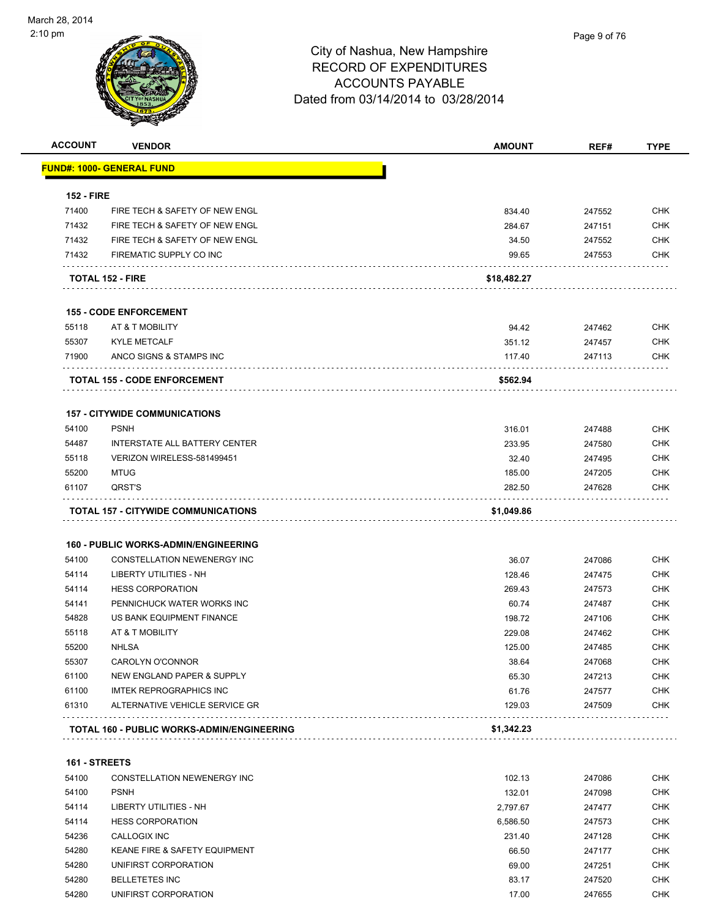

| <b>ACCOUNT</b>    | <b>VENDOR</b>                               | <b>AMOUNT</b> | REF#   | <b>TYPE</b> |
|-------------------|---------------------------------------------|---------------|--------|-------------|
|                   | <u> FUND#: 1000- GENERAL FUND</u>           |               |        |             |
| <b>152 - FIRE</b> |                                             |               |        |             |
| 71400             | FIRE TECH & SAFETY OF NEW ENGL              | 834.40        | 247552 | <b>CHK</b>  |
| 71432             | FIRE TECH & SAFETY OF NEW ENGL              | 284.67        | 247151 | <b>CHK</b>  |
| 71432             | FIRE TECH & SAFETY OF NEW ENGL              | 34.50         | 247552 | <b>CHK</b>  |
| 71432             | FIREMATIC SUPPLY CO INC                     | 99.65         | 247553 | <b>CHK</b>  |
|                   | <b>TOTAL 152 - FIRE</b>                     | \$18,482.27   |        |             |
|                   | <b>155 - CODE ENFORCEMENT</b>               |               |        |             |
| 55118             | AT & T MOBILITY                             | 94.42         | 247462 | <b>CHK</b>  |
| 55307             | <b>KYLE METCALF</b>                         | 351.12        | 247457 | <b>CHK</b>  |
| 71900             | ANCO SIGNS & STAMPS INC                     | 117.40        | 247113 | CHK         |
|                   | .<br><b>TOTAL 155 - CODE ENFORCEMENT</b>    | \$562.94      |        |             |
|                   | <b>157 - CITYWIDE COMMUNICATIONS</b>        |               |        |             |
| 54100             | <b>PSNH</b>                                 | 316.01        | 247488 | <b>CHK</b>  |
| 54487             | INTERSTATE ALL BATTERY CENTER               | 233.95        | 247580 | <b>CHK</b>  |
| 55118             | VERIZON WIRELESS-581499451                  | 32.40         | 247495 | <b>CHK</b>  |
| 55200             | <b>MTUG</b>                                 | 185.00        | 247205 | <b>CHK</b>  |
| 61107             | QRST'S                                      | 282.50        | 247628 | <b>CHK</b>  |
|                   | <b>TOTAL 157 - CITYWIDE COMMUNICATIONS</b>  | \$1,049.86    |        |             |
|                   | <b>160 - PUBLIC WORKS-ADMIN/ENGINEERING</b> |               |        |             |
| 54100             | CONSTELLATION NEWENERGY INC                 | 36.07         | 247086 | <b>CHK</b>  |
| 54114             | LIBERTY UTILITIES - NH                      | 128.46        | 247475 | <b>CHK</b>  |
| 54114             | <b>HESS CORPORATION</b>                     | 269.43        | 247573 | <b>CHK</b>  |
| 54141             | PENNICHUCK WATER WORKS INC                  | 60.74         | 247487 | <b>CHK</b>  |
| 54828             | US BANK EQUIPMENT FINANCE                   | 198.72        | 247106 | <b>CHK</b>  |
| 55118             | AT & T MOBILITY                             | 229.08        | 247462 | <b>CHK</b>  |
| 55200             | <b>NHLSA</b>                                | 125.00        | 247485 | <b>CHK</b>  |
| 55307             | CAROLYN O'CONNOR                            | 38.64         | 247068 | CHK         |
| 61100             | NEW ENGLAND PAPER & SUPPLY                  | 65.30         | 247213 | <b>CHK</b>  |
| 61100             | <b>IMTEK REPROGRAPHICS INC</b>              | 61.76         | 247577 | <b>CHK</b>  |
| 61310             | ALTERNATIVE VEHICLE SERVICE GR              | 129.03        | 247509 | <b>CHK</b>  |
|                   | TOTAL 160 - PUBLIC WORKS-ADMIN/ENGINEERING  | \$1,342.23    |        |             |
| 161 - STREETS     |                                             |               |        |             |
| 54100             | CONSTELLATION NEWENERGY INC                 | 102.13        | 247086 | <b>CHK</b>  |
| 54100             | <b>PSNH</b>                                 | 132.01        | 247098 | <b>CHK</b>  |
|                   |                                             |               |        |             |

| 54114 | LIBERTY UTILITIES - NH                   | 2.797.67 | 247477 | <b>CHK</b> |
|-------|------------------------------------------|----------|--------|------------|
| 54114 | <b>HESS CORPORATION</b>                  | 6.586.50 | 247573 | <b>CHK</b> |
| 54236 | CALLOGIX INC                             | 231.40   | 247128 | <b>CHK</b> |
| 54280 | <b>KEANE FIRE &amp; SAFETY EQUIPMENT</b> | 66.50    | 247177 | <b>CHK</b> |
| 54280 | UNIFIRST CORPORATION                     | 69.00    | 247251 | <b>CHK</b> |
| 54280 | <b>BELLETETES INC</b>                    | 83.17    | 247520 | <b>CHK</b> |
| 54280 | UNIFIRST CORPORATION                     | 17.00    | 247655 | <b>CHK</b> |
|       |                                          |          |        |            |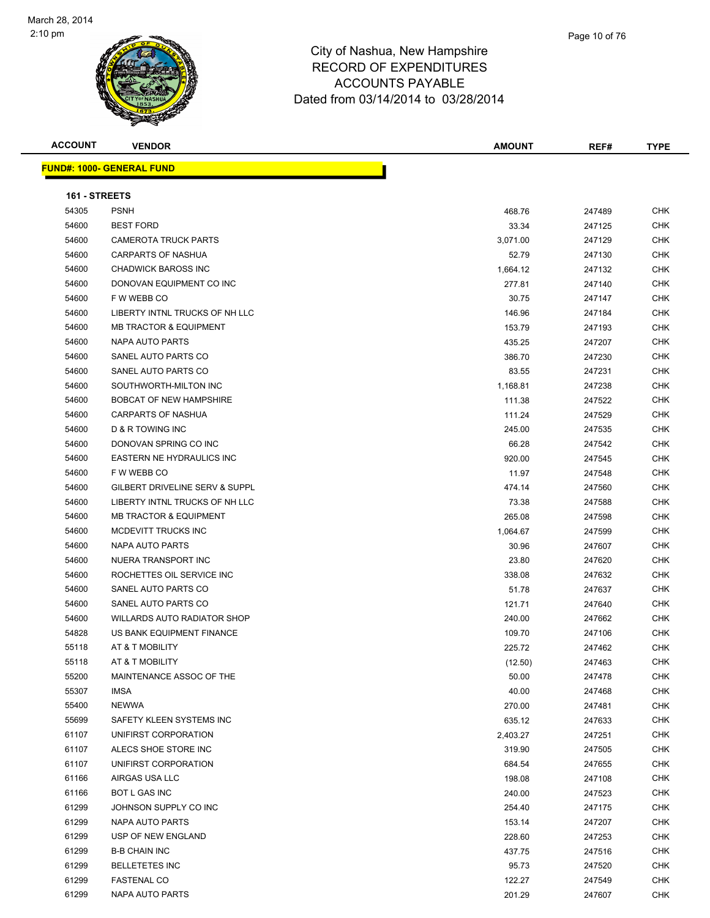

h

Page 10 of 76

**ACCOUNT VENDOR AMOUNT REF# TYPE**

| <b>FUND#: 1000- GENERAL FUND</b> |  |
|----------------------------------|--|
|                                  |  |

| 161 - STREETS |                                    |          |        |            |
|---------------|------------------------------------|----------|--------|------------|
| 54305         | <b>PSNH</b>                        | 468.76   | 247489 | <b>CHK</b> |
| 54600         | <b>BEST FORD</b>                   | 33.34    | 247125 | <b>CHK</b> |
| 54600         | <b>CAMEROTA TRUCK PARTS</b>        | 3,071.00 | 247129 | <b>CHK</b> |
| 54600         | <b>CARPARTS OF NASHUA</b>          | 52.79    | 247130 | CHK        |
| 54600         | <b>CHADWICK BAROSS INC</b>         | 1,664.12 | 247132 | <b>CHK</b> |
| 54600         | DONOVAN EQUIPMENT CO INC           | 277.81   | 247140 | <b>CHK</b> |
| 54600         | F W WEBB CO                        | 30.75    | 247147 | <b>CHK</b> |
| 54600         | LIBERTY INTNL TRUCKS OF NH LLC     | 146.96   | 247184 | <b>CHK</b> |
| 54600         | <b>MB TRACTOR &amp; EQUIPMENT</b>  | 153.79   | 247193 | CHK        |
| 54600         | NAPA AUTO PARTS                    | 435.25   | 247207 | CHK        |
| 54600         | SANEL AUTO PARTS CO                | 386.70   | 247230 | CHK        |
| 54600         | SANEL AUTO PARTS CO                | 83.55    | 247231 | <b>CHK</b> |
| 54600         | SOUTHWORTH-MILTON INC              | 1,168.81 | 247238 | CHK        |
| 54600         | <b>BOBCAT OF NEW HAMPSHIRE</b>     | 111.38   | 247522 | <b>CHK</b> |
| 54600         | <b>CARPARTS OF NASHUA</b>          | 111.24   | 247529 | <b>CHK</b> |
| 54600         | D & R TOWING INC                   | 245.00   | 247535 | <b>CHK</b> |
| 54600         | DONOVAN SPRING CO INC              | 66.28    | 247542 | <b>CHK</b> |
| 54600         | <b>EASTERN NE HYDRAULICS INC</b>   | 920.00   | 247545 | <b>CHK</b> |
| 54600         | F W WEBB CO                        | 11.97    | 247548 | <b>CHK</b> |
| 54600         | GILBERT DRIVELINE SERV & SUPPL     | 474.14   | 247560 | CHK        |
| 54600         | LIBERTY INTNL TRUCKS OF NH LLC     | 73.38    | 247588 | CHK        |
| 54600         | <b>MB TRACTOR &amp; EQUIPMENT</b>  | 265.08   | 247598 | <b>CHK</b> |
| 54600         | MCDEVITT TRUCKS INC                | 1,064.67 | 247599 | <b>CHK</b> |
| 54600         | NAPA AUTO PARTS                    | 30.96    | 247607 | <b>CHK</b> |
| 54600         | NUERA TRANSPORT INC                | 23.80    | 247620 | <b>CHK</b> |
| 54600         | ROCHETTES OIL SERVICE INC          | 338.08   | 247632 | <b>CHK</b> |
| 54600         | SANEL AUTO PARTS CO                | 51.78    | 247637 | <b>CHK</b> |
| 54600         | SANEL AUTO PARTS CO                | 121.71   | 247640 | <b>CHK</b> |
| 54600         | <b>WILLARDS AUTO RADIATOR SHOP</b> | 240.00   | 247662 | CHK        |
| 54828         | US BANK EQUIPMENT FINANCE          | 109.70   | 247106 | <b>CHK</b> |
| 55118         | AT & T MOBILITY                    | 225.72   | 247462 | CHK        |
| 55118         | AT & T MOBILITY                    | (12.50)  | 247463 | CHK        |
| 55200         | MAINTENANCE ASSOC OF THE           | 50.00    | 247478 | CHK        |
| 55307         | <b>IMSA</b>                        | 40.00    | 247468 | CHK        |
| 55400         | <b>NEWWA</b>                       | 270.00   | 247481 | <b>CHK</b> |
| 55699         | SAFETY KLEEN SYSTEMS INC           | 635.12   | 247633 | <b>CHK</b> |
| 61107         | UNIFIRST CORPORATION               | 2,403.27 | 247251 | <b>CHK</b> |
| 61107         | ALECS SHOE STORE INC               | 319.90   | 247505 | <b>CHK</b> |
| 61107         | UNIFIRST CORPORATION               | 684.54   | 247655 | <b>CHK</b> |
| 61166         | AIRGAS USA LLC                     | 198.08   | 247108 | <b>CHK</b> |
| 61166         | BOT L GAS INC                      | 240.00   | 247523 | <b>CHK</b> |
| 61299         | JOHNSON SUPPLY CO INC              | 254.40   | 247175 | <b>CHK</b> |
| 61299         | <b>NAPA AUTO PARTS</b>             | 153.14   | 247207 | <b>CHK</b> |
| 61299         | USP OF NEW ENGLAND                 | 228.60   | 247253 | <b>CHK</b> |
| 61299         | <b>B-B CHAIN INC</b>               | 437.75   | 247516 | <b>CHK</b> |
| 61299         | <b>BELLETETES INC</b>              | 95.73    | 247520 | <b>CHK</b> |
| 61299         | <b>FASTENAL CO</b>                 | 122.27   | 247549 | <b>CHK</b> |
| 61299         | NAPA AUTO PARTS                    | 201.29   | 247607 | CHK        |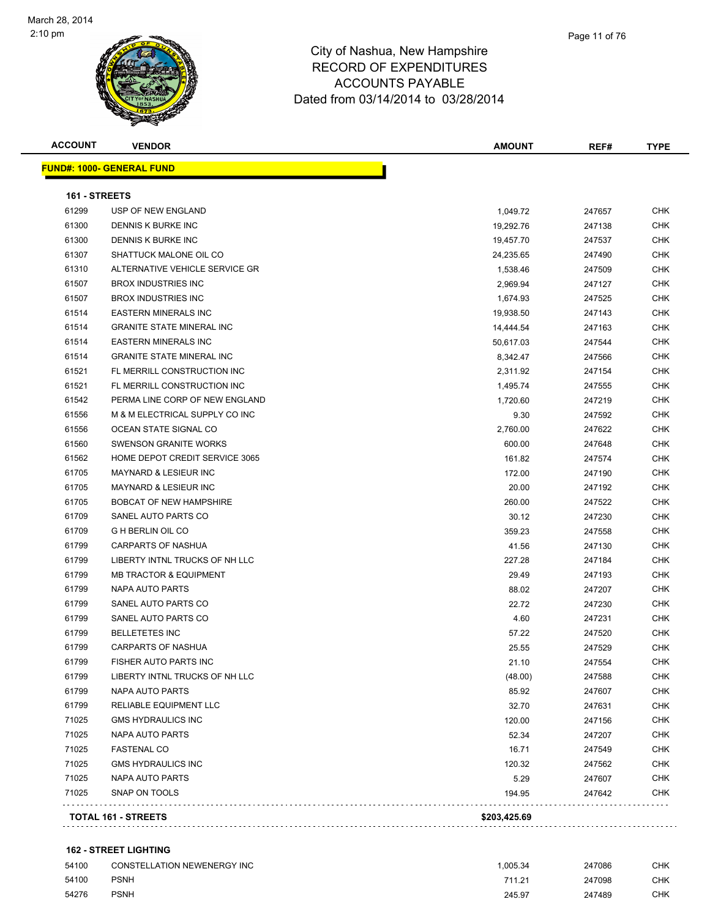| <b>ACCOUNT</b> | <b>VENDOR</b>                     | <b>AMOUNT</b> | REF#   | <b>TYPE</b> |
|----------------|-----------------------------------|---------------|--------|-------------|
|                | <b>FUND#: 1000- GENERAL FUND</b>  |               |        |             |
| 161 - STREETS  |                                   |               |        |             |
| 61299          | USP OF NEW ENGLAND                | 1,049.72      | 247657 | CHK         |
| 61300          | <b>DENNIS K BURKE INC</b>         | 19,292.76     | 247138 | CHK         |
| 61300          | DENNIS K BURKE INC                | 19,457.70     | 247537 | <b>CHK</b>  |
| 61307          | SHATTUCK MALONE OIL CO            | 24,235.65     | 247490 | <b>CHK</b>  |
| 61310          | ALTERNATIVE VEHICLE SERVICE GR    | 1,538.46      | 247509 | <b>CHK</b>  |
| 61507          | <b>BROX INDUSTRIES INC</b>        | 2,969.94      | 247127 | CHK         |
| 61507          | <b>BROX INDUSTRIES INC</b>        | 1,674.93      | 247525 | <b>CHK</b>  |
| 61514          | <b>EASTERN MINERALS INC</b>       | 19,938.50     | 247143 | <b>CHK</b>  |
| 61514          | <b>GRANITE STATE MINERAL INC</b>  | 14,444.54     | 247163 | <b>CHK</b>  |
| 61514          | <b>EASTERN MINERALS INC</b>       | 50,617.03     | 247544 | <b>CHK</b>  |
| 61514          | <b>GRANITE STATE MINERAL INC</b>  | 8,342.47      | 247566 | <b>CHK</b>  |
| 61521          | FL MERRILL CONSTRUCTION INC       | 2,311.92      | 247154 | <b>CHK</b>  |
| 61521          | FL MERRILL CONSTRUCTION INC       | 1,495.74      | 247555 | <b>CHK</b>  |
| 61542          | PERMA LINE CORP OF NEW ENGLAND    | 1,720.60      | 247219 | <b>CHK</b>  |
| 61556          | M & M ELECTRICAL SUPPLY CO INC    | 9.30          | 247592 | <b>CHK</b>  |
| 61556          | OCEAN STATE SIGNAL CO             | 2,760.00      | 247622 | CHK         |
| 61560          | <b>SWENSON GRANITE WORKS</b>      | 600.00        | 247648 | CHK         |
| 61562          | HOME DEPOT CREDIT SERVICE 3065    | 161.82        | 247574 | <b>CHK</b>  |
| 61705          | <b>MAYNARD &amp; LESIEUR INC</b>  | 172.00        | 247190 | CHK         |
| 61705          | <b>MAYNARD &amp; LESIEUR INC</b>  | 20.00         | 247192 | CHK         |
| 61705          | <b>BOBCAT OF NEW HAMPSHIRE</b>    | 260.00        | 247522 | CHK         |
| 61709          | SANEL AUTO PARTS CO               | 30.12         | 247230 | <b>CHK</b>  |
| 61709          | <b>GHBERLIN OIL CO</b>            | 359.23        | 247558 | <b>CHK</b>  |
| 61799          | CARPARTS OF NASHUA                | 41.56         | 247130 | <b>CHK</b>  |
| 61799          | LIBERTY INTNL TRUCKS OF NH LLC    | 227.28        | 247184 | <b>CHK</b>  |
| 61799          | <b>MB TRACTOR &amp; EQUIPMENT</b> | 29.49         | 247193 | CHK         |
| 61799          | NAPA AUTO PARTS                   | 88.02         | 247207 | <b>CHK</b>  |
| 61799          | SANEL AUTO PARTS CO               | 22.72         | 247230 | CHK         |
| 61799          | SANEL AUTO PARTS CO               | 4.60          | 247231 | <b>CHK</b>  |
| 61799          | <b>BELLETETES INC</b>             | 57.22         | 247520 | CHK         |
| 61799          | <b>CARPARTS OF NASHUA</b>         | 25.55         | 247529 | <b>CHK</b>  |
| 61799          | FISHER AUTO PARTS INC             | 21.10         | 247554 | <b>CHK</b>  |
| 61799          | LIBERTY INTNL TRUCKS OF NH LLC    | (48.00)       | 247588 | CHK         |
| 61799          | NAPA AUTO PARTS                   | 85.92         | 247607 | <b>CHK</b>  |
| 61799          | RELIABLE EQUIPMENT LLC            | 32.70         | 247631 | <b>CHK</b>  |
| 71025          | <b>GMS HYDRAULICS INC</b>         | 120.00        | 247156 | <b>CHK</b>  |
| 71025          | NAPA AUTO PARTS                   | 52.34         | 247207 | <b>CHK</b>  |
| 71025          | <b>FASTENAL CO</b>                | 16.71         | 247549 | <b>CHK</b>  |
| 71025          | <b>GMS HYDRAULICS INC</b>         | 120.32        | 247562 | <b>CHK</b>  |
| 71025          | <b>NAPA AUTO PARTS</b>            | 5.29          | 247607 | <b>CHK</b>  |
| 71025          | SNAP ON TOOLS                     | 194.95        | 247642 | CHK         |
|                |                                   | \$203,425.69  |        |             |

#### **162 - STREET LIGHTING**

| 54100 | <b>CONSTELLATION NEWENERGY INC</b> | 1.005.34 | 247086 | CHK. |
|-------|------------------------------------|----------|--------|------|
| 54100 | <b>PSNH</b>                        | 711 21   | 247098 | CHK. |
| 54276 | <b>PSNH</b>                        | 245.97   | 247489 | CHK. |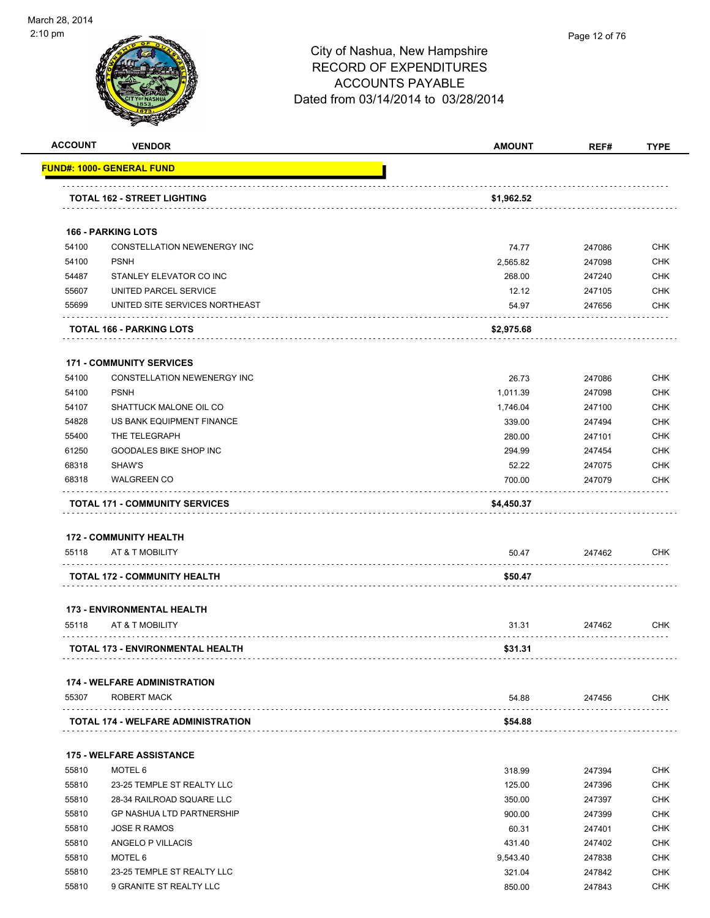

|       |                                           | <b>AMOUNT</b> | REF#   | <b>TYPE</b> |
|-------|-------------------------------------------|---------------|--------|-------------|
|       | FUND#: 1000- GENERAL FUND                 |               |        |             |
|       | <b>TOTAL 162 - STREET LIGHTING</b>        | \$1,962.52    |        |             |
|       | <b>166 - PARKING LOTS</b>                 |               |        |             |
| 54100 | CONSTELLATION NEWENERGY INC               | 74.77         | 247086 | <b>CHK</b>  |
| 54100 | <b>PSNH</b>                               | 2,565.82      | 247098 | <b>CHK</b>  |
| 54487 | STANLEY ELEVATOR CO INC                   | 268.00        | 247240 | <b>CHK</b>  |
| 55607 | UNITED PARCEL SERVICE                     | 12.12         | 247105 | <b>CHK</b>  |
| 55699 | UNITED SITE SERVICES NORTHEAST            | 54.97         | 247656 | <b>CHK</b>  |
|       | TOTAL 166 - PARKING LOTS                  | \$2,975.68    |        |             |
|       | <b>171 - COMMUNITY SERVICES</b>           |               |        |             |
| 54100 | CONSTELLATION NEWENERGY INC               | 26.73         | 247086 | <b>CHK</b>  |
| 54100 | <b>PSNH</b>                               | 1,011.39      | 247098 | <b>CHK</b>  |
| 54107 | SHATTUCK MALONE OIL CO                    | 1,746.04      | 247100 | <b>CHK</b>  |
| 54828 | US BANK EQUIPMENT FINANCE                 | 339.00        | 247494 | <b>CHK</b>  |
| 55400 | THE TELEGRAPH                             | 280.00        | 247101 | <b>CHK</b>  |
| 61250 | <b>GOODALES BIKE SHOP INC</b>             | 294.99        | 247454 | <b>CHK</b>  |
| 68318 | SHAW'S                                    | 52.22         | 247075 | <b>CHK</b>  |
| 68318 | <b>WALGREEN CO</b>                        | 700.00        | 247079 | <b>CHK</b>  |
|       | <b>TOTAL 171 - COMMUNITY SERVICES</b>     | \$4,450.37    |        |             |
|       |                                           |               |        |             |
|       |                                           |               |        |             |
|       | <b>172 - COMMUNITY HEALTH</b>             |               |        |             |
| 55118 | AT & T MOBILITY                           | 50.47         | 247462 | <b>CHK</b>  |
|       | <b>TOTAL 172 - COMMUNITY HEALTH</b>       | \$50.47       |        |             |
|       | <b>173 - ENVIRONMENTAL HEALTH</b>         |               |        |             |
| 55118 | AT & T MOBILITY                           | 31.31         | 247462 | <b>CHK</b>  |
|       | TOTAL 173 - ENVIRONMENTAL HEALTH          | \$31.31       |        |             |
|       | <b>174 - WELFARE ADMINISTRATION</b>       |               |        |             |
| 55307 | ROBERT MACK                               | 54.88         | 247456 | <b>CHK</b>  |
|       | <b>TOTAL 174 - WELFARE ADMINISTRATION</b> | \$54.88       |        |             |
|       | <b>175 - WELFARE ASSISTANCE</b>           |               |        |             |
| 55810 | MOTEL 6                                   | 318.99        | 247394 | <b>CHK</b>  |
| 55810 | 23-25 TEMPLE ST REALTY LLC                | 125.00        | 247396 | <b>CHK</b>  |
| 55810 | 28-34 RAILROAD SQUARE LLC                 | 350.00        | 247397 | <b>CHK</b>  |
| 55810 | <b>GP NASHUA LTD PARTNERSHIP</b>          | 900.00        | 247399 | <b>CHK</b>  |
| 55810 | <b>JOSE R RAMOS</b>                       | 60.31         | 247401 | <b>CHK</b>  |
| 55810 | ANGELO P VILLACIS                         | 431.40        | 247402 | <b>CHK</b>  |
| 55810 | MOTEL 6                                   | 9,543.40      | 247838 | <b>CHK</b>  |
| 55810 | 23-25 TEMPLE ST REALTY LLC                | 321.04        | 247842 | <b>CHK</b>  |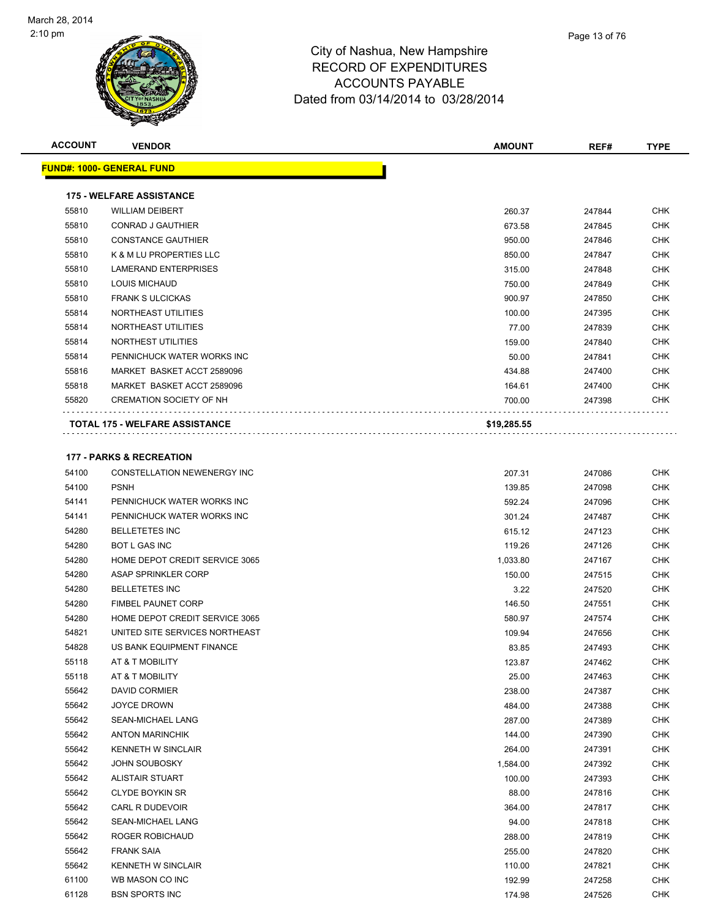

| Page 13 of 76 |
|---------------|
|               |

| <b>ACCOUNT</b> | <b>VENDOR</b>                         | <b>AMOUNT</b> | REF#   | <b>TYPE</b> |
|----------------|---------------------------------------|---------------|--------|-------------|
|                | <b>FUND#: 1000- GENERAL FUND</b>      |               |        |             |
|                |                                       |               |        |             |
|                | <b>175 - WELFARE ASSISTANCE</b>       |               |        |             |
| 55810          | <b>WILLIAM DEIBERT</b>                | 260.37        | 247844 | <b>CHK</b>  |
| 55810          | <b>CONRAD J GAUTHIER</b>              | 673.58        | 247845 | <b>CHK</b>  |
| 55810          | <b>CONSTANCE GAUTHIER</b>             | 950.00        | 247846 | <b>CHK</b>  |
| 55810          | K & M LU PROPERTIES LLC               | 850.00        | 247847 | <b>CHK</b>  |
| 55810          | <b>LAMERAND ENTERPRISES</b>           | 315.00        | 247848 | <b>CHK</b>  |
| 55810          | <b>LOUIS MICHAUD</b>                  | 750.00        | 247849 | <b>CHK</b>  |
| 55810          | <b>FRANK SULCICKAS</b>                | 900.97        | 247850 | <b>CHK</b>  |
| 55814          | NORTHEAST UTILITIES                   | 100.00        | 247395 | <b>CHK</b>  |
| 55814          | NORTHEAST UTILITIES                   | 77.00         | 247839 | <b>CHK</b>  |
| 55814          | NORTHEST UTILITIES                    | 159.00        | 247840 | <b>CHK</b>  |
| 55814          | PENNICHUCK WATER WORKS INC            | 50.00         | 247841 | <b>CHK</b>  |
| 55816          | MARKET BASKET ACCT 2589096            | 434.88        | 247400 | <b>CHK</b>  |
| 55818          | MARKET BASKET ACCT 2589096            | 164.61        | 247400 | <b>CHK</b>  |
| 55820          | <b>CREMATION SOCIETY OF NH</b>        | 700.00        | 247398 | <b>CHK</b>  |
|                | <b>TOTAL 175 - WELFARE ASSISTANCE</b> | \$19,285.55   |        |             |
|                | <b>177 - PARKS &amp; RECREATION</b>   |               |        |             |
| 54100          | <b>CONSTELLATION NEWENERGY INC</b>    | 207.31        | 247086 | <b>CHK</b>  |
|                |                                       |               |        |             |

| 54100 | CONSTELLATION NEWENERGY INC           | 207.31   | 247086 | <b>CHK</b> |
|-------|---------------------------------------|----------|--------|------------|
| 54100 | <b>PSNH</b>                           | 139.85   | 247098 | <b>CHK</b> |
| 54141 | PENNICHUCK WATER WORKS INC            | 592.24   | 247096 | <b>CHK</b> |
| 54141 | PENNICHUCK WATER WORKS INC            | 301.24   | 247487 | <b>CHK</b> |
| 54280 | <b>BELLETETES INC</b>                 | 615.12   | 247123 | <b>CHK</b> |
| 54280 | <b>BOT L GAS INC</b>                  | 119.26   | 247126 | <b>CHK</b> |
| 54280 | <b>HOME DEPOT CREDIT SERVICE 3065</b> | 1,033.80 | 247167 | <b>CHK</b> |
| 54280 | ASAP SPRINKLER CORP                   | 150.00   | 247515 | <b>CHK</b> |
| 54280 | <b>BELLETETES INC</b>                 | 3.22     | 247520 | <b>CHK</b> |
| 54280 | <b>FIMBEL PAUNET CORP</b>             | 146.50   | 247551 | <b>CHK</b> |
| 54280 | HOME DEPOT CREDIT SERVICE 3065        | 580.97   | 247574 | <b>CHK</b> |
| 54821 | UNITED SITE SERVICES NORTHEAST        | 109.94   | 247656 | <b>CHK</b> |
| 54828 | US BANK EQUIPMENT FINANCE             | 83.85    | 247493 | <b>CHK</b> |
| 55118 | AT & T MOBILITY                       | 123.87   | 247462 | <b>CHK</b> |
| 55118 | AT & T MOBILITY                       | 25.00    | 247463 | <b>CHK</b> |
| 55642 | <b>DAVID CORMIER</b>                  | 238.00   | 247387 | <b>CHK</b> |
| 55642 | <b>JOYCE DROWN</b>                    | 484.00   | 247388 | <b>CHK</b> |
| 55642 | SEAN-MICHAEL LANG                     | 287.00   | 247389 | <b>CHK</b> |
| 55642 | <b>ANTON MARINCHIK</b>                | 144.00   | 247390 | <b>CHK</b> |
| 55642 | <b>KENNETH W SINCLAIR</b>             | 264.00   | 247391 | <b>CHK</b> |
| 55642 | <b>JOHN SOUBOSKY</b>                  | 1,584.00 | 247392 | <b>CHK</b> |
| 55642 | <b>ALISTAIR STUART</b>                | 100.00   | 247393 | <b>CHK</b> |
| 55642 | <b>CLYDE BOYKIN SR</b>                | 88.00    | 247816 | <b>CHK</b> |
| 55642 | CARL R DUDEVOIR                       | 364.00   | 247817 | <b>CHK</b> |
| 55642 | <b>SEAN-MICHAEL LANG</b>              | 94.00    | 247818 | <b>CHK</b> |
| 55642 | ROGER ROBICHAUD                       | 288.00   | 247819 | <b>CHK</b> |
| 55642 | <b>FRANK SAIA</b>                     | 255.00   | 247820 | <b>CHK</b> |
| 55642 | <b>KENNETH W SINCLAIR</b>             | 110.00   | 247821 | <b>CHK</b> |
| 61100 | WB MASON CO INC                       | 192.99   | 247258 | <b>CHK</b> |
| 61128 | <b>BSN SPORTS INC</b>                 | 174.98   | 247526 | <b>CHK</b> |
|       |                                       |          |        |            |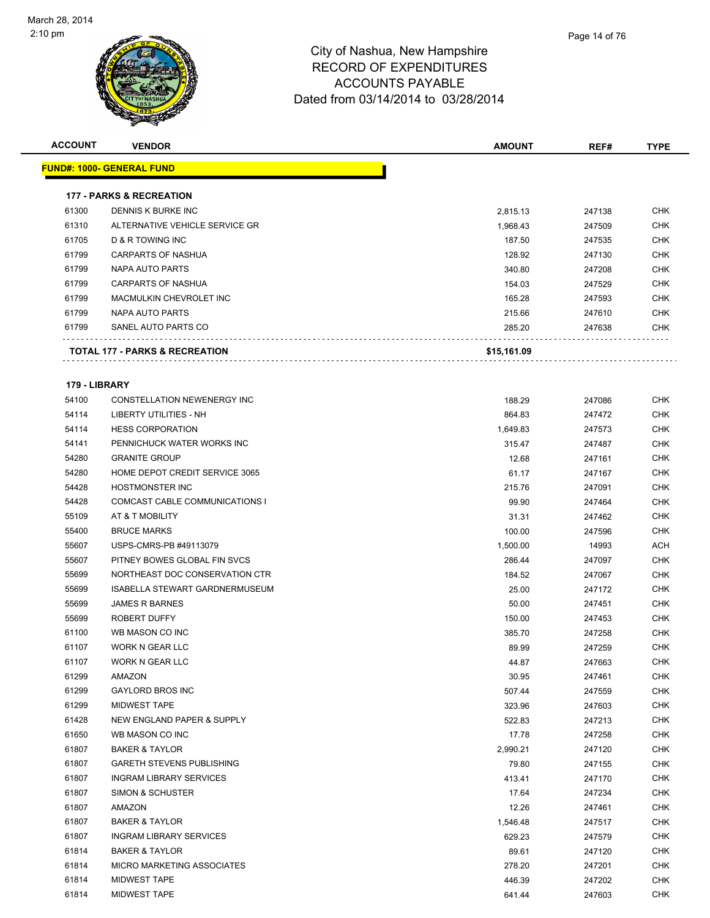

| <b>ACCOUNT</b>         | <b>VENDOR</b>                         | <b>AMOUNT</b> | REF#   | <b>TYPE</b> |
|------------------------|---------------------------------------|---------------|--------|-------------|
|                        | <u> FUND#: 1000- GENERAL FUND</u>     |               |        |             |
|                        |                                       |               |        |             |
|                        | <b>177 - PARKS &amp; RECREATION</b>   |               |        |             |
| 61300                  | DENNIS K BURKE INC                    | 2,815.13      | 247138 | <b>CHK</b>  |
| 61310                  | ALTERNATIVE VEHICLE SERVICE GR        | 1,968.43      | 247509 | <b>CHK</b>  |
| 61705                  | D & R TOWING INC                      | 187.50        | 247535 | <b>CHK</b>  |
| 61799                  | <b>CARPARTS OF NASHUA</b>             | 128.92        | 247130 | <b>CHK</b>  |
| 61799                  | <b>NAPA AUTO PARTS</b>                | 340.80        | 247208 | <b>CHK</b>  |
| 61799                  | CARPARTS OF NASHUA                    | 154.03        | 247529 | <b>CHK</b>  |
| 61799                  | MACMULKIN CHEVROLET INC               | 165.28        | 247593 | <b>CHK</b>  |
| 61799                  | NAPA AUTO PARTS                       | 215.66        | 247610 | <b>CHK</b>  |
| 61799                  | SANEL AUTO PARTS CO                   | 285.20        | 247638 | CHK         |
|                        | TOTAL 177 - PARKS & RECREATION        | \$15,161.09   |        |             |
|                        |                                       |               |        |             |
| 179 - LIBRARY<br>54100 | CONSTELLATION NEWENERGY INC           | 188.29        | 247086 | <b>CHK</b>  |
| 54114                  | LIBERTY UTILITIES - NH                | 864.83        | 247472 | <b>CHK</b>  |
| 54114                  | <b>HESS CORPORATION</b>               | 1,649.83      | 247573 | CHK         |
| 54141                  | PENNICHUCK WATER WORKS INC            | 315.47        | 247487 | CHK         |
| 54280                  | <b>GRANITE GROUP</b>                  | 12.68         | 247161 | <b>CHK</b>  |
| 54280                  | HOME DEPOT CREDIT SERVICE 3065        | 61.17         | 247167 | <b>CHK</b>  |
| 54428                  | HOSTMONSTER INC                       | 215.76        | 247091 | <b>CHK</b>  |
| 54428                  | COMCAST CABLE COMMUNICATIONS I        | 99.90         | 247464 | <b>CHK</b>  |
| 55109                  | AT & T MOBILITY                       | 31.31         | 247462 | <b>CHK</b>  |
| 55400                  | <b>BRUCE MARKS</b>                    | 100.00        | 247596 | <b>CHK</b>  |
| 55607                  | USPS-CMRS-PB #49113079                | 1,500.00      | 14993  | <b>ACH</b>  |
| 55607                  | PITNEY BOWES GLOBAL FIN SVCS          | 286.44        | 247097 | <b>CHK</b>  |
| 55699                  | NORTHEAST DOC CONSERVATION CTR        | 184.52        | 247067 | <b>CHK</b>  |
| 55699                  | <b>ISABELLA STEWART GARDNERMUSEUM</b> | 25.00         | 247172 | <b>CHK</b>  |
| 55699                  | <b>JAMES R BARNES</b>                 | 50.00         | 247451 | <b>CHK</b>  |
| 55699                  | <b>ROBERT DUFFY</b>                   | 150.00        | 247453 | <b>CHK</b>  |
| 61100                  | WB MASON CO INC                       | 385.70        | 247258 | <b>CHK</b>  |
| 61107                  | WORK N GEAR LLC                       | 89.99         | 247259 | <b>CHK</b>  |
| 61107                  | WORK N GEAR LLC                       | 44.87         | 247663 | CHK         |
| 61299                  | AMAZON                                | 30.95         | 247461 | <b>CHK</b>  |
| 61299                  | <b>GAYLORD BROS INC</b>               | 507.44        | 247559 | <b>CHK</b>  |
| 61299                  | <b>MIDWEST TAPE</b>                   | 323.96        | 247603 | <b>CHK</b>  |
| 61428                  | NEW ENGLAND PAPER & SUPPLY            | 522.83        | 247213 | <b>CHK</b>  |
| 61650                  | WB MASON CO INC                       | 17.78         | 247258 | <b>CHK</b>  |
| 61807                  | <b>BAKER &amp; TAYLOR</b>             | 2,990.21      | 247120 | <b>CHK</b>  |
| 61807                  | <b>GARETH STEVENS PUBLISHING</b>      | 79.80         | 247155 | <b>CHK</b>  |
| 61807                  | <b>INGRAM LIBRARY SERVICES</b>        | 413.41        | 247170 | <b>CHK</b>  |
| 61807                  | SIMON & SCHUSTER                      | 17.64         | 247234 | <b>CHK</b>  |
| 61807                  | AMAZON                                | 12.26         | 247461 | <b>CHK</b>  |
| 61807                  | <b>BAKER &amp; TAYLOR</b>             | 1,546.48      | 247517 | <b>CHK</b>  |
| 61807                  | <b>INGRAM LIBRARY SERVICES</b>        | 629.23        | 247579 | <b>CHK</b>  |
| 61814                  | <b>BAKER &amp; TAYLOR</b>             | 89.61         | 247120 | <b>CHK</b>  |
| 61814                  | MICRO MARKETING ASSOCIATES            | 278.20        | 247201 | <b>CHK</b>  |
| 61814                  | <b>MIDWEST TAPE</b>                   | 446.39        | 247202 | <b>CHK</b>  |
| 61814                  | <b>MIDWEST TAPE</b>                   | 641.44        | 247603 | <b>CHK</b>  |
|                        |                                       |               |        |             |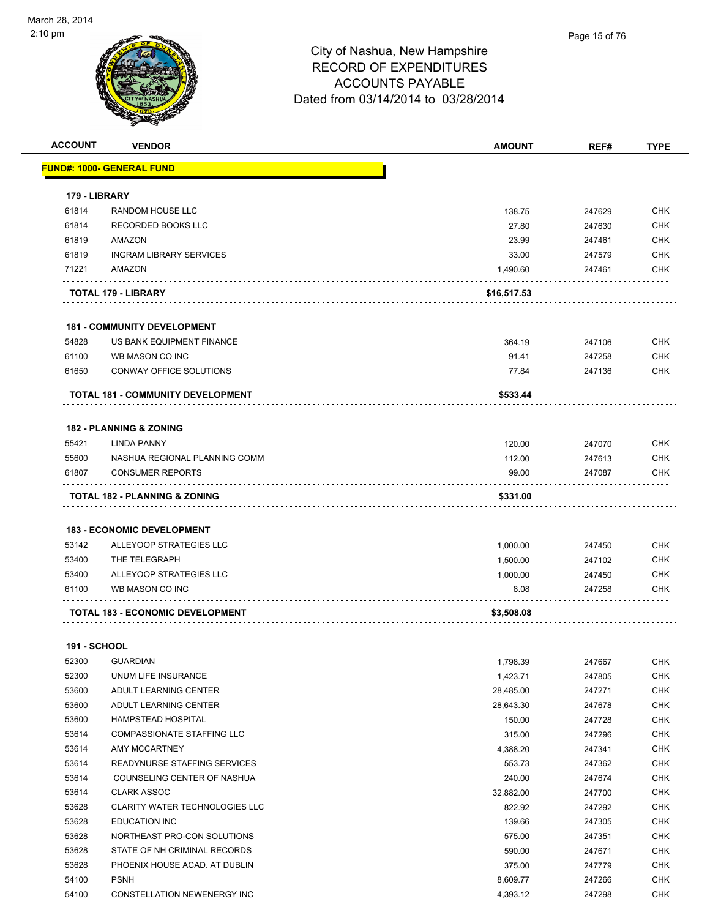| <b>ACCOUNT</b>      | <b>VENDOR</b>                            | <b>AMOUNT</b> | REF#   | <b>TYPE</b> |
|---------------------|------------------------------------------|---------------|--------|-------------|
|                     | <u> FUND#: 1000- GENERAL FUND</u>        |               |        |             |
|                     |                                          |               |        |             |
| 179 - LIBRARY       |                                          |               |        |             |
| 61814               | RANDOM HOUSE LLC                         | 138.75        | 247629 | <b>CHK</b>  |
| 61814               | RECORDED BOOKS LLC                       | 27.80         | 247630 | <b>CHK</b>  |
| 61819               | AMAZON                                   | 23.99         | 247461 | <b>CHK</b>  |
| 61819               | <b>INGRAM LIBRARY SERVICES</b>           | 33.00         | 247579 | <b>CHK</b>  |
| 71221               | AMAZON                                   | 1,490.60      | 247461 | <b>CHK</b>  |
|                     | TOTAL 179 - LIBRARY                      | \$16,517.53   |        |             |
|                     | <b>181 - COMMUNITY DEVELOPMENT</b>       |               |        |             |
| 54828               | US BANK EQUIPMENT FINANCE                | 364.19        | 247106 | <b>CHK</b>  |
| 61100               | WB MASON CO INC                          | 91.41         | 247258 | <b>CHK</b>  |
| 61650               | CONWAY OFFICE SOLUTIONS                  | 77.84         | 247136 | <b>CHK</b>  |
|                     | <b>TOTAL 181 - COMMUNITY DEVELOPMENT</b> | \$533.44      |        |             |
|                     |                                          |               |        |             |
|                     | <b>182 - PLANNING &amp; ZONING</b>       |               |        |             |
| 55421               | <b>LINDA PANNY</b>                       | 120.00        | 247070 | <b>CHK</b>  |
| 55600               | NASHUA REGIONAL PLANNING COMM            | 112.00        | 247613 | <b>CHK</b>  |
| 61807               | <b>CONSUMER REPORTS</b>                  | 99.00         | 247087 | <b>CHK</b>  |
|                     | TOTAL 182 - PLANNING & ZONING            | \$331.00      |        |             |
|                     |                                          |               |        |             |
|                     | <b>183 - ECONOMIC DEVELOPMENT</b>        |               |        |             |
| 53142               | ALLEYOOP STRATEGIES LLC                  | 1,000.00      | 247450 | <b>CHK</b>  |
| 53400               | THE TELEGRAPH                            | 1,500.00      | 247102 | <b>CHK</b>  |
| 53400               | ALLEYOOP STRATEGIES LLC                  | 1,000.00      | 247450 | <b>CHK</b>  |
| 61100               | WB MASON CO INC                          | 8.08          | 247258 | <b>CHK</b>  |
|                     | <b>TOTAL 183 - ECONOMIC DEVELOPMENT</b>  | \$3,508.08    |        |             |
| <b>191 - SCHOOL</b> |                                          |               |        |             |
|                     | 52300 GUARDIAN                           | 1,798.39      | 247667 | <b>CHK</b>  |
| 52300               | UNUM LIFE INSURANCE                      | 1,423.71      | 247805 | CHK         |
| 53600               | ADULT LEARNING CENTER                    | 28,485.00     | 247271 | <b>CHK</b>  |
| 53600               | ADULT LEARNING CENTER                    | 28,643.30     | 247678 | <b>CHK</b>  |
| 53600               | HAMPSTEAD HOSPITAL                       | 150.00        | 247728 | <b>CHK</b>  |
| 53614               | COMPASSIONATE STAFFING LLC               | 315.00        | 247296 | <b>CHK</b>  |
| 53614               | AMY MCCARTNEY                            | 4,388.20      | 247341 | <b>CHK</b>  |
| 53614               | READYNURSE STAFFING SERVICES             | 553.73        | 247362 | <b>CHK</b>  |
| 53614               | COUNSELING CENTER OF NASHUA              | 240.00        | 247674 | <b>CHK</b>  |
| 53614               | <b>CLARK ASSOC</b>                       | 32,882.00     | 247700 | <b>CHK</b>  |
| 53628               | CLARITY WATER TECHNOLOGIES LLC           | 822.92        | 247292 | <b>CHK</b>  |
| 53628               | <b>EDUCATION INC</b>                     | 139.66        | 247305 | <b>CHK</b>  |
| 53628               | NORTHEAST PRO-CON SOLUTIONS              | 575.00        | 247351 | <b>CHK</b>  |
| 53628               | STATE OF NH CRIMINAL RECORDS             | 590.00        | 247671 | <b>CHK</b>  |
| 53628               | PHOENIX HOUSE ACAD. AT DUBLIN            | 375.00        | 247779 | <b>CHK</b>  |
| 54100               | <b>PSNH</b>                              | 8,609.77      | 247266 | <b>CHK</b>  |
| 54100               | CONSTELLATION NEWENERGY INC              | 4,393.12      | 247298 | <b>CHK</b>  |
|                     |                                          |               |        |             |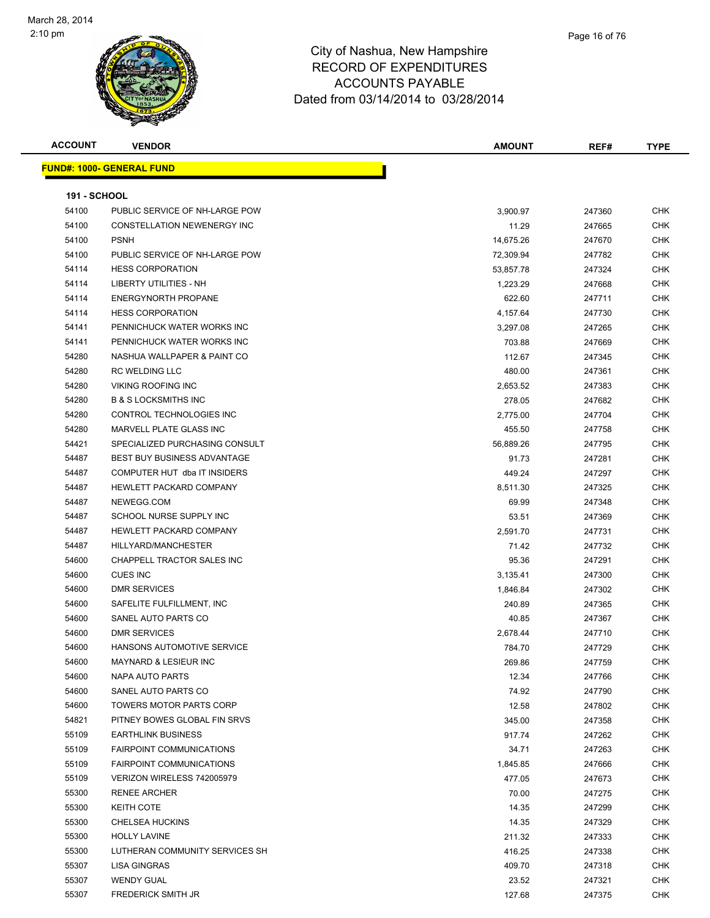

| Page 16 of 76 |
|---------------|
|               |

| <b>ACCOUNT</b>      | <b>VENDOR</b>                      | <b>AMOUNT</b> | REF#   | <b>TYPE</b> |
|---------------------|------------------------------------|---------------|--------|-------------|
|                     | <b>FUND#: 1000- GENERAL FUND</b>   |               |        |             |
|                     |                                    |               |        |             |
| <b>191 - SCHOOL</b> |                                    |               |        |             |
| 54100               | PUBLIC SERVICE OF NH-LARGE POW     | 3,900.97      | 247360 | <b>CHK</b>  |
| 54100               | CONSTELLATION NEWENERGY INC        | 11.29         | 247665 | <b>CHK</b>  |
| 54100               | <b>PSNH</b>                        | 14,675.26     | 247670 | <b>CHK</b>  |
| 54100               | PUBLIC SERVICE OF NH-LARGE POW     | 72,309.94     | 247782 | <b>CHK</b>  |
| 54114               | <b>HESS CORPORATION</b>            | 53,857.78     | 247324 | <b>CHK</b>  |
| 54114               | LIBERTY UTILITIES - NH             | 1,223.29      | 247668 | <b>CHK</b>  |
| 54114               | <b>ENERGYNORTH PROPANE</b>         | 622.60        | 247711 | <b>CHK</b>  |
| 54114               | <b>HESS CORPORATION</b>            | 4,157.64      | 247730 | <b>CHK</b>  |
| 54141               | PENNICHUCK WATER WORKS INC         | 3,297.08      | 247265 | <b>CHK</b>  |
| 54141               | PENNICHUCK WATER WORKS INC         | 703.88        | 247669 | <b>CHK</b>  |
| 54280               | NASHUA WALLPAPER & PAINT CO        | 112.67        | 247345 | <b>CHK</b>  |
| 54280               | <b>RC WELDING LLC</b>              | 480.00        | 247361 | <b>CHK</b>  |
| 54280               | <b>VIKING ROOFING INC</b>          | 2,653.52      | 247383 | <b>CHK</b>  |
| 54280               | <b>B &amp; S LOCKSMITHS INC</b>    | 278.05        | 247682 | <b>CHK</b>  |
| 54280               | CONTROL TECHNOLOGIES INC           | 2,775.00      | 247704 | <b>CHK</b>  |
| 54280               | <b>MARVELL PLATE GLASS INC</b>     | 455.50        | 247758 | <b>CHK</b>  |
| 54421               | SPECIALIZED PURCHASING CONSULT     | 56,889.26     | 247795 | <b>CHK</b>  |
| 54487               | <b>BEST BUY BUSINESS ADVANTAGE</b> | 91.73         | 247281 | <b>CHK</b>  |
| 54487               | COMPUTER HUT dba IT INSIDERS       | 449.24        | 247297 | <b>CHK</b>  |
| 54487               | HEWLETT PACKARD COMPANY            | 8,511.30      | 247325 | <b>CHK</b>  |
| 54487               | NEWEGG.COM                         | 69.99         | 247348 | <b>CHK</b>  |
| 54487               | SCHOOL NURSE SUPPLY INC            | 53.51         | 247369 | CHK         |
| 54487               | HEWLETT PACKARD COMPANY            | 2,591.70      | 247731 | <b>CHK</b>  |
| 54487               | HILLYARD/MANCHESTER                | 71.42         | 247732 | <b>CHK</b>  |
| 54600               | CHAPPELL TRACTOR SALES INC         | 95.36         | 247291 | <b>CHK</b>  |
| 54600               | <b>CUES INC</b>                    | 3,135.41      | 247300 | <b>CHK</b>  |
| 54600               | <b>DMR SERVICES</b>                | 1,846.84      | 247302 | <b>CHK</b>  |
| 54600               | SAFELITE FULFILLMENT, INC          | 240.89        | 247365 | CHK         |
| 54600               | SANEL AUTO PARTS CO                | 40.85         | 247367 | <b>CHK</b>  |
| 54600               | <b>DMR SERVICES</b>                | 2,678.44      | 247710 | <b>CHK</b>  |
| 54600               | HANSONS AUTOMOTIVE SERVICE         | 784.70        | 247729 | <b>CHK</b>  |
| 54600               | MAYNARD & LESIEUR INC              | 269.86        | 247759 | <b>CHK</b>  |
| 54600               | NAPA AUTO PARTS                    | 12.34         | 247766 | CHK         |
| 54600               | SANEL AUTO PARTS CO                | 74.92         | 247790 | <b>CHK</b>  |
| 54600               | TOWERS MOTOR PARTS CORP            | 12.58         | 247802 | CHK         |
| 54821               | PITNEY BOWES GLOBAL FIN SRVS       | 345.00        | 247358 | <b>CHK</b>  |
| 55109               | <b>EARTHLINK BUSINESS</b>          | 917.74        | 247262 | <b>CHK</b>  |
| 55109               | <b>FAIRPOINT COMMUNICATIONS</b>    | 34.71         | 247263 | CHK         |
| 55109               | <b>FAIRPOINT COMMUNICATIONS</b>    | 1,845.85      | 247666 | <b>CHK</b>  |
| 55109               | VERIZON WIRELESS 742005979         | 477.05        | 247673 | <b>CHK</b>  |
| 55300               | <b>RENEE ARCHER</b>                | 70.00         | 247275 | <b>CHK</b>  |
| 55300               | <b>KEITH COTE</b>                  | 14.35         | 247299 | <b>CHK</b>  |
| 55300               | <b>CHELSEA HUCKINS</b>             | 14.35         | 247329 | <b>CHK</b>  |
| 55300               | <b>HOLLY LAVINE</b>                | 211.32        | 247333 | <b>CHK</b>  |
| 55300               | LUTHERAN COMMUNITY SERVICES SH     | 416.25        | 247338 | <b>CHK</b>  |
| 55307               | LISA GINGRAS                       | 409.70        | 247318 | CHK         |
| 55307               | <b>WENDY GUAL</b>                  | 23.52         | 247321 | CHK         |
| 55307               | <b>FREDERICK SMITH JR</b>          | 127.68        | 247375 | <b>CHK</b>  |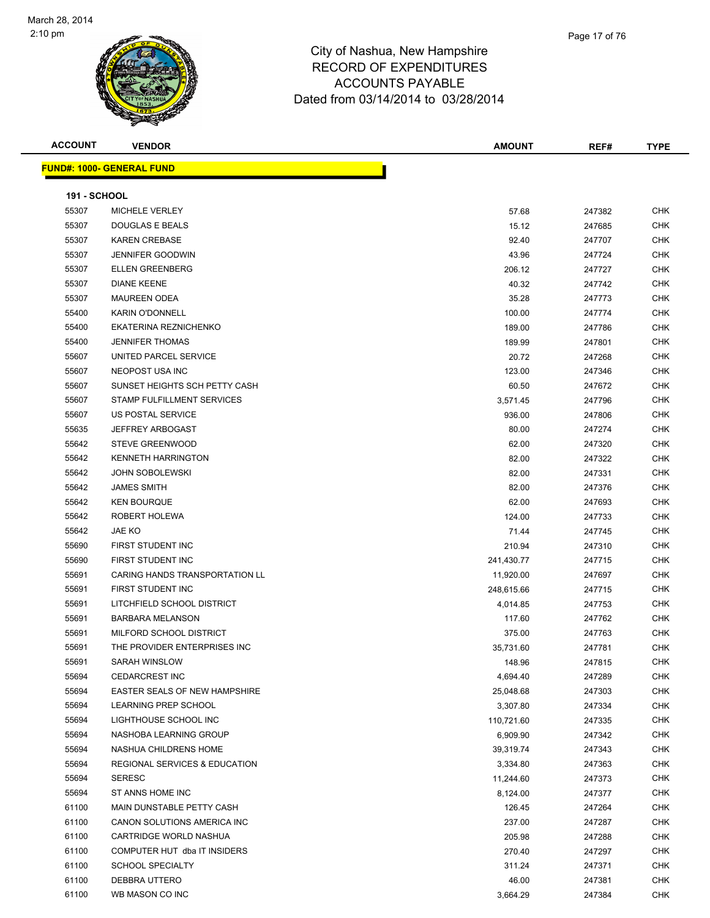

| <b>ACCOUNT</b>      | <b>VENDOR</b>                            | <b>AMOUNT</b> | REF#   | <b>TYPE</b> |  |  |
|---------------------|------------------------------------------|---------------|--------|-------------|--|--|
|                     | <u> FUND#: 1000- GENERAL FUND</u>        |               |        |             |  |  |
|                     |                                          |               |        |             |  |  |
| <b>191 - SCHOOL</b> |                                          |               |        |             |  |  |
| 55307               | MICHELE VERLEY                           | 57.68         | 247382 | <b>CHK</b>  |  |  |
| 55307               | DOUGLAS E BEALS                          | 15.12         | 247685 | <b>CHK</b>  |  |  |
| 55307               | <b>KAREN CREBASE</b>                     | 92.40         | 247707 | <b>CHK</b>  |  |  |
| 55307               | <b>JENNIFER GOODWIN</b>                  | 43.96         | 247724 | <b>CHK</b>  |  |  |
| 55307               | <b>ELLEN GREENBERG</b>                   | 206.12        | 247727 | <b>CHK</b>  |  |  |
| 55307               | <b>DIANE KEENE</b>                       | 40.32         | 247742 | <b>CHK</b>  |  |  |
| 55307               | <b>MAUREEN ODEA</b>                      | 35.28         | 247773 | <b>CHK</b>  |  |  |
| 55400               | <b>KARIN O'DONNELL</b>                   | 100.00        | 247774 | <b>CHK</b>  |  |  |
| 55400               | EKATERINA REZNICHENKO                    | 189.00        | 247786 | <b>CHK</b>  |  |  |
| 55400               | <b>JENNIFER THOMAS</b>                   | 189.99        | 247801 | <b>CHK</b>  |  |  |
| 55607               | UNITED PARCEL SERVICE                    | 20.72         | 247268 | CHK         |  |  |
| 55607               | NEOPOST USA INC                          | 123.00        | 247346 | CHK         |  |  |
| 55607               | SUNSET HEIGHTS SCH PETTY CASH            | 60.50         | 247672 | CHK         |  |  |
| 55607               | STAMP FULFILLMENT SERVICES               | 3,571.45      | 247796 | <b>CHK</b>  |  |  |
| 55607               | US POSTAL SERVICE                        | 936.00        | 247806 | <b>CHK</b>  |  |  |
| 55635               | <b>JEFFREY ARBOGAST</b>                  | 80.00         | 247274 | CHK         |  |  |
| 55642               | <b>STEVE GREENWOOD</b>                   | 62.00         | 247320 | <b>CHK</b>  |  |  |
| 55642               | <b>KENNETH HARRINGTON</b>                | 82.00         | 247322 | <b>CHK</b>  |  |  |
| 55642               | <b>JOHN SOBOLEWSKI</b>                   | 82.00         | 247331 | <b>CHK</b>  |  |  |
| 55642               | <b>JAMES SMITH</b>                       | 82.00         | 247376 | <b>CHK</b>  |  |  |
| 55642               | <b>KEN BOURQUE</b>                       | 62.00         | 247693 | <b>CHK</b>  |  |  |
| 55642               | ROBERT HOLEWA                            | 124.00        | 247733 | <b>CHK</b>  |  |  |
| 55642               | JAE KO                                   | 71.44         | 247745 | <b>CHK</b>  |  |  |
| 55690               | FIRST STUDENT INC                        | 210.94        | 247310 | <b>CHK</b>  |  |  |
| 55690               | FIRST STUDENT INC                        | 241,430.77    | 247715 | <b>CHK</b>  |  |  |
| 55691               | CARING HANDS TRANSPORTATION LL           | 11,920.00     | 247697 | <b>CHK</b>  |  |  |
| 55691               | FIRST STUDENT INC                        | 248,615.66    | 247715 | <b>CHK</b>  |  |  |
| 55691               | LITCHFIELD SCHOOL DISTRICT               | 4,014.85      | 247753 | <b>CHK</b>  |  |  |
| 55691               | <b>BARBARA MELANSON</b>                  | 117.60        | 247762 | <b>CHK</b>  |  |  |
| 55691               | MILFORD SCHOOL DISTRICT                  | 375.00        | 247763 | CHK         |  |  |
| 55691               | THE PROVIDER ENTERPRISES INC             | 35,731.60     | 247781 | <b>CHK</b>  |  |  |
| 55691               | SARAH WINSLOW                            | 148.96        | 247815 | CHK         |  |  |
| 55694               | <b>CEDARCREST INC</b>                    | 4,694.40      | 247289 | CHK         |  |  |
| 55694               | EASTER SEALS OF NEW HAMPSHIRE            | 25,048.68     | 247303 | CHK         |  |  |
| 55694               | LEARNING PREP SCHOOL                     | 3,307.80      | 247334 | <b>CHK</b>  |  |  |
| 55694               | LIGHTHOUSE SCHOOL INC                    | 110,721.60    | 247335 | CHK         |  |  |
| 55694               | NASHOBA LEARNING GROUP                   | 6,909.90      | 247342 | CHK         |  |  |
| 55694               | NASHUA CHILDRENS HOME                    | 39,319.74     | 247343 | CHK         |  |  |
| 55694               | <b>REGIONAL SERVICES &amp; EDUCATION</b> | 3,334.80      | 247363 | CHK         |  |  |
| 55694               | <b>SERESC</b>                            | 11,244.60     | 247373 | CHK         |  |  |
| 55694               | ST ANNS HOME INC                         | 8,124.00      | 247377 | CHK         |  |  |
| 61100               | MAIN DUNSTABLE PETTY CASH                | 126.45        | 247264 | CHK         |  |  |
| 61100               | CANON SOLUTIONS AMERICA INC              | 237.00        | 247287 | CHK         |  |  |
| 61100               | CARTRIDGE WORLD NASHUA                   | 205.98        | 247288 | CHK         |  |  |
| 61100               | COMPUTER HUT dba IT INSIDERS             | 270.40        | 247297 | CHK         |  |  |
| 61100               | <b>SCHOOL SPECIALTY</b>                  | 311.24        | 247371 | CHK         |  |  |
| 61100               | DEBBRA UTTERO                            | 46.00         | 247381 | CHK         |  |  |
| 61100               | WB MASON CO INC                          | 3,664.29      | 247384 | CHK         |  |  |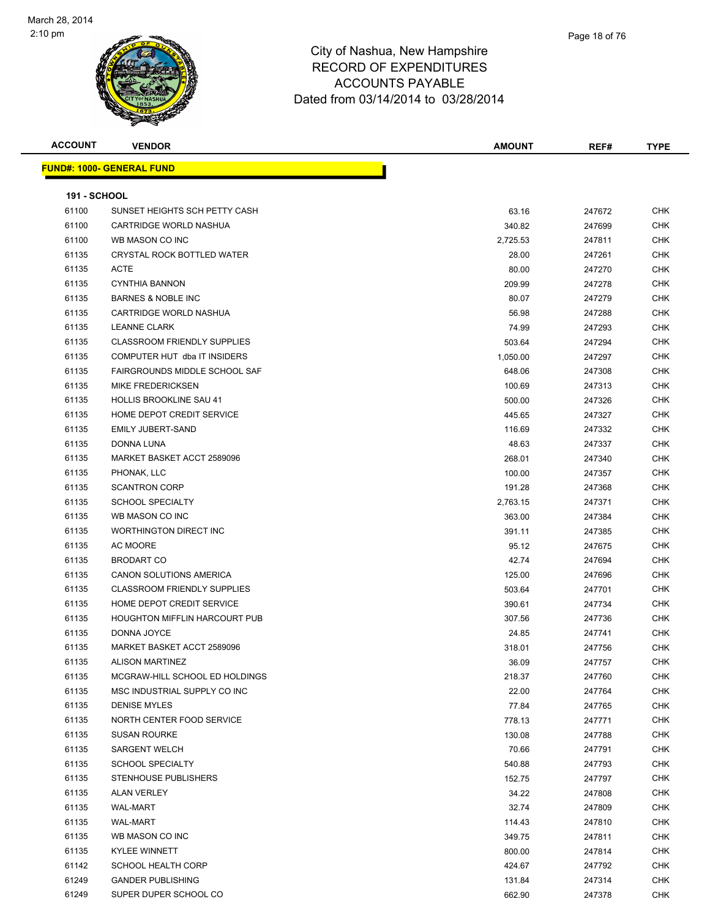

| <b>ACCOUNT</b>      | <b>VENDOR</b>                      | <b>AMOUNT</b> | REF#   | <b>TYPE</b> |
|---------------------|------------------------------------|---------------|--------|-------------|
|                     | <b>FUND#: 1000- GENERAL FUND</b>   |               |        |             |
|                     |                                    |               |        |             |
| <b>191 - SCHOOL</b> |                                    |               |        |             |
| 61100               | SUNSET HEIGHTS SCH PETTY CASH      | 63.16         | 247672 | <b>CHK</b>  |
| 61100               | CARTRIDGE WORLD NASHUA             | 340.82        | 247699 | <b>CHK</b>  |
| 61100               | WB MASON CO INC                    | 2,725.53      | 247811 | <b>CHK</b>  |
| 61135               | CRYSTAL ROCK BOTTLED WATER         | 28.00         | 247261 | <b>CHK</b>  |
| 61135               | <b>ACTE</b>                        | 80.00         | 247270 | <b>CHK</b>  |
| 61135               | <b>CYNTHIA BANNON</b>              | 209.99        | 247278 | <b>CHK</b>  |
| 61135               | <b>BARNES &amp; NOBLE INC</b>      | 80.07         | 247279 | <b>CHK</b>  |
| 61135               | CARTRIDGE WORLD NASHUA             | 56.98         | 247288 | <b>CHK</b>  |
| 61135               | <b>LEANNE CLARK</b>                | 74.99         | 247293 | <b>CHK</b>  |
| 61135               | <b>CLASSROOM FRIENDLY SUPPLIES</b> | 503.64        | 247294 | <b>CHK</b>  |
| 61135               | COMPUTER HUT dba IT INSIDERS       | 1,050.00      | 247297 | <b>CHK</b>  |
| 61135               | FAIRGROUNDS MIDDLE SCHOOL SAF      | 648.06        | 247308 | <b>CHK</b>  |
| 61135               | <b>MIKE FREDERICKSEN</b>           | 100.69        | 247313 | <b>CHK</b>  |
| 61135               | <b>HOLLIS BROOKLINE SAU 41</b>     | 500.00        | 247326 | <b>CHK</b>  |
| 61135               | HOME DEPOT CREDIT SERVICE          | 445.65        | 247327 | <b>CHK</b>  |
| 61135               | <b>EMILY JUBERT-SAND</b>           | 116.69        | 247332 | <b>CHK</b>  |
| 61135               | <b>DONNA LUNA</b>                  | 48.63         | 247337 | CHK         |
| 61135               | MARKET BASKET ACCT 2589096         | 268.01        | 247340 | <b>CHK</b>  |
| 61135               | PHONAK, LLC                        | 100.00        | 247357 | <b>CHK</b>  |
| 61135               | <b>SCANTRON CORP</b>               | 191.28        | 247368 | <b>CHK</b>  |
| 61135               | <b>SCHOOL SPECIALTY</b>            | 2,763.15      | 247371 | <b>CHK</b>  |
| 61135               | WB MASON CO INC                    | 363.00        | 247384 | <b>CHK</b>  |
| 61135               | WORTHINGTON DIRECT INC             | 391.11        | 247385 | <b>CHK</b>  |
| 61135               | AC MOORE                           | 95.12         | 247675 | <b>CHK</b>  |
| 61135               | <b>BRODART CO</b>                  | 42.74         | 247694 | <b>CHK</b>  |
| 61135               | CANON SOLUTIONS AMERICA            | 125.00        | 247696 | <b>CHK</b>  |
| 61135               | <b>CLASSROOM FRIENDLY SUPPLIES</b> | 503.64        | 247701 | <b>CHK</b>  |
| 61135               | HOME DEPOT CREDIT SERVICE          | 390.61        | 247734 | <b>CHK</b>  |
| 61135               | HOUGHTON MIFFLIN HARCOURT PUB      | 307.56        | 247736 | <b>CHK</b>  |
| 61135               | DONNA JOYCE                        | 24.85         | 247741 | <b>CHK</b>  |
| 61135               | MARKET BASKET ACCT 2589096         | 318.01        | 247756 | <b>CHK</b>  |
| 61135               | <b>ALISON MARTINEZ</b>             | 36.09         | 247757 | <b>CHK</b>  |
| 61135               | MCGRAW-HILL SCHOOL ED HOLDINGS     | 218.37        | 247760 | CHK         |
| 61135               | MSC INDUSTRIAL SUPPLY CO INC       | 22.00         | 247764 | <b>CHK</b>  |
| 61135               | <b>DENISE MYLES</b>                | 77.84         | 247765 | <b>CHK</b>  |
| 61135               | NORTH CENTER FOOD SERVICE          | 778.13        | 247771 | <b>CHK</b>  |
| 61135               | <b>SUSAN ROURKE</b>                | 130.08        | 247788 | <b>CHK</b>  |
| 61135               | <b>SARGENT WELCH</b>               | 70.66         | 247791 | <b>CHK</b>  |
| 61135               | <b>SCHOOL SPECIALTY</b>            | 540.88        | 247793 | <b>CHK</b>  |
| 61135               | STENHOUSE PUBLISHERS               | 152.75        | 247797 | <b>CHK</b>  |
| 61135               | <b>ALAN VERLEY</b>                 | 34.22         | 247808 | <b>CHK</b>  |
| 61135               | <b>WAL-MART</b>                    | 32.74         | 247809 | <b>CHK</b>  |
| 61135               | <b>WAL-MART</b>                    | 114.43        | 247810 | <b>CHK</b>  |
| 61135               | WB MASON CO INC                    | 349.75        | 247811 | <b>CHK</b>  |
| 61135               | <b>KYLEE WINNETT</b>               | 800.00        | 247814 | <b>CHK</b>  |
| 61142               | <b>SCHOOL HEALTH CORP</b>          | 424.67        | 247792 | <b>CHK</b>  |
| 61249               | <b>GANDER PUBLISHING</b>           | 131.84        | 247314 | <b>CHK</b>  |
| 61249               | SUPER DUPER SCHOOL CO              | 662.90        | 247378 | <b>CHK</b>  |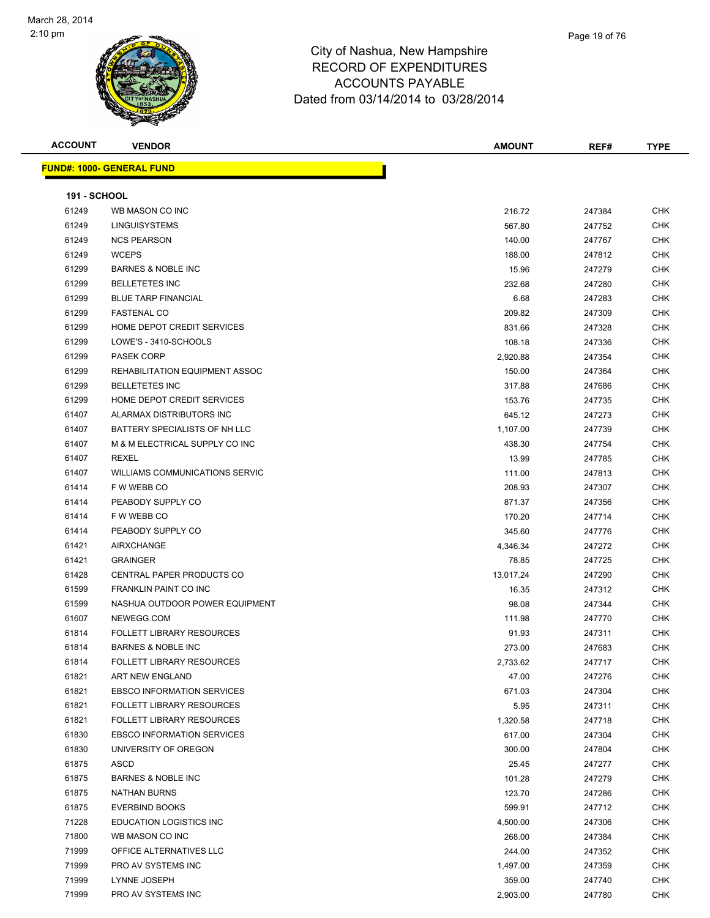

| <b>ACCOUNT</b>      | <b>VENDOR</b>                    | <b>AMOUNT</b> | REF#   | <b>TYPE</b> |
|---------------------|----------------------------------|---------------|--------|-------------|
|                     | <b>FUND#: 1000- GENERAL FUND</b> |               |        |             |
| <b>191 - SCHOOL</b> |                                  |               |        |             |
| 61249               | WB MASON CO INC                  | 216.72        | 247384 | <b>CHK</b>  |
| 61249               | <b>LINGUISYSTEMS</b>             | 567.80        | 247752 | <b>CHK</b>  |
| 61249               | <b>NCS PEARSON</b>               | 140.00        | 247767 | <b>CHK</b>  |
| 61249               | <b>WCEPS</b>                     | 188.00        | 247812 | <b>CHK</b>  |
| 61299               | <b>BARNES &amp; NOBLE INC</b>    | 15.96         | 247279 | <b>CHK</b>  |
| 61299               | <b>BELLETETES INC</b>            | 232.68        | 247280 | <b>CHK</b>  |
| 61299               | <b>BLUE TARP FINANCIAL</b>       | 6.68          | 247283 | <b>CHK</b>  |
| 61299               | <b>FASTENAL CO</b>               | 209.82        | 247309 | <b>CHK</b>  |
| 61299               | HOME DEPOT CREDIT SERVICES       | 831.66        | 247328 | <b>CHK</b>  |
| 61299               | LOWE'S - 3410-SCHOOLS            | 108.18        | 247336 | <b>CHK</b>  |
| 61299               | <b>PASEK CORP</b>                | 2,920.88      | 247354 | <b>CHK</b>  |
| 61299               | REHABILITATION EQUIPMENT ASSOC   | 150.00        | 247364 | <b>CHK</b>  |
| 61299               | <b>BELLETETES INC</b>            | 317.88        | 247686 | <b>CHK</b>  |
| 61299               | HOME DEPOT CREDIT SERVICES       | 153.76        | 247735 | <b>CHK</b>  |
| 61407               | ALARMAX DISTRIBUTORS INC         | 645.12        | 247273 | <b>CHK</b>  |
| 61407               | BATTERY SPECIALISTS OF NH LLC    | 1,107.00      | 247739 | <b>CHK</b>  |
| 61407               | M & M ELECTRICAL SUPPLY CO INC   | 438.30        | 247754 | <b>CHK</b>  |
| 61407               | <b>REXEL</b>                     | 13.99         | 247785 | <b>CHK</b>  |
| 61407               | WILLIAMS COMMUNICATIONS SERVIC   | 111.00        | 247813 | <b>CHK</b>  |
| 61414               | F W WEBB CO                      | 208.93        | 247307 | <b>CHK</b>  |
| 61414               | PEABODY SUPPLY CO                | 871.37        | 247356 | <b>CHK</b>  |
| 61414               | F W WEBB CO                      | 170.20        | 247714 | <b>CHK</b>  |
| 61414               | PEABODY SUPPLY CO                | 345.60        | 247776 | <b>CHK</b>  |
| 61421               | <b>AIRXCHANGE</b>                | 4,346.34      | 247272 | <b>CHK</b>  |
| 61421               | <b>GRAINGER</b>                  | 78.85         | 247725 | <b>CHK</b>  |
|                     |                                  |               |        |             |

| <b>01400</b> |                                       | 203.02    | 271 JUJ | ◡᠁         |
|--------------|---------------------------------------|-----------|---------|------------|
| 61299        | HOME DEPOT CREDIT SERVICES            | 831.66    | 247328  | <b>CHK</b> |
| 61299        | LOWE'S - 3410-SCHOOLS                 | 108.18    | 247336  | <b>CHK</b> |
| 61299        | <b>PASEK CORP</b>                     | 2,920.88  | 247354  | <b>CHK</b> |
| 61299        | REHABILITATION EQUIPMENT ASSOC        | 150.00    | 247364  | <b>CHK</b> |
| 61299        | <b>BELLETETES INC</b>                 | 317.88    | 247686  | <b>CHK</b> |
| 61299        | HOME DEPOT CREDIT SERVICES            | 153.76    | 247735  | <b>CHK</b> |
| 61407        | ALARMAX DISTRIBUTORS INC              | 645.12    | 247273  | <b>CHK</b> |
| 61407        | BATTERY SPECIALISTS OF NH LLC         | 1,107.00  | 247739  | <b>CHK</b> |
| 61407        | M & M ELECTRICAL SUPPLY CO INC        | 438.30    | 247754  | <b>CHK</b> |
| 61407        | <b>REXEL</b>                          | 13.99     | 247785  | <b>CHK</b> |
| 61407        | <b>WILLIAMS COMMUNICATIONS SERVIC</b> | 111.00    | 247813  | <b>CHK</b> |
| 61414        | F W WEBB CO                           | 208.93    | 247307  | <b>CHK</b> |
| 61414        | PEABODY SUPPLY CO                     | 871.37    | 247356  | <b>CHK</b> |
| 61414        | F W WEBB CO                           | 170.20    | 247714  | <b>CHK</b> |
| 61414        | PEABODY SUPPLY CO                     | 345.60    | 247776  | <b>CHK</b> |
| 61421        | <b>AIRXCHANGE</b>                     | 4,346.34  | 247272  | <b>CHK</b> |
| 61421        | <b>GRAINGER</b>                       | 78.85     | 247725  | <b>CHK</b> |
| 61428        | CENTRAL PAPER PRODUCTS CO             | 13,017.24 | 247290  | <b>CHK</b> |
| 61599        | FRANKLIN PAINT CO INC                 | 16.35     | 247312  | <b>CHK</b> |
| 61599        | NASHUA OUTDOOR POWER EQUIPMENT        | 98.08     | 247344  | <b>CHK</b> |
| 61607        | NEWEGG.COM                            | 111.98    | 247770  | <b>CHK</b> |
| 61814        | <b>FOLLETT LIBRARY RESOURCES</b>      | 91.93     | 247311  | <b>CHK</b> |
| 61814        | <b>BARNES &amp; NOBLE INC</b>         | 273.00    | 247683  | <b>CHK</b> |
| 61814        | <b>FOLLETT LIBRARY RESOURCES</b>      | 2,733.62  | 247717  | <b>CHK</b> |
| 61821        | ART NEW ENGLAND                       | 47.00     | 247276  | <b>CHK</b> |
| 61821        | <b>EBSCO INFORMATION SERVICES</b>     | 671.03    | 247304  | <b>CHK</b> |
| 61821        | <b>FOLLETT LIBRARY RESOURCES</b>      | 5.95      | 247311  | <b>CHK</b> |
| 61821        | <b>FOLLETT LIBRARY RESOURCES</b>      | 1,320.58  | 247718  | <b>CHK</b> |
| 61830        | <b>EBSCO INFORMATION SERVICES</b>     | 617.00    | 247304  | <b>CHK</b> |
| 61830        | UNIVERSITY OF OREGON                  | 300.00    | 247804  | <b>CHK</b> |
| 61875        | <b>ASCD</b>                           | 25.45     | 247277  | <b>CHK</b> |
| 61875        | <b>BARNES &amp; NOBLE INC</b>         | 101.28    | 247279  | <b>CHK</b> |
| 61875        | <b>NATHAN BURNS</b>                   | 123.70    | 247286  | <b>CHK</b> |
| 61875        | <b>EVERBIND BOOKS</b>                 | 599.91    | 247712  | <b>CHK</b> |
| 71228        | <b>EDUCATION LOGISTICS INC</b>        | 4,500.00  | 247306  | <b>CHK</b> |
| 71800        | WB MASON CO INC                       | 268.00    | 247384  | <b>CHK</b> |
| 71999        | OFFICE ALTERNATIVES LLC               | 244.00    | 247352  | <b>CHK</b> |
| 71999        | PRO AV SYSTEMS INC                    | 1,497.00  | 247359  | <b>CHK</b> |
| 71999        | LYNNE JOSEPH                          | 359.00    | 247740  | <b>CHK</b> |
| 71999        | PRO AV SYSTEMS INC                    | 2,903.00  | 247780  | <b>CHK</b> |
|              |                                       |           |         |            |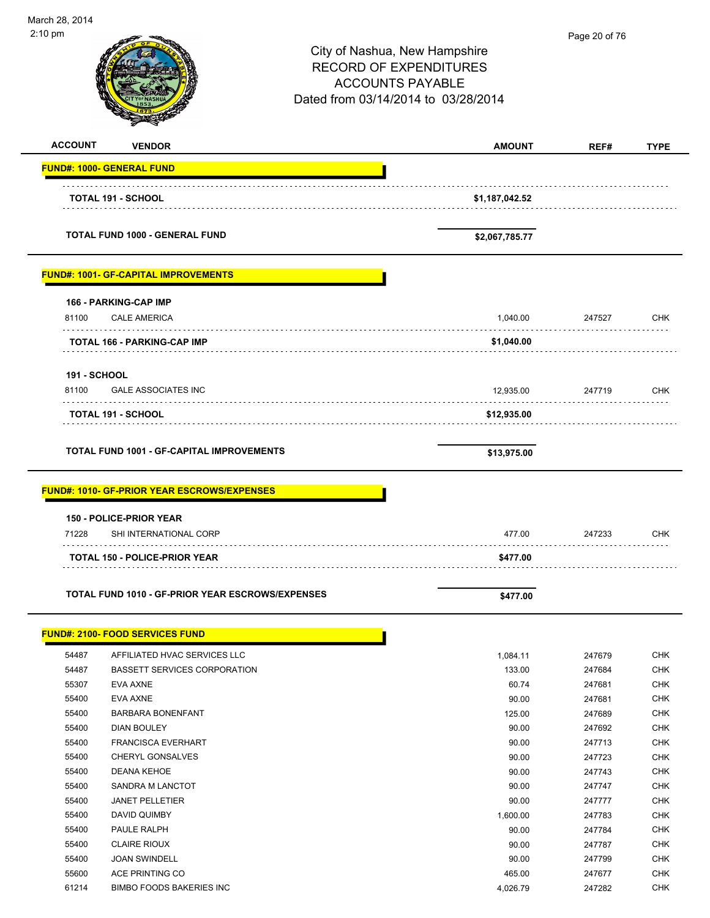| March 28, 2014 |                                                                                                                                                                                                                                                                                                                                                                                                                                                                                                                                                                                                                                                                                                                                                                                                                                                                                                                                                                                                                                                                                                                |                                     |               |             |
|----------------|----------------------------------------------------------------------------------------------------------------------------------------------------------------------------------------------------------------------------------------------------------------------------------------------------------------------------------------------------------------------------------------------------------------------------------------------------------------------------------------------------------------------------------------------------------------------------------------------------------------------------------------------------------------------------------------------------------------------------------------------------------------------------------------------------------------------------------------------------------------------------------------------------------------------------------------------------------------------------------------------------------------------------------------------------------------------------------------------------------------|-------------------------------------|---------------|-------------|
| 2:10 pm        |                                                                                                                                                                                                                                                                                                                                                                                                                                                                                                                                                                                                                                                                                                                                                                                                                                                                                                                                                                                                                                                                                                                |                                     | Page 20 of 76 |             |
|                |                                                                                                                                                                                                                                                                                                                                                                                                                                                                                                                                                                                                                                                                                                                                                                                                                                                                                                                                                                                                                                                                                                                | City of Nashua, New Hampshire       |               |             |
|                |                                                                                                                                                                                                                                                                                                                                                                                                                                                                                                                                                                                                                                                                                                                                                                                                                                                                                                                                                                                                                                                                                                                | <b>RECORD OF EXPENDITURES</b>       |               |             |
|                |                                                                                                                                                                                                                                                                                                                                                                                                                                                                                                                                                                                                                                                                                                                                                                                                                                                                                                                                                                                                                                                                                                                | <b>ACCOUNTS PAYABLE</b>             |               |             |
|                |                                                                                                                                                                                                                                                                                                                                                                                                                                                                                                                                                                                                                                                                                                                                                                                                                                                                                                                                                                                                                                                                                                                | Dated from 03/14/2014 to 03/28/2014 |               |             |
|                |                                                                                                                                                                                                                                                                                                                                                                                                                                                                                                                                                                                                                                                                                                                                                                                                                                                                                                                                                                                                                                                                                                                |                                     |               |             |
|                |                                                                                                                                                                                                                                                                                                                                                                                                                                                                                                                                                                                                                                                                                                                                                                                                                                                                                                                                                                                                                                                                                                                |                                     |               |             |
|                | <b>ACCOUNT</b><br><b>VENDOR</b><br><b>FUND#: 1000- GENERAL FUND</b><br><b>TOTAL 191 - SCHOOL</b><br><b>TOTAL FUND 1000 - GENERAL FUND</b><br><b>FUND#: 1001- GF-CAPITAL IMPROVEMENTS</b><br><b>166 - PARKING-CAP IMP</b><br>81100<br><b>CALE AMERICA</b><br>.<br><b>TOTAL 166 - PARKING-CAP IMP</b><br><b>191 - SCHOOL</b><br><b>GALE ASSOCIATES INC</b><br>81100<br><b>TOTAL 191 - SCHOOL</b><br><b>TOTAL FUND 1001 - GF-CAPITAL IMPROVEMENTS</b><br><b>FUND#: 1010- GF-PRIOR YEAR ESCROWS/EXPENSES</b><br><b>150 - POLICE-PRIOR YEAR</b><br>71228<br>SHI INTERNATIONAL CORP<br><b>TOTAL 150 - POLICE-PRIOR YEAR</b><br>TOTAL FUND 1010 - GF-PRIOR YEAR ESCROWS/EXPENSES<br><b>FUND#: 2100- FOOD SERVICES FUND</b><br>54487<br>AFFILIATED HVAC SERVICES LLC<br><b>BASSETT SERVICES CORPORATION</b><br>54487<br>55307<br>EVA AXNE<br>55400<br>EVA AXNE<br>55400<br><b>BARBARA BONENFANT</b><br>55400<br>DIAN BOULEY<br>55400<br><b>FRANCISCA EVERHART</b><br>55400<br><b>CHERYL GONSALVES</b><br>55400<br>DEANA KEHOE<br>55400<br>SANDRA M LANCTOT<br>55400<br><b>JANET PELLETIER</b><br>55400<br>DAVID QUIMBY | <b>AMOUNT</b>                       | REF#          | <b>TYPE</b> |
|                |                                                                                                                                                                                                                                                                                                                                                                                                                                                                                                                                                                                                                                                                                                                                                                                                                                                                                                                                                                                                                                                                                                                |                                     |               |             |
|                |                                                                                                                                                                                                                                                                                                                                                                                                                                                                                                                                                                                                                                                                                                                                                                                                                                                                                                                                                                                                                                                                                                                | \$1,187,042.52                      |               |             |
|                |                                                                                                                                                                                                                                                                                                                                                                                                                                                                                                                                                                                                                                                                                                                                                                                                                                                                                                                                                                                                                                                                                                                |                                     |               |             |
|                |                                                                                                                                                                                                                                                                                                                                                                                                                                                                                                                                                                                                                                                                                                                                                                                                                                                                                                                                                                                                                                                                                                                | \$2,067,785.77                      |               |             |
|                |                                                                                                                                                                                                                                                                                                                                                                                                                                                                                                                                                                                                                                                                                                                                                                                                                                                                                                                                                                                                                                                                                                                |                                     |               |             |
|                |                                                                                                                                                                                                                                                                                                                                                                                                                                                                                                                                                                                                                                                                                                                                                                                                                                                                                                                                                                                                                                                                                                                |                                     |               |             |
|                |                                                                                                                                                                                                                                                                                                                                                                                                                                                                                                                                                                                                                                                                                                                                                                                                                                                                                                                                                                                                                                                                                                                | 1,040.00                            | 247527        | <b>CHK</b>  |
|                |                                                                                                                                                                                                                                                                                                                                                                                                                                                                                                                                                                                                                                                                                                                                                                                                                                                                                                                                                                                                                                                                                                                | \$1,040.00                          |               |             |
|                |                                                                                                                                                                                                                                                                                                                                                                                                                                                                                                                                                                                                                                                                                                                                                                                                                                                                                                                                                                                                                                                                                                                |                                     |               |             |
|                |                                                                                                                                                                                                                                                                                                                                                                                                                                                                                                                                                                                                                                                                                                                                                                                                                                                                                                                                                                                                                                                                                                                |                                     |               |             |
|                |                                                                                                                                                                                                                                                                                                                                                                                                                                                                                                                                                                                                                                                                                                                                                                                                                                                                                                                                                                                                                                                                                                                | 12,935.00                           | 247719        | <b>CHK</b>  |
|                |                                                                                                                                                                                                                                                                                                                                                                                                                                                                                                                                                                                                                                                                                                                                                                                                                                                                                                                                                                                                                                                                                                                | \$12,935.00                         |               |             |
|                |                                                                                                                                                                                                                                                                                                                                                                                                                                                                                                                                                                                                                                                                                                                                                                                                                                                                                                                                                                                                                                                                                                                |                                     |               |             |
|                |                                                                                                                                                                                                                                                                                                                                                                                                                                                                                                                                                                                                                                                                                                                                                                                                                                                                                                                                                                                                                                                                                                                | \$13,975.00                         |               |             |
|                |                                                                                                                                                                                                                                                                                                                                                                                                                                                                                                                                                                                                                                                                                                                                                                                                                                                                                                                                                                                                                                                                                                                |                                     |               |             |
|                |                                                                                                                                                                                                                                                                                                                                                                                                                                                                                                                                                                                                                                                                                                                                                                                                                                                                                                                                                                                                                                                                                                                |                                     |               |             |
|                |                                                                                                                                                                                                                                                                                                                                                                                                                                                                                                                                                                                                                                                                                                                                                                                                                                                                                                                                                                                                                                                                                                                |                                     |               |             |
|                |                                                                                                                                                                                                                                                                                                                                                                                                                                                                                                                                                                                                                                                                                                                                                                                                                                                                                                                                                                                                                                                                                                                | 477.00                              | 247233        | CHK         |
|                |                                                                                                                                                                                                                                                                                                                                                                                                                                                                                                                                                                                                                                                                                                                                                                                                                                                                                                                                                                                                                                                                                                                | \$477.00                            |               |             |
|                |                                                                                                                                                                                                                                                                                                                                                                                                                                                                                                                                                                                                                                                                                                                                                                                                                                                                                                                                                                                                                                                                                                                |                                     |               |             |
|                |                                                                                                                                                                                                                                                                                                                                                                                                                                                                                                                                                                                                                                                                                                                                                                                                                                                                                                                                                                                                                                                                                                                | \$477.00                            |               |             |
|                |                                                                                                                                                                                                                                                                                                                                                                                                                                                                                                                                                                                                                                                                                                                                                                                                                                                                                                                                                                                                                                                                                                                |                                     |               |             |
|                |                                                                                                                                                                                                                                                                                                                                                                                                                                                                                                                                                                                                                                                                                                                                                                                                                                                                                                                                                                                                                                                                                                                | 1,084.11                            | 247679        | <b>CHK</b>  |
|                |                                                                                                                                                                                                                                                                                                                                                                                                                                                                                                                                                                                                                                                                                                                                                                                                                                                                                                                                                                                                                                                                                                                | 133.00                              | 247684        | <b>CHK</b>  |
|                |                                                                                                                                                                                                                                                                                                                                                                                                                                                                                                                                                                                                                                                                                                                                                                                                                                                                                                                                                                                                                                                                                                                | 60.74                               | 247681        | <b>CHK</b>  |
|                |                                                                                                                                                                                                                                                                                                                                                                                                                                                                                                                                                                                                                                                                                                                                                                                                                                                                                                                                                                                                                                                                                                                | 90.00                               | 247681        | <b>CHK</b>  |
|                |                                                                                                                                                                                                                                                                                                                                                                                                                                                                                                                                                                                                                                                                                                                                                                                                                                                                                                                                                                                                                                                                                                                | 125.00                              | 247689        | <b>CHK</b>  |
|                |                                                                                                                                                                                                                                                                                                                                                                                                                                                                                                                                                                                                                                                                                                                                                                                                                                                                                                                                                                                                                                                                                                                | 90.00                               | 247692        | <b>CHK</b>  |
|                |                                                                                                                                                                                                                                                                                                                                                                                                                                                                                                                                                                                                                                                                                                                                                                                                                                                                                                                                                                                                                                                                                                                |                                     |               |             |
|                |                                                                                                                                                                                                                                                                                                                                                                                                                                                                                                                                                                                                                                                                                                                                                                                                                                                                                                                                                                                                                                                                                                                | 90.00                               | 247713        | <b>CHK</b>  |
|                |                                                                                                                                                                                                                                                                                                                                                                                                                                                                                                                                                                                                                                                                                                                                                                                                                                                                                                                                                                                                                                                                                                                | 90.00                               | 247723        | <b>CHK</b>  |
|                |                                                                                                                                                                                                                                                                                                                                                                                                                                                                                                                                                                                                                                                                                                                                                                                                                                                                                                                                                                                                                                                                                                                | 90.00                               | 247743        | <b>CHK</b>  |
|                |                                                                                                                                                                                                                                                                                                                                                                                                                                                                                                                                                                                                                                                                                                                                                                                                                                                                                                                                                                                                                                                                                                                | 90.00                               | 247747        | <b>CHK</b>  |
|                |                                                                                                                                                                                                                                                                                                                                                                                                                                                                                                                                                                                                                                                                                                                                                                                                                                                                                                                                                                                                                                                                                                                | 90.00                               | 247777        | <b>CHK</b>  |
|                |                                                                                                                                                                                                                                                                                                                                                                                                                                                                                                                                                                                                                                                                                                                                                                                                                                                                                                                                                                                                                                                                                                                | 1,600.00                            | 247783        | <b>CHK</b>  |
| 55400          | PAULE RALPH                                                                                                                                                                                                                                                                                                                                                                                                                                                                                                                                                                                                                                                                                                                                                                                                                                                                                                                                                                                                                                                                                                    | 90.00                               | 247784        | <b>CHK</b>  |
| 55400          | <b>CLAIRE RIOUX</b>                                                                                                                                                                                                                                                                                                                                                                                                                                                                                                                                                                                                                                                                                                                                                                                                                                                                                                                                                                                                                                                                                            | 90.00                               | 247787        | <b>CHK</b>  |
| 55400          | <b>JOAN SWINDELL</b>                                                                                                                                                                                                                                                                                                                                                                                                                                                                                                                                                                                                                                                                                                                                                                                                                                                                                                                                                                                                                                                                                           | 90.00                               | 247799        | <b>CHK</b>  |
| 55600          | ACE PRINTING CO                                                                                                                                                                                                                                                                                                                                                                                                                                                                                                                                                                                                                                                                                                                                                                                                                                                                                                                                                                                                                                                                                                | 465.00                              | 247677        | <b>CHK</b>  |
| 61214          | <b>BIMBO FOODS BAKERIES INC</b>                                                                                                                                                                                                                                                                                                                                                                                                                                                                                                                                                                                                                                                                                                                                                                                                                                                                                                                                                                                                                                                                                | 4.026.79                            | 247282        | <b>CHK</b>  |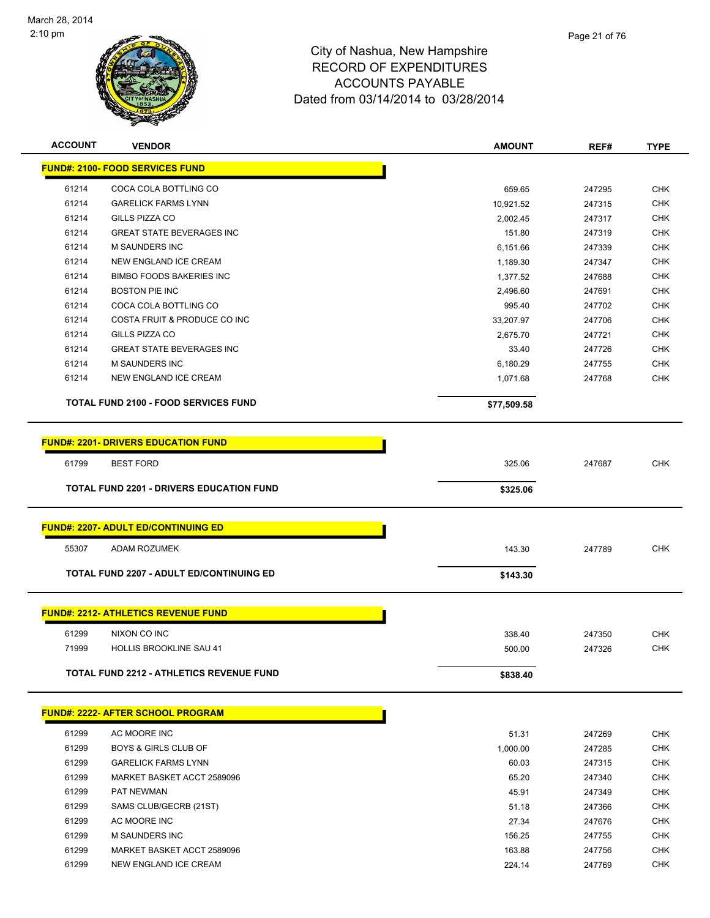

| <b>ACCOUNT</b> | <b>VENDOR</b>                                   | <b>AMOUNT</b> | REF#   | <b>TYPE</b> |
|----------------|-------------------------------------------------|---------------|--------|-------------|
|                | <b>FUND#: 2100- FOOD SERVICES FUND</b>          |               |        |             |
| 61214          | COCA COLA BOTTLING CO                           | 659.65        | 247295 | CHK         |
| 61214          | <b>GARELICK FARMS LYNN</b>                      | 10,921.52     | 247315 | <b>CHK</b>  |
| 61214          | <b>GILLS PIZZA CO</b>                           | 2,002.45      | 247317 | <b>CHK</b>  |
| 61214          | <b>GREAT STATE BEVERAGES INC</b>                | 151.80        | 247319 | <b>CHK</b>  |
| 61214          | <b>M SAUNDERS INC</b>                           | 6,151.66      | 247339 | CHK         |
| 61214          | NEW ENGLAND ICE CREAM                           | 1,189.30      | 247347 | CHK         |
| 61214          | <b>BIMBO FOODS BAKERIES INC</b>                 | 1,377.52      | 247688 | CHK         |
| 61214          | <b>BOSTON PIE INC</b>                           | 2,496.60      | 247691 | <b>CHK</b>  |
| 61214          | COCA COLA BOTTLING CO                           | 995.40        | 247702 | CHK         |
| 61214          | COSTA FRUIT & PRODUCE CO INC                    | 33,207.97     | 247706 | <b>CHK</b>  |
| 61214          | <b>GILLS PIZZA CO</b>                           | 2,675.70      | 247721 | <b>CHK</b>  |
| 61214          | <b>GREAT STATE BEVERAGES INC</b>                | 33.40         | 247726 | CHK         |
| 61214          | <b>M SAUNDERS INC</b>                           | 6,180.29      | 247755 | <b>CHK</b>  |
| 61214          | NEW ENGLAND ICE CREAM                           | 1,071.68      | 247768 | <b>CHK</b>  |
|                | <b>TOTAL FUND 2100 - FOOD SERVICES FUND</b>     | \$77,509.58   |        |             |
|                | <b>FUND#: 2201- DRIVERS EDUCATION FUND</b>      |               |        |             |
| 61799          | <b>BEST FORD</b>                                | 325.06        | 247687 | <b>CHK</b>  |
|                |                                                 |               |        |             |
|                | TOTAL FUND 2201 - DRIVERS EDUCATION FUND        | \$325.06      |        |             |
|                | <b>FUND#: 2207- ADULT ED/CONTINUING ED</b>      |               |        |             |
| 55307          | ADAM ROZUMEK                                    | 143.30        | 247789 | <b>CHK</b>  |
|                | <b>TOTAL FUND 2207 - ADULT ED/CONTINUING ED</b> | \$143.30      |        |             |
|                | <b>FUND#: 2212- ATHLETICS REVENUE FUND</b>      |               |        |             |
| 61299          | NIXON CO INC                                    | 338.40        | 247350 | CHK         |
| 71999          | <b>HOLLIS BROOKLINE SAU 41</b>                  |               | 247326 | CHK         |
|                |                                                 | 500.00        |        |             |
|                | <b>TOTAL FUND 2212 - ATHLETICS REVENUE FUND</b> | \$838.40      |        |             |
|                | <b>FUND#: 2222- AFTER SCHOOL PROGRAM</b>        |               |        |             |
| 61299          | AC MOORE INC                                    | 51.31         | 247269 | CHK         |
| 61299          | BOYS & GIRLS CLUB OF                            | 1,000.00      | 247285 | <b>CHK</b>  |
| 61299          | <b>GARELICK FARMS LYNN</b>                      | 60.03         | 247315 | CHK         |
| 61299          | MARKET BASKET ACCT 2589096                      | 65.20         | 247340 | CHK         |
| 61299          | PAT NEWMAN                                      | 45.91         | 247349 | CHK         |
| 61299          | SAMS CLUB/GECRB (21ST)                          | 51.18         | 247366 | CHK         |
| 61299          | AC MOORE INC                                    | 27.34         | 247676 | CHK         |
| 61299          | M SAUNDERS INC                                  | 156.25        | 247755 | CHK         |
| 61299          | MARKET BASKET ACCT 2589096                      | 163.88        | 247756 | CHK         |
| 61299          | NEW ENGLAND ICE CREAM                           | 224.14        | 247769 | <b>CHK</b>  |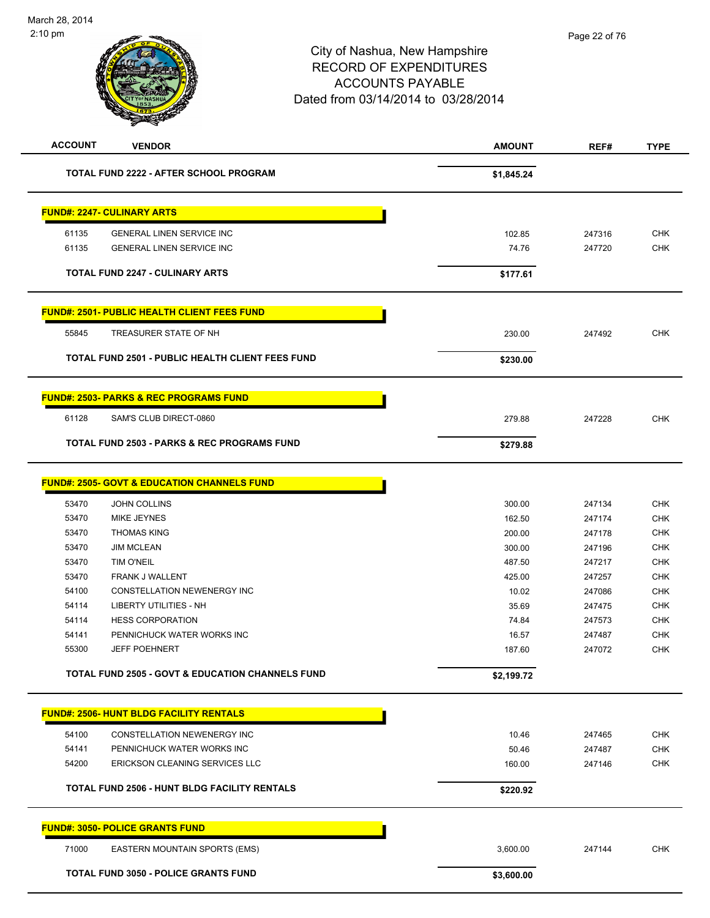| <b>ACCOUNT</b> | <b>VENDOR</b>                                               | <b>AMOUNT</b> | REF#   | <b>TYPE</b> |
|----------------|-------------------------------------------------------------|---------------|--------|-------------|
|                | <b>TOTAL FUND 2222 - AFTER SCHOOL PROGRAM</b>               | \$1,845.24    |        |             |
|                | <b>FUND#: 2247- CULINARY ARTS</b>                           |               |        |             |
| 61135          | GENERAL LINEN SERVICE INC                                   | 102.85        | 247316 | <b>CHK</b>  |
| 61135          | <b>GENERAL LINEN SERVICE INC</b>                            | 74.76         | 247720 | <b>CHK</b>  |
|                | <b>TOTAL FUND 2247 - CULINARY ARTS</b>                      | \$177.61      |        |             |
|                | <b>FUND#: 2501- PUBLIC HEALTH CLIENT FEES FUND</b>          |               |        |             |
| 55845          | TREASURER STATE OF NH                                       | 230.00        | 247492 | <b>CHK</b>  |
|                | <b>TOTAL FUND 2501 - PUBLIC HEALTH CLIENT FEES FUND</b>     | \$230.00      |        |             |
|                | <b>FUND#: 2503- PARKS &amp; REC PROGRAMS FUND</b>           |               |        |             |
| 61128          | SAM'S CLUB DIRECT-0860                                      | 279.88        | 247228 | <b>CHK</b>  |
|                | <b>TOTAL FUND 2503 - PARKS &amp; REC PROGRAMS FUND</b>      | \$279.88      |        |             |
|                | <b>FUND#: 2505- GOVT &amp; EDUCATION CHANNELS FUND</b>      |               |        |             |
| 53470          | <b>JOHN COLLINS</b>                                         | 300.00        | 247134 | <b>CHK</b>  |
| 53470          | <b>MIKE JEYNES</b>                                          | 162.50        | 247174 | <b>CHK</b>  |
| 53470          | <b>THOMAS KING</b>                                          | 200.00        | 247178 | <b>CHK</b>  |
| 53470          | <b>JIM MCLEAN</b>                                           | 300.00        | 247196 | <b>CHK</b>  |
| 53470          | <b>TIM O'NEIL</b>                                           | 487.50        | 247217 | <b>CHK</b>  |
| 53470          | FRANK J WALLENT                                             | 425.00        | 247257 | <b>CHK</b>  |
| 54100          | CONSTELLATION NEWENERGY INC                                 | 10.02         | 247086 | <b>CHK</b>  |
| 54114          | LIBERTY UTILITIES - NH                                      | 35.69         | 247475 | <b>CHK</b>  |
| 54114          | <b>HESS CORPORATION</b>                                     | 74.84         | 247573 | <b>CHK</b>  |
| 54141          | PENNICHUCK WATER WORKS INC                                  | 16.57         | 247487 | CHK         |
| 55300          | <b>JEFF POEHNERT</b>                                        | 187.60        | 247072 | <b>CHK</b>  |
|                | <b>TOTAL FUND 2505 - GOVT &amp; EDUCATION CHANNELS FUND</b> | \$2,199.72    |        |             |
|                | <b>FUND#: 2506- HUNT BLDG FACILITY RENTALS</b>              |               |        |             |
| 54100          | CONSTELLATION NEWENERGY INC                                 | 10.46         | 247465 | <b>CHK</b>  |
| 54141          | PENNICHUCK WATER WORKS INC                                  | 50.46         | 247487 | CHK         |
| 54200          | ERICKSON CLEANING SERVICES LLC                              | 160.00        | 247146 | <b>CHK</b>  |
|                | <b>TOTAL FUND 2506 - HUNT BLDG FACILITY RENTALS</b>         | \$220.92      |        |             |
|                | <b>FUND#: 3050- POLICE GRANTS FUND</b>                      |               |        |             |
| 71000          | <b>EASTERN MOUNTAIN SPORTS (EMS)</b>                        | 3,600.00      | 247144 | <b>CHK</b>  |
|                | TOTAL FUND 3050 - POLICE GRANTS FUND                        | \$3,600.00    |        |             |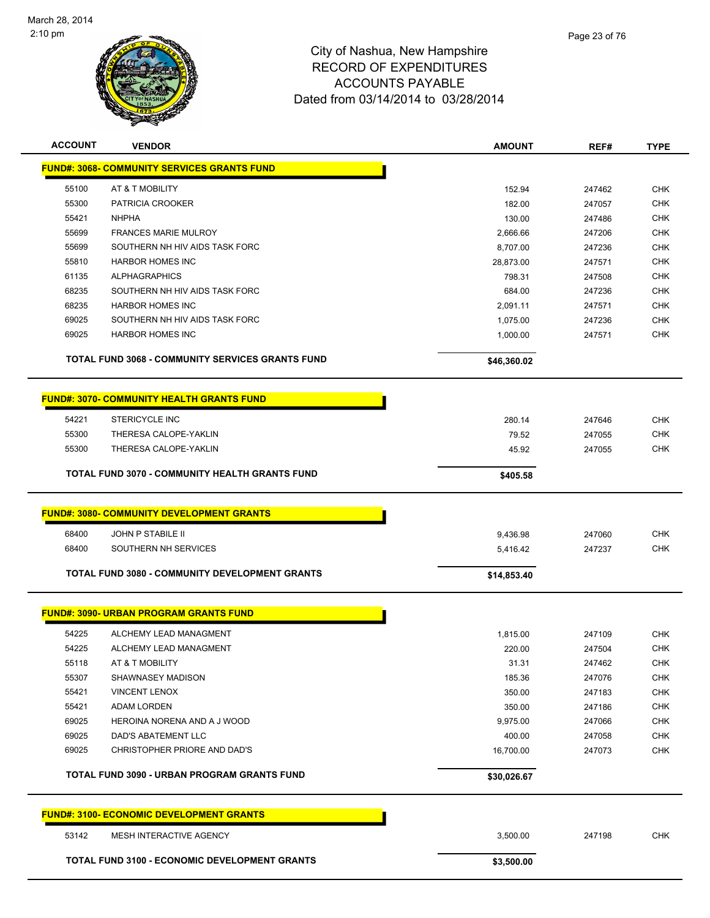

| <b>ACCOUNT</b> | <b>VENDOR</b>                                           | <b>AMOUNT</b> | REF#   | <b>TYPE</b> |
|----------------|---------------------------------------------------------|---------------|--------|-------------|
|                | <b>FUND#: 3068- COMMUNITY SERVICES GRANTS FUND</b>      |               |        |             |
| 55100          | AT & T MOBILITY                                         | 152.94        | 247462 | <b>CHK</b>  |
| 55300          | PATRICIA CROOKER                                        | 182.00        | 247057 | <b>CHK</b>  |
| 55421          | <b>NHPHA</b>                                            | 130.00        | 247486 | CHK         |
| 55699          | <b>FRANCES MARIE MULROY</b>                             | 2,666.66      | 247206 | <b>CHK</b>  |
| 55699          | SOUTHERN NH HIV AIDS TASK FORC                          | 8,707.00      | 247236 | <b>CHK</b>  |
| 55810          | <b>HARBOR HOMES INC</b>                                 | 28,873.00     | 247571 | <b>CHK</b>  |
| 61135          | <b>ALPHAGRAPHICS</b>                                    | 798.31        | 247508 | <b>CHK</b>  |
| 68235          | SOUTHERN NH HIV AIDS TASK FORC                          | 684.00        | 247236 | CHK         |
| 68235          | <b>HARBOR HOMES INC</b>                                 | 2,091.11      | 247571 | CHK         |
| 69025          | SOUTHERN NH HIV AIDS TASK FORC                          | 1,075.00      | 247236 | CHK         |
| 69025          | <b>HARBOR HOMES INC</b>                                 | 1,000.00      | 247571 | CHK         |
|                | <b>TOTAL FUND 3068 - COMMUNITY SERVICES GRANTS FUND</b> | \$46,360.02   |        |             |
|                | <b>FUND#: 3070- COMMUNITY HEALTH GRANTS FUND</b>        |               |        |             |
| 54221          | <b>STERICYCLE INC</b>                                   | 280.14        | 247646 | CHK         |
| 55300          | THERESA CALOPE-YAKLIN                                   | 79.52         | 247055 | <b>CHK</b>  |
| 55300          | THERESA CALOPE-YAKLIN                                   | 45.92         | 247055 | CHK         |
|                | TOTAL FUND 3070 - COMMUNITY HEALTH GRANTS FUND          | \$405.58      |        |             |
|                | <b>FUND#: 3080- COMMUNITY DEVELOPMENT GRANTS</b>        |               |        |             |
|                |                                                         |               |        |             |
| 68400          | JOHN P STABILE II                                       | 9,436.98      | 247060 | <b>CHK</b>  |
| 68400          | SOUTHERN NH SERVICES                                    | 5,416.42      | 247237 | CHK         |
|                | TOTAL FUND 3080 - COMMUNITY DEVELOPMENT GRANTS          | \$14,853.40   |        |             |
|                | <b>FUND#: 3090- URBAN PROGRAM GRANTS FUND</b>           |               |        |             |
| 54225          | ALCHEMY LEAD MANAGMENT                                  | 1,815.00      | 247109 | <b>CHK</b>  |
| 54225          | ALCHEMY LEAD MANAGMENT                                  | 220.00        | 247504 | <b>CHK</b>  |
| 55118          | AT & T MOBILITY                                         | 31.31         | 247462 | <b>CHK</b>  |
| 55307          | SHAWNASEY MADISON                                       | 185.36        | 247076 | <b>CHK</b>  |
| 55421          | <b>VINCENT LENOX</b>                                    | 350.00        | 247183 | <b>CHK</b>  |
| 55421          | ADAM LORDEN                                             | 350.00        | 247186 | <b>CHK</b>  |
| 69025          | HEROINA NORENA AND A J WOOD                             | 9,975.00      | 247066 | <b>CHK</b>  |
| 69025          | DAD'S ABATEMENT LLC                                     | 400.00        | 247058 | <b>CHK</b>  |
| 69025          | CHRISTOPHER PRIORE AND DAD'S                            | 16,700.00     | 247073 | CHK         |
|                | TOTAL FUND 3090 - URBAN PROGRAM GRANTS FUND             | \$30,026.67   |        |             |
|                | <b>FUND#: 3100- ECONOMIC DEVELOPMENT GRANTS</b>         |               |        |             |
| 53142          | MESH INTERACTIVE AGENCY                                 | 3,500.00      | 247198 | <b>CHK</b>  |
|                | <b>TOTAL FUND 3100 - ECONOMIC DEVELOPMENT GRANTS</b>    | \$3,500.00    |        |             |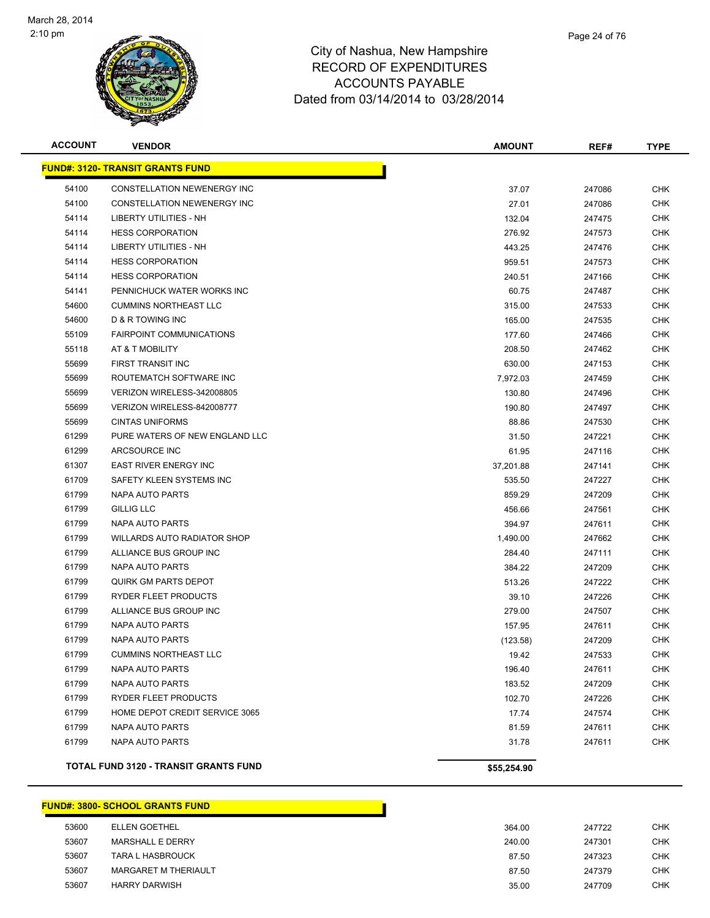

| <b>ACCOUNT</b> | <b>VENDOR</b>                                | <b>AMOUNT</b> | REF#   | <b>TYPE</b> |
|----------------|----------------------------------------------|---------------|--------|-------------|
|                | <b>FUND#: 3120- TRANSIT GRANTS FUND</b>      |               |        |             |
| 54100          | CONSTELLATION NEWENERGY INC                  | 37.07         | 247086 | <b>CHK</b>  |
| 54100          | CONSTELLATION NEWENERGY INC                  | 27.01         | 247086 | <b>CHK</b>  |
| 54114          | <b>LIBERTY UTILITIES - NH</b>                | 132.04        | 247475 | CHK         |
| 54114          | <b>HESS CORPORATION</b>                      | 276.92        | 247573 | <b>CHK</b>  |
| 54114          | LIBERTY UTILITIES - NH                       | 443.25        | 247476 | <b>CHK</b>  |
| 54114          | <b>HESS CORPORATION</b>                      | 959.51        | 247573 | <b>CHK</b>  |
| 54114          | <b>HESS CORPORATION</b>                      | 240.51        | 247166 | CHK         |
| 54141          | PENNICHUCK WATER WORKS INC                   | 60.75         | 247487 | <b>CHK</b>  |
| 54600          | <b>CUMMINS NORTHEAST LLC</b>                 | 315.00        | 247533 | <b>CHK</b>  |
| 54600          | D & R TOWING INC                             | 165.00        | 247535 | <b>CHK</b>  |
| 55109          | <b>FAIRPOINT COMMUNICATIONS</b>              | 177.60        | 247466 | CHK         |
| 55118          | AT & T MOBILITY                              | 208.50        | 247462 | <b>CHK</b>  |
| 55699          | FIRST TRANSIT INC                            | 630.00        | 247153 | <b>CHK</b>  |
| 55699          | ROUTEMATCH SOFTWARE INC                      | 7,972.03      | 247459 | <b>CHK</b>  |
| 55699          | VERIZON WIRELESS-342008805                   | 130.80        | 247496 | <b>CHK</b>  |
| 55699          | VERIZON WIRELESS-842008777                   | 190.80        | 247497 | <b>CHK</b>  |
| 55699          | <b>CINTAS UNIFORMS</b>                       | 88.86         | 247530 | <b>CHK</b>  |
| 61299          | PURE WATERS OF NEW ENGLAND LLC               | 31.50         | 247221 | CHK         |
| 61299          | ARCSOURCE INC                                | 61.95         | 247116 | <b>CHK</b>  |
| 61307          | EAST RIVER ENERGY INC                        | 37,201.88     | 247141 | <b>CHK</b>  |
| 61709          | SAFETY KLEEN SYSTEMS INC                     | 535.50        | 247227 | <b>CHK</b>  |
| 61799          | NAPA AUTO PARTS                              | 859.29        | 247209 | <b>CHK</b>  |
| 61799          | <b>GILLIG LLC</b>                            | 456.66        | 247561 | <b>CHK</b>  |
| 61799          | NAPA AUTO PARTS                              | 394.97        | 247611 | <b>CHK</b>  |
| 61799          | WILLARDS AUTO RADIATOR SHOP                  | 1,490.00      | 247662 | <b>CHK</b>  |
| 61799          | ALLIANCE BUS GROUP INC                       | 284.40        | 247111 | <b>CHK</b>  |
| 61799          | NAPA AUTO PARTS                              | 384.22        | 247209 | <b>CHK</b>  |
| 61799          | <b>QUIRK GM PARTS DEPOT</b>                  | 513.26        | 247222 | <b>CHK</b>  |
| 61799          | RYDER FLEET PRODUCTS                         | 39.10         | 247226 | CHK         |
| 61799          | ALLIANCE BUS GROUP INC                       | 279.00        | 247507 | <b>CHK</b>  |
| 61799          | NAPA AUTO PARTS                              | 157.95        | 247611 | <b>CHK</b>  |
| 61799          | NAPA AUTO PARTS                              | (123.58)      | 247209 | <b>CHK</b>  |
| 61799          | <b>CUMMINS NORTHEAST LLC</b>                 | 19.42         | 247533 | <b>CHK</b>  |
| 61799          | NAPA AUTO PARTS                              | 196.40        | 247611 | <b>CHK</b>  |
| 61799          | <b>NAPA AUTO PARTS</b>                       | 183.52        | 247209 | <b>CHK</b>  |
| 61799          | RYDER FLEET PRODUCTS                         | 102.70        | 247226 | <b>CHK</b>  |
| 61799          | HOME DEPOT CREDIT SERVICE 3065               | 17.74         | 247574 | <b>CHK</b>  |
| 61799          | NAPA AUTO PARTS                              | 81.59         | 247611 | <b>CHK</b>  |
| 61799          | NAPA AUTO PARTS                              | 31.78         | 247611 | <b>CHK</b>  |
|                | <b>TOTAL FUND 3120 - TRANSIT GRANTS FUND</b> | \$55,254.90   |        |             |

|       | <b>FUND#: 3800- SCHOOL GRANTS FUND</b> |        |        |            |
|-------|----------------------------------------|--------|--------|------------|
| 53600 | <b>ELLEN GOETHEL</b>                   | 364.00 | 247722 | <b>CHK</b> |
| 53607 | MARSHALL E DERRY                       | 240.00 | 247301 | <b>CHK</b> |
| 53607 | <b>TARA L HASBROUCK</b>                | 87.50  | 247323 | <b>CHK</b> |
| 53607 | MARGARET M THERIAULT                   | 87.50  | 247379 | <b>CHK</b> |
| 53607 | <b>HARRY DARWISH</b>                   | 35.00  | 247709 | CHK        |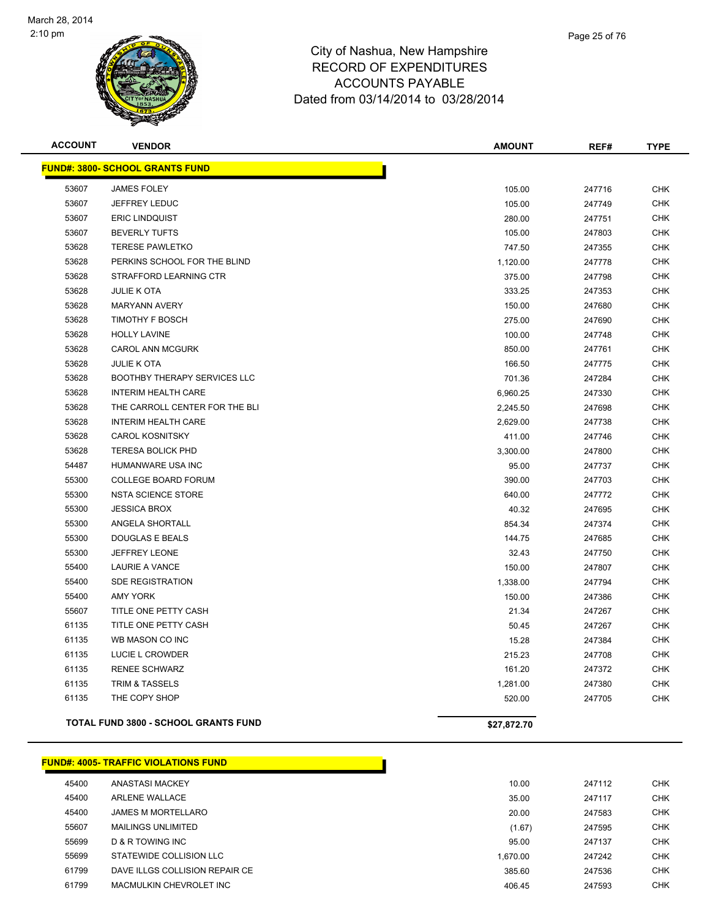

| <b>ACCOUNT</b> | <b>VENDOR</b>                               | <b>AMOUNT</b> | REF#   | <b>TYPE</b> |
|----------------|---------------------------------------------|---------------|--------|-------------|
|                | <b>FUND#: 3800- SCHOOL GRANTS FUND</b>      |               |        |             |
| 53607          | <b>JAMES FOLEY</b>                          | 105.00        | 247716 | <b>CHK</b>  |
| 53607          | <b>JEFFREY LEDUC</b>                        | 105.00        | 247749 | <b>CHK</b>  |
| 53607          | <b>ERIC LINDQUIST</b>                       | 280.00        | 247751 | <b>CHK</b>  |
| 53607          | <b>BEVERLY TUFTS</b>                        | 105.00        | 247803 | <b>CHK</b>  |
| 53628          | <b>TERESE PAWLETKO</b>                      | 747.50        | 247355 | <b>CHK</b>  |
| 53628          | PERKINS SCHOOL FOR THE BLIND                | 1,120.00      | 247778 | <b>CHK</b>  |
| 53628          | STRAFFORD LEARNING CTR                      | 375.00        | 247798 | <b>CHK</b>  |
| 53628          | <b>JULIE K OTA</b>                          | 333.25        | 247353 | <b>CHK</b>  |
| 53628          | <b>MARYANN AVERY</b>                        | 150.00        | 247680 | <b>CHK</b>  |
| 53628          | TIMOTHY F BOSCH                             | 275.00        | 247690 | <b>CHK</b>  |
| 53628          | <b>HOLLY LAVINE</b>                         | 100.00        | 247748 | <b>CHK</b>  |
| 53628          | <b>CAROL ANN MCGURK</b>                     | 850.00        | 247761 | <b>CHK</b>  |
| 53628          | <b>JULIE K OTA</b>                          | 166.50        | 247775 | <b>CHK</b>  |
| 53628          | <b>BOOTHBY THERAPY SERVICES LLC</b>         | 701.36        | 247284 | <b>CHK</b>  |
| 53628          | <b>INTERIM HEALTH CARE</b>                  | 6,960.25      | 247330 | <b>CHK</b>  |
| 53628          | THE CARROLL CENTER FOR THE BLI              | 2,245.50      | 247698 | <b>CHK</b>  |
| 53628          | <b>INTERIM HEALTH CARE</b>                  | 2,629.00      | 247738 | <b>CHK</b>  |
| 53628          | <b>CAROL KOSNITSKY</b>                      | 411.00        | 247746 | <b>CHK</b>  |
| 53628          | <b>TERESA BOLICK PHD</b>                    | 3,300.00      | 247800 | <b>CHK</b>  |
| 54487          | HUMANWARE USA INC                           | 95.00         | 247737 | <b>CHK</b>  |
| 55300          | <b>COLLEGE BOARD FORUM</b>                  | 390.00        | 247703 | <b>CHK</b>  |
| 55300          | <b>NSTA SCIENCE STORE</b>                   | 640.00        | 247772 | <b>CHK</b>  |
| 55300          | <b>JESSICA BROX</b>                         | 40.32         | 247695 | <b>CHK</b>  |
| 55300          | ANGELA SHORTALL                             | 854.34        | 247374 | <b>CHK</b>  |
| 55300          | <b>DOUGLAS E BEALS</b>                      | 144.75        | 247685 | <b>CHK</b>  |
| 55300          | <b>JEFFREY LEONE</b>                        | 32.43         | 247750 | <b>CHK</b>  |
| 55400          | LAURIE A VANCE                              | 150.00        | 247807 | CHK         |
| 55400          | <b>SDE REGISTRATION</b>                     | 1,338.00      | 247794 | <b>CHK</b>  |
| 55400          | <b>AMY YORK</b>                             | 150.00        | 247386 | <b>CHK</b>  |
| 55607          | TITLE ONE PETTY CASH                        | 21.34         | 247267 | <b>CHK</b>  |
| 61135          | TITLE ONE PETTY CASH                        | 50.45         | 247267 | <b>CHK</b>  |
| 61135          | WB MASON CO INC                             | 15.28         | 247384 | <b>CHK</b>  |
| 61135          | LUCIE L CROWDER                             | 215.23        | 247708 | <b>CHK</b>  |
| 61135          | <b>RENEE SCHWARZ</b>                        | 161.20        | 247372 | CHK         |
| 61135          | <b>TRIM &amp; TASSELS</b>                   | 1,281.00      | 247380 | <b>CHK</b>  |
| 61135          | THE COPY SHOP                               | 520.00        | 247705 | <b>CHK</b>  |
|                | <b>TOTAL FUND 3800 - SCHOOL GRANTS FUND</b> | \$27,872.70   |        |             |

#### **FUND#: 4005- TRAFFIC VIOLATIONS FUND**

| 45400 | <b>ANASTASI MACKEY</b>         | 10.00    | 247112 | CHK        |
|-------|--------------------------------|----------|--------|------------|
| 45400 | <b>ARLENE WALLACE</b>          | 35.00    | 247117 | <b>CHK</b> |
| 45400 | JAMES M MORTELLARO             | 20.00    | 247583 | CHK        |
| 55607 | <b>MAILINGS UNLIMITED</b>      | (1.67)   | 247595 | <b>CHK</b> |
| 55699 | D & R TOWING INC               | 95.00    | 247137 | CHK        |
| 55699 | STATEWIDE COLLISION LLC        | 1.670.00 | 247242 | CHK        |
| 61799 | DAVE ILLGS COLLISION REPAIR CE | 385.60   | 247536 | <b>CHK</b> |
| 61799 | MACMULKIN CHEVROLET INC        | 406.45   | 247593 | <b>CHK</b> |
|       |                                |          |        |            |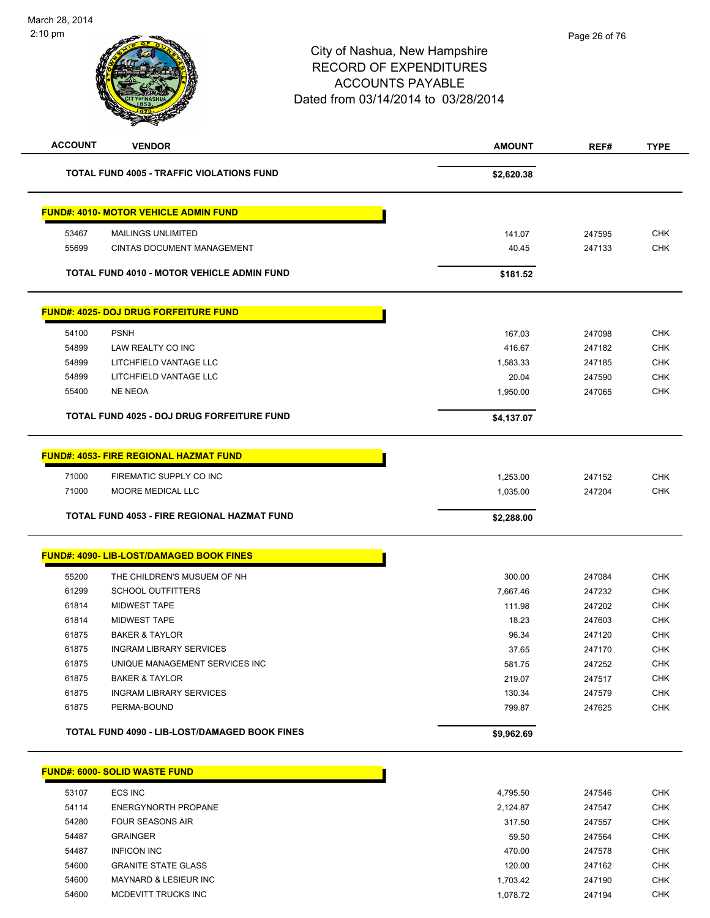| <b>ACCOUNT</b> | <b>VENDOR</b>                                                                                 | <b>AMOUNT</b>        | REF#             | <b>TYPE</b>              |
|----------------|-----------------------------------------------------------------------------------------------|----------------------|------------------|--------------------------|
|                | <b>TOTAL FUND 4005 - TRAFFIC VIOLATIONS FUND</b>                                              | \$2,620.38           |                  |                          |
|                | <b>FUND#: 4010- MOTOR VEHICLE ADMIN FUND</b>                                                  |                      |                  |                          |
| 53467          | <b>MAILINGS UNLIMITED</b>                                                                     | 141.07               | 247595           | <b>CHK</b>               |
| 55699          | CINTAS DOCUMENT MANAGEMENT                                                                    | 40.45                | 247133           | <b>CHK</b>               |
|                | <b>TOTAL FUND 4010 - MOTOR VEHICLE ADMIN FUND</b>                                             | \$181.52             |                  |                          |
|                | <b>FUND#: 4025- DOJ DRUG FORFEITURE FUND</b>                                                  |                      |                  |                          |
| 54100          | <b>PSNH</b>                                                                                   | 167.03               | 247098           | <b>CHK</b>               |
| 54899          | LAW REALTY CO INC                                                                             | 416.67               | 247182           | <b>CHK</b>               |
| 54899          | LITCHFIELD VANTAGE LLC                                                                        | 1,583.33             | 247185           | <b>CHK</b>               |
| 54899          | LITCHFIELD VANTAGE LLC                                                                        | 20.04                | 247590           | <b>CHK</b>               |
| 55400          | <b>NE NEOA</b>                                                                                | 1,950.00             | 247065           | <b>CHK</b>               |
|                | <b>TOTAL FUND 4025 - DOJ DRUG FORFEITURE FUND</b>                                             | \$4,137.07           |                  |                          |
| 71000<br>71000 | <b>FUND#: 4053- FIRE REGIONAL HAZMAT FUND</b><br>FIREMATIC SUPPLY CO INC<br>MOORE MEDICAL LLC | 1,253.00<br>1,035.00 | 247152<br>247204 | <b>CHK</b><br><b>CHK</b> |
|                | <b>TOTAL FUND 4053 - FIRE REGIONAL HAZMAT FUND</b>                                            | \$2,288.00           |                  |                          |
|                | <b>FUND#: 4090- LIB-LOST/DAMAGED BOOK FINES</b>                                               |                      |                  |                          |
| 55200          | THE CHILDREN'S MUSUEM OF NH                                                                   | 300.00               | 247084           | <b>CHK</b>               |
| 61299          | <b>SCHOOL OUTFITTERS</b>                                                                      | 7,667.46             | 247232           | CHK                      |
| 61814          | <b>MIDWEST TAPE</b>                                                                           | 111.98               | 247202           | <b>CHK</b>               |
| 61814          | <b>MIDWEST TAPE</b>                                                                           | 18.23                | 247603           | <b>CHK</b>               |
| 61875          | <b>BAKER &amp; TAYLOR</b>                                                                     | 96.34                | 247120           | <b>CHK</b>               |
| 61875          | <b>INGRAM LIBRARY SERVICES</b>                                                                | 37.65                | 247170           | <b>CHK</b>               |
| 61875          | UNIQUE MANAGEMENT SERVICES INC                                                                | 581.75               | 247252           | <b>CHK</b>               |
| 61875          | <b>BAKER &amp; TAYLOR</b>                                                                     | 219.07               | 247517           | <b>CHK</b>               |
| 61875          | <b>INGRAM LIBRARY SERVICES</b>                                                                | 130.34               | 247579           | <b>CHK</b>               |
|                | PERMA-BOUND                                                                                   | 799.87               | 247625           | <b>CHK</b>               |
| 61875          |                                                                                               |                      |                  |                          |

| 53107 | ECS INC                          | 4.795.50 | 247546 | <b>CHK</b> |
|-------|----------------------------------|----------|--------|------------|
| 54114 | ENERGYNORTH PROPANE              | 2.124.87 | 247547 | CHK        |
| 54280 | <b>FOUR SEASONS AIR</b>          | 317.50   | 247557 | <b>CHK</b> |
| 54487 | <b>GRAINGER</b>                  | 59.50    | 247564 | CHK        |
| 54487 | <b>INFICON INC</b>               | 470.00   | 247578 | <b>CHK</b> |
| 54600 | <b>GRANITE STATE GLASS</b>       | 120.00   | 247162 | <b>CHK</b> |
| 54600 | <b>MAYNARD &amp; LESIEUR INC</b> | 1.703.42 | 247190 | <b>CHK</b> |
| 54600 | MCDEVITT TRUCKS INC              | 1.078.72 | 247194 | <b>CHK</b> |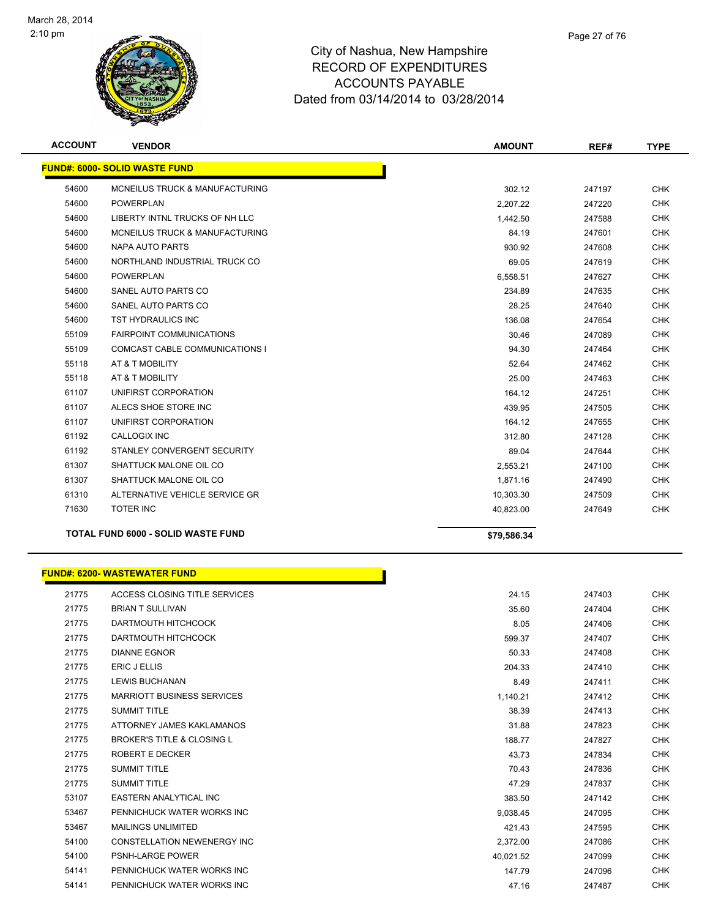

| <b>ACCOUNT</b> | <b>VENDOR</b>                             | <b>AMOUNT</b> | REF#   | <b>TYPE</b> |
|----------------|-------------------------------------------|---------------|--------|-------------|
|                | <b>FUND#: 6000- SOLID WASTE FUND</b>      |               |        |             |
| 54600          | <b>MCNEILUS TRUCK &amp; MANUFACTURING</b> | 302.12        | 247197 | <b>CHK</b>  |
| 54600          | <b>POWERPLAN</b>                          | 2,207.22      | 247220 | <b>CHK</b>  |
| 54600          | LIBERTY INTNL TRUCKS OF NH LLC            | 1,442.50      | 247588 | <b>CHK</b>  |
| 54600          | MCNEILUS TRUCK & MANUFACTURING            | 84.19         | 247601 | <b>CHK</b>  |
| 54600          | NAPA AUTO PARTS                           | 930.92        | 247608 | <b>CHK</b>  |
| 54600          | NORTHLAND INDUSTRIAL TRUCK CO             | 69.05         | 247619 | <b>CHK</b>  |
| 54600          | <b>POWERPLAN</b>                          | 6,558.51      | 247627 | <b>CHK</b>  |
| 54600          | SANEL AUTO PARTS CO                       | 234.89        | 247635 | <b>CHK</b>  |
| 54600          | SANEL AUTO PARTS CO                       | 28.25         | 247640 | <b>CHK</b>  |
| 54600          | <b>TST HYDRAULICS INC</b>                 | 136.08        | 247654 | <b>CHK</b>  |
| 55109          | <b>FAIRPOINT COMMUNICATIONS</b>           | 30.46         | 247089 | <b>CHK</b>  |
| 55109          | COMCAST CABLE COMMUNICATIONS I            | 94.30         | 247464 | <b>CHK</b>  |
| 55118          | AT & T MOBILITY                           | 52.64         | 247462 | <b>CHK</b>  |
| 55118          | AT & T MOBILITY                           | 25.00         | 247463 | <b>CHK</b>  |
| 61107          | UNIFIRST CORPORATION                      | 164.12        | 247251 | <b>CHK</b>  |
| 61107          | ALECS SHOE STORE INC                      | 439.95        | 247505 | <b>CHK</b>  |
| 61107          | UNIFIRST CORPORATION                      | 164.12        | 247655 | <b>CHK</b>  |
| 61192          | <b>CALLOGIX INC</b>                       | 312.80        | 247128 | <b>CHK</b>  |
| 61192          | STANLEY CONVERGENT SECURITY               | 89.04         | 247644 | <b>CHK</b>  |
| 61307          | SHATTUCK MALONE OIL CO                    | 2,553.21      | 247100 | <b>CHK</b>  |
| 61307          | SHATTUCK MALONE OIL CO                    | 1,871.16      | 247490 | <b>CHK</b>  |
| 61310          | ALTERNATIVE VEHICLE SERVICE GR            | 10,303.30     | 247509 | <b>CHK</b>  |
| 71630          | <b>TOTER INC</b>                          | 40,823.00     | 247649 | <b>CHK</b>  |
|                | <b>TOTAL FUND 6000 - SOLID WASTE FUND</b> | \$79.586.34   |        |             |

| <b>FUND#: 6200- WASTEWATER FUND</b> |                               |  |  |  |
|-------------------------------------|-------------------------------|--|--|--|
| 21775                               | ACCESS CLOSING TITLE SERVICES |  |  |  |
| 21775                               | <b>BRIAN T SULLIVAN</b>       |  |  |  |

| 21775 | ACCESS CLOSING TITLE SERVICES         | 24.15     | 247403 | <b>CHK</b> |
|-------|---------------------------------------|-----------|--------|------------|
| 21775 | <b>BRIAN T SULLIVAN</b>               | 35.60     | 247404 | <b>CHK</b> |
| 21775 | DARTMOUTH HITCHCOCK                   | 8.05      | 247406 | <b>CHK</b> |
| 21775 | DARTMOUTH HITCHCOCK                   | 599.37    | 247407 | <b>CHK</b> |
| 21775 | <b>DIANNE EGNOR</b>                   | 50.33     | 247408 | <b>CHK</b> |
| 21775 | <b>ERIC J ELLIS</b>                   | 204.33    | 247410 | <b>CHK</b> |
| 21775 | <b>LEWIS BUCHANAN</b>                 | 8.49      | 247411 | <b>CHK</b> |
| 21775 | <b>MARRIOTT BUSINESS SERVICES</b>     | 1,140.21  | 247412 | <b>CHK</b> |
| 21775 | <b>SUMMIT TITLE</b>                   | 38.39     | 247413 | <b>CHK</b> |
| 21775 | ATTORNEY JAMES KAKLAMANOS             | 31.88     | 247823 | <b>CHK</b> |
| 21775 | <b>BROKER'S TITLE &amp; CLOSING L</b> | 188.77    | 247827 | <b>CHK</b> |
| 21775 | <b>ROBERT E DECKER</b>                | 43.73     | 247834 | <b>CHK</b> |
| 21775 | <b>SUMMIT TITLE</b>                   | 70.43     | 247836 | <b>CHK</b> |
| 21775 | <b>SUMMIT TITLE</b>                   | 47.29     | 247837 | <b>CHK</b> |
| 53107 | <b>EASTERN ANALYTICAL INC</b>         | 383.50    | 247142 | <b>CHK</b> |
| 53467 | PENNICHUCK WATER WORKS INC            | 9,038.45  | 247095 | <b>CHK</b> |
| 53467 | <b>MAILINGS UNLIMITED</b>             | 421.43    | 247595 | <b>CHK</b> |
| 54100 | <b>CONSTELLATION NEWENERGY INC</b>    | 2,372.00  | 247086 | <b>CHK</b> |
| 54100 | <b>PSNH-LARGE POWER</b>               | 40,021.52 | 247099 | <b>CHK</b> |
| 54141 | PENNICHUCK WATER WORKS INC            | 147.79    | 247096 | <b>CHK</b> |
| 54141 | PENNICHUCK WATER WORKS INC            | 47.16     | 247487 | <b>CHK</b> |
|       |                                       |           |        |            |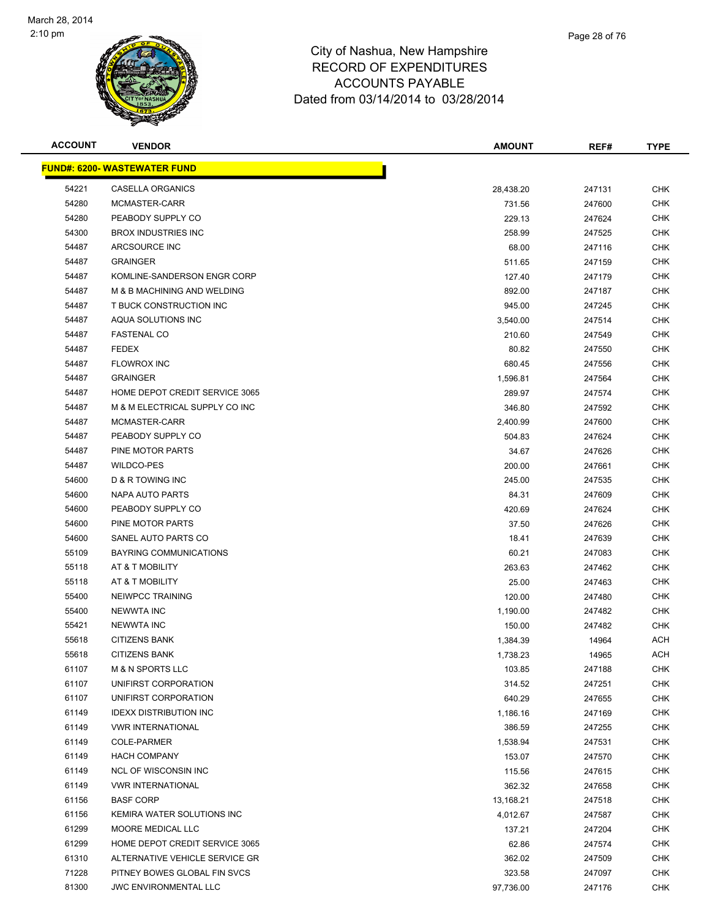

| <b>ACCOUNT</b> | <b>VENDOR</b>                       | <b>AMOUNT</b> | REF#   | <b>TYPE</b> |
|----------------|-------------------------------------|---------------|--------|-------------|
|                | <b>FUND#: 6200- WASTEWATER FUND</b> |               |        |             |
| 54221          | CASELLA ORGANICS                    | 28,438.20     | 247131 | CHK         |
| 54280          | MCMASTER-CARR                       | 731.56        | 247600 | <b>CHK</b>  |
| 54280          | PEABODY SUPPLY CO                   | 229.13        | 247624 | <b>CHK</b>  |
| 54300          | <b>BROX INDUSTRIES INC</b>          | 258.99        | 247525 | <b>CHK</b>  |
| 54487          | ARCSOURCE INC                       | 68.00         | 247116 | <b>CHK</b>  |
| 54487          | <b>GRAINGER</b>                     | 511.65        | 247159 | CHK         |
| 54487          | KOMLINE-SANDERSON ENGR CORP         | 127.40        | 247179 | <b>CHK</b>  |
| 54487          | M & B MACHINING AND WELDING         | 892.00        | 247187 | CHK         |
| 54487          | T BUCK CONSTRUCTION INC             | 945.00        | 247245 | CHK         |
| 54487          | AQUA SOLUTIONS INC                  | 3,540.00      | 247514 | <b>CHK</b>  |
| 54487          | <b>FASTENAL CO</b>                  | 210.60        | 247549 | CHK         |
| 54487          | <b>FEDEX</b>                        | 80.82         | 247550 | CHK         |
| 54487          | <b>FLOWROX INC</b>                  | 680.45        | 247556 | <b>CHK</b>  |
| 54487          | <b>GRAINGER</b>                     | 1,596.81      | 247564 | <b>CHK</b>  |
| 54487          | HOME DEPOT CREDIT SERVICE 3065      | 289.97        | 247574 | <b>CHK</b>  |
| 54487          | M & M ELECTRICAL SUPPLY CO INC      | 346.80        | 247592 | <b>CHK</b>  |
| 54487          | MCMASTER-CARR                       | 2,400.99      | 247600 | <b>CHK</b>  |
| 54487          | PEABODY SUPPLY CO                   | 504.83        | 247624 | <b>CHK</b>  |
| 54487          | PINE MOTOR PARTS                    | 34.67         | 247626 | <b>CHK</b>  |
| 54487          | <b>WILDCO-PES</b>                   | 200.00        | 247661 | CHK         |
| 54600          | D & R TOWING INC                    | 245.00        | 247535 | <b>CHK</b>  |
| 54600          | NAPA AUTO PARTS                     | 84.31         | 247609 | <b>CHK</b>  |
| 54600          | PEABODY SUPPLY CO                   | 420.69        | 247624 | <b>CHK</b>  |
| 54600          | PINE MOTOR PARTS                    | 37.50         | 247626 | <b>CHK</b>  |
| 54600          | SANEL AUTO PARTS CO                 | 18.41         | 247639 | <b>CHK</b>  |
| 55109          | BAYRING COMMUNICATIONS              | 60.21         | 247083 | <b>CHK</b>  |
| 55118          | AT & T MOBILITY                     | 263.63        | 247462 | <b>CHK</b>  |
| 55118          | AT & T MOBILITY                     | 25.00         | 247463 | <b>CHK</b>  |
| 55400          | NEIWPCC TRAINING                    | 120.00        | 247480 | <b>CHK</b>  |
| 55400          | <b>NEWWTA INC</b>                   | 1,190.00      | 247482 | CHK         |
| 55421          | <b>NEWWTA INC</b>                   | 150.00        | 247482 | CHK         |
| 55618          | <b>CITIZENS BANK</b>                | 1,384.39      | 14964  | ACH         |
| 55618          | <b>CITIZENS BANK</b>                | 1,738.23      | 14965  | <b>ACH</b>  |
| 61107          | <b>M &amp; N SPORTS LLC</b>         | 103.85        | 247188 | <b>CHK</b>  |
| 61107          | UNIFIRST CORPORATION                | 314.52        | 247251 | <b>CHK</b>  |
| 61107          | UNIFIRST CORPORATION                | 640.29        | 247655 | <b>CHK</b>  |
| 61149          | <b>IDEXX DISTRIBUTION INC</b>       | 1,186.16      | 247169 | <b>CHK</b>  |
| 61149          | <b>VWR INTERNATIONAL</b>            | 386.59        | 247255 | <b>CHK</b>  |
| 61149          | <b>COLE-PARMER</b>                  | 1,538.94      | 247531 | <b>CHK</b>  |
| 61149          | <b>HACH COMPANY</b>                 | 153.07        | 247570 | <b>CHK</b>  |
| 61149          | <b>NCL OF WISCONSIN INC</b>         | 115.56        | 247615 | <b>CHK</b>  |
| 61149          | <b>VWR INTERNATIONAL</b>            | 362.32        | 247658 | CHK         |
| 61156          | <b>BASF CORP</b>                    | 13,168.21     | 247518 | <b>CHK</b>  |
| 61156          | KEMIRA WATER SOLUTIONS INC          | 4,012.67      | 247587 | <b>CHK</b>  |
| 61299          | MOORE MEDICAL LLC                   | 137.21        | 247204 | <b>CHK</b>  |
| 61299          | HOME DEPOT CREDIT SERVICE 3065      | 62.86         | 247574 | <b>CHK</b>  |
| 61310          | ALTERNATIVE VEHICLE SERVICE GR      | 362.02        | 247509 | CHK         |
| 71228          | PITNEY BOWES GLOBAL FIN SVCS        | 323.58        | 247097 | <b>CHK</b>  |
| 81300          | <b>JWC ENVIRONMENTAL LLC</b>        | 97,736.00     | 247176 | <b>CHK</b>  |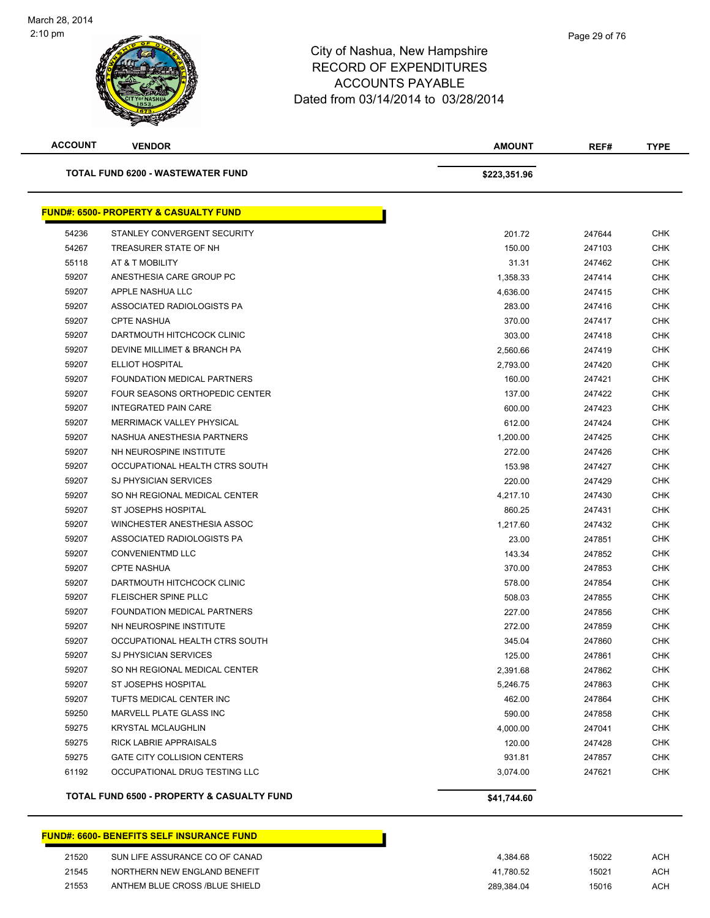

**ACCOUNT VENDOR AMOUNT REF# TYPE**

| <b>TOTAL FUND 6200 - WASTEWATER FUND</b> |                                                  | \$223,351.96 |        |            |
|------------------------------------------|--------------------------------------------------|--------------|--------|------------|
|                                          | <b>FUND#: 6500- PROPERTY &amp; CASUALTY FUND</b> |              |        |            |
| 54236                                    | STANLEY CONVERGENT SECURITY                      | 201.72       | 247644 | <b>CHK</b> |
| 54267                                    | TREASURER STATE OF NH                            | 150.00       | 247103 | <b>CHK</b> |
| 55118                                    | AT & T MOBILITY                                  | 31.31        | 247462 | <b>CHK</b> |
| 59207                                    | ANESTHESIA CARE GROUP PC                         | 1,358.33     | 247414 | <b>CHK</b> |
| 59207                                    | APPLE NASHUA LLC                                 | 4,636.00     | 247415 | CHK        |
| 59207                                    | ASSOCIATED RADIOLOGISTS PA                       | 283.00       | 247416 | <b>CHK</b> |
| 59207                                    | <b>CPTE NASHUA</b>                               | 370.00       | 247417 | CHK        |
| 59207                                    | DARTMOUTH HITCHCOCK CLINIC                       | 303.00       | 247418 | <b>CHK</b> |
| 59207                                    | DEVINE MILLIMET & BRANCH PA                      | 2,560.66     | 247419 | <b>CHK</b> |
| 59207                                    | ELLIOT HOSPITAL                                  | 2,793.00     | 247420 | <b>CHK</b> |
| 59207                                    | FOUNDATION MEDICAL PARTNERS                      | 160.00       | 247421 | <b>CHK</b> |
| 59207                                    | <b>FOUR SEASONS ORTHOPEDIC CENTER</b>            | 137.00       | 247422 | CHK        |
| 59207                                    | <b>INTEGRATED PAIN CARE</b>                      | 600.00       | 247423 | CHK        |
| 59207                                    | MERRIMACK VALLEY PHYSICAL                        | 612.00       | 247424 | <b>CHK</b> |
| 59207                                    | NASHUA ANESTHESIA PARTNERS                       | 1,200.00     | 247425 | <b>CHK</b> |
| 59207                                    | NH NEUROSPINE INSTITUTE                          | 272.00       | 247426 | <b>CHK</b> |
| 59207                                    | OCCUPATIONAL HEALTH CTRS SOUTH                   | 153.98       | 247427 | <b>CHK</b> |
| 59207                                    | <b>SJ PHYSICIAN SERVICES</b>                     | 220.00       | 247429 | <b>CHK</b> |
| 59207                                    | SO NH REGIONAL MEDICAL CENTER                    | 4,217.10     | 247430 | <b>CHK</b> |
| 59207                                    | ST JOSEPHS HOSPITAL                              | 860.25       | 247431 | <b>CHK</b> |
| 59207                                    | WINCHESTER ANESTHESIA ASSOC                      | 1,217.60     | 247432 | <b>CHK</b> |
| 59207                                    | ASSOCIATED RADIOLOGISTS PA                       | 23.00        | 247851 | <b>CHK</b> |
| 59207                                    | <b>CONVENIENTMD LLC</b>                          | 143.34       | 247852 | <b>CHK</b> |
| 59207                                    | <b>CPTE NASHUA</b>                               | 370.00       | 247853 | CHK        |
| 59207                                    | DARTMOUTH HITCHCOCK CLINIC                       | 578.00       | 247854 | <b>CHK</b> |
| 59207                                    | FLEISCHER SPINE PLLC                             | 508.03       | 247855 | <b>CHK</b> |
| 59207                                    | FOUNDATION MEDICAL PARTNERS                      | 227.00       | 247856 | <b>CHK</b> |
| 59207                                    | NH NEUROSPINE INSTITUTE                          | 272.00       | 247859 | <b>CHK</b> |
| 59207                                    | OCCUPATIONAL HEALTH CTRS SOUTH                   | 345.04       | 247860 | <b>CHK</b> |
| 59207                                    | <b>SJ PHYSICIAN SERVICES</b>                     | 125.00       | 247861 | <b>CHK</b> |
| 59207                                    | SO NH REGIONAL MEDICAL CENTER                    | 2,391.68     | 247862 | CHK        |
| 59207                                    | ST JOSEPHS HOSPITAL                              | 5,246.75     | 247863 | <b>CHK</b> |
| 59207                                    | TUFTS MEDICAL CENTER INC                         | 462.00       | 247864 | <b>CHK</b> |
| 59250                                    | MARVELL PLATE GLASS INC                          | 590.00       | 247858 | <b>CHK</b> |
| 59275                                    | <b>KRYSTAL MCLAUGHLIN</b>                        | 4,000.00     | 247041 | <b>CHK</b> |
| 59275                                    | RICK LABRIE APPRAISALS                           | 120.00       | 247428 | CHK        |
| 59275                                    | <b>GATE CITY COLLISION CENTERS</b>               | 931.81       | 247857 | <b>CHK</b> |
| 61192                                    | OCCUPATIONAL DRUG TESTING LLC                    | 3,074.00     | 247621 | <b>CHK</b> |

TOTAL FUND 6500 - PROPERTY & CASUALTY FUND<br>\$41,744.60

|       | FUND#: 6600- BENEFITS SELF INSURANCE FUND |            |       |     |
|-------|-------------------------------------------|------------|-------|-----|
| 21520 | SUN LIFE ASSURANCE CO OF CANAD            | 4.384.68   | 15022 | ACH |
| 21545 | NORTHERN NEW ENGLAND BENEFIT              | 41.780.52  | 15021 | ACH |
| 21553 | ANTHEM BLUE CROSS /BLUE SHIELD            | 289.384.04 | 15016 | ACH |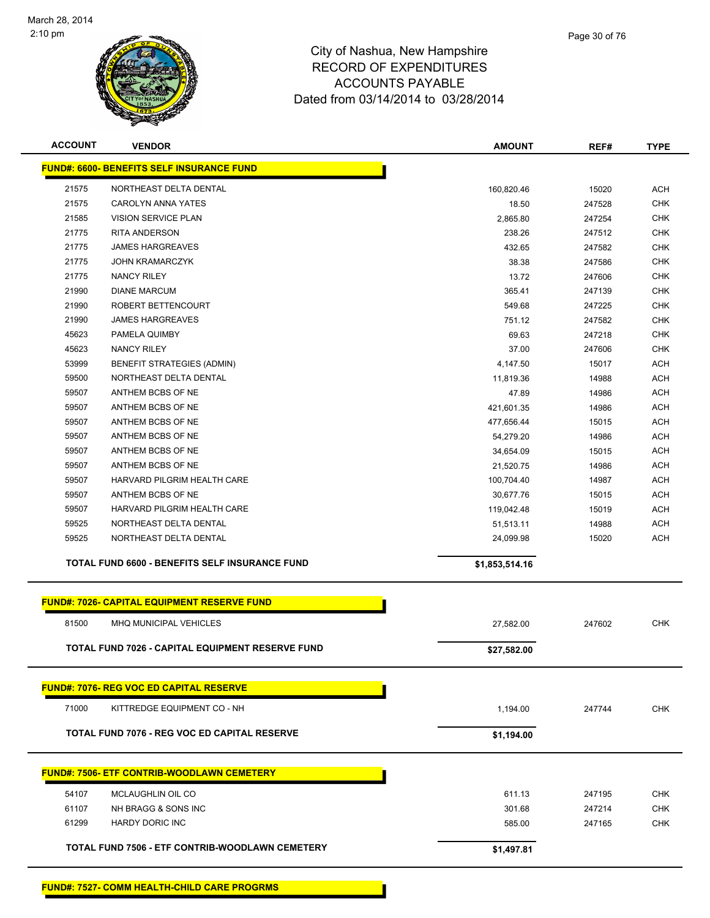

| <b>ACCOUNT</b> | <b>VENDOR</b>                                           | <b>AMOUNT</b>  | REF#   | <b>TYPE</b> |
|----------------|---------------------------------------------------------|----------------|--------|-------------|
|                | <b>FUND#: 6600- BENEFITS SELF INSURANCE FUND</b>        |                |        |             |
| 21575          | NORTHEAST DELTA DENTAL                                  | 160,820.46     | 15020  | <b>ACH</b>  |
| 21575          | <b>CAROLYN ANNA YATES</b>                               | 18.50          | 247528 | <b>CHK</b>  |
| 21585          | <b>VISION SERVICE PLAN</b>                              | 2,865.80       | 247254 | <b>CHK</b>  |
| 21775          | <b>RITA ANDERSON</b>                                    | 238.26         | 247512 | <b>CHK</b>  |
| 21775          | <b>JAMES HARGREAVES</b>                                 | 432.65         | 247582 | <b>CHK</b>  |
| 21775          | <b>JOHN KRAMARCZYK</b>                                  | 38.38          | 247586 | <b>CHK</b>  |
| 21775          | <b>NANCY RILEY</b>                                      | 13.72          | 247606 | <b>CHK</b>  |
| 21990          | <b>DIANE MARCUM</b>                                     | 365.41         | 247139 | <b>CHK</b>  |
| 21990          | ROBERT BETTENCOURT                                      | 549.68         | 247225 | <b>CHK</b>  |
| 21990          | <b>JAMES HARGREAVES</b>                                 | 751.12         | 247582 | CHK         |
| 45623          | PAMELA QUIMBY                                           | 69.63          | 247218 | <b>CHK</b>  |
| 45623          | <b>NANCY RILEY</b>                                      | 37.00          | 247606 | <b>CHK</b>  |
| 53999          | <b>BENEFIT STRATEGIES (ADMIN)</b>                       | 4,147.50       | 15017  | <b>ACH</b>  |
| 59500          | NORTHEAST DELTA DENTAL                                  | 11,819.36      | 14988  | <b>ACH</b>  |
| 59507          | ANTHEM BCBS OF NE                                       | 47.89          | 14986  | <b>ACH</b>  |
| 59507          | ANTHEM BCBS OF NE                                       | 421,601.35     | 14986  | <b>ACH</b>  |
| 59507          | ANTHEM BCBS OF NE                                       | 477,656.44     | 15015  | <b>ACH</b>  |
| 59507          | ANTHEM BCBS OF NE                                       | 54,279.20      | 14986  | <b>ACH</b>  |
| 59507          | ANTHEM BCBS OF NE                                       | 34,654.09      | 15015  | <b>ACH</b>  |
| 59507          | ANTHEM BCBS OF NE                                       | 21,520.75      | 14986  | <b>ACH</b>  |
| 59507          | HARVARD PILGRIM HEALTH CARE                             | 100,704.40     | 14987  | <b>ACH</b>  |
| 59507          | ANTHEM BCBS OF NE                                       | 30,677.76      | 15015  | <b>ACH</b>  |
| 59507          | HARVARD PILGRIM HEALTH CARE                             | 119,042.48     | 15019  | <b>ACH</b>  |
| 59525          | NORTHEAST DELTA DENTAL                                  | 51,513.11      | 14988  | <b>ACH</b>  |
| 59525          | NORTHEAST DELTA DENTAL                                  | 24,099.98      | 15020  | <b>ACH</b>  |
|                | TOTAL FUND 6600 - BENEFITS SELF INSURANCE FUND          | \$1,853,514.16 |        |             |
|                | <b>FUND#: 7026- CAPITAL EQUIPMENT RESERVE FUND</b>      |                |        |             |
| 81500          | MHQ MUNICIPAL VEHICLES                                  | 27,582.00      | 247602 | <b>CHK</b>  |
|                |                                                         |                |        |             |
|                | <b>TOTAL FUND 7026 - CAPITAL EQUIPMENT RESERVE FUND</b> | \$27,582.00    |        |             |
|                | <b>FUND#: 7076- REG VOC ED CAPITAL RESERVE</b>          |                |        |             |
| 71000          | KITTREDGE EQUIPMENT CO - NH                             | 1,194.00       | 247744 | <b>CHK</b>  |
|                | <b>TOTAL FUND 7076 - REG VOC ED CAPITAL RESERVE</b>     | \$1,194.00     |        |             |
|                | <b>FUND#: 7506- ETF CONTRIB-WOODLAWN CEMETERY</b>       |                |        |             |
|                |                                                         |                |        |             |
| 54107          | MCLAUGHLIN OIL CO                                       | 611.13         | 247195 | <b>CHK</b>  |
| 61107          | NH BRAGG & SONS INC                                     | 301.68         | 247214 | <b>CHK</b>  |
| 61299          | <b>HARDY DORIC INC</b>                                  | 585.00         | 247165 | <b>CHK</b>  |
|                | TOTAL FUND 7506 - ETF CONTRIB-WOODLAWN CEMETERY         | \$1,497.81     |        |             |
|                |                                                         |                |        |             |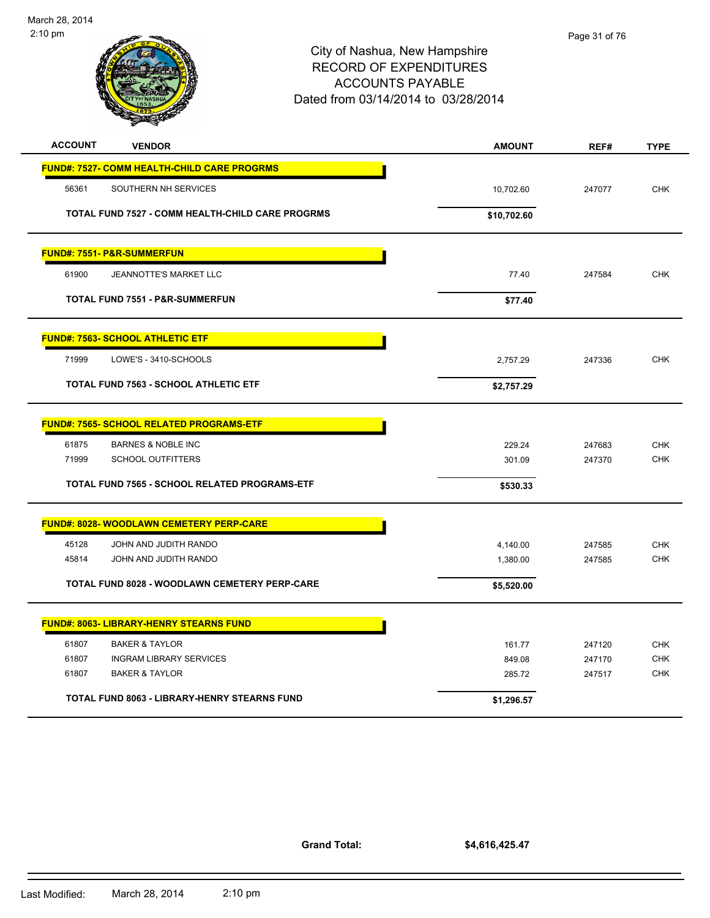

| <b>ACCOUNT</b><br><b>VENDOR</b>                         | <b>AMOUNT</b> | REF#   | <b>TYPE</b> |
|---------------------------------------------------------|---------------|--------|-------------|
| <b>FUND#: 7527- COMM HEALTH-CHILD CARE PROGRMS</b>      |               |        |             |
| SOUTHERN NH SERVICES<br>56361                           | 10,702.60     | 247077 | <b>CHK</b>  |
| <b>TOTAL FUND 7527 - COMM HEALTH-CHILD CARE PROGRMS</b> | \$10,702.60   |        |             |
| <b>FUND#: 7551- P&amp;R-SUMMERFUN</b>                   |               |        |             |
| 61900<br><b>JEANNOTTE'S MARKET LLC</b>                  | 77.40         | 247584 | <b>CHK</b>  |
| <b>TOTAL FUND 7551 - P&amp;R-SUMMERFUN</b>              | \$77.40       |        |             |
| <b>FUND#: 7563- SCHOOL ATHLETIC ETF</b>                 |               |        |             |
| 71999<br>LOWE'S - 3410-SCHOOLS                          | 2,757.29      | 247336 | <b>CHK</b>  |
| <b>TOTAL FUND 7563 - SCHOOL ATHLETIC ETF</b>            | \$2,757.29    |        |             |
| <b>FUND#: 7565- SCHOOL RELATED PROGRAMS-ETF</b>         |               |        |             |
| 61875<br><b>BARNES &amp; NOBLE INC</b>                  | 229.24        | 247683 | <b>CHK</b>  |
| 71999<br><b>SCHOOL OUTFITTERS</b>                       | 301.09        | 247370 | <b>CHK</b>  |
| TOTAL FUND 7565 - SCHOOL RELATED PROGRAMS-ETF           | \$530.33      |        |             |
| <b>FUND#: 8028- WOODLAWN CEMETERY PERP-CARE</b>         |               |        |             |
| 45128<br>JOHN AND JUDITH RANDO                          | 4,140.00      | 247585 | <b>CHK</b>  |
| 45814<br>JOHN AND JUDITH RANDO                          | 1,380.00      | 247585 | <b>CHK</b>  |
| TOTAL FUND 8028 - WOODLAWN CEMETERY PERP-CARE           | \$5,520.00    |        |             |
| <b>FUND#: 8063- LIBRARY-HENRY STEARNS FUND</b>          |               |        |             |
| 61807<br><b>BAKER &amp; TAYLOR</b>                      | 161.77        | 247120 | <b>CHK</b>  |
| 61807<br><b>INGRAM LIBRARY SERVICES</b>                 | 849.08        | 247170 | <b>CHK</b>  |
| <b>BAKER &amp; TAYLOR</b><br>61807                      | 285.72        | 247517 | <b>CHK</b>  |
| TOTAL FUND 8063 - LIBRARY-HENRY STEARNS FUND            | \$1,296.57    |        |             |

**Grand Total:**

**\$4,616,425.47**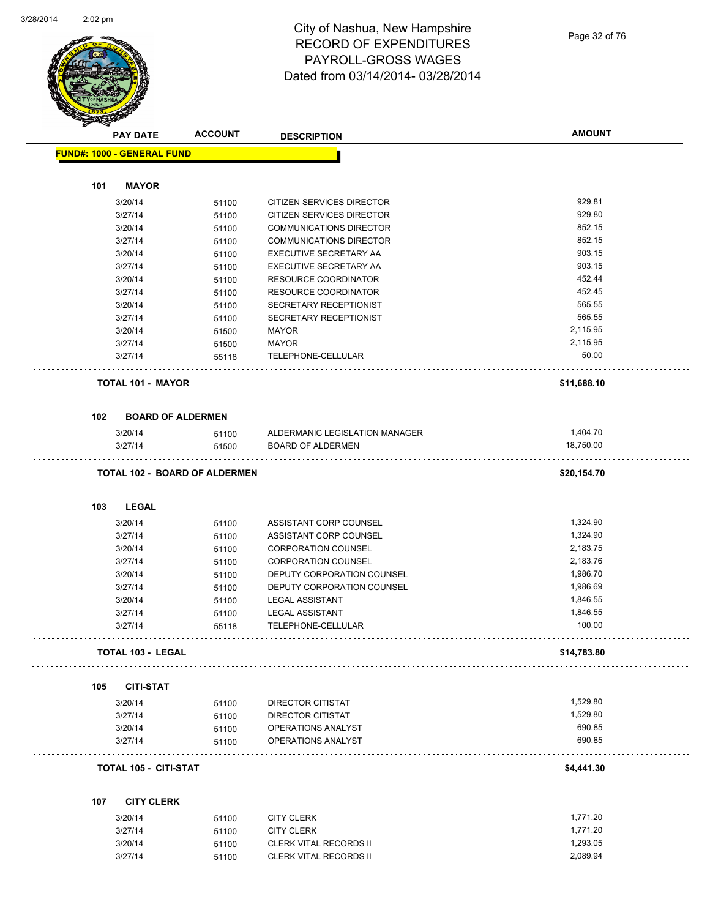

#### City of Nashua, New Hampshire RECORD OF EXPENDITURES PAYROLL-GROSS WAGES Dated from 03/14/2014- 03/28/2014

Page 32 of 76

|     | <b>PAY DATE</b>                      | <b>ACCOUNT</b> | <b>DESCRIPTION</b>             | <b>AMOUNT</b> |
|-----|--------------------------------------|----------------|--------------------------------|---------------|
|     | <b>FUND#: 1000 - GENERAL FUND</b>    |                |                                |               |
|     |                                      |                |                                |               |
| 101 | <b>MAYOR</b>                         |                |                                |               |
|     | 3/20/14                              | 51100          | CITIZEN SERVICES DIRECTOR      | 929.81        |
|     | 3/27/14                              | 51100          | CITIZEN SERVICES DIRECTOR      | 929.80        |
|     | 3/20/14                              | 51100          | <b>COMMUNICATIONS DIRECTOR</b> | 852.15        |
|     | 3/27/14                              | 51100          | <b>COMMUNICATIONS DIRECTOR</b> | 852.15        |
|     | 3/20/14                              | 51100          | EXECUTIVE SECRETARY AA         | 903.15        |
|     | 3/27/14                              | 51100          | EXECUTIVE SECRETARY AA         | 903.15        |
|     | 3/20/14                              | 51100          | <b>RESOURCE COORDINATOR</b>    | 452.44        |
|     | 3/27/14                              | 51100          | RESOURCE COORDINATOR           | 452.45        |
|     | 3/20/14                              | 51100          | SECRETARY RECEPTIONIST         | 565.55        |
|     | 3/27/14                              | 51100          | SECRETARY RECEPTIONIST         | 565.55        |
|     | 3/20/14                              | 51500          | MAYOR                          | 2,115.95      |
|     | 3/27/14                              | 51500          | <b>MAYOR</b>                   | 2,115.95      |
|     | 3/27/14                              | 55118          | TELEPHONE-CELLULAR             | 50.00         |
|     |                                      |                |                                |               |
|     | <b>TOTAL 101 - MAYOR</b>             |                |                                | \$11,688.10   |
| 102 | <b>BOARD OF ALDERMEN</b>             |                |                                |               |
|     | 3/20/14                              | 51100          | ALDERMANIC LEGISLATION MANAGER | 1,404.70      |
|     | 3/27/14                              |                | <b>BOARD OF ALDERMEN</b>       | 18,750.00     |
|     |                                      | 51500          |                                |               |
|     | <b>TOTAL 102 - BOARD OF ALDERMEN</b> |                |                                | \$20,154.70   |
|     |                                      |                |                                |               |
| 103 | <b>LEGAL</b>                         |                |                                |               |
|     | 3/20/14                              | 51100          | ASSISTANT CORP COUNSEL         | 1,324.90      |
|     | 3/27/14                              | 51100          | ASSISTANT CORP COUNSEL         | 1,324.90      |
|     | 3/20/14                              | 51100          | <b>CORPORATION COUNSEL</b>     | 2,183.75      |
|     | 3/27/14                              | 51100          | <b>CORPORATION COUNSEL</b>     | 2,183.76      |
|     | 3/20/14                              | 51100          | DEPUTY CORPORATION COUNSEL     | 1,986.70      |
|     | 3/27/14                              | 51100          | DEPUTY CORPORATION COUNSEL     | 1,986.69      |
|     | 3/20/14                              | 51100          | <b>LEGAL ASSISTANT</b>         | 1,846.55      |
|     | 3/27/14                              | 51100          | <b>LEGAL ASSISTANT</b>         | 1,846.55      |
|     | 3/27/14                              | 55118          | TELEPHONE-CELLULAR             | 100.00        |
|     | <b>TOTAL 103 - LEGAL</b>             |                | .                              | \$14,783.80   |
|     |                                      |                |                                |               |
| 105 | <b>CITI-STAT</b>                     |                |                                |               |
|     | 3/20/14                              | 51100          | DIRECTOR CITISTAT              | 1,529.80      |
|     | 3/27/14                              | 51100          | DIRECTOR CITISTAT              | 1,529.80      |
|     | 3/20/14                              | 51100          | OPERATIONS ANALYST             | 690.85        |
|     | 3/27/14                              | 51100          | OPERATIONS ANALYST             | 690.85        |
|     | <b>TOTAL 105 - CITI-STAT</b>         |                |                                | \$4,441.30    |
|     |                                      |                |                                |               |
| 107 | <b>CITY CLERK</b>                    |                |                                |               |
|     | 3/20/14                              | 51100          | <b>CITY CLERK</b>              | 1,771.20      |
|     | 3/27/14                              | 51100          | <b>CITY CLERK</b>              | 1,771.20      |
|     | 3/20/14                              | 51100          | <b>CLERK VITAL RECORDS II</b>  | 1,293.05      |
|     | 3/27/14                              | 51100          | CLERK VITAL RECORDS II         | 2,089.94      |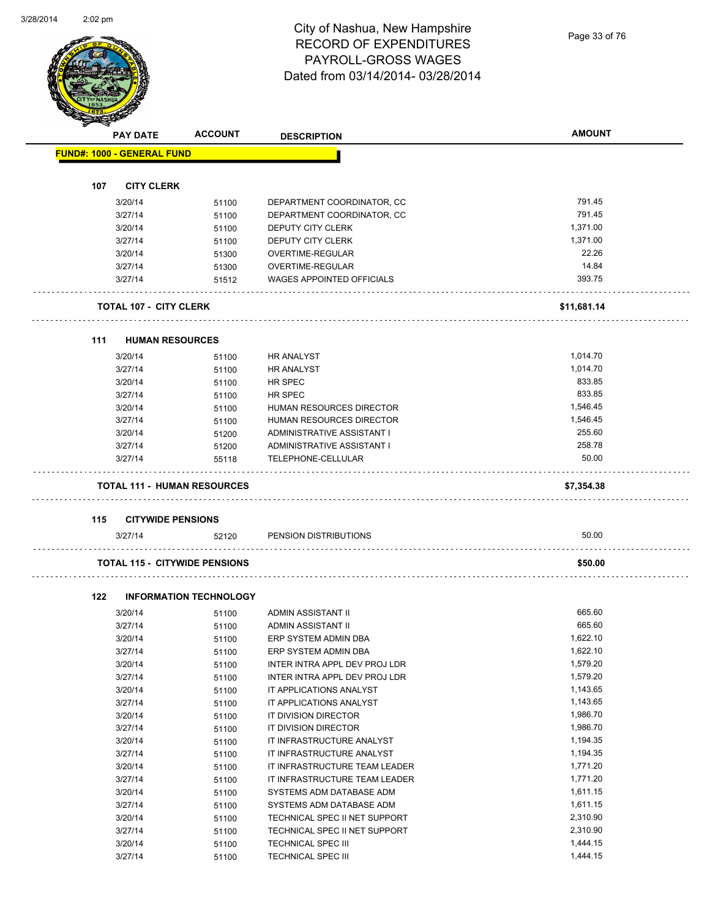### City of Nashua, New Hampshire RECORD OF EXPENDITURES PAYROLL-GROSS WAGES Dated from 03/14/2014- 03/28/2014

Page 33 of 76

|     | <b>PAY DATE</b>                   | <b>ACCOUNT</b>                       | <b>DESCRIPTION</b>               | <b>AMOUNT</b> |
|-----|-----------------------------------|--------------------------------------|----------------------------------|---------------|
|     | <b>FUND#: 1000 - GENERAL FUND</b> |                                      |                                  |               |
|     |                                   |                                      |                                  |               |
| 107 | <b>CITY CLERK</b>                 |                                      |                                  |               |
|     | 3/20/14                           | 51100                                | DEPARTMENT COORDINATOR, CC       | 791.45        |
|     | 3/27/14                           | 51100                                | DEPARTMENT COORDINATOR, CC       | 791.45        |
|     | 3/20/14                           | 51100                                | <b>DEPUTY CITY CLERK</b>         | 1,371.00      |
|     | 3/27/14                           | 51100                                | <b>DEPUTY CITY CLERK</b>         | 1,371.00      |
|     | 3/20/14                           | 51300                                | <b>OVERTIME-REGULAR</b>          | 22.26         |
|     | 3/27/14                           | 51300                                | OVERTIME-REGULAR                 | 14.84         |
|     | 3/27/14                           | 51512                                | <b>WAGES APPOINTED OFFICIALS</b> | 393.75        |
|     | <b>TOTAL 107 - CITY CLERK</b>     |                                      |                                  | \$11,681.14   |
| 111 |                                   | <b>HUMAN RESOURCES</b>               |                                  |               |
|     | 3/20/14                           | 51100                                | <b>HR ANALYST</b>                | 1,014.70      |
|     | 3/27/14                           | 51100                                | <b>HR ANALYST</b>                | 1,014.70      |
|     | 3/20/14                           | 51100                                | HR SPEC                          | 833.85        |
|     | 3/27/14                           | 51100                                | HR SPEC                          | 833.85        |
|     | 3/20/14                           | 51100                                | <b>HUMAN RESOURCES DIRECTOR</b>  | 1,546.45      |
|     | 3/27/14                           | 51100                                | HUMAN RESOURCES DIRECTOR         | 1,546.45      |
|     | 3/20/14                           | 51200                                | ADMINISTRATIVE ASSISTANT I       | 255.60        |
|     | 3/27/14                           | 51200                                | ADMINISTRATIVE ASSISTANT I       | 258.78        |
|     | 3/27/14                           | 55118                                | TELEPHONE-CELLULAR               | 50.00         |
|     |                                   | <b>TOTAL 111 - HUMAN RESOURCES</b>   |                                  | \$7,354.38    |
| 115 |                                   | <b>CITYWIDE PENSIONS</b>             |                                  |               |
|     | 3/27/14                           | 52120                                | PENSION DISTRIBUTIONS            | 50.00         |
|     |                                   | <b>TOTAL 115 - CITYWIDE PENSIONS</b> |                                  | \$50.00       |
| 122 |                                   | <b>INFORMATION TECHNOLOGY</b>        |                                  |               |
|     | 3/20/14                           | 51100                                | ADMIN ASSISTANT II               | 665.60        |
|     | 3/27/14                           | 51100                                | ADMIN ASSISTANT II               | 665.60        |
|     | 3/20/14                           | 51100                                | ERP SYSTEM ADMIN DBA             | 1,622.10      |
|     | 3/27/14                           | 51100                                | ERP SYSTEM ADMIN DBA             | 1,622.10      |
|     | 3/20/14                           | 51100                                | INTER INTRA APPL DEV PROJ LDR    | 1,579.20      |
|     | 3/27/14                           | 51100                                | INTER INTRA APPL DEV PROJ LDR    | 1,579.20      |
|     | 3/20/14                           | 51100                                | IT APPLICATIONS ANALYST          | 1,143.65      |
|     | 3/27/14                           | 51100                                | IT APPLICATIONS ANALYST          | 1,143.65      |
|     | 3/20/14                           | 51100                                | IT DIVISION DIRECTOR             | 1,986.70      |
|     | 3/27/14                           | 51100                                | IT DIVISION DIRECTOR             | 1,986.70      |
|     | 3/20/14                           | 51100                                | IT INFRASTRUCTURE ANALYST        | 1,194.35      |
|     | 3/27/14                           | 51100                                | IT INFRASTRUCTURE ANALYST        | 1,194.35      |
|     | 3/20/14                           | 51100                                | IT INFRASTRUCTURE TEAM LEADER    | 1,771.20      |
|     | 3/27/14                           | 51100                                | IT INFRASTRUCTURE TEAM LEADER    | 1,771.20      |
|     | 3/20/14                           | 51100                                | SYSTEMS ADM DATABASE ADM         | 1,611.15      |
|     | 3/27/14                           | 51100                                | SYSTEMS ADM DATABASE ADM         | 1,611.15      |
|     | 3/20/14                           | 51100                                | TECHNICAL SPEC II NET SUPPORT    | 2,310.90      |
|     | 3/27/14                           | 51100                                | TECHNICAL SPEC II NET SUPPORT    | 2,310.90      |
|     |                                   |                                      |                                  |               |
|     | 3/20/14                           | 51100                                | <b>TECHNICAL SPEC III</b>        | 1,444.15      |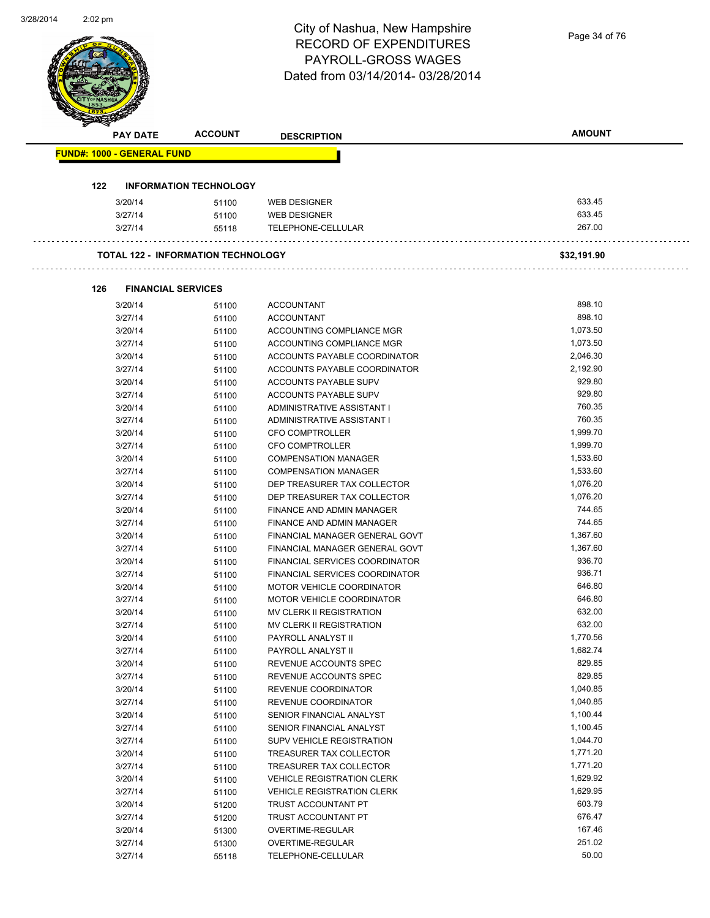| <b>UILUILU 17</b> |     |                                   |                                           | City of Nashua, New Hampshire                              |                      |
|-------------------|-----|-----------------------------------|-------------------------------------------|------------------------------------------------------------|----------------------|
|                   |     |                                   |                                           | <b>RECORD OF EXPENDITURES</b>                              | Page 34 of 76        |
|                   |     |                                   |                                           | <b>PAYROLL-GROSS WAGES</b>                                 |                      |
|                   |     |                                   |                                           | Dated from 03/14/2014-03/28/2014                           |                      |
|                   |     |                                   |                                           |                                                            |                      |
|                   |     |                                   |                                           |                                                            |                      |
|                   |     |                                   |                                           |                                                            |                      |
|                   |     | <b>PAY DATE</b>                   | <b>ACCOUNT</b>                            | <b>DESCRIPTION</b>                                         | <b>AMOUNT</b>        |
|                   |     | <b>FUND#: 1000 - GENERAL FUND</b> |                                           |                                                            |                      |
|                   |     |                                   |                                           |                                                            |                      |
|                   | 122 |                                   | <b>INFORMATION TECHNOLOGY</b>             |                                                            |                      |
|                   |     | 3/20/14                           | 51100                                     | <b>WEB DESIGNER</b>                                        | 633.45               |
|                   |     | 3/27/14                           | 51100                                     | <b>WEB DESIGNER</b>                                        | 633.45               |
|                   |     | 3/27/14                           | 55118                                     | TELEPHONE-CELLULAR                                         | 267.00               |
|                   |     |                                   |                                           |                                                            |                      |
|                   |     |                                   | <b>TOTAL 122 - INFORMATION TECHNOLOGY</b> |                                                            | \$32,191.90          |
|                   |     |                                   |                                           |                                                            |                      |
|                   | 126 | <b>FINANCIAL SERVICES</b>         |                                           |                                                            |                      |
|                   |     | 3/20/14                           | 51100                                     | <b>ACCOUNTANT</b>                                          | 898.10               |
|                   |     | 3/27/14                           | 51100                                     | <b>ACCOUNTANT</b>                                          | 898.10               |
|                   |     | 3/20/14                           | 51100                                     | ACCOUNTING COMPLIANCE MGR                                  | 1,073.50             |
|                   |     | 3/27/14                           | 51100                                     | ACCOUNTING COMPLIANCE MGR                                  | 1,073.50             |
|                   |     | 3/20/14                           | 51100                                     | ACCOUNTS PAYABLE COORDINATOR                               | 2,046.30             |
|                   |     | 3/27/14                           | 51100                                     | ACCOUNTS PAYABLE COORDINATOR                               | 2,192.90             |
|                   |     | 3/20/14                           | 51100                                     | ACCOUNTS PAYABLE SUPV                                      | 929.80               |
|                   |     | 3/27/14                           | 51100                                     | ACCOUNTS PAYABLE SUPV                                      | 929.80               |
|                   |     | 3/20/14                           | 51100                                     | ADMINISTRATIVE ASSISTANT I                                 | 760.35               |
|                   |     | 3/27/14                           | 51100                                     | ADMINISTRATIVE ASSISTANT I                                 | 760.35               |
|                   |     | 3/20/14                           | 51100                                     | <b>CFO COMPTROLLER</b>                                     | 1,999.70             |
|                   |     | 3/27/14                           | 51100                                     | <b>CFO COMPTROLLER</b>                                     | 1,999.70<br>1,533.60 |
|                   |     | 3/20/14<br>3/27/14                | 51100<br>51100                            | <b>COMPENSATION MANAGER</b><br><b>COMPENSATION MANAGER</b> | 1,533.60             |
|                   |     | 3/20/14                           | 51100                                     | DEP TREASURER TAX COLLECTOR                                | 1,076.20             |
|                   |     | 3/27/14                           | 51100                                     | DEP TREASURER TAX COLLECTOR                                | 1,076.20             |
|                   |     | 3/20/14                           | 51100                                     | FINANCE AND ADMIN MANAGER                                  | 744.65               |
|                   |     | 3/27/14                           | 51100                                     | FINANCE AND ADMIN MANAGER                                  | 744.65               |
|                   |     | 3/20/14                           | 51100                                     | FINANCIAL MANAGER GENERAL GOVT                             | 1,367.60             |
|                   |     | 3/27/14                           | 51100                                     | FINANCIAL MANAGER GENERAL GOVT                             | 1,367.60             |
|                   |     | 3/20/14                           | 51100                                     | FINANCIAL SERVICES COORDINATOR                             | 936.70               |
|                   |     | 3/27/14                           | 51100                                     | <b>FINANCIAL SERVICES COORDINATOR</b>                      | 936.71               |
|                   |     | 3/20/14                           | 51100                                     | MOTOR VEHICLE COORDINATOR                                  | 646.80               |
|                   |     | 3/27/14                           | 51100                                     | MOTOR VEHICLE COORDINATOR                                  | 646.80               |
|                   |     | 3/20/14                           | 51100                                     | MV CLERK II REGISTRATION                                   | 632.00               |
|                   |     | 3/27/14                           | 51100                                     | MV CLERK II REGISTRATION                                   | 632.00               |
|                   |     | 3/20/14                           | 51100                                     | PAYROLL ANALYST II                                         | 1,770.56             |
|                   |     | 3/27/14                           | 51100                                     | PAYROLL ANALYST II                                         | 1,682.74             |
|                   |     | 3/20/14                           | 51100                                     | REVENUE ACCOUNTS SPEC                                      | 829.85               |
|                   |     | 3/27/14                           | 51100                                     | REVENUE ACCOUNTS SPEC                                      | 829.85               |
|                   |     | 3/20/14                           | 51100                                     | REVENUE COORDINATOR                                        | 1,040.85             |
|                   |     | 3/27/14                           | 51100                                     | REVENUE COORDINATOR                                        | 1,040.85             |
|                   |     | 3/20/14                           | 51100                                     | SENIOR FINANCIAL ANALYST                                   | 1,100.44             |
|                   |     | 3/27/14                           | 51100                                     | SENIOR FINANCIAL ANALYST                                   | 1,100.45             |
|                   |     | 3/27/14                           | 51100                                     | SUPV VEHICLE REGISTRATION                                  | 1,044.70             |
|                   |     | 3/20/14                           | 51100                                     | TREASURER TAX COLLECTOR                                    | 1,771.20             |
|                   |     | 3/27/14                           | 51100                                     | TREASURER TAX COLLECTOR                                    | 1,771.20             |
|                   |     | 3/20/14                           | 51100                                     | <b>VEHICLE REGISTRATION CLERK</b>                          | 1,629.92             |
|                   |     | 3/27/14                           | 51100                                     | <b>VEHICLE REGISTRATION CLERK</b>                          | 1,629.95             |
|                   |     | 3/20/14                           | 51200                                     | TRUST ACCOUNTANT PT                                        | 603.79               |
|                   |     | 3/27/14                           | 51200                                     | TRUST ACCOUNTANT PT                                        | 676.47               |
|                   |     | 3/20/14                           | 51300                                     | OVERTIME-REGULAR                                           | 167.46<br>251.02     |
|                   |     | 3/27/14                           | 51300                                     | OVERTIME-REGULAR                                           | 50.00                |
|                   |     | 3/27/14                           | 55118                                     | TELEPHONE-CELLULAR                                         |                      |

3/28/2014

2:02 pm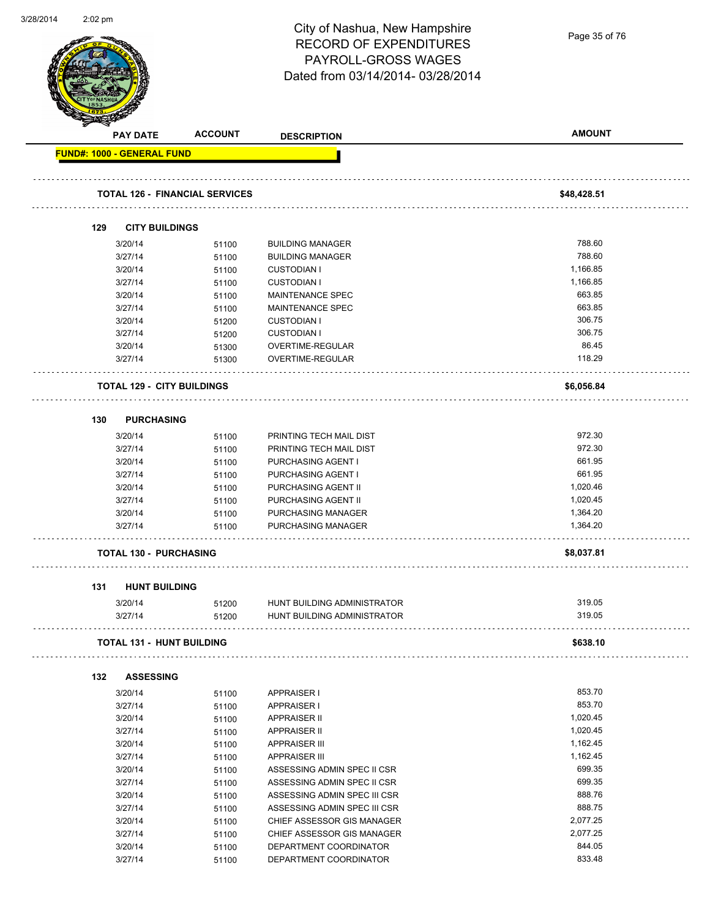| ᇦ <i>ఽ</i> ᇭᅎᅁᇽ | $2.02 \mu m$ |                                   |                                       | City of Nashua, New Hampshire     |               |
|-----------------|--------------|-----------------------------------|---------------------------------------|-----------------------------------|---------------|
|                 |              |                                   |                                       | <b>RECORD OF EXPENDITURES</b>     | Page 35 of 76 |
|                 |              |                                   |                                       | PAYROLL-GROSS WAGES               |               |
|                 |              |                                   |                                       | Dated from 03/14/2014-03/28/2014  |               |
|                 |              |                                   |                                       |                                   |               |
|                 |              |                                   |                                       |                                   |               |
|                 |              |                                   |                                       |                                   |               |
|                 |              | <b>PAY DATE</b>                   | <b>ACCOUNT</b>                        | <b>DESCRIPTION</b>                | <b>AMOUNT</b> |
|                 |              | FUND#: 1000 - GENERAL FUND        |                                       |                                   |               |
|                 |              |                                   |                                       |                                   |               |
|                 |              |                                   | <b>TOTAL 126 - FINANCIAL SERVICES</b> |                                   | \$48,428.51   |
|                 |              |                                   |                                       |                                   |               |
|                 | 129          | <b>CITY BUILDINGS</b>             |                                       |                                   |               |
|                 |              | 3/20/14                           | 51100                                 | <b>BUILDING MANAGER</b>           | 788.60        |
|                 |              | 3/27/14                           | 51100                                 | <b>BUILDING MANAGER</b>           | 788.60        |
|                 |              | 3/20/14                           | 51100                                 | <b>CUSTODIAN I</b>                | 1,166.85      |
|                 |              | 3/27/14                           | 51100                                 | <b>CUSTODIAN I</b>                | 1,166.85      |
|                 |              | 3/20/14                           | 51100                                 | <b>MAINTENANCE SPEC</b>           | 663.85        |
|                 |              | 3/27/14                           | 51100                                 | MAINTENANCE SPEC                  | 663.85        |
|                 |              | 3/20/14                           | 51200                                 | <b>CUSTODIAN I</b>                | 306.75        |
|                 |              | 3/27/14                           | 51200                                 | <b>CUSTODIAN I</b>                | 306.75        |
|                 |              | 3/20/14                           | 51300                                 | OVERTIME-REGULAR                  | 86.45         |
|                 |              | 3/27/14                           | 51300                                 | OVERTIME-REGULAR                  | 118.29        |
|                 |              | <b>TOTAL 129 - CITY BUILDINGS</b> |                                       |                                   | \$6,056.84    |
|                 |              |                                   |                                       |                                   |               |
|                 | 130          | <b>PURCHASING</b>                 |                                       |                                   |               |
|                 |              | 3/20/14                           | 51100                                 | PRINTING TECH MAIL DIST           | 972.30        |
|                 |              | 3/27/14                           | 51100                                 | PRINTING TECH MAIL DIST           | 972.30        |
|                 |              | 3/20/14                           | 51100                                 | PURCHASING AGENT I                | 661.95        |
|                 |              | 3/27/14                           | 51100                                 | PURCHASING AGENT I                | 661.95        |
|                 |              | 3/20/14                           | 51100                                 | PURCHASING AGENT II               | 1,020.46      |
|                 |              | 3/27/14                           | 51100                                 | PURCHASING AGENT II               | 1,020.45      |
|                 |              | 3/20/14                           | 51100                                 | PURCHASING MANAGER                | 1,364.20      |
|                 |              | 3/27/14                           | 51100                                 | PURCHASING MANAGER                | 1,364.20      |
|                 |              |                                   |                                       |                                   |               |
|                 |              | <b>TOTAL 130 - PURCHASING</b>     |                                       |                                   | \$8,037.81    |
|                 | 131          | <b>HUNT BUILDING</b>              |                                       |                                   |               |
|                 |              | 3/20/14                           |                                       | 51200 HUNT BUILDING ADMINISTRATOR | 319.05        |
|                 |              | 3/27/14                           | 51200                                 | HUNT BUILDING ADMINISTRATOR       | 319.05        |
|                 |              |                                   |                                       |                                   |               |
|                 |              | <b>TOTAL 131 - HUNT BUILDING</b>  |                                       |                                   | \$638.10      |
|                 | 132          | <b>ASSESSING</b>                  |                                       |                                   |               |
|                 |              |                                   |                                       |                                   | 853.70        |
|                 |              | 3/20/14                           | 51100                                 | <b>APPRAISER I</b>                | 853.70        |
|                 |              | 3/27/14                           | 51100                                 | <b>APPRAISER I</b>                |               |
|                 |              | 3/20/14                           | 51100                                 | <b>APPRAISER II</b>               | 1,020.45      |
|                 |              | 3/27/14                           | 51100                                 | <b>APPRAISER II</b>               | 1,020.45      |
|                 |              | 3/20/14                           | 51100                                 | <b>APPRAISER III</b>              | 1,162.45      |
|                 |              | 3/27/14                           | 51100                                 | <b>APPRAISER III</b>              | 1,162.45      |
|                 |              | 3/20/14                           | 51100                                 | ASSESSING ADMIN SPEC II CSR       | 699.35        |
|                 |              | 3/27/14                           | 51100                                 | ASSESSING ADMIN SPEC II CSR       | 699.35        |
|                 |              | 3/20/14                           | 51100                                 | ASSESSING ADMIN SPEC III CSR      | 888.76        |
|                 |              | 3/27/14                           | 51100                                 | ASSESSING ADMIN SPEC III CSR      | 888.75        |
|                 |              | 3/20/14                           | 51100                                 | CHIEF ASSESSOR GIS MANAGER        | 2,077.25      |
|                 |              | 3/27/14                           | 51100                                 | CHIEF ASSESSOR GIS MANAGER        | 2,077.25      |
|                 |              | 3/20/14                           | 51100                                 | DEPARTMENT COORDINATOR            | 844.05        |
|                 |              | 3/27/14                           | 51100                                 | DEPARTMENT COORDINATOR            | 833.48        |

3/28/2014

2:02 pm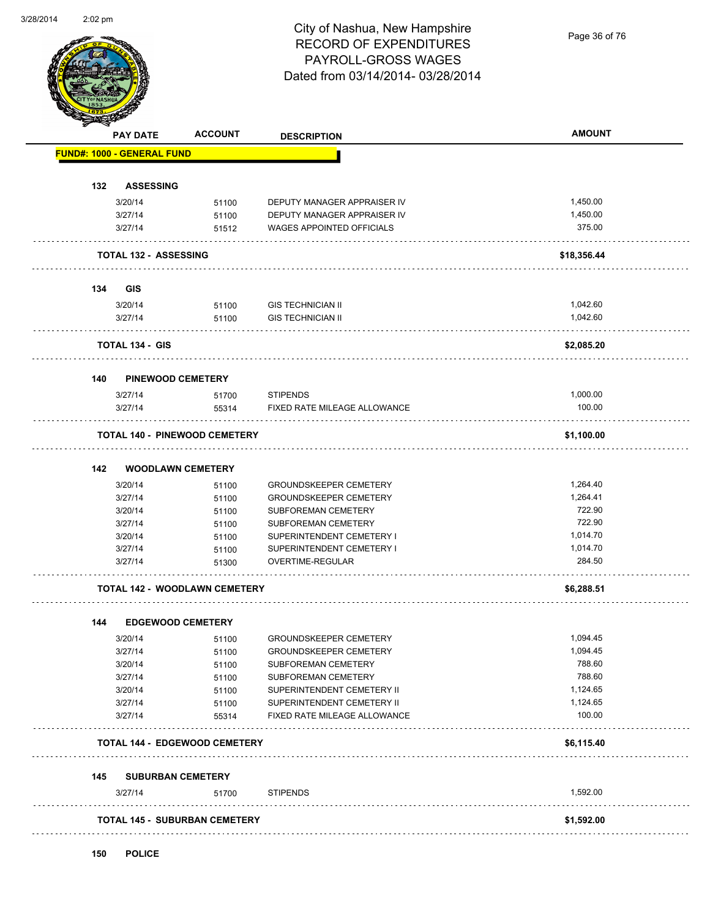#### City of Nashua, New Hampshire RECORD OF EXPENDITURES PAYROLL-GROSS WAGES Dated from 03/14/2014- 03/28/2014

Page 36 of 76

| <b>PAY DATE</b>                            | <b>ACCOUNT</b>           | <b>DESCRIPTION</b>            | <b>AMOUNT</b> |
|--------------------------------------------|--------------------------|-------------------------------|---------------|
| <b>FUND#: 1000 - GENERAL FUND</b>          |                          |                               |               |
| <b>ASSESSING</b><br>132                    |                          |                               |               |
| 3/20/14                                    | 51100                    | DEPUTY MANAGER APPRAISER IV   | 1,450.00      |
| 3/27/14                                    | 51100                    | DEPUTY MANAGER APPRAISER IV   | 1,450.00      |
| 3/27/14                                    |                          | WAGES APPOINTED OFFICIALS     | 375.00        |
|                                            | 51512                    |                               |               |
| <b>TOTAL 132 - ASSESSING</b>               |                          |                               | \$18,356.44   |
| 134<br>GIS                                 |                          |                               |               |
| 3/20/14                                    | 51100                    | <b>GIS TECHNICIAN II</b>      | 1,042.60      |
| 3/27/14                                    | 51100                    | <b>GIS TECHNICIAN II</b>      | 1,042.60      |
| <b>TOTAL 134 - GIS</b>                     |                          |                               | \$2,085.20    |
|                                            |                          |                               |               |
| <b>PINEWOOD CEMETERY</b><br>140<br>3/27/14 |                          | <b>STIPENDS</b>               | 1,000.00      |
|                                            | 51700                    |                               |               |
| 3/27/14                                    | 55314                    | FIXED RATE MILEAGE ALLOWANCE  | 100.00        |
| <b>TOTAL 140 - PINEWOOD CEMETERY</b>       |                          |                               | \$1,100.00    |
| 142                                        | <b>WOODLAWN CEMETERY</b> |                               |               |
| 3/20/14                                    | 51100                    | <b>GROUNDSKEEPER CEMETERY</b> | 1,264.40      |
| 3/27/14                                    | 51100                    | <b>GROUNDSKEEPER CEMETERY</b> | 1,264.41      |
| 3/20/14                                    | 51100                    | SUBFOREMAN CEMETERY           | 722.90        |
| 3/27/14                                    | 51100                    | SUBFOREMAN CEMETERY           | 722.90        |
| 3/20/14                                    | 51100                    | SUPERINTENDENT CEMETERY I     | 1,014.70      |
| 3/27/14                                    | 51100                    | SUPERINTENDENT CEMETERY I     | 1,014.70      |
| 3/27/14                                    | 51300                    | OVERTIME-REGULAR              | 284.50        |
| <b>TOTAL 142 - WOODLAWN CEMETERY</b>       |                          |                               | \$6,288.51    |
|                                            |                          |                               |               |
| 144<br>3/20/14                             | <b>EDGEWOOD CEMETERY</b> | <b>GROUNDSKEEPER CEMETERY</b> | 1,094.45      |
| 3/27/14                                    | 51100                    | <b>GROUNDSKEEPER CEMETERY</b> | 1,094.45      |
|                                            | 51100                    |                               | 788.60        |
| 3/20/14                                    | 51100                    | SUBFOREMAN CEMETERY           | 788.60        |
| 3/27/14                                    | 51100                    | SUBFOREMAN CEMETERY           |               |
| 3/20/14                                    | 51100                    | SUPERINTENDENT CEMETERY II    | 1,124.65      |
| 3/27/14                                    | 51100                    | SUPERINTENDENT CEMETERY II    | 1,124.65      |
| 3/27/14                                    | 55314                    | FIXED RATE MILEAGE ALLOWANCE  | 100.00        |
| <b>TOTAL 144 - EDGEWOOD CEMETERY</b>       |                          |                               | \$6,115.40    |
| <b>SUBURBAN CEMETERY</b><br>145            |                          |                               |               |
| 3/27/14                                    | 51700                    | <b>STIPENDS</b>               | 1,592.00      |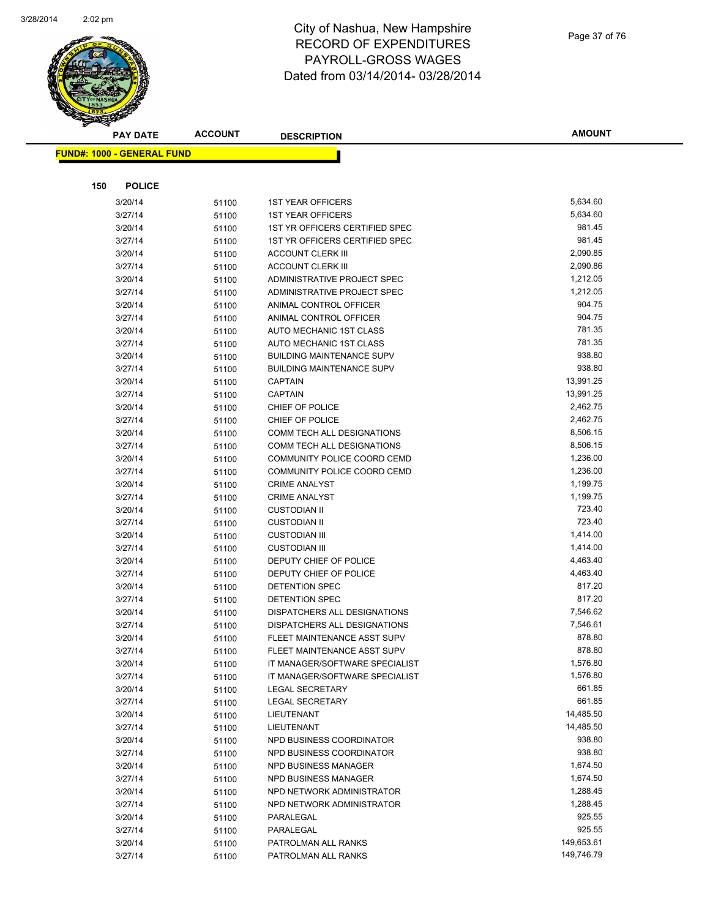

|     | <b>PAY DATE</b>                    | <b>ACCOUNT</b> | <b>DESCRIPTION</b>                                | <b>AMOUNT</b>      |
|-----|------------------------------------|----------------|---------------------------------------------------|--------------------|
|     | <u> FUND#: 1000 - GENERAL FUND</u> |                |                                                   |                    |
|     |                                    |                |                                                   |                    |
|     |                                    |                |                                                   |                    |
| 150 | <b>POLICE</b>                      |                |                                                   |                    |
|     | 3/20/14                            | 51100          | <b>1ST YEAR OFFICERS</b>                          | 5,634.60           |
|     | 3/27/14                            | 51100          | <b>1ST YEAR OFFICERS</b>                          | 5,634.60           |
|     | 3/20/14                            | 51100          | 1ST YR OFFICERS CERTIFIED SPEC                    | 981.45             |
|     | 3/27/14                            | 51100          | 1ST YR OFFICERS CERTIFIED SPEC                    | 981.45             |
|     | 3/20/14                            | 51100          | <b>ACCOUNT CLERK III</b>                          | 2,090.85           |
|     | 3/27/14                            | 51100          | <b>ACCOUNT CLERK III</b>                          | 2,090.86           |
|     | 3/20/14                            | 51100          | ADMINISTRATIVE PROJECT SPEC                       | 1,212.05           |
|     | 3/27/14                            | 51100          | ADMINISTRATIVE PROJECT SPEC                       | 1,212.05           |
|     | 3/20/14                            | 51100          | ANIMAL CONTROL OFFICER                            | 904.75             |
|     | 3/27/14                            | 51100          | ANIMAL CONTROL OFFICER                            | 904.75             |
|     | 3/20/14                            | 51100          | AUTO MECHANIC 1ST CLASS                           | 781.35             |
|     | 3/27/14                            | 51100          | AUTO MECHANIC 1ST CLASS                           | 781.35             |
|     | 3/20/14                            | 51100          | <b>BUILDING MAINTENANCE SUPV</b>                  | 938.80             |
|     | 3/27/14                            | 51100          | <b>BUILDING MAINTENANCE SUPV</b>                  | 938.80             |
|     | 3/20/14                            | 51100          | <b>CAPTAIN</b>                                    | 13,991.25          |
|     | 3/27/14                            | 51100          | <b>CAPTAIN</b>                                    | 13,991.25          |
|     | 3/20/14                            | 51100          | CHIEF OF POLICE                                   | 2,462.75           |
|     | 3/27/14                            | 51100          | CHIEF OF POLICE                                   | 2,462.75           |
|     | 3/20/14                            | 51100          | COMM TECH ALL DESIGNATIONS                        | 8,506.15           |
|     | 3/27/14                            | 51100          | <b>COMM TECH ALL DESIGNATIONS</b>                 | 8,506.15           |
|     | 3/20/14                            | 51100          | COMMUNITY POLICE COORD CEMD                       | 1,236.00           |
|     | 3/27/14                            | 51100          | COMMUNITY POLICE COORD CEMD                       | 1,236.00           |
|     | 3/20/14                            | 51100          | <b>CRIME ANALYST</b>                              | 1,199.75           |
|     | 3/27/14                            | 51100          | <b>CRIME ANALYST</b>                              | 1,199.75           |
|     | 3/20/14                            | 51100          | <b>CUSTODIAN II</b>                               | 723.40             |
|     | 3/27/14                            | 51100          | <b>CUSTODIAN II</b>                               | 723.40             |
|     | 3/20/14                            | 51100          | <b>CUSTODIAN III</b>                              | 1,414.00           |
|     | 3/27/14                            | 51100          | <b>CUSTODIAN III</b>                              | 1,414.00           |
|     | 3/20/14                            | 51100          | DEPUTY CHIEF OF POLICE                            | 4,463.40           |
|     | 3/27/14                            | 51100          | DEPUTY CHIEF OF POLICE                            | 4,463.40           |
|     | 3/20/14                            | 51100          | DETENTION SPEC                                    | 817.20             |
|     | 3/27/14                            | 51100          | <b>DETENTION SPEC</b>                             | 817.20             |
|     | 3/20/14                            | 51100          | DISPATCHERS ALL DESIGNATIONS                      | 7,546.62           |
|     | 3/27/14                            | 51100          | DISPATCHERS ALL DESIGNATIONS                      | 7,546.61           |
|     | 3/20/14                            | 51100          | FLEET MAINTENANCE ASST SUPV                       | 878.80             |
|     | 3/27/14                            | 51100          | FLEET MAINTENANCE ASST SUPV                       | 878.80             |
|     | 3/20/14                            | 51100          | IT MANAGER/SOFTWARE SPECIALIST                    | 1,576.80           |
|     | 3/27/14                            | 51100          | IT MANAGER/SOFTWARE SPECIALIST                    | 1,576.80<br>661.85 |
|     | 3/20/14                            | 51100          | <b>LEGAL SECRETARY</b>                            | 661.85             |
|     | 3/27/14                            | 51100          | <b>LEGAL SECRETARY</b><br>LIEUTENANT              | 14,485.50          |
|     | 3/20/14                            | 51100          |                                                   | 14,485.50          |
|     | 3/27/14                            | 51100          | LIEUTENANT<br>NPD BUSINESS COORDINATOR            | 938.80             |
|     | 3/20/14                            | 51100          |                                                   | 938.80             |
|     | 3/27/14<br>3/20/14                 | 51100          | NPD BUSINESS COORDINATOR<br>NPD BUSINESS MANAGER  | 1,674.50           |
|     |                                    | 51100          |                                                   | 1,674.50           |
|     | 3/27/14<br>3/20/14                 | 51100          | NPD BUSINESS MANAGER<br>NPD NETWORK ADMINISTRATOR | 1,288.45           |
|     |                                    | 51100          | NPD NETWORK ADMINISTRATOR                         | 1,288.45           |
|     | 3/27/14<br>3/20/14                 | 51100          | PARALEGAL                                         | 925.55             |
|     |                                    | 51100          |                                                   | 925.55             |
|     | 3/27/14<br>3/20/14                 | 51100          | PARALEGAL<br>PATROLMAN ALL RANKS                  | 149,653.61         |
|     | 3/27/14                            | 51100          | PATROLMAN ALL RANKS                               | 149,746.79         |
|     |                                    | 51100          |                                                   |                    |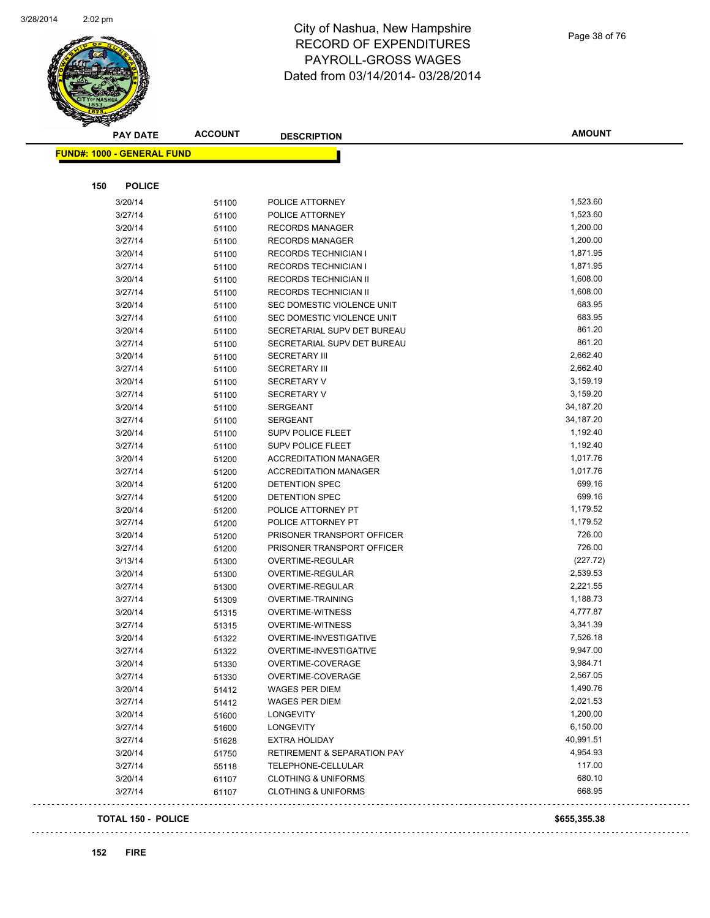

| Page 38 of 76 |  |  |
|---------------|--|--|

| <b>PAY DATE</b>                   | <b>ACCOUNT</b> | <b>DESCRIPTION</b>             | <b>AMOUNT</b> |
|-----------------------------------|----------------|--------------------------------|---------------|
| <b>FUND#: 1000 - GENERAL FUND</b> |                |                                |               |
|                                   |                |                                |               |
| 150<br><b>POLICE</b>              |                |                                |               |
| 3/20/14                           | 51100          | POLICE ATTORNEY                | 1,523.60      |
| 3/27/14                           | 51100          | POLICE ATTORNEY                | 1,523.60      |
| 3/20/14                           | 51100          | <b>RECORDS MANAGER</b>         | 1,200.00      |
| 3/27/14                           | 51100          | <b>RECORDS MANAGER</b>         | 1,200.00      |
| 3/20/14                           | 51100          | <b>RECORDS TECHNICIAN I</b>    | 1,871.95      |
| 3/27/14                           | 51100          | <b>RECORDS TECHNICIAN I</b>    | 1,871.95      |
| 3/20/14                           | 51100          | RECORDS TECHNICIAN II          | 1,608.00      |
| 3/27/14                           | 51100          | RECORDS TECHNICIAN II          | 1,608.00      |
| 3/20/14                           | 51100          | SEC DOMESTIC VIOLENCE UNIT     | 683.95        |
| 3/27/14                           | 51100          | SEC DOMESTIC VIOLENCE UNIT     | 683.95        |
| 3/20/14                           | 51100          | SECRETARIAL SUPV DET BUREAU    | 861.20        |
| 3/27/14                           | 51100          | SECRETARIAL SUPV DET BUREAU    | 861.20        |
| 3/20/14                           | 51100          | <b>SECRETARY III</b>           | 2,662.40      |
| 3/27/14                           | 51100          | <b>SECRETARY III</b>           | 2,662.40      |
| 3/20/14                           | 51100          | <b>SECRETARY V</b>             | 3,159.19      |
| 3/27/14                           | 51100          | <b>SECRETARY V</b>             | 3,159.20      |
| 3/20/14                           | 51100          | <b>SERGEANT</b>                | 34,187.20     |
| 3/27/14                           | 51100          | <b>SERGEANT</b>                | 34,187.20     |
| 3/20/14                           | 51100          | SUPV POLICE FLEET              | 1,192.40      |
| 3/27/14                           | 51100          | SUPV POLICE FLEET              | 1,192.40      |
| 3/20/14                           | 51200          | <b>ACCREDITATION MANAGER</b>   | 1,017.76      |
| 3/27/14                           | 51200          | <b>ACCREDITATION MANAGER</b>   | 1,017.76      |
| 3/20/14                           | 51200          | DETENTION SPEC                 | 699.16        |
| 3/27/14                           | 51200          | DETENTION SPEC                 | 699.16        |
| 3/20/14                           | 51200          | POLICE ATTORNEY PT             | 1,179.52      |
| 3/27/14                           | 51200          | POLICE ATTORNEY PT             | 1,179.52      |
| 3/20/14                           | 51200          | PRISONER TRANSPORT OFFICER     | 726.00        |
| 3/27/14                           | 51200          | PRISONER TRANSPORT OFFICER     | 726.00        |
| 3/13/14                           | 51300          | OVERTIME-REGULAR               | (227.72)      |
| 3/20/14                           | 51300          | OVERTIME-REGULAR               | 2,539.53      |
| 3/27/14                           | 51300          | OVERTIME-REGULAR               | 2,221.55      |
| 3/27/14                           | 51309          | OVERTIME-TRAINING              | 1,188.73      |
| 3/20/14                           | 51315          | <b>OVERTIME-WITNESS</b>        | 4,777.87      |
| 3/27/14                           | 51315          | <b>OVERTIME-WITNESS</b>        | 3,341.39      |
| 3/20/14                           | 51322          | OVERTIME-INVESTIGATIVE         | 7,526.18      |
| 3/27/14                           | 51322          | OVERTIME-INVESTIGATIVE         | 9,947.00      |
| 3/20/14                           | 51330          | OVERTIME-COVERAGE              | 3,984.71      |
| 3/27/14                           | 51330          | OVERTIME-COVERAGE              | 2,567.05      |
| 3/20/14                           | 51412          | <b>WAGES PER DIEM</b>          | 1,490.76      |
| 3/27/14                           | 51412          | WAGES PER DIEM                 | 2,021.53      |
| 3/20/14                           | 51600          | LONGEVITY                      | 1,200.00      |
| 3/27/14                           | 51600          | LONGEVITY                      | 6,150.00      |
| 3/27/14                           | 51628          | <b>EXTRA HOLIDAY</b>           | 40,991.51     |
| 3/20/14                           | 51750          | RETIREMENT & SEPARATION PAY    | 4,954.93      |
| 3/27/14                           | 55118          | TELEPHONE-CELLULAR             | 117.00        |
| 3/20/14                           | 61107          | <b>CLOTHING &amp; UNIFORMS</b> | 680.10        |
| 3/27/14                           | 61107          | <b>CLOTHING &amp; UNIFORMS</b> | 668.95        |
|                                   |                |                                |               |

 $\cdots$ 

 $\ddot{\phantom{0}}$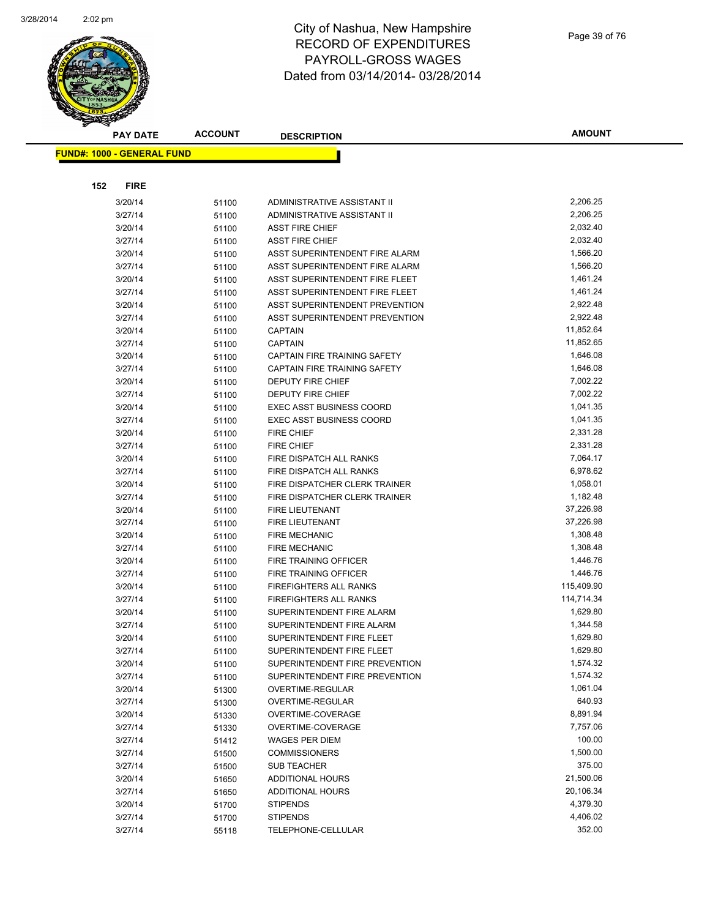

|     | <b>PAY DATE</b>                   | <b>ACCOUNT</b> | <b>DESCRIPTION</b>              | <b>AMOUNT</b> |
|-----|-----------------------------------|----------------|---------------------------------|---------------|
|     | <b>FUND#: 1000 - GENERAL FUND</b> |                |                                 |               |
|     |                                   |                |                                 |               |
| 152 | <b>FIRE</b>                       |                |                                 |               |
|     | 3/20/14                           |                | ADMINISTRATIVE ASSISTANT II     | 2,206.25      |
|     | 3/27/14                           | 51100          | ADMINISTRATIVE ASSISTANT II     | 2,206.25      |
|     | 3/20/14                           | 51100          | <b>ASST FIRE CHIEF</b>          | 2,032.40      |
|     | 3/27/14                           | 51100          | <b>ASST FIRE CHIEF</b>          | 2,032.40      |
|     | 3/20/14                           | 51100          | ASST SUPERINTENDENT FIRE ALARM  | 1,566.20      |
|     | 3/27/14                           | 51100          | ASST SUPERINTENDENT FIRE ALARM  | 1,566.20      |
|     | 3/20/14                           | 51100          | ASST SUPERINTENDENT FIRE FLEET  | 1,461.24      |
|     | 3/27/14                           | 51100          | ASST SUPERINTENDENT FIRE FLEET  | 1,461.24      |
|     | 3/20/14                           | 51100<br>51100 | ASST SUPERINTENDENT PREVENTION  | 2,922.48      |
|     | 3/27/14                           | 51100          | ASST SUPERINTENDENT PREVENTION  | 2,922.48      |
|     | 3/20/14                           | 51100          | <b>CAPTAIN</b>                  | 11,852.64     |
|     | 3/27/14                           | 51100          | <b>CAPTAIN</b>                  | 11,852.65     |
|     | 3/20/14                           | 51100          | CAPTAIN FIRE TRAINING SAFETY    | 1,646.08      |
|     | 3/27/14                           | 51100          | CAPTAIN FIRE TRAINING SAFETY    | 1,646.08      |
|     | 3/20/14                           | 51100          | DEPUTY FIRE CHIEF               | 7,002.22      |
|     | 3/27/14                           | 51100          | DEPUTY FIRE CHIEF               | 7,002.22      |
|     | 3/20/14                           | 51100          | <b>EXEC ASST BUSINESS COORD</b> | 1,041.35      |
|     | 3/27/14                           | 51100          | <b>EXEC ASST BUSINESS COORD</b> | 1,041.35      |
|     | 3/20/14                           | 51100          | <b>FIRE CHIEF</b>               | 2,331.28      |
|     | 3/27/14                           | 51100          | <b>FIRE CHIEF</b>               | 2,331.28      |
|     | 3/20/14                           | 51100          | FIRE DISPATCH ALL RANKS         | 7,064.17      |
|     | 3/27/14                           | 51100          | FIRE DISPATCH ALL RANKS         | 6,978.62      |
|     | 3/20/14                           | 51100          | FIRE DISPATCHER CLERK TRAINER   | 1,058.01      |
|     | 3/27/14                           | 51100          | FIRE DISPATCHER CLERK TRAINER   | 1,182.48      |
|     | 3/20/14                           | 51100          | FIRE LIEUTENANT                 | 37,226.98     |
|     | 3/27/14                           | 51100          | FIRE LIEUTENANT                 | 37,226.98     |
|     | 3/20/14                           | 51100          | <b>FIRE MECHANIC</b>            | 1,308.48      |
|     | 3/27/14                           | 51100          | <b>FIRE MECHANIC</b>            | 1,308.48      |
|     | 3/20/14                           | 51100          | FIRE TRAINING OFFICER           | 1,446.76      |
|     | 3/27/14                           | 51100          | FIRE TRAINING OFFICER           | 1,446.76      |
|     | 3/20/14                           | 51100          | FIREFIGHTERS ALL RANKS          | 115,409.90    |
|     | 3/27/14                           | 51100          | FIREFIGHTERS ALL RANKS          | 114,714.34    |
|     | 3/20/14                           | 51100          | SUPERINTENDENT FIRE ALARM       | 1,629.80      |
|     | 3/27/14                           | 51100          | SUPERINTENDENT FIRE ALARM       | 1,344.58      |
|     | 3/20/14                           | 51100          | SUPERINTENDENT FIRE FLEET       | 1,629.80      |
|     | 3/27/14                           | 51100          | SUPERINTENDENT FIRE FLEET       | 1,629.80      |
|     | 3/20/14                           | 51100          | SUPERINTENDENT FIRE PREVENTION  | 1,574.32      |
|     | 3/27/14                           | 51100          | SUPERINTENDENT FIRE PREVENTION  | 1,574.32      |
|     | 3/20/14                           | 51300          | OVERTIME-REGULAR                | 1,061.04      |
|     | 3/27/14                           | 51300          | OVERTIME-REGULAR                | 640.93        |
|     | 3/20/14                           | 51330          | OVERTIME-COVERAGE               | 8,891.94      |
|     | 3/27/14                           | 51330          | OVERTIME-COVERAGE               | 7,757.06      |
|     | 3/27/14                           | 51412          | WAGES PER DIEM                  | 100.00        |
|     | 3/27/14                           | 51500          | <b>COMMISSIONERS</b>            | 1,500.00      |
|     | 3/27/14                           | 51500          | SUB TEACHER                     | 375.00        |
|     | 3/20/14                           | 51650          | ADDITIONAL HOURS                | 21,500.06     |
|     | 3/27/14                           | 51650          | <b>ADDITIONAL HOURS</b>         | 20,106.34     |
|     | 3/20/14                           | 51700          | <b>STIPENDS</b>                 | 4,379.30      |
|     | 3/27/14                           | 51700          | <b>STIPENDS</b>                 | 4,406.02      |
|     | 3/27/14                           | 55118          | TELEPHONE-CELLULAR              | 352.00        |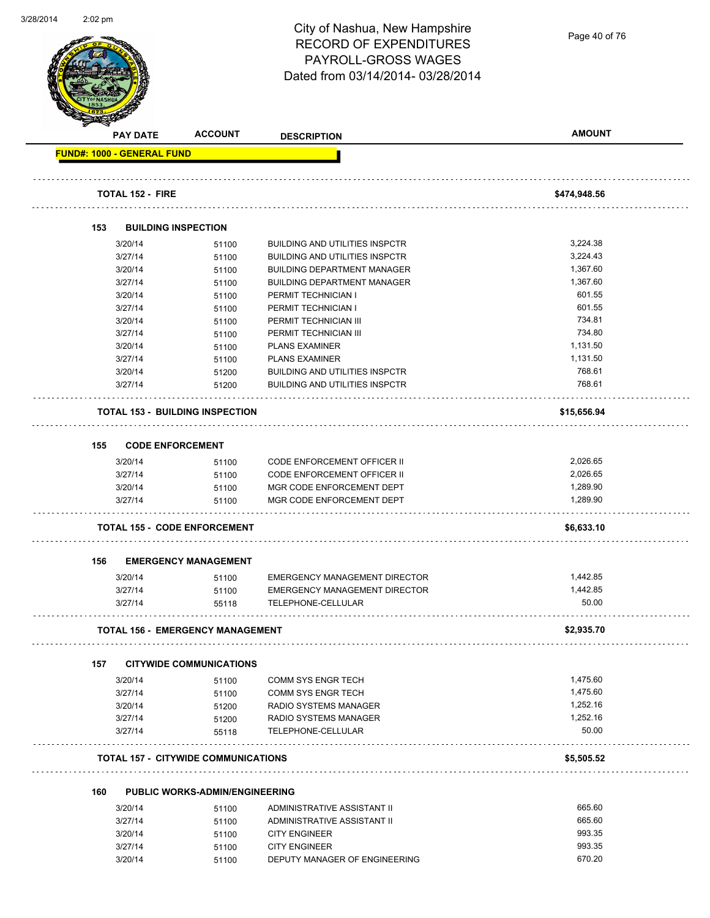Page 40 of 76

|     | <b>PAY DATE</b>                   | <b>ACCOUNT</b>                             | <b>DESCRIPTION</b>                    | <b>AMOUNT</b> |
|-----|-----------------------------------|--------------------------------------------|---------------------------------------|---------------|
|     | <b>FUND#: 1000 - GENERAL FUND</b> |                                            |                                       |               |
|     | <b>TOTAL 152 - FIRE</b>           |                                            |                                       | \$474,948.56  |
|     |                                   |                                            |                                       |               |
| 153 |                                   | <b>BUILDING INSPECTION</b>                 |                                       |               |
|     | 3/20/14                           | 51100                                      | <b>BUILDING AND UTILITIES INSPCTR</b> | 3,224.38      |
|     | 3/27/14                           | 51100                                      | <b>BUILDING AND UTILITIES INSPCTR</b> | 3,224.43      |
|     | 3/20/14                           | 51100                                      | <b>BUILDING DEPARTMENT MANAGER</b>    | 1,367.60      |
|     | 3/27/14                           | 51100                                      | <b>BUILDING DEPARTMENT MANAGER</b>    | 1,367.60      |
|     | 3/20/14                           | 51100                                      | PERMIT TECHNICIAN I                   | 601.55        |
|     | 3/27/14                           | 51100                                      | PERMIT TECHNICIAN I                   | 601.55        |
|     | 3/20/14                           | 51100                                      | PERMIT TECHNICIAN III                 | 734.81        |
|     | 3/27/14                           | 51100                                      | PERMIT TECHNICIAN III                 | 734.80        |
|     | 3/20/14                           | 51100                                      | <b>PLANS EXAMINER</b>                 | 1,131.50      |
|     | 3/27/14                           | 51100                                      | <b>PLANS EXAMINER</b>                 | 1,131.50      |
|     | 3/20/14                           | 51200                                      | <b>BUILDING AND UTILITIES INSPCTR</b> | 768.61        |
|     | 3/27/14                           | 51200                                      | <b>BUILDING AND UTILITIES INSPCTR</b> | 768.61        |
|     |                                   | <b>TOTAL 153 - BUILDING INSPECTION</b>     |                                       | \$15,656.94   |
| 155 | <b>CODE ENFORCEMENT</b>           |                                            |                                       |               |
|     | 3/20/14                           | 51100                                      | <b>CODE ENFORCEMENT OFFICER II</b>    | 2,026.65      |
|     | 3/27/14                           | 51100                                      | <b>CODE ENFORCEMENT OFFICER II</b>    | 2,026.65      |
|     | 3/20/14                           | 51100                                      | MGR CODE ENFORCEMENT DEPT             | 1,289.90      |
|     | 3/27/14                           | 51100                                      | MGR CODE ENFORCEMENT DEPT             | 1,289.90      |
|     |                                   | <b>TOTAL 155 - CODE ENFORCEMENT</b>        |                                       | \$6,633.10    |
| 156 |                                   | <b>EMERGENCY MANAGEMENT</b>                |                                       |               |
|     | 3/20/14                           | 51100                                      | <b>EMERGENCY MANAGEMENT DIRECTOR</b>  | 1,442.85      |
|     | 3/27/14                           | 51100                                      | <b>EMERGENCY MANAGEMENT DIRECTOR</b>  | 1,442.85      |
|     | 3/27/14                           | 55118                                      | TELEPHONE-CELLULAR                    | 50.00         |
|     |                                   | <b>TOTAL 156 - EMERGENCY MANAGEMENT</b>    |                                       | \$2,935.70    |
| 157 |                                   | <b>CITYWIDE COMMUNICATIONS</b>             |                                       |               |
|     | 3/20/14                           | 51100                                      | COMM SYS ENGR TECH                    | 1,475.60      |
|     | 3/27/14                           | 51100                                      | COMM SYS ENGR TECH                    | 1,475.60      |
|     | 3/20/14                           | 51200                                      | RADIO SYSTEMS MANAGER                 | 1,252.16      |
|     | 3/27/14                           | 51200                                      | RADIO SYSTEMS MANAGER                 | 1,252.16      |
|     | 3/27/14                           | 55118                                      | TELEPHONE-CELLULAR                    | 50.00         |
|     |                                   | <b>TOTAL 157 - CITYWIDE COMMUNICATIONS</b> |                                       | \$5,505.52    |
| 160 |                                   | <b>PUBLIC WORKS-ADMIN/ENGINEERING</b>      |                                       |               |
|     | 3/20/14                           | 51100                                      | ADMINISTRATIVE ASSISTANT II           | 665.60        |
|     | 3/27/14                           | 51100                                      | ADMINISTRATIVE ASSISTANT II           | 665.60        |
|     | 3/20/14                           | 51100                                      | <b>CITY ENGINEER</b>                  | 993.35        |
|     |                                   |                                            |                                       |               |
|     | 3/27/14                           | 51100                                      | <b>CITY ENGINEER</b>                  | 993.35        |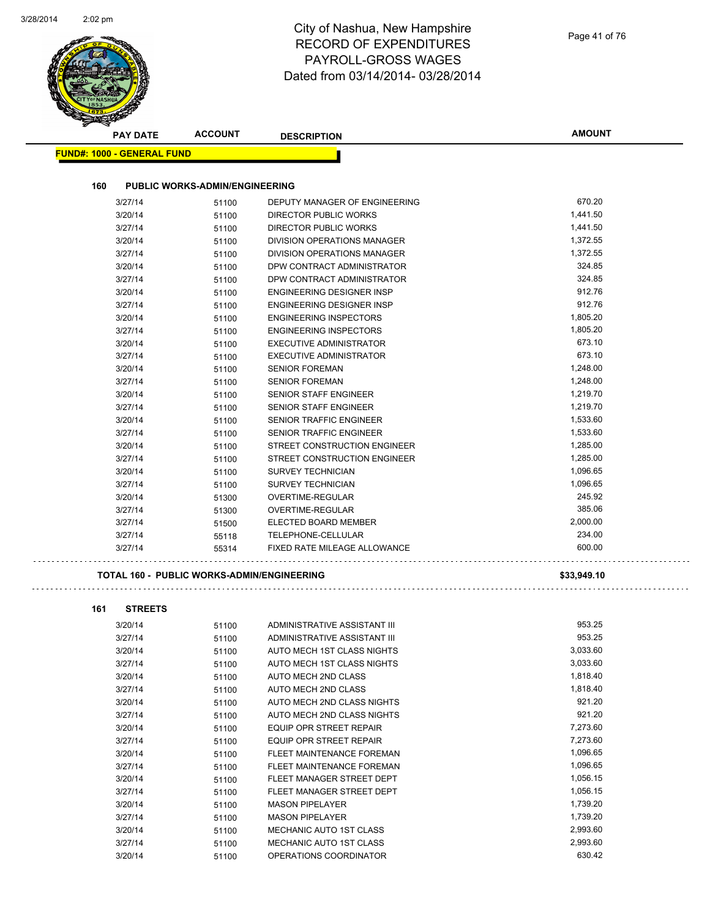| <b>PAY DATE</b>                   | <b>ACCOUNT</b>                             | <b>DESCRIPTION</b>                             | <b>AMOUNT</b> |
|-----------------------------------|--------------------------------------------|------------------------------------------------|---------------|
| <b>FUND#: 1000 - GENERAL FUND</b> |                                            |                                                |               |
| 160                               | <b>PUBLIC WORKS-ADMIN/ENGINEERING</b>      |                                                |               |
| 3/27/14                           | 51100                                      | DEPUTY MANAGER OF ENGINEERING                  | 670.20        |
| 3/20/14                           | 51100                                      | DIRECTOR PUBLIC WORKS                          | 1,441.50      |
| 3/27/14                           | 51100                                      | DIRECTOR PUBLIC WORKS                          | 1,441.50      |
| 3/20/14                           | 51100                                      | DIVISION OPERATIONS MANAGER                    | 1,372.55      |
| 3/27/14                           | 51100                                      | DIVISION OPERATIONS MANAGER                    | 1,372.55      |
| 3/20/14                           | 51100                                      | DPW CONTRACT ADMINISTRATOR                     | 324.85        |
| 3/27/14                           | 51100                                      | DPW CONTRACT ADMINISTRATOR                     | 324.85        |
| 3/20/14                           |                                            | <b>ENGINEERING DESIGNER INSP</b>               | 912.76        |
| 3/27/14                           | 51100<br>51100                             | <b>ENGINEERING DESIGNER INSP</b>               | 912.76        |
| 3/20/14                           |                                            | <b>ENGINEERING INSPECTORS</b>                  | 1,805.20      |
| 3/27/14                           | 51100                                      | <b>ENGINEERING INSPECTORS</b>                  | 1,805.20      |
| 3/20/14                           | 51100                                      | <b>EXECUTIVE ADMINISTRATOR</b>                 | 673.10        |
| 3/27/14                           | 51100                                      | <b>EXECUTIVE ADMINISTRATOR</b>                 | 673.10        |
|                                   | 51100                                      |                                                | 1,248.00      |
| 3/20/14                           | 51100                                      | <b>SENIOR FOREMAN</b><br><b>SENIOR FOREMAN</b> | 1,248.00      |
| 3/27/14                           | 51100                                      |                                                |               |
| 3/20/14                           | 51100                                      | <b>SENIOR STAFF ENGINEER</b>                   | 1,219.70      |
| 3/27/14                           | 51100                                      | <b>SENIOR STAFF ENGINEER</b>                   | 1,219.70      |
| 3/20/14                           | 51100                                      | <b>SENIOR TRAFFIC ENGINEER</b>                 | 1,533.60      |
| 3/27/14                           | 51100                                      | <b>SENIOR TRAFFIC ENGINEER</b>                 | 1,533.60      |
| 3/20/14                           | 51100                                      | STREET CONSTRUCTION ENGINEER                   | 1,285.00      |
| 3/27/14                           | 51100                                      | STREET CONSTRUCTION ENGINEER                   | 1,285.00      |
| 3/20/14                           | 51100                                      | <b>SURVEY TECHNICIAN</b>                       | 1,096.65      |
| 3/27/14                           | 51100                                      | <b>SURVEY TECHNICIAN</b>                       | 1,096.65      |
| 3/20/14                           | 51300                                      | OVERTIME-REGULAR                               | 245.92        |
| 3/27/14                           | 51300                                      | OVERTIME-REGULAR                               | 385.06        |
| 3/27/14                           | 51500                                      | ELECTED BOARD MEMBER                           | 2,000.00      |
| 3/27/14                           | 55118                                      | TELEPHONE-CELLULAR                             | 234.00        |
| 3/27/14                           | 55314                                      | FIXED RATE MILEAGE ALLOWANCE                   | 600.00        |
|                                   | TOTAL 160 - PUBLIC WORKS-ADMIN/ENGINEERING |                                                | \$33,949.10   |
|                                   |                                            |                                                |               |
| 161<br><b>STREETS</b>             |                                            |                                                |               |
| 3/20/14                           | 51100                                      | ADMINISTRATIVE ASSISTANT III                   | 953.25        |
| 3/27/14                           | 51100                                      | ADMINISTRATIVE ASSISTANT III                   | 953.25        |
| 3/20/14                           | 51100                                      | AUTO MECH 1ST CLASS NIGHTS                     | 3,033.60      |
| 3/27/14                           | 51100                                      | AUTO MECH 1ST CLASS NIGHTS                     | 3,033.60      |
| 3/20/14                           | 51100                                      | AUTO MECH 2ND CLASS                            | 1,818.40      |
| 3/27/14                           | 51100                                      | AUTO MECH 2ND CLASS                            | 1,818.40      |
| 3/20/14                           | 51100                                      | AUTO MECH 2ND CLASS NIGHTS                     | 921.20        |
| 3/27/14                           | 51100                                      | AUTO MECH 2ND CLASS NIGHTS                     | 921.20        |
| 3/20/14                           | 51100                                      | EQUIP OPR STREET REPAIR                        | 7,273.60      |
| 3/27/14                           | 51100                                      | <b>EQUIP OPR STREET REPAIR</b>                 | 7,273.60      |
| 3/20/14                           | 51100                                      | FLEET MAINTENANCE FOREMAN                      | 1,096.65      |
| 3/27/14                           | 51100                                      | FLEET MAINTENANCE FOREMAN                      | 1,096.65      |
| 3/20/14                           | 51100                                      | FLEET MANAGER STREET DEPT                      | 1,056.15      |
| 3/27/14                           | 51100                                      | FLEET MANAGER STREET DEPT                      | 1,056.15      |
|                                   |                                            |                                                |               |

3/20/14 51100 MASON PIPELAYER 1,739.20 3/27/14 51100 MASON PIPELAYER 1,739.20 3/20/14 51100 MECHANIC AUTO 1ST CLASS 2,993.60 3/27/14 51100 MECHANIC AUTO 1ST CLASS<br>3/20/14 51100 OPERATIONS COORDINATOR 500AD 630.42

3/20/14 51100 OPERATIONS COORDINATOR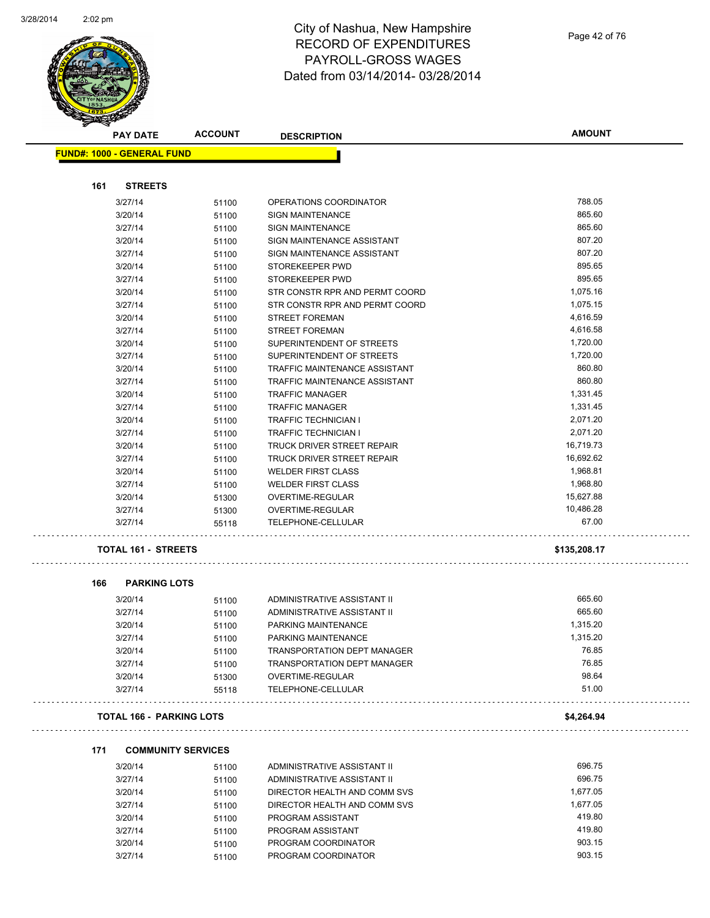$\ddot{\phantom{0}}$ 

L,

 $\sim$  .

 $\sim$   $\sim$ 



**FUND#: 1000 - GENERAL FUND**

## City of Nashua, New Hampshire RECORD OF EXPENDITURES PAYROLL-GROSS WAGES Dated from 03/14/2014- 03/28/2014

| <b>AMOUNT</b> |  |
|---------------|--|
|               |  |
|               |  |
| 788.05        |  |
| 865.60        |  |
| 865.60        |  |
| 807.20        |  |
| 807.20        |  |
| 895.65        |  |
| 895.65        |  |
| 1,075.16      |  |
| 1,075.15      |  |
| 4,616.59      |  |
| 4,616.58      |  |
| 1,720.00      |  |
| 1,720.00      |  |
| 860.80        |  |
| 860.80        |  |
| 1,331.45      |  |
| 1,331.45      |  |
| 2,071.20      |  |
| 2,071.20      |  |

| 161 | <b>STREETS</b>                  |                |                                          |                  |  |
|-----|---------------------------------|----------------|------------------------------------------|------------------|--|
|     | 3/27/14                         | 51100          | OPERATIONS COORDINATOR                   | 788.05           |  |
|     | 3/20/14                         | 51100          | <b>SIGN MAINTENANCE</b>                  | 865.60           |  |
|     | 3/27/14                         | 51100          | <b>SIGN MAINTENANCE</b>                  | 865.60           |  |
|     | 3/20/14                         | 51100          | SIGN MAINTENANCE ASSISTANT               | 807.20           |  |
|     | 3/27/14                         | 51100          | SIGN MAINTENANCE ASSISTANT               | 807.20           |  |
|     | 3/20/14                         | 51100          | STOREKEEPER PWD                          | 895.65           |  |
|     | 3/27/14                         | 51100          | STOREKEEPER PWD                          | 895.65           |  |
|     | 3/20/14                         | 51100          | STR CONSTR RPR AND PERMT COORD           | 1,075.16         |  |
|     | 3/27/14                         | 51100          | STR CONSTR RPR AND PERMT COORD           | 1,075.15         |  |
|     | 3/20/14                         | 51100          | <b>STREET FOREMAN</b>                    | 4,616.59         |  |
|     | 3/27/14                         | 51100          | <b>STREET FOREMAN</b>                    | 4,616.58         |  |
|     | 3/20/14                         | 51100          | SUPERINTENDENT OF STREETS                | 1,720.00         |  |
|     | 3/27/14                         | 51100          | SUPERINTENDENT OF STREETS                | 1,720.00         |  |
|     | 3/20/14                         | 51100          | TRAFFIC MAINTENANCE ASSISTANT            | 860.80           |  |
|     | 3/27/14                         | 51100          | TRAFFIC MAINTENANCE ASSISTANT            | 860.80           |  |
|     | 3/20/14                         | 51100          | <b>TRAFFIC MANAGER</b>                   | 1,331.45         |  |
|     | 3/27/14                         | 51100          | <b>TRAFFIC MANAGER</b>                   | 1,331.45         |  |
|     | 3/20/14                         | 51100          | <b>TRAFFIC TECHNICIAN I</b>              | 2,071.20         |  |
|     | 3/27/14                         | 51100          | <b>TRAFFIC TECHNICIAN I</b>              | 2,071.20         |  |
|     | 3/20/14                         | 51100          | <b>TRUCK DRIVER STREET REPAIR</b>        | 16,719.73        |  |
|     | 3/27/14                         | 51100          | TRUCK DRIVER STREET REPAIR               | 16,692.62        |  |
|     | 3/20/14                         | 51100          | <b>WELDER FIRST CLASS</b>                | 1,968.81         |  |
|     | 3/27/14                         | 51100          | <b>WELDER FIRST CLASS</b>                | 1,968.80         |  |
|     | 3/20/14                         | 51300          | OVERTIME-REGULAR                         | 15,627.88        |  |
|     | 3/27/14                         | 51300          | OVERTIME-REGULAR                         | 10,486.28        |  |
|     | 3/27/14                         | 55118          | TELEPHONE-CELLULAR                       | 67.00            |  |
|     | TOTAL 161 - STREETS             |                |                                          | \$135,208.17     |  |
| 166 |                                 |                |                                          |                  |  |
|     | <b>PARKING LOTS</b>             |                |                                          |                  |  |
|     | 3/20/14                         | 51100          | ADMINISTRATIVE ASSISTANT II              | 665.60           |  |
|     | 3/27/14                         | 51100          | ADMINISTRATIVE ASSISTANT II              | 665.60           |  |
|     | 3/20/14                         | 51100          | PARKING MAINTENANCE                      | 1,315.20         |  |
|     | 3/27/14                         | 51100          | PARKING MAINTENANCE                      | 1,315.20         |  |
|     | 3/20/14                         | 51100          | <b>TRANSPORTATION DEPT MANAGER</b>       | 76.85            |  |
|     | 3/27/14                         | 51100          | <b>TRANSPORTATION DEPT MANAGER</b>       | 76.85            |  |
|     | 3/20/14                         | 51300          | <b>OVERTIME-REGULAR</b>                  | 98.64            |  |
|     | 3/27/14                         | 55118          | TELEPHONE-CELLULAR                       | 51.00            |  |
|     | <b>TOTAL 166 - PARKING LOTS</b> |                |                                          | \$4,264.94       |  |
| 171 | <b>COMMUNITY SERVICES</b>       |                |                                          |                  |  |
|     |                                 |                |                                          |                  |  |
|     | 3/20/14                         | 51100          | ADMINISTRATIVE ASSISTANT II              | 696.75           |  |
|     | 3/27/14                         | 51100          | ADMINISTRATIVE ASSISTANT II              | 696.75           |  |
|     | 3/20/14                         | 51100          | DIRECTOR HEALTH AND COMM SVS             | 1,677.05         |  |
|     | 3/27/14                         | 51100          | DIRECTOR HEALTH AND COMM SVS             | 1,677.05         |  |
|     | 3/20/14                         | 51100          | PROGRAM ASSISTANT                        | 419.80           |  |
|     | 3/27/14<br>3/20/14              | 51100<br>51100 | PROGRAM ASSISTANT<br>PROGRAM COORDINATOR | 419.80<br>903.15 |  |

3/27/14 51100 PROGRAM COORDINATOR 903.15

3/20/14 51100 PROGRAM COORDINATOR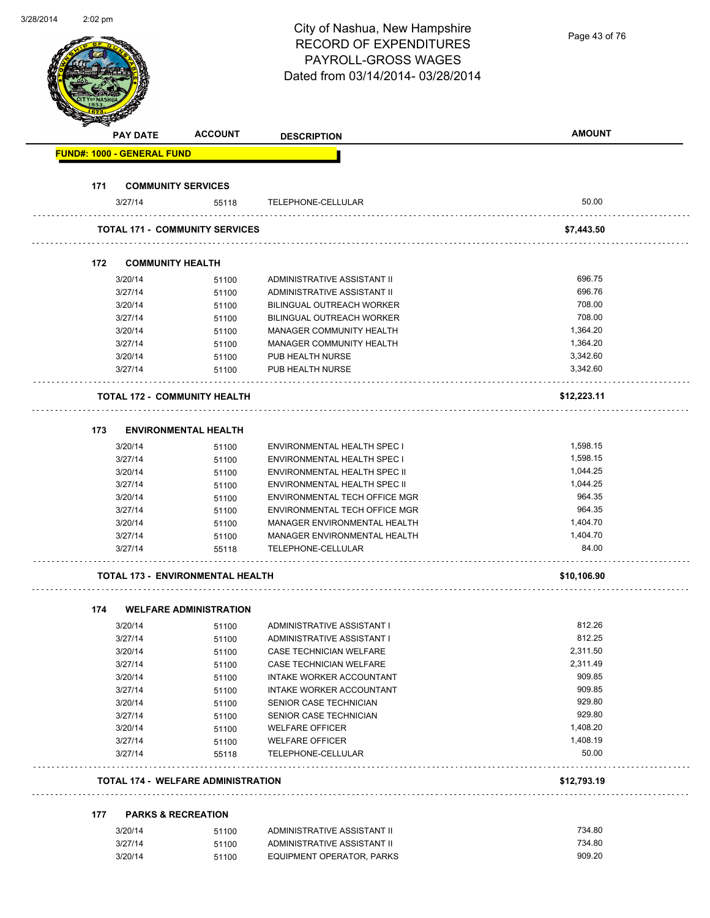| City of Nashua, New Hampshire<br><b>RECORD OF EXPENDITURES</b><br>PAYROLL-GROSS WAGES<br>Dated from 03/14/2014-03/28/2014<br><b>ACCOUNT</b><br><b>PAY DATE</b><br><b>DESCRIPTION</b><br><b>FUND#: 1000 - GENERAL FUND</b><br>171<br><b>COMMUNITY SERVICES</b><br>3/27/14<br>55118<br>TELEPHONE-CELLULAR<br><b>TOTAL 171 - COMMUNITY SERVICES</b><br>172<br><b>COMMUNITY HEALTH</b><br>3/20/14<br>ADMINISTRATIVE ASSISTANT II<br>51100<br>3/27/14<br>51100<br>ADMINISTRATIVE ASSISTANT II<br>3/20/14<br><b>BILINGUAL OUTREACH WORKER</b><br>51100<br>3/27/14<br>BILINGUAL OUTREACH WORKER<br>51100 | Page 43 of 76<br><b>AMOUNT</b><br>50.00<br>\$7,443.50<br>696.75<br>696.76<br>708.00<br>708.00<br>1,364.20<br>1,364.20 |
|---------------------------------------------------------------------------------------------------------------------------------------------------------------------------------------------------------------------------------------------------------------------------------------------------------------------------------------------------------------------------------------------------------------------------------------------------------------------------------------------------------------------------------------------------------------------------------------------------|-----------------------------------------------------------------------------------------------------------------------|
|                                                                                                                                                                                                                                                                                                                                                                                                                                                                                                                                                                                                   |                                                                                                                       |
|                                                                                                                                                                                                                                                                                                                                                                                                                                                                                                                                                                                                   |                                                                                                                       |
|                                                                                                                                                                                                                                                                                                                                                                                                                                                                                                                                                                                                   |                                                                                                                       |
|                                                                                                                                                                                                                                                                                                                                                                                                                                                                                                                                                                                                   |                                                                                                                       |
|                                                                                                                                                                                                                                                                                                                                                                                                                                                                                                                                                                                                   |                                                                                                                       |
|                                                                                                                                                                                                                                                                                                                                                                                                                                                                                                                                                                                                   |                                                                                                                       |
|                                                                                                                                                                                                                                                                                                                                                                                                                                                                                                                                                                                                   |                                                                                                                       |
|                                                                                                                                                                                                                                                                                                                                                                                                                                                                                                                                                                                                   |                                                                                                                       |
|                                                                                                                                                                                                                                                                                                                                                                                                                                                                                                                                                                                                   |                                                                                                                       |
|                                                                                                                                                                                                                                                                                                                                                                                                                                                                                                                                                                                                   |                                                                                                                       |
|                                                                                                                                                                                                                                                                                                                                                                                                                                                                                                                                                                                                   |                                                                                                                       |
|                                                                                                                                                                                                                                                                                                                                                                                                                                                                                                                                                                                                   |                                                                                                                       |
|                                                                                                                                                                                                                                                                                                                                                                                                                                                                                                                                                                                                   |                                                                                                                       |
|                                                                                                                                                                                                                                                                                                                                                                                                                                                                                                                                                                                                   |                                                                                                                       |
|                                                                                                                                                                                                                                                                                                                                                                                                                                                                                                                                                                                                   |                                                                                                                       |
|                                                                                                                                                                                                                                                                                                                                                                                                                                                                                                                                                                                                   |                                                                                                                       |
|                                                                                                                                                                                                                                                                                                                                                                                                                                                                                                                                                                                                   |                                                                                                                       |
|                                                                                                                                                                                                                                                                                                                                                                                                                                                                                                                                                                                                   |                                                                                                                       |
|                                                                                                                                                                                                                                                                                                                                                                                                                                                                                                                                                                                                   |                                                                                                                       |
|                                                                                                                                                                                                                                                                                                                                                                                                                                                                                                                                                                                                   |                                                                                                                       |
| 3/20/14<br>MANAGER COMMUNITY HEALTH                                                                                                                                                                                                                                                                                                                                                                                                                                                                                                                                                               |                                                                                                                       |
| 51100                                                                                                                                                                                                                                                                                                                                                                                                                                                                                                                                                                                             |                                                                                                                       |
| 3/27/14<br>MANAGER COMMUNITY HEALTH<br>51100                                                                                                                                                                                                                                                                                                                                                                                                                                                                                                                                                      |                                                                                                                       |
| 3/20/14<br>PUB HEALTH NURSE<br>51100                                                                                                                                                                                                                                                                                                                                                                                                                                                                                                                                                              | 3,342.60                                                                                                              |
| 3/27/14<br>PUB HEALTH NURSE<br>51100                                                                                                                                                                                                                                                                                                                                                                                                                                                                                                                                                              | 3,342.60                                                                                                              |
| <b>TOTAL 172 - COMMUNITY HEALTH</b>                                                                                                                                                                                                                                                                                                                                                                                                                                                                                                                                                               | \$12,223.11                                                                                                           |
|                                                                                                                                                                                                                                                                                                                                                                                                                                                                                                                                                                                                   |                                                                                                                       |
| 173<br><b>ENVIRONMENTAL HEALTH</b>                                                                                                                                                                                                                                                                                                                                                                                                                                                                                                                                                                |                                                                                                                       |
|                                                                                                                                                                                                                                                                                                                                                                                                                                                                                                                                                                                                   |                                                                                                                       |
| 3/20/14<br>ENVIRONMENTAL HEALTH SPEC I<br>51100                                                                                                                                                                                                                                                                                                                                                                                                                                                                                                                                                   | 1,598.15                                                                                                              |
| 3/27/14<br>ENVIRONMENTAL HEALTH SPEC I<br>51100                                                                                                                                                                                                                                                                                                                                                                                                                                                                                                                                                   | 1,598.15                                                                                                              |
| 3/20/14<br>ENVIRONMENTAL HEALTH SPEC II<br>51100                                                                                                                                                                                                                                                                                                                                                                                                                                                                                                                                                  | 1,044.25                                                                                                              |
| 3/27/14<br>ENVIRONMENTAL HEALTH SPEC II<br>51100                                                                                                                                                                                                                                                                                                                                                                                                                                                                                                                                                  | 1,044.25                                                                                                              |
| 3/20/14<br>ENVIRONMENTAL TECH OFFICE MGR<br>51100                                                                                                                                                                                                                                                                                                                                                                                                                                                                                                                                                 | 964.35                                                                                                                |
| 3/27/14<br>ENVIRONMENTAL TECH OFFICE MGR<br>51100                                                                                                                                                                                                                                                                                                                                                                                                                                                                                                                                                 | 964.35                                                                                                                |
| 3/20/14<br>MANAGER ENVIRONMENTAL HEALTH<br>51100                                                                                                                                                                                                                                                                                                                                                                                                                                                                                                                                                  | 1,404.70                                                                                                              |
| 3/27/14<br>51100<br>MANAGER ENVIRONMENTAL HEALTH                                                                                                                                                                                                                                                                                                                                                                                                                                                                                                                                                  | 1,404.70                                                                                                              |
| 3/27/14<br>TELEPHONE-CELLULAR<br>55118                                                                                                                                                                                                                                                                                                                                                                                                                                                                                                                                                            | 84.00                                                                                                                 |
| <b>TOTAL 173 - ENVIRONMENTAL HEALTH</b>                                                                                                                                                                                                                                                                                                                                                                                                                                                                                                                                                           | \$10,106.90                                                                                                           |
|                                                                                                                                                                                                                                                                                                                                                                                                                                                                                                                                                                                                   |                                                                                                                       |
| <b>WELFARE ADMINISTRATION</b><br>174                                                                                                                                                                                                                                                                                                                                                                                                                                                                                                                                                              |                                                                                                                       |
| 3/20/14<br>ADMINISTRATIVE ASSISTANT I<br>51100                                                                                                                                                                                                                                                                                                                                                                                                                                                                                                                                                    | 812.26                                                                                                                |
| 3/27/14<br>ADMINISTRATIVE ASSISTANT I<br>51100                                                                                                                                                                                                                                                                                                                                                                                                                                                                                                                                                    | 812.25                                                                                                                |
| 3/20/14<br><b>CASE TECHNICIAN WELFARE</b><br>51100                                                                                                                                                                                                                                                                                                                                                                                                                                                                                                                                                | 2,311.50                                                                                                              |
| 3/27/14<br>CASE TECHNICIAN WELFARE<br>51100                                                                                                                                                                                                                                                                                                                                                                                                                                                                                                                                                       | 2,311.49                                                                                                              |
| 3/20/14<br>INTAKE WORKER ACCOUNTANT<br>51100                                                                                                                                                                                                                                                                                                                                                                                                                                                                                                                                                      | 909.85                                                                                                                |
| 3/27/14<br>INTAKE WORKER ACCOUNTANT<br>51100                                                                                                                                                                                                                                                                                                                                                                                                                                                                                                                                                      | 909.85                                                                                                                |
| 3/20/14<br>SENIOR CASE TECHNICIAN                                                                                                                                                                                                                                                                                                                                                                                                                                                                                                                                                                 | 929.80                                                                                                                |
| 51100<br>3/27/14                                                                                                                                                                                                                                                                                                                                                                                                                                                                                                                                                                                  | 929.80                                                                                                                |
| SENIOR CASE TECHNICIAN<br>51100                                                                                                                                                                                                                                                                                                                                                                                                                                                                                                                                                                   |                                                                                                                       |
| 3/20/14<br><b>WELFARE OFFICER</b><br>51100                                                                                                                                                                                                                                                                                                                                                                                                                                                                                                                                                        | 1,408.20                                                                                                              |
| 3/27/14<br><b>WELFARE OFFICER</b><br>51100                                                                                                                                                                                                                                                                                                                                                                                                                                                                                                                                                        | 1,408.19                                                                                                              |
| 3/27/14<br>TELEPHONE-CELLULAR<br>55118                                                                                                                                                                                                                                                                                                                                                                                                                                                                                                                                                            | 50.00                                                                                                                 |
| <b>TOTAL 174 - WELFARE ADMINISTRATION</b>                                                                                                                                                                                                                                                                                                                                                                                                                                                                                                                                                         | \$12,793.19                                                                                                           |
| <b>PARKS &amp; RECREATION</b><br>177                                                                                                                                                                                                                                                                                                                                                                                                                                                                                                                                                              |                                                                                                                       |
|                                                                                                                                                                                                                                                                                                                                                                                                                                                                                                                                                                                                   | 734.80                                                                                                                |
| 3/20/14<br>ADMINISTRATIVE ASSISTANT II<br>51100                                                                                                                                                                                                                                                                                                                                                                                                                                                                                                                                                   |                                                                                                                       |
| 3/27/14<br>ADMINISTRATIVE ASSISTANT II<br>51100                                                                                                                                                                                                                                                                                                                                                                                                                                                                                                                                                   | 734.80                                                                                                                |
| 3/20/14<br>EQUIPMENT OPERATOR, PARKS<br>51100                                                                                                                                                                                                                                                                                                                                                                                                                                                                                                                                                     | 909.20                                                                                                                |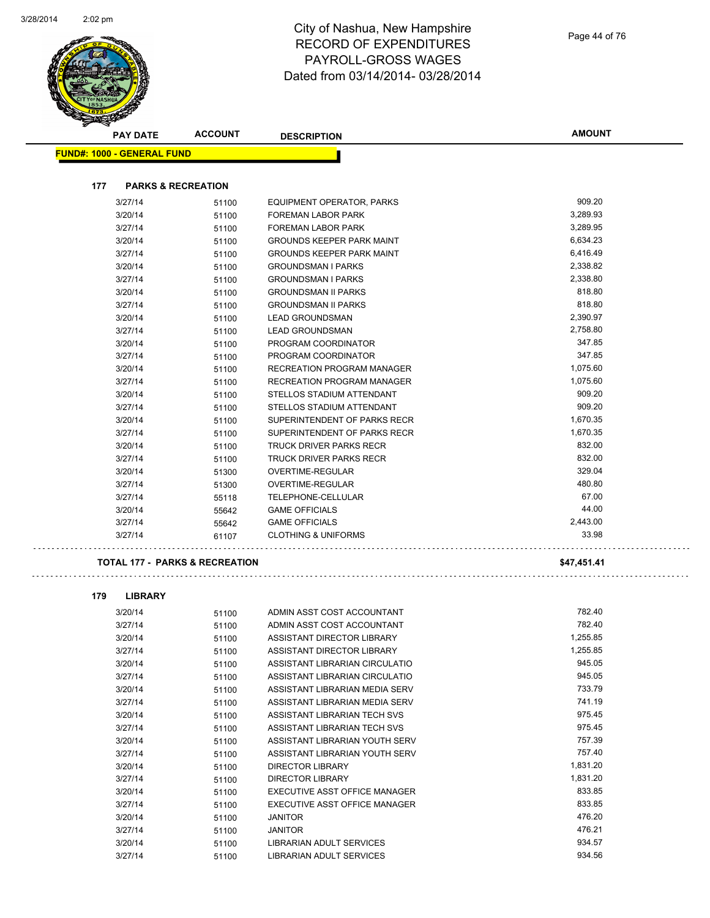

| Ð<br><b>PAY DATE</b>                      | <b>ACCOUNT</b>                | <b>DESCRIPTION</b>                | <b>AMOUNT</b> |
|-------------------------------------------|-------------------------------|-----------------------------------|---------------|
| <b>FUND#: 1000 - GENERAL FUND</b>         |                               |                                   |               |
|                                           |                               |                                   |               |
| 177                                       | <b>PARKS &amp; RECREATION</b> |                                   |               |
| 3/27/14                                   | 51100                         | <b>EQUIPMENT OPERATOR, PARKS</b>  | 909.20        |
| 3/20/14                                   | 51100                         | FOREMAN LABOR PARK                | 3,289.93      |
| 3/27/14                                   | 51100                         | <b>FOREMAN LABOR PARK</b>         | 3,289.95      |
| 3/20/14                                   | 51100                         | <b>GROUNDS KEEPER PARK MAINT</b>  | 6,634.23      |
| 3/27/14                                   | 51100                         | <b>GROUNDS KEEPER PARK MAINT</b>  | 6,416.49      |
| 3/20/14                                   | 51100                         | <b>GROUNDSMAN I PARKS</b>         | 2,338.82      |
| 3/27/14                                   | 51100                         | <b>GROUNDSMAN I PARKS</b>         | 2,338.80      |
| 3/20/14                                   | 51100                         | <b>GROUNDSMAN II PARKS</b>        | 818.80        |
| 3/27/14                                   | 51100                         | <b>GROUNDSMAN II PARKS</b>        | 818.80        |
| 3/20/14                                   | 51100                         | <b>LEAD GROUNDSMAN</b>            | 2,390.97      |
| 3/27/14                                   | 51100                         | <b>LEAD GROUNDSMAN</b>            | 2,758.80      |
| 3/20/14                                   | 51100                         | PROGRAM COORDINATOR               | 347.85        |
| 3/27/14                                   | 51100                         | PROGRAM COORDINATOR               | 347.85        |
| 3/20/14                                   | 51100                         | <b>RECREATION PROGRAM MANAGER</b> | 1,075.60      |
| 3/27/14                                   | 51100                         | <b>RECREATION PROGRAM MANAGER</b> | 1,075.60      |
| 3/20/14                                   | 51100                         | STELLOS STADIUM ATTENDANT         | 909.20        |
| 3/27/14                                   | 51100                         | STELLOS STADIUM ATTENDANT         | 909.20        |
| 3/20/14                                   | 51100                         | SUPERINTENDENT OF PARKS RECR      | 1,670.35      |
| 3/27/14                                   | 51100                         | SUPERINTENDENT OF PARKS RECR      | 1,670.35      |
| 3/20/14                                   | 51100                         | <b>TRUCK DRIVER PARKS RECR</b>    | 832.00        |
| 3/27/14                                   | 51100                         | <b>TRUCK DRIVER PARKS RECR</b>    | 832.00        |
| 3/20/14                                   | 51300                         | OVERTIME-REGULAR                  | 329.04        |
| 3/27/14                                   | 51300                         | OVERTIME-REGULAR                  | 480.80        |
| 3/27/14                                   | 55118                         | TELEPHONE-CELLULAR                | 67.00         |
| 3/20/14                                   | 55642                         | <b>GAME OFFICIALS</b>             | 44.00         |
| 3/27/14                                   | 55642                         | <b>GAME OFFICIALS</b>             | 2,443.00      |
| 3/27/14                                   | 61107                         | <b>CLOTHING &amp; UNIFORMS</b>    | 33.98         |
| <b>TOTAL 177 - PARKS &amp; RECREATION</b> |                               |                                   | \$47,451.41   |

| 179 | <b>LIBRARY</b> |
|-----|----------------|
|     |                |

 $\hat{\mathcal{L}}$  .

| 3/20/14 | 51100 | ADMIN ASST COST ACCOUNTANT     | 782.40   |
|---------|-------|--------------------------------|----------|
| 3/27/14 | 51100 | ADMIN ASST COST ACCOUNTANT     | 782.40   |
| 3/20/14 | 51100 | ASSISTANT DIRECTOR LIBRARY     | 1,255.85 |
| 3/27/14 | 51100 | ASSISTANT DIRECTOR LIBRARY     | 1,255.85 |
| 3/20/14 | 51100 | ASSISTANT LIBRARIAN CIRCULATIO | 945.05   |
| 3/27/14 | 51100 | ASSISTANT LIBRARIAN CIRCULATIO | 945.05   |
| 3/20/14 | 51100 | ASSISTANT LIBRARIAN MEDIA SERV | 733.79   |
| 3/27/14 | 51100 | ASSISTANT LIBRARIAN MEDIA SERV | 741.19   |
| 3/20/14 | 51100 | ASSISTANT LIBRARIAN TECH SVS   | 975.45   |
| 3/27/14 | 51100 | ASSISTANT LIBRARIAN TECH SVS   | 975.45   |
| 3/20/14 | 51100 | ASSISTANT LIBRARIAN YOUTH SERV | 757.39   |
| 3/27/14 | 51100 | ASSISTANT LIBRARIAN YOUTH SERV | 757.40   |
| 3/20/14 | 51100 | DIRECTOR LIBRARY               | 1,831.20 |
| 3/27/14 | 51100 | <b>DIRECTOR LIBRARY</b>        | 1,831.20 |
| 3/20/14 | 51100 | EXECUTIVE ASST OFFICE MANAGER  | 833.85   |
| 3/27/14 | 51100 | EXECUTIVE ASST OFFICE MANAGER  | 833.85   |
| 3/20/14 | 51100 | <b>JANITOR</b>                 | 476.20   |
| 3/27/14 | 51100 | <b>JANITOR</b>                 | 476.21   |
| 3/20/14 | 51100 | LIBRARIAN ADULT SERVICES       | 934.57   |
| 3/27/14 | 51100 | LIBRARIAN ADULT SERVICES       | 934.56   |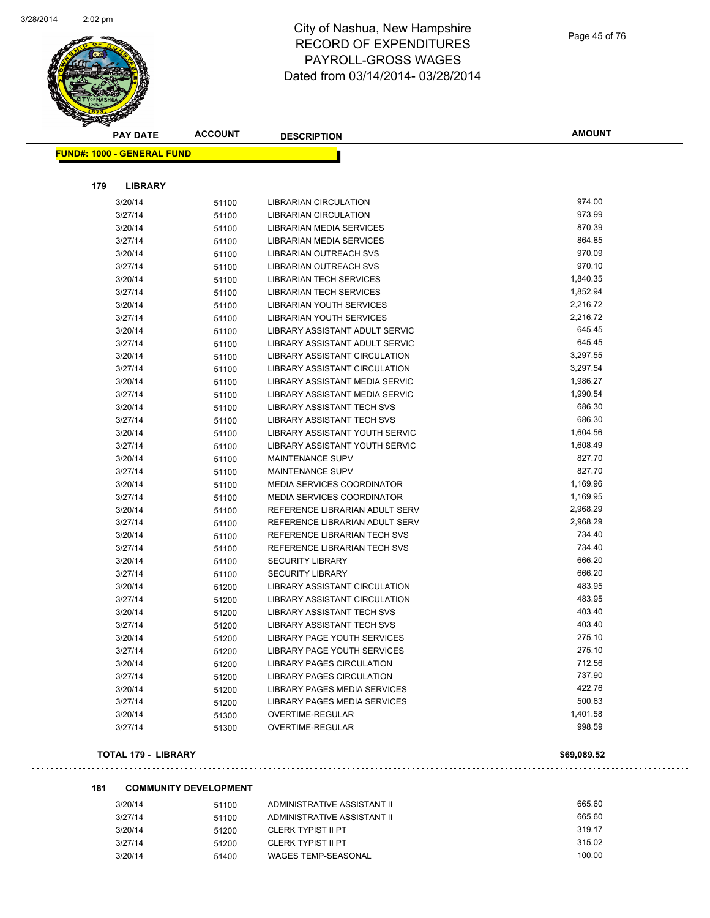

Page 45 of 76

| <b>FUND#: 1000 - GENERAL FUND</b><br>179<br><b>LIBRARY</b> |       |                                   |             |
|------------------------------------------------------------|-------|-----------------------------------|-------------|
|                                                            |       |                                   |             |
|                                                            |       |                                   |             |
|                                                            |       |                                   |             |
| 3/20/14                                                    | 51100 | <b>LIBRARIAN CIRCULATION</b>      | 974.00      |
| 3/27/14                                                    | 51100 | <b>LIBRARIAN CIRCULATION</b>      | 973.99      |
| 3/20/14                                                    | 51100 | LIBRARIAN MEDIA SERVICES          | 870.39      |
| 3/27/14                                                    | 51100 | LIBRARIAN MEDIA SERVICES          | 864.85      |
| 3/20/14                                                    | 51100 | <b>LIBRARIAN OUTREACH SVS</b>     | 970.09      |
| 3/27/14                                                    | 51100 | LIBRARIAN OUTREACH SVS            | 970.10      |
| 3/20/14                                                    | 51100 | <b>LIBRARIAN TECH SERVICES</b>    | 1,840.35    |
| 3/27/14                                                    | 51100 | <b>LIBRARIAN TECH SERVICES</b>    | 1,852.94    |
| 3/20/14                                                    | 51100 | <b>LIBRARIAN YOUTH SERVICES</b>   | 2,216.72    |
| 3/27/14                                                    | 51100 | LIBRARIAN YOUTH SERVICES          | 2,216.72    |
| 3/20/14                                                    | 51100 | LIBRARY ASSISTANT ADULT SERVIC    | 645.45      |
| 3/27/14                                                    | 51100 | LIBRARY ASSISTANT ADULT SERVIC    | 645.45      |
| 3/20/14                                                    | 51100 | LIBRARY ASSISTANT CIRCULATION     | 3,297.55    |
| 3/27/14                                                    | 51100 | LIBRARY ASSISTANT CIRCULATION     | 3,297.54    |
| 3/20/14                                                    | 51100 | LIBRARY ASSISTANT MEDIA SERVIC    | 1,986.27    |
| 3/27/14                                                    | 51100 | LIBRARY ASSISTANT MEDIA SERVIC    | 1,990.54    |
| 3/20/14                                                    | 51100 | <b>LIBRARY ASSISTANT TECH SVS</b> | 686.30      |
| 3/27/14                                                    | 51100 | LIBRARY ASSISTANT TECH SVS        | 686.30      |
| 3/20/14                                                    | 51100 | LIBRARY ASSISTANT YOUTH SERVIC    | 1,604.56    |
| 3/27/14                                                    | 51100 | LIBRARY ASSISTANT YOUTH SERVIC    | 1,608.49    |
| 3/20/14                                                    | 51100 | <b>MAINTENANCE SUPV</b>           | 827.70      |
| 3/27/14                                                    | 51100 | <b>MAINTENANCE SUPV</b>           | 827.70      |
| 3/20/14                                                    | 51100 | <b>MEDIA SERVICES COORDINATOR</b> | 1,169.96    |
| 3/27/14                                                    | 51100 | <b>MEDIA SERVICES COORDINATOR</b> | 1,169.95    |
| 3/20/14                                                    | 51100 | REFERENCE LIBRARIAN ADULT SERV    | 2,968.29    |
| 3/27/14                                                    | 51100 | REFERENCE LIBRARIAN ADULT SERV    | 2,968.29    |
| 3/20/14                                                    | 51100 | REFERENCE LIBRARIAN TECH SVS      | 734.40      |
| 3/27/14                                                    | 51100 | REFERENCE LIBRARIAN TECH SVS      | 734.40      |
| 3/20/14                                                    | 51100 | <b>SECURITY LIBRARY</b>           | 666.20      |
| 3/27/14                                                    | 51100 | <b>SECURITY LIBRARY</b>           | 666.20      |
| 3/20/14                                                    | 51200 | LIBRARY ASSISTANT CIRCULATION     | 483.95      |
| 3/27/14                                                    | 51200 | LIBRARY ASSISTANT CIRCULATION     | 483.95      |
| 3/20/14                                                    | 51200 | <b>LIBRARY ASSISTANT TECH SVS</b> | 403.40      |
| 3/27/14                                                    | 51200 | <b>LIBRARY ASSISTANT TECH SVS</b> | 403.40      |
| 3/20/14                                                    | 51200 | LIBRARY PAGE YOUTH SERVICES       | 275.10      |
| 3/27/14                                                    | 51200 | LIBRARY PAGE YOUTH SERVICES       | 275.10      |
| 3/20/14                                                    | 51200 | <b>LIBRARY PAGES CIRCULATION</b>  | 712.56      |
| 3/27/14                                                    | 51200 | <b>LIBRARY PAGES CIRCULATION</b>  | 737.90      |
| 3/20/14                                                    | 51200 | LIBRARY PAGES MEDIA SERVICES      | 422.76      |
| 3/27/14                                                    | 51200 | LIBRARY PAGES MEDIA SERVICES      | 500.63      |
| 3/20/14                                                    | 51300 | OVERTIME-REGULAR                  | 1,401.58    |
| 3/27/14                                                    | 51300 | OVERTIME-REGULAR                  | 998.59      |
| <b>TOTAL 179 - LIBRARY</b>                                 |       |                                   | \$69,089.52 |

#### **181 COMMUNITY DEVELOPMENT**

| 51100 | ADMINISTRATIVE ASSISTANT II | 665.60 |
|-------|-----------------------------|--------|
| 51100 | ADMINISTRATIVE ASSISTANT II | 665.60 |
| 51200 | CLERK TYPIST II PT          | 319.17 |
| 51200 | CLERK TYPIST II PT          | 315.02 |
| 51400 | WAGES TEMP-SEASONAL         | 100.00 |
|       |                             |        |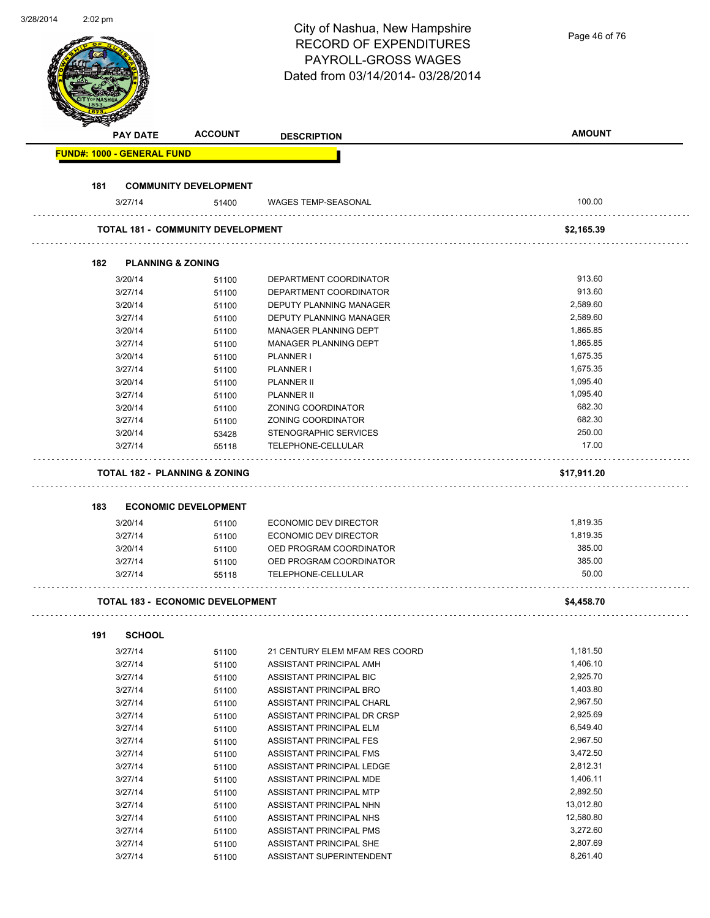| 3/28/2014 | $2:02$ pm |                                   |                                          |                                                       |               |  |
|-----------|-----------|-----------------------------------|------------------------------------------|-------------------------------------------------------|---------------|--|
|           |           |                                   |                                          | City of Nashua, New Hampshire                         | Page 46 of 76 |  |
|           |           |                                   |                                          | <b>RECORD OF EXPENDITURES</b>                         |               |  |
|           |           |                                   |                                          | PAYROLL-GROSS WAGES                                   |               |  |
|           |           |                                   |                                          | Dated from 03/14/2014-03/28/2014                      |               |  |
|           |           |                                   |                                          |                                                       |               |  |
|           |           |                                   |                                          |                                                       |               |  |
|           |           |                                   |                                          |                                                       |               |  |
|           |           |                                   |                                          |                                                       |               |  |
|           |           | <b>PAY DATE</b>                   | <b>ACCOUNT</b>                           | <b>DESCRIPTION</b>                                    | <b>AMOUNT</b> |  |
|           |           | <b>FUND#: 1000 - GENERAL FUND</b> |                                          |                                                       |               |  |
|           |           |                                   |                                          |                                                       |               |  |
|           | 181       |                                   | <b>COMMUNITY DEVELOPMENT</b>             |                                                       |               |  |
|           |           | 3/27/14                           | 51400                                    | <b>WAGES TEMP-SEASONAL</b>                            | 100.00        |  |
|           |           |                                   | <b>TOTAL 181 - COMMUNITY DEVELOPMENT</b> |                                                       | \$2,165.39    |  |
|           | 182       | <b>PLANNING &amp; ZONING</b>      |                                          |                                                       |               |  |
|           |           | 3/20/14                           |                                          | DEPARTMENT COORDINATOR                                | 913.60        |  |
|           |           | 3/27/14                           | 51100<br>51100                           | DEPARTMENT COORDINATOR                                | 913.60        |  |
|           |           | 3/20/14                           | 51100                                    | DEPUTY PLANNING MANAGER                               | 2,589.60      |  |
|           |           | 3/27/14                           |                                          | DEPUTY PLANNING MANAGER                               | 2,589.60      |  |
|           |           | 3/20/14                           | 51100                                    |                                                       | 1,865.85      |  |
|           |           | 3/27/14                           | 51100                                    | MANAGER PLANNING DEPT<br><b>MANAGER PLANNING DEPT</b> | 1,865.85      |  |
|           |           |                                   | 51100                                    |                                                       |               |  |
|           |           | 3/20/14                           | 51100                                    | PLANNER I                                             | 1,675.35      |  |
|           |           | 3/27/14                           | 51100                                    | PLANNER I                                             | 1,675.35      |  |
|           |           | 3/20/14                           | 51100                                    | <b>PLANNER II</b>                                     | 1,095.40      |  |
|           |           | 3/27/14                           | 51100                                    | <b>PLANNER II</b>                                     | 1,095.40      |  |
|           |           | 3/20/14                           | 51100                                    | ZONING COORDINATOR                                    | 682.30        |  |
|           |           | 3/27/14                           | 51100                                    | ZONING COORDINATOR                                    | 682.30        |  |
|           |           | 3/20/14                           | 53428                                    | <b>STENOGRAPHIC SERVICES</b>                          | 250.00        |  |
|           |           | 3/27/14                           | 55118                                    | TELEPHONE-CELLULAR                                    | 17.00         |  |
|           |           |                                   | <b>TOTAL 182 - PLANNING &amp; ZONING</b> |                                                       | \$17,911.20   |  |
|           | 183       |                                   |                                          |                                                       |               |  |
|           |           |                                   | <b>ECONOMIC DEVELOPMENT</b>              |                                                       |               |  |
|           |           | 3/20/14                           | 51100                                    | <b>ECONOMIC DEV DIRECTOR</b>                          | 1,819.35      |  |
|           |           | 3/27/14                           | 51100                                    | ECONOMIC DEV DIRECTOR                                 | 1,819.35      |  |
|           |           | 3/20/14                           | 51100                                    | OED PROGRAM COORDINATOR                               | 385.00        |  |
|           |           | 3/27/14                           | 51100                                    | OED PROGRAM COORDINATOR                               | 385.00        |  |
|           |           | 3/27/14                           | 55118                                    | TELEPHONE-CELLULAR                                    | 50.00         |  |
|           |           |                                   | <b>TOTAL 183 - ECONOMIC DEVELOPMENT</b>  |                                                       | \$4,458.70    |  |
|           |           |                                   |                                          |                                                       |               |  |
|           | 191       | <b>SCHOOL</b>                     |                                          |                                                       |               |  |
|           |           | 3/27/14                           | 51100                                    | 21 CENTURY ELEM MFAM RES COORD                        | 1,181.50      |  |
|           |           | 3/27/14                           | 51100                                    | ASSISTANT PRINCIPAL AMH                               | 1,406.10      |  |
|           |           | 3/27/14                           | 51100                                    | ASSISTANT PRINCIPAL BIC                               | 2,925.70      |  |
|           |           | 3/27/14                           | 51100                                    | ASSISTANT PRINCIPAL BRO                               | 1,403.80      |  |
|           |           | 3/27/14                           | 51100                                    | ASSISTANT PRINCIPAL CHARL                             | 2,967.50      |  |
|           |           | 3/27/14                           | 51100                                    | ASSISTANT PRINCIPAL DR CRSP                           | 2,925.69      |  |
|           |           | 3/27/14                           | 51100                                    | ASSISTANT PRINCIPAL ELM                               | 6,549.40      |  |
|           |           | 3/27/14                           | 51100                                    | ASSISTANT PRINCIPAL FES                               | 2,967.50      |  |
|           |           | 3/27/14                           | 51100                                    | ASSISTANT PRINCIPAL FMS                               | 3,472.50      |  |
|           |           | 3/27/14                           | 51100                                    | ASSISTANT PRINCIPAL LEDGE                             | 2,812.31      |  |
|           |           | 3/27/14                           | 51100                                    | ASSISTANT PRINCIPAL MDE                               | 1,406.11      |  |
|           |           | 3/27/14                           | 51100                                    | ASSISTANT PRINCIPAL MTP                               | 2,892.50      |  |
|           |           | 3/27/14                           | 51100                                    | ASSISTANT PRINCIPAL NHN                               | 13,012.80     |  |
|           |           | 3/27/14                           | 51100                                    | ASSISTANT PRINCIPAL NHS                               | 12,580.80     |  |
|           |           | 3/27/14                           | 51100                                    | ASSISTANT PRINCIPAL PMS                               | 3,272.60      |  |
|           |           | 3/27/14                           | 51100                                    | ASSISTANT PRINCIPAL SHE                               | 2,807.69      |  |
|           |           | 3/27/14                           |                                          | ASSISTANT SUPERINTENDENT                              | 8,261.40      |  |
|           |           |                                   | 51100                                    |                                                       |               |  |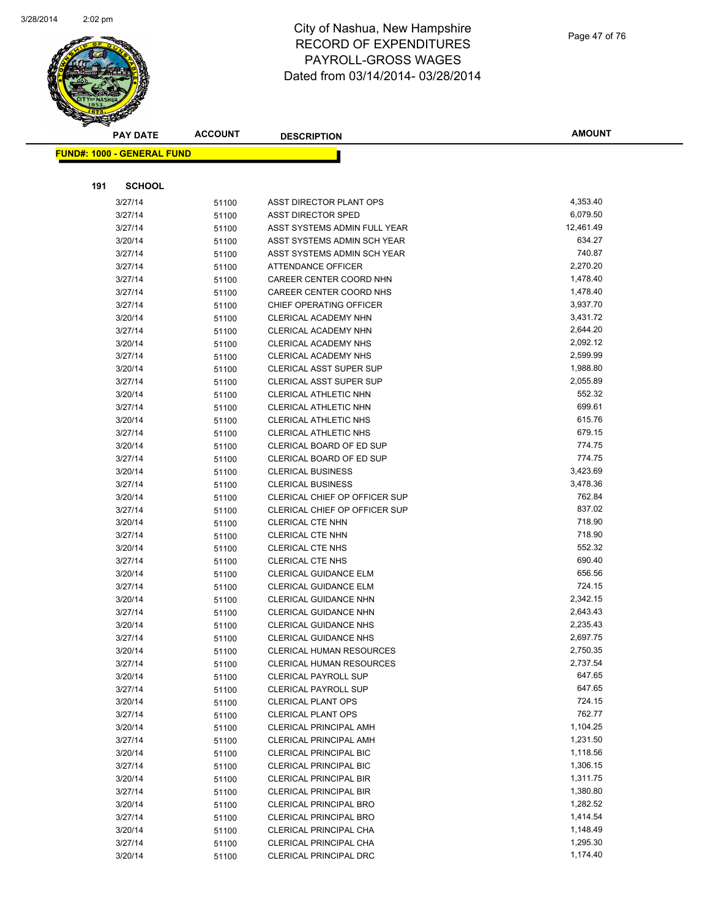

| Page 47 of 76 |  |  |
|---------------|--|--|
|---------------|--|--|

| <b>PAY DATE</b>                   | <b>ACCOUNT</b> | <b>DESCRIPTION</b>                                          | <b>AMOUNT</b>         |
|-----------------------------------|----------------|-------------------------------------------------------------|-----------------------|
| <b>FUND#: 1000 - GENERAL FUND</b> |                |                                                             |                       |
|                                   |                |                                                             |                       |
| 191<br><b>SCHOOL</b>              |                |                                                             |                       |
|                                   |                |                                                             |                       |
| 3/27/14                           | 51100          | ASST DIRECTOR PLANT OPS                                     | 4,353.40              |
| 3/27/14                           | 51100          | <b>ASST DIRECTOR SPED</b>                                   | 6,079.50<br>12,461.49 |
| 3/27/14                           | 51100          | ASST SYSTEMS ADMIN FULL YEAR<br>ASST SYSTEMS ADMIN SCH YEAR | 634.27                |
| 3/20/14                           | 51100          | ASST SYSTEMS ADMIN SCH YEAR                                 | 740.87                |
| 3/27/14<br>3/27/14                | 51100          | <b>ATTENDANCE OFFICER</b>                                   | 2,270.20              |
| 3/27/14                           | 51100          | CAREER CENTER COORD NHN                                     | 1,478.40              |
| 3/27/14                           | 51100          | CAREER CENTER COORD NHS                                     | 1,478.40              |
| 3/27/14                           | 51100<br>51100 | CHIEF OPERATING OFFICER                                     | 3,937.70              |
| 3/20/14                           | 51100          | CLERICAL ACADEMY NHN                                        | 3,431.72              |
| 3/27/14                           | 51100          | CLERICAL ACADEMY NHN                                        | 2,644.20              |
| 3/20/14                           | 51100          | <b>CLERICAL ACADEMY NHS</b>                                 | 2,092.12              |
| 3/27/14                           | 51100          | <b>CLERICAL ACADEMY NHS</b>                                 | 2,599.99              |
| 3/20/14                           | 51100          | <b>CLERICAL ASST SUPER SUP</b>                              | 1,988.80              |
| 3/27/14                           | 51100          | <b>CLERICAL ASST SUPER SUP</b>                              | 2,055.89              |
| 3/20/14                           | 51100          | CLERICAL ATHLETIC NHN                                       | 552.32                |
| 3/27/14                           | 51100          | CLERICAL ATHLETIC NHN                                       | 699.61                |
| 3/20/14                           | 51100          | CLERICAL ATHLETIC NHS                                       | 615.76                |
| 3/27/14                           | 51100          | CLERICAL ATHLETIC NHS                                       | 679.15                |
| 3/20/14                           | 51100          | CLERICAL BOARD OF ED SUP                                    | 774.75                |
| 3/27/14                           | 51100          | CLERICAL BOARD OF ED SUP                                    | 774.75                |
| 3/20/14                           | 51100          | <b>CLERICAL BUSINESS</b>                                    | 3,423.69              |
| 3/27/14                           | 51100          | <b>CLERICAL BUSINESS</b>                                    | 3,478.36              |
| 3/20/14                           | 51100          | CLERICAL CHIEF OP OFFICER SUP                               | 762.84                |
| 3/27/14                           | 51100          | CLERICAL CHIEF OP OFFICER SUP                               | 837.02                |
| 3/20/14                           | 51100          | CLERICAL CTE NHN                                            | 718.90                |
| 3/27/14                           | 51100          | CLERICAL CTE NHN                                            | 718.90                |
| 3/20/14                           | 51100          | CLERICAL CTE NHS                                            | 552.32                |
| 3/27/14                           | 51100          | <b>CLERICAL CTE NHS</b>                                     | 690.40                |
| 3/20/14                           | 51100          | <b>CLERICAL GUIDANCE ELM</b>                                | 656.56                |
| 3/27/14                           | 51100          | CLERICAL GUIDANCE ELM                                       | 724.15                |
| 3/20/14                           | 51100          | <b>CLERICAL GUIDANCE NHN</b>                                | 2,342.15              |
| 3/27/14                           | 51100          | CLERICAL GUIDANCE NHN                                       | 2,643.43              |
| 3/20/14                           | 51100          | <b>CLERICAL GUIDANCE NHS</b>                                | 2,235.43              |
| 3/27/14                           | 51100          | <b>CLERICAL GUIDANCE NHS</b>                                | 2,697.75              |
| 3/20/14                           | 51100          | <b>CLERICAL HUMAN RESOURCES</b>                             | 2,750.35              |
| 3/27/14                           | 51100          | <b>CLERICAL HUMAN RESOURCES</b>                             | 2,737.54              |
| 3/20/14                           | 51100          | <b>CLERICAL PAYROLL SUP</b>                                 | 647.65                |
| 3/27/14                           | 51100          | <b>CLERICAL PAYROLL SUP</b>                                 | 647.65                |
| 3/20/14                           | 51100          | <b>CLERICAL PLANT OPS</b>                                   | 724.15                |
| 3/27/14                           | 51100          | <b>CLERICAL PLANT OPS</b>                                   | 762.77                |
| 3/20/14                           | 51100          | <b>CLERICAL PRINCIPAL AMH</b>                               | 1,104.25              |
| 3/27/14                           | 51100          | <b>CLERICAL PRINCIPAL AMH</b>                               | 1,231.50              |
| 3/20/14                           | 51100          | <b>CLERICAL PRINCIPAL BIC</b>                               | 1,118.56              |
| 3/27/14                           | 51100          | <b>CLERICAL PRINCIPAL BIC</b>                               | 1,306.15              |
| 3/20/14                           | 51100          | <b>CLERICAL PRINCIPAL BIR</b>                               | 1,311.75              |
| 3/27/14                           | 51100          | <b>CLERICAL PRINCIPAL BIR</b>                               | 1,380.80              |
| 3/20/14                           | 51100          | <b>CLERICAL PRINCIPAL BRO</b>                               | 1,282.52              |
| 3/27/14                           | 51100          | <b>CLERICAL PRINCIPAL BRO</b>                               | 1,414.54              |
| 3/20/14                           | 51100          | CLERICAL PRINCIPAL CHA                                      | 1,148.49              |
| 3/27/14                           | 51100          | CLERICAL PRINCIPAL CHA                                      | 1,295.30              |
| 3/20/14                           | 51100          | <b>CLERICAL PRINCIPAL DRC</b>                               | 1,174.40              |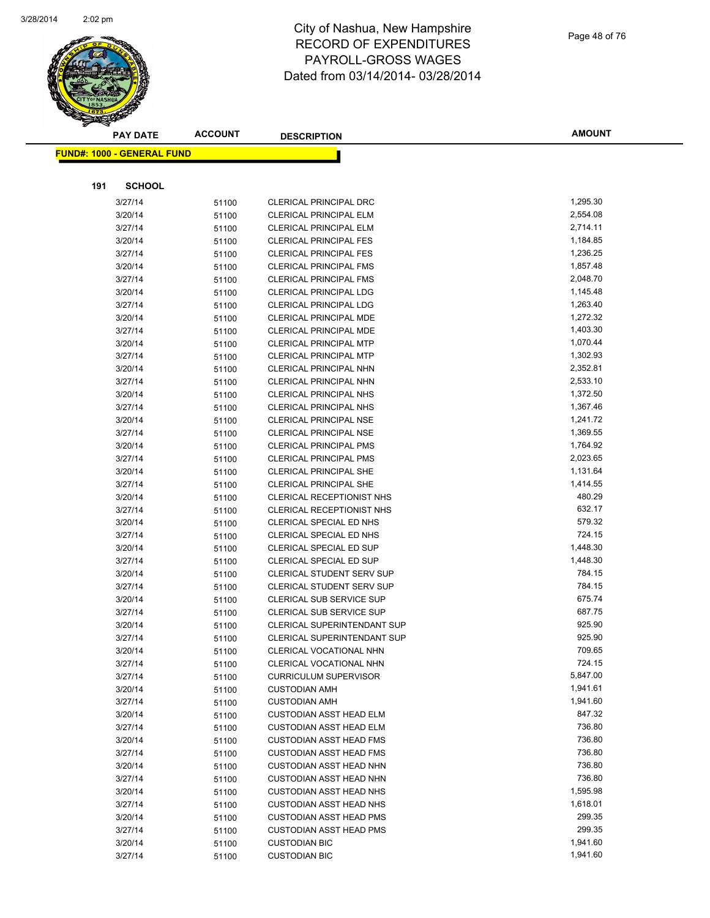

|     | <b>PAY DATE</b>                    | <b>ACCOUNT</b> | <b>DESCRIPTION</b>                                     | <b>AMOUNT</b> |
|-----|------------------------------------|----------------|--------------------------------------------------------|---------------|
|     | <u> FUND#: 1000 - GENERAL FUND</u> |                |                                                        |               |
|     |                                    |                |                                                        |               |
|     |                                    |                |                                                        |               |
| 191 | <b>SCHOOL</b>                      |                |                                                        |               |
|     | 3/27/14                            | 51100          | <b>CLERICAL PRINCIPAL DRC</b>                          | 1,295.30      |
|     | 3/20/14                            | 51100          | <b>CLERICAL PRINCIPAL ELM</b>                          | 2,554.08      |
|     | 3/27/14                            | 51100          | <b>CLERICAL PRINCIPAL ELM</b>                          | 2,714.11      |
|     | 3/20/14                            | 51100          | <b>CLERICAL PRINCIPAL FES</b>                          | 1,184.85      |
|     | 3/27/14                            | 51100          | <b>CLERICAL PRINCIPAL FES</b>                          | 1,236.25      |
|     | 3/20/14                            | 51100          | <b>CLERICAL PRINCIPAL FMS</b>                          | 1,857.48      |
|     | 3/27/14                            | 51100          | <b>CLERICAL PRINCIPAL FMS</b>                          | 2,048.70      |
|     | 3/20/14                            | 51100          | <b>CLERICAL PRINCIPAL LDG</b>                          | 1,145.48      |
|     | 3/27/14                            | 51100          | <b>CLERICAL PRINCIPAL LDG</b>                          | 1,263.40      |
|     | 3/20/14                            | 51100          | CLERICAL PRINCIPAL MDE                                 | 1,272.32      |
|     | 3/27/14                            | 51100          | <b>CLERICAL PRINCIPAL MDE</b>                          | 1,403.30      |
|     | 3/20/14                            | 51100          | <b>CLERICAL PRINCIPAL MTP</b>                          | 1,070.44      |
|     | 3/27/14                            | 51100          | <b>CLERICAL PRINCIPAL MTP</b>                          | 1,302.93      |
|     | 3/20/14                            | 51100          | <b>CLERICAL PRINCIPAL NHN</b>                          | 2,352.81      |
|     | 3/27/14                            | 51100          | CLERICAL PRINCIPAL NHN                                 | 2,533.10      |
|     | 3/20/14                            | 51100          | <b>CLERICAL PRINCIPAL NHS</b>                          | 1,372.50      |
|     | 3/27/14                            | 51100          | <b>CLERICAL PRINCIPAL NHS</b>                          | 1,367.46      |
|     | 3/20/14                            | 51100          | <b>CLERICAL PRINCIPAL NSE</b>                          | 1,241.72      |
|     | 3/27/14                            | 51100          | <b>CLERICAL PRINCIPAL NSE</b>                          | 1,369.55      |
|     | 3/20/14                            | 51100          | <b>CLERICAL PRINCIPAL PMS</b>                          | 1,764.92      |
|     | 3/27/14                            | 51100          | <b>CLERICAL PRINCIPAL PMS</b>                          | 2,023.65      |
|     | 3/20/14                            | 51100          | <b>CLERICAL PRINCIPAL SHE</b>                          | 1,131.64      |
|     | 3/27/14                            | 51100          | CLERICAL PRINCIPAL SHE                                 | 1,414.55      |
|     | 3/20/14                            | 51100          | <b>CLERICAL RECEPTIONIST NHS</b>                       | 480.29        |
|     | 3/27/14                            | 51100          | <b>CLERICAL RECEPTIONIST NHS</b>                       | 632.17        |
|     | 3/20/14                            | 51100          | CLERICAL SPECIAL ED NHS                                | 579.32        |
|     | 3/27/14                            | 51100          | CLERICAL SPECIAL ED NHS                                | 724.15        |
|     | 3/20/14                            | 51100          | CLERICAL SPECIAL ED SUP                                | 1,448.30      |
|     | 3/27/14                            | 51100          | <b>CLERICAL SPECIAL ED SUP</b>                         | 1,448.30      |
|     | 3/20/14                            | 51100          | CLERICAL STUDENT SERV SUP                              | 784.15        |
|     | 3/27/14                            | 51100          | <b>CLERICAL STUDENT SERV SUP</b>                       | 784.15        |
|     | 3/20/14                            | 51100          | <b>CLERICAL SUB SERVICE SUP</b>                        | 675.74        |
|     | 3/27/14                            | 51100          | <b>CLERICAL SUB SERVICE SUP</b>                        | 687.75        |
|     | 3/20/14                            | 51100          | <b>CLERICAL SUPERINTENDANT SUP</b>                     | 925.90        |
|     | 3/27/14                            | 51100          | <b>CLERICAL SUPERINTENDANT SUP</b>                     | 925.90        |
|     | 3/20/14                            | 51100          | CLERICAL VOCATIONAL NHN                                | 709.65        |
|     | 3/27/14                            | 51100          | CLERICAL VOCATIONAL NHN                                | 724.15        |
|     | 3/27/14                            | 51100          | <b>CURRICULUM SUPERVISOR</b>                           | 5,847.00      |
|     | 3/20/14                            | 51100          | <b>CUSTODIAN AMH</b>                                   | 1,941.61      |
|     | 3/27/14                            | 51100          | <b>CUSTODIAN AMH</b>                                   | 1,941.60      |
|     | 3/20/14                            | 51100          | <b>CUSTODIAN ASST HEAD ELM</b>                         | 847.32        |
|     | 3/27/14                            | 51100          | <b>CUSTODIAN ASST HEAD ELM</b>                         | 736.80        |
|     | 3/20/14                            | 51100          | <b>CUSTODIAN ASST HEAD FMS</b>                         | 736.80        |
|     | 3/27/14                            | 51100          | <b>CUSTODIAN ASST HEAD FMS</b>                         | 736.80        |
|     | 3/20/14                            |                | <b>CUSTODIAN ASST HEAD NHN</b>                         | 736.80        |
|     | 3/27/14                            | 51100<br>51100 | <b>CUSTODIAN ASST HEAD NHN</b>                         | 736.80        |
|     | 3/20/14                            |                | <b>CUSTODIAN ASST HEAD NHS</b>                         | 1,595.98      |
|     | 3/27/14                            | 51100          | <b>CUSTODIAN ASST HEAD NHS</b>                         | 1,618.01      |
|     | 3/20/14                            | 51100          | <b>CUSTODIAN ASST HEAD PMS</b>                         | 299.35        |
|     |                                    | 51100          |                                                        | 299.35        |
|     | 3/27/14<br>3/20/14                 | 51100          | <b>CUSTODIAN ASST HEAD PMS</b><br><b>CUSTODIAN BIC</b> | 1,941.60      |
|     |                                    | 51100          |                                                        | 1,941.60      |
|     | 3/27/14                            | 51100          | <b>CUSTODIAN BIC</b>                                   |               |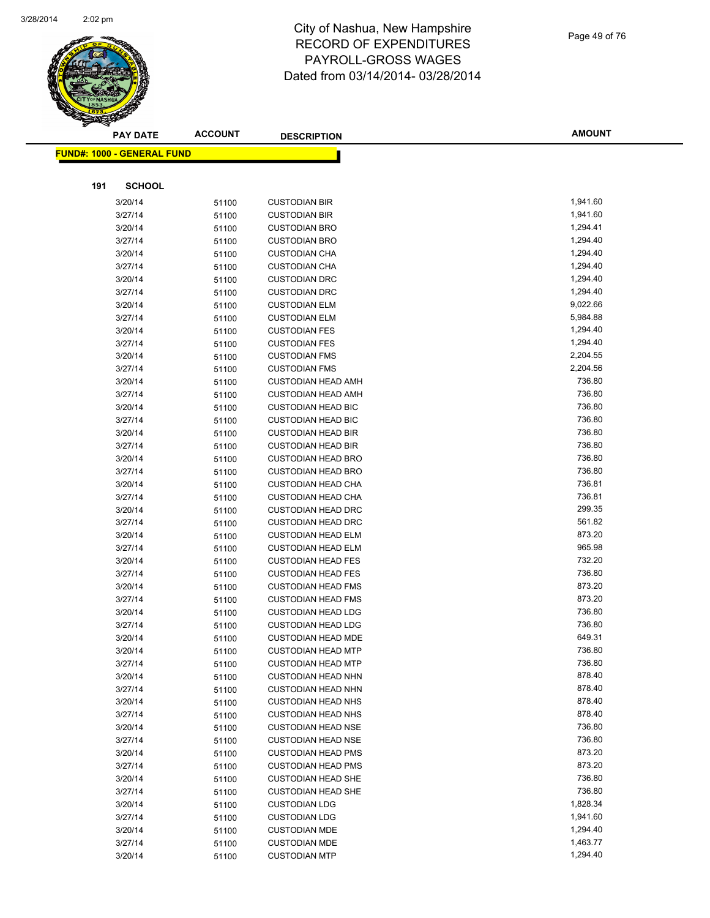

|     | <b>PAY DATE</b>                    | <b>ACCOUNT</b> | <b>DESCRIPTION</b>                                     | <b>AMOUNT</b>    |
|-----|------------------------------------|----------------|--------------------------------------------------------|------------------|
|     | <u> FUND#: 1000 - GENERAL FUND</u> |                |                                                        |                  |
|     |                                    |                |                                                        |                  |
|     |                                    |                |                                                        |                  |
| 191 | <b>SCHOOL</b>                      |                |                                                        |                  |
|     | 3/20/14                            | 51100          | <b>CUSTODIAN BIR</b>                                   | 1,941.60         |
|     | 3/27/14                            | 51100          | <b>CUSTODIAN BIR</b>                                   | 1,941.60         |
|     | 3/20/14                            | 51100          | <b>CUSTODIAN BRO</b>                                   | 1,294.41         |
|     | 3/27/14                            | 51100          | <b>CUSTODIAN BRO</b>                                   | 1,294.40         |
|     | 3/20/14                            | 51100          | <b>CUSTODIAN CHA</b>                                   | 1,294.40         |
|     | 3/27/14                            | 51100          | <b>CUSTODIAN CHA</b>                                   | 1,294.40         |
|     | 3/20/14                            | 51100          | <b>CUSTODIAN DRC</b>                                   | 1,294.40         |
|     | 3/27/14                            | 51100          | <b>CUSTODIAN DRC</b>                                   | 1,294.40         |
|     | 3/20/14                            | 51100          | <b>CUSTODIAN ELM</b>                                   | 9,022.66         |
|     | 3/27/14                            | 51100          | <b>CUSTODIAN ELM</b>                                   | 5,984.88         |
|     | 3/20/14                            | 51100          | <b>CUSTODIAN FES</b>                                   | 1,294.40         |
|     | 3/27/14                            | 51100          | <b>CUSTODIAN FES</b>                                   | 1,294.40         |
|     | 3/20/14                            | 51100          | <b>CUSTODIAN FMS</b>                                   | 2,204.55         |
|     | 3/27/14                            | 51100          | <b>CUSTODIAN FMS</b>                                   | 2,204.56         |
|     | 3/20/14                            | 51100          | <b>CUSTODIAN HEAD AMH</b>                              | 736.80           |
|     | 3/27/14                            | 51100          | <b>CUSTODIAN HEAD AMH</b>                              | 736.80           |
|     | 3/20/14                            | 51100          | <b>CUSTODIAN HEAD BIC</b>                              | 736.80           |
|     | 3/27/14                            | 51100          | <b>CUSTODIAN HEAD BIC</b>                              | 736.80           |
|     | 3/20/14                            | 51100          | <b>CUSTODIAN HEAD BIR</b>                              | 736.80           |
|     | 3/27/14                            | 51100          | <b>CUSTODIAN HEAD BIR</b>                              | 736.80           |
|     | 3/20/14                            | 51100          | <b>CUSTODIAN HEAD BRO</b>                              | 736.80<br>736.80 |
|     | 3/27/14                            | 51100          | <b>CUSTODIAN HEAD BRO</b>                              | 736.81           |
|     | 3/20/14                            | 51100          | <b>CUSTODIAN HEAD CHA</b><br><b>CUSTODIAN HEAD CHA</b> | 736.81           |
|     | 3/27/14                            | 51100          |                                                        | 299.35           |
|     | 3/20/14<br>3/27/14                 | 51100          | <b>CUSTODIAN HEAD DRC</b>                              | 561.82           |
|     | 3/20/14                            | 51100          | <b>CUSTODIAN HEAD DRC</b><br><b>CUSTODIAN HEAD ELM</b> | 873.20           |
|     | 3/27/14                            | 51100          | <b>CUSTODIAN HEAD ELM</b>                              | 965.98           |
|     | 3/20/14                            | 51100          | <b>CUSTODIAN HEAD FES</b>                              | 732.20           |
|     | 3/27/14                            | 51100          | <b>CUSTODIAN HEAD FES</b>                              | 736.80           |
|     | 3/20/14                            | 51100          | <b>CUSTODIAN HEAD FMS</b>                              | 873.20           |
|     | 3/27/14                            | 51100          | <b>CUSTODIAN HEAD FMS</b>                              | 873.20           |
|     | 3/20/14                            | 51100          | <b>CUSTODIAN HEAD LDG</b>                              | 736.80           |
|     | 3/27/14                            | 51100          | <b>CUSTODIAN HEAD LDG</b>                              | 736.80           |
|     | 3/20/14                            | 51100<br>51100 | <b>CUSTODIAN HEAD MDE</b>                              | 649.31           |
|     | 3/20/14                            | 51100          | <b>CUSTODIAN HEAD MTP</b>                              | 736.80           |
|     | 3/27/14                            | 51100          | <b>CUSTODIAN HEAD MTP</b>                              | 736.80           |
|     | 3/20/14                            | 51100          | <b>CUSTODIAN HEAD NHN</b>                              | 878.40           |
|     | 3/27/14                            | 51100          | <b>CUSTODIAN HEAD NHN</b>                              | 878.40           |
|     | 3/20/14                            | 51100          | <b>CUSTODIAN HEAD NHS</b>                              | 878.40           |
|     | 3/27/14                            | 51100          | <b>CUSTODIAN HEAD NHS</b>                              | 878.40           |
|     | 3/20/14                            | 51100          | <b>CUSTODIAN HEAD NSE</b>                              | 736.80           |
|     | 3/27/14                            | 51100          | <b>CUSTODIAN HEAD NSE</b>                              | 736.80           |
|     | 3/20/14                            | 51100          | <b>CUSTODIAN HEAD PMS</b>                              | 873.20           |
|     | 3/27/14                            | 51100          | <b>CUSTODIAN HEAD PMS</b>                              | 873.20           |
|     | 3/20/14                            | 51100          | <b>CUSTODIAN HEAD SHE</b>                              | 736.80           |
|     | 3/27/14                            | 51100          | <b>CUSTODIAN HEAD SHE</b>                              | 736.80           |
|     | 3/20/14                            | 51100          | <b>CUSTODIAN LDG</b>                                   | 1,828.34         |
|     | 3/27/14                            | 51100          | <b>CUSTODIAN LDG</b>                                   | 1,941.60         |
|     | 3/20/14                            | 51100          | <b>CUSTODIAN MDE</b>                                   | 1,294.40         |
|     | 3/27/14                            | 51100          | <b>CUSTODIAN MDE</b>                                   | 1,463.77         |
|     | 3/20/14                            | 51100          | <b>CUSTODIAN MTP</b>                                   | 1,294.40         |
|     |                                    |                |                                                        |                  |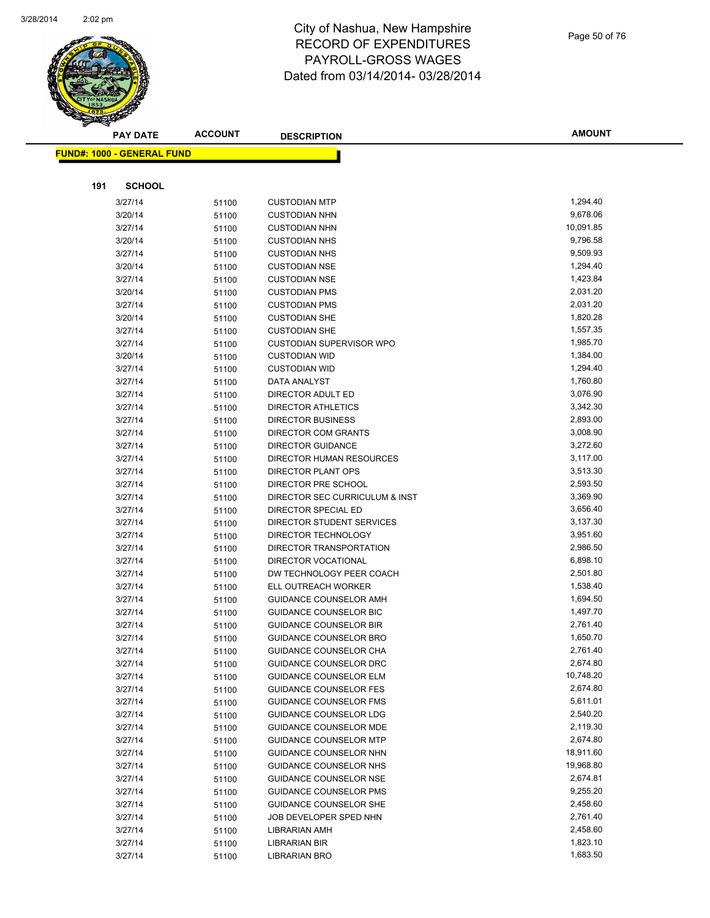

|     | <b>PAY DATE</b>                   | <b>ACCOUNT</b> | <b>DESCRIPTION</b>                | <b>AMOUNT</b>        |
|-----|-----------------------------------|----------------|-----------------------------------|----------------------|
|     | <b>FUND#: 1000 - GENERAL FUND</b> |                |                                   |                      |
|     |                                   |                |                                   |                      |
|     |                                   |                |                                   |                      |
| 191 | SCHOOL                            |                |                                   |                      |
|     | 3/27/14                           | 51100          | <b>CUSTODIAN MTP</b>              | 1,294.40             |
|     | 3/20/14                           | 51100          | <b>CUSTODIAN NHN</b>              | 9,678.06             |
|     | 3/27/14                           | 51100          | <b>CUSTODIAN NHN</b>              | 10,091.85            |
|     | 3/20/14                           | 51100          | <b>CUSTODIAN NHS</b>              | 9,796.58             |
|     | 3/27/14                           | 51100          | <b>CUSTODIAN NHS</b>              | 9,509.93             |
|     | 3/20/14                           | 51100          | <b>CUSTODIAN NSE</b>              | 1,294.40             |
|     | 3/27/14                           | 51100          | <b>CUSTODIAN NSE</b>              | 1,423.84             |
|     | 3/20/14                           | 51100          | <b>CUSTODIAN PMS</b>              | 2,031.20             |
|     | 3/27/14                           | 51100          | <b>CUSTODIAN PMS</b>              | 2,031.20             |
|     | 3/20/14                           | 51100          | <b>CUSTODIAN SHE</b>              | 1,820.28             |
|     | 3/27/14                           | 51100          | <b>CUSTODIAN SHE</b>              | 1,557.35             |
|     | 3/27/14                           | 51100          | CUSTODIAN SUPERVISOR WPO          | 1,985.70             |
|     | 3/20/14                           | 51100          | <b>CUSTODIAN WID</b>              | 1,384.00<br>1,294.40 |
|     | 3/27/14<br>3/27/14                | 51100          | <b>CUSTODIAN WID</b>              |                      |
|     | 3/27/14                           | 51100          | DATA ANALYST<br>DIRECTOR ADULT ED | 1,760.80<br>3,076.90 |
|     | 3/27/14                           | 51100          | <b>DIRECTOR ATHLETICS</b>         | 3,342.30             |
|     | 3/27/14                           | 51100          | DIRECTOR BUSINESS                 | 2,893.00             |
|     | 3/27/14                           | 51100          | DIRECTOR COM GRANTS               | 3,008.90             |
|     | 3/27/14                           | 51100<br>51100 | <b>DIRECTOR GUIDANCE</b>          | 3,272.60             |
|     | 3/27/14                           | 51100          | DIRECTOR HUMAN RESOURCES          | 3,117.00             |
|     | 3/27/14                           | 51100          | DIRECTOR PLANT OPS                | 3,513.30             |
|     | 3/27/14                           | 51100          | DIRECTOR PRE SCHOOL               | 2,593.50             |
|     | 3/27/14                           | 51100          | DIRECTOR SEC CURRICULUM & INST    | 3,369.90             |
|     | 3/27/14                           | 51100          | DIRECTOR SPECIAL ED               | 3,656.40             |
|     | 3/27/14                           | 51100          | DIRECTOR STUDENT SERVICES         | 3,137.30             |
|     | 3/27/14                           | 51100          | DIRECTOR TECHNOLOGY               | 3,951.60             |
|     | 3/27/14                           | 51100          | DIRECTOR TRANSPORTATION           | 2,986.50             |
|     | 3/27/14                           | 51100          | <b>DIRECTOR VOCATIONAL</b>        | 6,898.10             |
|     | 3/27/14                           | 51100          | DW TECHNOLOGY PEER COACH          | 2,501.80             |
|     | 3/27/14                           | 51100          | ELL OUTREACH WORKER               | 1,538.40             |
|     | 3/27/14                           | 51100          | GUIDANCE COUNSELOR AMH            | 1,694.50             |
|     | 3/27/14                           | 51100          | <b>GUIDANCE COUNSELOR BIC</b>     | 1,497.70             |
|     | 3/27/14                           | 51100          | <b>GUIDANCE COUNSELOR BIR</b>     | 2,761.40             |
|     | 3/27/14                           | 51100          | <b>GUIDANCE COUNSELOR BRO</b>     | 1,650.70             |
|     | 3/27/14                           | 51100          | GUIDANCE COUNSELOR CHA            | 2,761.40             |
|     | 3/27/14                           | 51100          | GUIDANCE COUNSELOR DRC            | 2,674.80             |
|     | 3/27/14                           | 51100          | <b>GUIDANCE COUNSELOR ELM</b>     | 10,748.20            |
|     | 3/27/14                           | 51100          | <b>GUIDANCE COUNSELOR FES</b>     | 2,674.80             |
|     | 3/27/14                           | 51100          | <b>GUIDANCE COUNSELOR FMS</b>     | 5,611.01             |
|     | 3/27/14                           | 51100          | <b>GUIDANCE COUNSELOR LDG</b>     | 2,540.20             |
|     | 3/27/14                           | 51100          | <b>GUIDANCE COUNSELOR MDE</b>     | 2,119.30             |
|     | 3/27/14                           | 51100          | <b>GUIDANCE COUNSELOR MTP</b>     | 2,674.80             |
|     | 3/27/14                           | 51100          | GUIDANCE COUNSELOR NHN            | 18,911.60            |
|     | 3/27/14                           | 51100          | GUIDANCE COUNSELOR NHS            | 19,968.80            |
|     | 3/27/14                           | 51100          | GUIDANCE COUNSELOR NSE            | 2,674.81             |
|     | 3/27/14                           | 51100          | <b>GUIDANCE COUNSELOR PMS</b>     | 9,255.20             |
|     | 3/27/14                           | 51100          | GUIDANCE COUNSELOR SHE            | 2,458.60             |
|     | 3/27/14                           | 51100          | JOB DEVELOPER SPED NHN            | 2,761.40             |
|     | 3/27/14                           | 51100          | LIBRARIAN AMH                     | 2,458.60             |
|     | 3/27/14                           | 51100          | LIBRARIAN BIR                     | 1,823.10             |
|     | 3/27/14                           | 51100          | <b>LIBRARIAN BRO</b>              | 1,683.50             |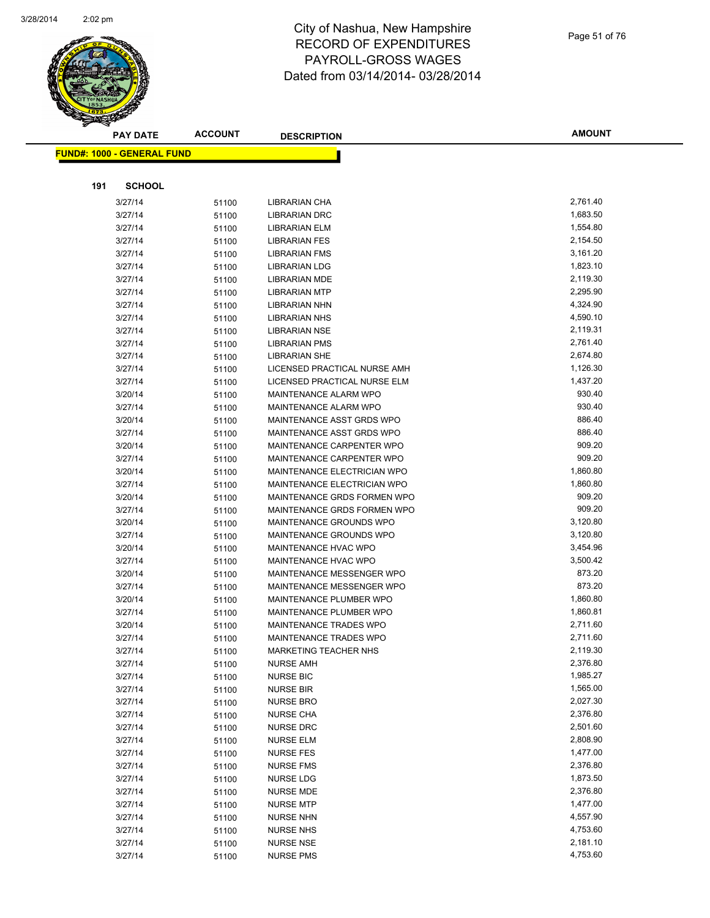

|     | <b>PAY DATE</b>                    | <b>ACCOUNT</b> | <b>DESCRIPTION</b>                                           | <b>AMOUNT</b>        |
|-----|------------------------------------|----------------|--------------------------------------------------------------|----------------------|
|     | <u> FUND#: 1000 - GENERAL FUND</u> |                |                                                              |                      |
|     |                                    |                |                                                              |                      |
|     |                                    |                |                                                              |                      |
| 191 | <b>SCHOOL</b>                      |                |                                                              |                      |
|     | 3/27/14                            | 51100          | LIBRARIAN CHA                                                | 2,761.40             |
|     | 3/27/14                            | 51100          | <b>LIBRARIAN DRC</b>                                         | 1,683.50             |
|     | 3/27/14                            | 51100          | <b>LIBRARIAN ELM</b>                                         | 1,554.80             |
|     | 3/27/14                            | 51100          | <b>LIBRARIAN FES</b>                                         | 2,154.50             |
|     | 3/27/14                            | 51100          | <b>LIBRARIAN FMS</b>                                         | 3,161.20             |
|     | 3/27/14                            | 51100          | <b>LIBRARIAN LDG</b>                                         | 1,823.10             |
|     | 3/27/14                            | 51100          | <b>LIBRARIAN MDE</b>                                         | 2,119.30             |
|     | 3/27/14                            | 51100          | <b>LIBRARIAN MTP</b>                                         | 2,295.90             |
|     | 3/27/14                            | 51100          | LIBRARIAN NHN                                                | 4,324.90             |
|     | 3/27/14                            | 51100          | <b>LIBRARIAN NHS</b>                                         | 4,590.10             |
|     | 3/27/14                            | 51100          | LIBRARIAN NSE                                                | 2,119.31             |
|     | 3/27/14                            | 51100          | LIBRARIAN PMS                                                | 2,761.40             |
|     | 3/27/14                            | 51100          | <b>LIBRARIAN SHE</b>                                         | 2,674.80             |
|     | 3/27/14                            | 51100          | LICENSED PRACTICAL NURSE AMH                                 | 1,126.30<br>1,437.20 |
|     | 3/27/14                            | 51100          | LICENSED PRACTICAL NURSE ELM<br><b>MAINTENANCE ALARM WPO</b> | 930.40               |
|     | 3/20/14<br>3/27/14                 | 51100          | MAINTENANCE ALARM WPO                                        | 930.40               |
|     |                                    | 51100          |                                                              | 886.40               |
|     | 3/20/14<br>3/27/14                 | 51100          | MAINTENANCE ASST GRDS WPO<br>MAINTENANCE ASST GRDS WPO       | 886.40               |
|     | 3/20/14                            | 51100          | MAINTENANCE CARPENTER WPO                                    | 909.20               |
|     | 3/27/14                            | 51100          | MAINTENANCE CARPENTER WPO                                    | 909.20               |
|     | 3/20/14                            | 51100<br>51100 | <b>MAINTENANCE ELECTRICIAN WPO</b>                           | 1,860.80             |
|     | 3/27/14                            | 51100          | MAINTENANCE ELECTRICIAN WPO                                  | 1,860.80             |
|     | 3/20/14                            | 51100          | MAINTENANCE GRDS FORMEN WPO                                  | 909.20               |
|     | 3/27/14                            | 51100          | MAINTENANCE GRDS FORMEN WPO                                  | 909.20               |
|     | 3/20/14                            | 51100          | MAINTENANCE GROUNDS WPO                                      | 3,120.80             |
|     | 3/27/14                            | 51100          | MAINTENANCE GROUNDS WPO                                      | 3,120.80             |
|     | 3/20/14                            | 51100          | <b>MAINTENANCE HVAC WPO</b>                                  | 3,454.96             |
|     | 3/27/14                            | 51100          | <b>MAINTENANCE HVAC WPO</b>                                  | 3,500.42             |
|     | 3/20/14                            | 51100          | MAINTENANCE MESSENGER WPO                                    | 873.20               |
|     | 3/27/14                            | 51100          | MAINTENANCE MESSENGER WPO                                    | 873.20               |
|     | 3/20/14                            | 51100          | MAINTENANCE PLUMBER WPO                                      | 1,860.80             |
|     | 3/27/14                            | 51100          | MAINTENANCE PLUMBER WPO                                      | 1,860.81             |
|     | 3/20/14                            | 51100          | MAINTENANCE TRADES WPO                                       | 2,711.60             |
|     | 3/27/14                            | 51100          | <b>MAINTENANCE TRADES WPO</b>                                | 2,711.60             |
|     | 3/27/14                            | 51100          | MARKETING TEACHER NHS                                        | 2,119.30             |
|     | 3/27/14                            | 51100          | <b>NURSE AMH</b>                                             | 2,376.80             |
|     | 3/27/14                            | 51100          | <b>NURSE BIC</b>                                             | 1,985.27             |
|     | 3/27/14                            | 51100          | <b>NURSE BIR</b>                                             | 1,565.00             |
|     | 3/27/14                            | 51100          | <b>NURSE BRO</b>                                             | 2,027.30             |
|     | 3/27/14                            | 51100          | <b>NURSE CHA</b>                                             | 2,376.80             |
|     | 3/27/14                            | 51100          | <b>NURSE DRC</b>                                             | 2,501.60             |
|     | 3/27/14                            | 51100          | <b>NURSE ELM</b>                                             | 2,808.90             |
|     | 3/27/14                            | 51100          | <b>NURSE FES</b>                                             | 1,477.00             |
|     | 3/27/14                            | 51100          | <b>NURSE FMS</b>                                             | 2,376.80             |
|     | 3/27/14                            | 51100          | <b>NURSE LDG</b>                                             | 1,873.50             |
|     | 3/27/14                            | 51100          | NURSE MDE                                                    | 2,376.80             |
|     | 3/27/14                            | 51100          | <b>NURSE MTP</b>                                             | 1,477.00             |
|     | 3/27/14                            | 51100          | <b>NURSE NHN</b>                                             | 4,557.90             |
|     | 3/27/14                            | 51100          | <b>NURSE NHS</b>                                             | 4,753.60             |
|     | 3/27/14                            | 51100          | <b>NURSE NSE</b>                                             | 2,181.10             |
|     | 3/27/14                            | 51100          | <b>NURSE PMS</b>                                             | 4,753.60             |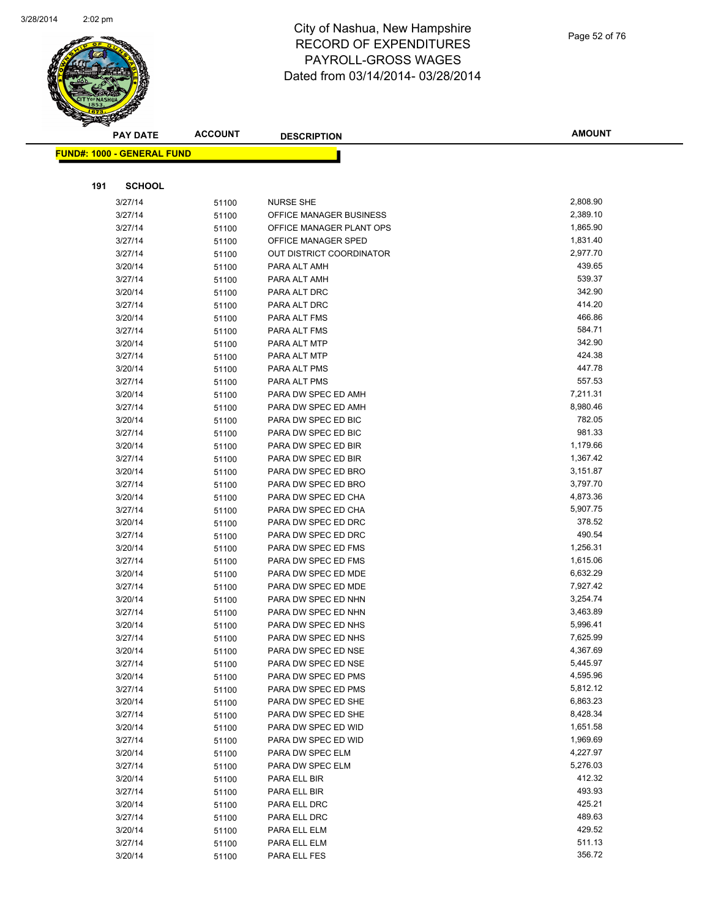

| <b>FUND#: 1000 - GENERAL FUND</b><br>191<br><b>SCHOOL</b><br>2,808.90<br>3/27/14<br><b>NURSE SHE</b><br>51100<br>2,389.10<br>3/27/14<br>OFFICE MANAGER BUSINESS<br>51100<br>1,865.90<br>3/27/14<br>OFFICE MANAGER PLANT OPS<br>51100<br>3/27/14<br>1,831.40<br>OFFICE MANAGER SPED<br>51100<br>2,977.70<br>3/27/14<br>OUT DISTRICT COORDINATOR<br>51100<br>439.65<br>3/20/14<br>PARA ALT AMH<br>51100<br>539.37<br>3/27/14<br>PARA ALT AMH<br>51100<br>342.90<br>3/20/14<br>PARA ALT DRC<br>51100<br>414.20<br>3/27/14<br>PARA ALT DRC<br>51100<br>466.86<br>3/20/14<br>PARA ALT FMS<br>51100<br>584.71<br>3/27/14<br>PARA ALT FMS<br>51100<br>342.90<br>3/20/14<br>PARA ALT MTP<br>51100<br>424.38<br>3/27/14<br>PARA ALT MTP<br>51100<br>447.78<br>3/20/14<br>PARA ALT PMS<br>51100<br>557.53<br>3/27/14<br>PARA ALT PMS<br>51100<br>7,211.31<br>3/20/14<br>PARA DW SPEC ED AMH<br>51100<br>3/27/14<br>PARA DW SPEC ED AMH<br>8,980.46<br>51100<br>782.05<br>3/20/14<br>PARA DW SPEC ED BIC<br>51100<br>981.33<br>3/27/14<br>PARA DW SPEC ED BIC<br>51100<br>1,179.66<br>3/20/14<br>PARA DW SPEC ED BIR<br>51100<br>1,367.42<br>3/27/14<br>PARA DW SPEC ED BIR<br>51100<br>3,151.87<br>3/20/14<br>PARA DW SPEC ED BRO<br>51100<br>3,797.70<br>3/27/14<br>PARA DW SPEC ED BRO<br>51100<br>4,873.36<br>3/20/14<br>PARA DW SPEC ED CHA<br>51100<br>5,907.75<br>PARA DW SPEC ED CHA<br>3/27/14<br>51100<br>378.52<br>3/20/14<br>PARA DW SPEC ED DRC<br>51100<br>490.54<br>3/27/14<br>PARA DW SPEC ED DRC<br>51100<br>3/20/14<br>1,256.31<br>PARA DW SPEC ED FMS<br>51100<br>1,615.06<br>3/27/14<br>PARA DW SPEC ED FMS<br>51100<br>PARA DW SPEC ED MDE<br>6,632.29<br>3/20/14<br>51100<br>7,927.42<br>3/27/14<br>PARA DW SPEC ED MDE<br>51100<br>3,254.74<br>3/20/14<br>PARA DW SPEC ED NHN<br>51100<br>3,463.89<br>3/27/14<br>PARA DW SPEC ED NHN<br>51100<br>5,996.41<br>3/20/14<br>PARA DW SPEC ED NHS<br>51100<br>7,625.99<br>3/27/14<br>PARA DW SPEC ED NHS<br>51100<br>3/20/14<br>PARA DW SPEC ED NSE<br>4,367.69<br>51100<br>5,445.97<br>3/27/14<br>51100<br>PARA DW SPEC ED NSE<br>4,595.96<br>3/20/14<br>PARA DW SPEC ED PMS<br>51100<br>5,812.12<br>3/27/14<br>PARA DW SPEC ED PMS<br>51100<br>6,863.23<br>3/20/14<br>PARA DW SPEC ED SHE<br>51100<br>8,428.34<br>3/27/14<br>PARA DW SPEC ED SHE<br>51100<br>1,651.58<br>PARA DW SPEC ED WID<br>3/20/14<br>51100<br>1,969.69<br>3/27/14<br>PARA DW SPEC ED WID<br>51100<br>4,227.97<br>3/20/14<br>PARA DW SPEC ELM<br>51100<br>5,276.03<br>3/27/14<br>PARA DW SPEC ELM<br>51100<br>412.32<br>3/20/14<br>PARA ELL BIR<br>51100<br>493.93<br>3/27/14<br>PARA ELL BIR<br>51100<br>425.21<br>3/20/14<br>PARA ELL DRC<br>51100<br>489.63<br>3/27/14<br>PARA ELL DRC<br>51100<br>429.52<br>3/20/14<br>PARA ELL ELM<br>51100<br>511.13<br>3/27/14<br>PARA ELL ELM<br>51100<br>356.72<br>3/20/14<br>PARA ELL FES | <b>PAY DATE</b> | <b>ACCOUNT</b> | <b>DESCRIPTION</b> | <b>AMOUNT</b> |
|------------------------------------------------------------------------------------------------------------------------------------------------------------------------------------------------------------------------------------------------------------------------------------------------------------------------------------------------------------------------------------------------------------------------------------------------------------------------------------------------------------------------------------------------------------------------------------------------------------------------------------------------------------------------------------------------------------------------------------------------------------------------------------------------------------------------------------------------------------------------------------------------------------------------------------------------------------------------------------------------------------------------------------------------------------------------------------------------------------------------------------------------------------------------------------------------------------------------------------------------------------------------------------------------------------------------------------------------------------------------------------------------------------------------------------------------------------------------------------------------------------------------------------------------------------------------------------------------------------------------------------------------------------------------------------------------------------------------------------------------------------------------------------------------------------------------------------------------------------------------------------------------------------------------------------------------------------------------------------------------------------------------------------------------------------------------------------------------------------------------------------------------------------------------------------------------------------------------------------------------------------------------------------------------------------------------------------------------------------------------------------------------------------------------------------------------------------------------------------------------------------------------------------------------------------------------------------------------------------------------------------------------------------------------------------------------------------------------------------------------------------------------------------------------------------------------------------------------------------------|-----------------|----------------|--------------------|---------------|
|                                                                                                                                                                                                                                                                                                                                                                                                                                                                                                                                                                                                                                                                                                                                                                                                                                                                                                                                                                                                                                                                                                                                                                                                                                                                                                                                                                                                                                                                                                                                                                                                                                                                                                                                                                                                                                                                                                                                                                                                                                                                                                                                                                                                                                                                                                                                                                                                                                                                                                                                                                                                                                                                                                                                                                                                                                                                  |                 |                |                    |               |
|                                                                                                                                                                                                                                                                                                                                                                                                                                                                                                                                                                                                                                                                                                                                                                                                                                                                                                                                                                                                                                                                                                                                                                                                                                                                                                                                                                                                                                                                                                                                                                                                                                                                                                                                                                                                                                                                                                                                                                                                                                                                                                                                                                                                                                                                                                                                                                                                                                                                                                                                                                                                                                                                                                                                                                                                                                                                  |                 |                |                    |               |
|                                                                                                                                                                                                                                                                                                                                                                                                                                                                                                                                                                                                                                                                                                                                                                                                                                                                                                                                                                                                                                                                                                                                                                                                                                                                                                                                                                                                                                                                                                                                                                                                                                                                                                                                                                                                                                                                                                                                                                                                                                                                                                                                                                                                                                                                                                                                                                                                                                                                                                                                                                                                                                                                                                                                                                                                                                                                  |                 |                |                    |               |
|                                                                                                                                                                                                                                                                                                                                                                                                                                                                                                                                                                                                                                                                                                                                                                                                                                                                                                                                                                                                                                                                                                                                                                                                                                                                                                                                                                                                                                                                                                                                                                                                                                                                                                                                                                                                                                                                                                                                                                                                                                                                                                                                                                                                                                                                                                                                                                                                                                                                                                                                                                                                                                                                                                                                                                                                                                                                  |                 |                |                    |               |
|                                                                                                                                                                                                                                                                                                                                                                                                                                                                                                                                                                                                                                                                                                                                                                                                                                                                                                                                                                                                                                                                                                                                                                                                                                                                                                                                                                                                                                                                                                                                                                                                                                                                                                                                                                                                                                                                                                                                                                                                                                                                                                                                                                                                                                                                                                                                                                                                                                                                                                                                                                                                                                                                                                                                                                                                                                                                  |                 |                |                    |               |
|                                                                                                                                                                                                                                                                                                                                                                                                                                                                                                                                                                                                                                                                                                                                                                                                                                                                                                                                                                                                                                                                                                                                                                                                                                                                                                                                                                                                                                                                                                                                                                                                                                                                                                                                                                                                                                                                                                                                                                                                                                                                                                                                                                                                                                                                                                                                                                                                                                                                                                                                                                                                                                                                                                                                                                                                                                                                  |                 |                |                    |               |
|                                                                                                                                                                                                                                                                                                                                                                                                                                                                                                                                                                                                                                                                                                                                                                                                                                                                                                                                                                                                                                                                                                                                                                                                                                                                                                                                                                                                                                                                                                                                                                                                                                                                                                                                                                                                                                                                                                                                                                                                                                                                                                                                                                                                                                                                                                                                                                                                                                                                                                                                                                                                                                                                                                                                                                                                                                                                  |                 |                |                    |               |
|                                                                                                                                                                                                                                                                                                                                                                                                                                                                                                                                                                                                                                                                                                                                                                                                                                                                                                                                                                                                                                                                                                                                                                                                                                                                                                                                                                                                                                                                                                                                                                                                                                                                                                                                                                                                                                                                                                                                                                                                                                                                                                                                                                                                                                                                                                                                                                                                                                                                                                                                                                                                                                                                                                                                                                                                                                                                  |                 |                |                    |               |
|                                                                                                                                                                                                                                                                                                                                                                                                                                                                                                                                                                                                                                                                                                                                                                                                                                                                                                                                                                                                                                                                                                                                                                                                                                                                                                                                                                                                                                                                                                                                                                                                                                                                                                                                                                                                                                                                                                                                                                                                                                                                                                                                                                                                                                                                                                                                                                                                                                                                                                                                                                                                                                                                                                                                                                                                                                                                  |                 |                |                    |               |
|                                                                                                                                                                                                                                                                                                                                                                                                                                                                                                                                                                                                                                                                                                                                                                                                                                                                                                                                                                                                                                                                                                                                                                                                                                                                                                                                                                                                                                                                                                                                                                                                                                                                                                                                                                                                                                                                                                                                                                                                                                                                                                                                                                                                                                                                                                                                                                                                                                                                                                                                                                                                                                                                                                                                                                                                                                                                  |                 |                |                    |               |
|                                                                                                                                                                                                                                                                                                                                                                                                                                                                                                                                                                                                                                                                                                                                                                                                                                                                                                                                                                                                                                                                                                                                                                                                                                                                                                                                                                                                                                                                                                                                                                                                                                                                                                                                                                                                                                                                                                                                                                                                                                                                                                                                                                                                                                                                                                                                                                                                                                                                                                                                                                                                                                                                                                                                                                                                                                                                  |                 |                |                    |               |
|                                                                                                                                                                                                                                                                                                                                                                                                                                                                                                                                                                                                                                                                                                                                                                                                                                                                                                                                                                                                                                                                                                                                                                                                                                                                                                                                                                                                                                                                                                                                                                                                                                                                                                                                                                                                                                                                                                                                                                                                                                                                                                                                                                                                                                                                                                                                                                                                                                                                                                                                                                                                                                                                                                                                                                                                                                                                  |                 |                |                    |               |
|                                                                                                                                                                                                                                                                                                                                                                                                                                                                                                                                                                                                                                                                                                                                                                                                                                                                                                                                                                                                                                                                                                                                                                                                                                                                                                                                                                                                                                                                                                                                                                                                                                                                                                                                                                                                                                                                                                                                                                                                                                                                                                                                                                                                                                                                                                                                                                                                                                                                                                                                                                                                                                                                                                                                                                                                                                                                  |                 |                |                    |               |
|                                                                                                                                                                                                                                                                                                                                                                                                                                                                                                                                                                                                                                                                                                                                                                                                                                                                                                                                                                                                                                                                                                                                                                                                                                                                                                                                                                                                                                                                                                                                                                                                                                                                                                                                                                                                                                                                                                                                                                                                                                                                                                                                                                                                                                                                                                                                                                                                                                                                                                                                                                                                                                                                                                                                                                                                                                                                  |                 |                |                    |               |
|                                                                                                                                                                                                                                                                                                                                                                                                                                                                                                                                                                                                                                                                                                                                                                                                                                                                                                                                                                                                                                                                                                                                                                                                                                                                                                                                                                                                                                                                                                                                                                                                                                                                                                                                                                                                                                                                                                                                                                                                                                                                                                                                                                                                                                                                                                                                                                                                                                                                                                                                                                                                                                                                                                                                                                                                                                                                  |                 |                |                    |               |
|                                                                                                                                                                                                                                                                                                                                                                                                                                                                                                                                                                                                                                                                                                                                                                                                                                                                                                                                                                                                                                                                                                                                                                                                                                                                                                                                                                                                                                                                                                                                                                                                                                                                                                                                                                                                                                                                                                                                                                                                                                                                                                                                                                                                                                                                                                                                                                                                                                                                                                                                                                                                                                                                                                                                                                                                                                                                  |                 |                |                    |               |
|                                                                                                                                                                                                                                                                                                                                                                                                                                                                                                                                                                                                                                                                                                                                                                                                                                                                                                                                                                                                                                                                                                                                                                                                                                                                                                                                                                                                                                                                                                                                                                                                                                                                                                                                                                                                                                                                                                                                                                                                                                                                                                                                                                                                                                                                                                                                                                                                                                                                                                                                                                                                                                                                                                                                                                                                                                                                  |                 |                |                    |               |
|                                                                                                                                                                                                                                                                                                                                                                                                                                                                                                                                                                                                                                                                                                                                                                                                                                                                                                                                                                                                                                                                                                                                                                                                                                                                                                                                                                                                                                                                                                                                                                                                                                                                                                                                                                                                                                                                                                                                                                                                                                                                                                                                                                                                                                                                                                                                                                                                                                                                                                                                                                                                                                                                                                                                                                                                                                                                  |                 |                |                    |               |
|                                                                                                                                                                                                                                                                                                                                                                                                                                                                                                                                                                                                                                                                                                                                                                                                                                                                                                                                                                                                                                                                                                                                                                                                                                                                                                                                                                                                                                                                                                                                                                                                                                                                                                                                                                                                                                                                                                                                                                                                                                                                                                                                                                                                                                                                                                                                                                                                                                                                                                                                                                                                                                                                                                                                                                                                                                                                  |                 |                |                    |               |
|                                                                                                                                                                                                                                                                                                                                                                                                                                                                                                                                                                                                                                                                                                                                                                                                                                                                                                                                                                                                                                                                                                                                                                                                                                                                                                                                                                                                                                                                                                                                                                                                                                                                                                                                                                                                                                                                                                                                                                                                                                                                                                                                                                                                                                                                                                                                                                                                                                                                                                                                                                                                                                                                                                                                                                                                                                                                  |                 |                |                    |               |
|                                                                                                                                                                                                                                                                                                                                                                                                                                                                                                                                                                                                                                                                                                                                                                                                                                                                                                                                                                                                                                                                                                                                                                                                                                                                                                                                                                                                                                                                                                                                                                                                                                                                                                                                                                                                                                                                                                                                                                                                                                                                                                                                                                                                                                                                                                                                                                                                                                                                                                                                                                                                                                                                                                                                                                                                                                                                  |                 |                |                    |               |
|                                                                                                                                                                                                                                                                                                                                                                                                                                                                                                                                                                                                                                                                                                                                                                                                                                                                                                                                                                                                                                                                                                                                                                                                                                                                                                                                                                                                                                                                                                                                                                                                                                                                                                                                                                                                                                                                                                                                                                                                                                                                                                                                                                                                                                                                                                                                                                                                                                                                                                                                                                                                                                                                                                                                                                                                                                                                  |                 |                |                    |               |
|                                                                                                                                                                                                                                                                                                                                                                                                                                                                                                                                                                                                                                                                                                                                                                                                                                                                                                                                                                                                                                                                                                                                                                                                                                                                                                                                                                                                                                                                                                                                                                                                                                                                                                                                                                                                                                                                                                                                                                                                                                                                                                                                                                                                                                                                                                                                                                                                                                                                                                                                                                                                                                                                                                                                                                                                                                                                  |                 |                |                    |               |
|                                                                                                                                                                                                                                                                                                                                                                                                                                                                                                                                                                                                                                                                                                                                                                                                                                                                                                                                                                                                                                                                                                                                                                                                                                                                                                                                                                                                                                                                                                                                                                                                                                                                                                                                                                                                                                                                                                                                                                                                                                                                                                                                                                                                                                                                                                                                                                                                                                                                                                                                                                                                                                                                                                                                                                                                                                                                  |                 |                |                    |               |
|                                                                                                                                                                                                                                                                                                                                                                                                                                                                                                                                                                                                                                                                                                                                                                                                                                                                                                                                                                                                                                                                                                                                                                                                                                                                                                                                                                                                                                                                                                                                                                                                                                                                                                                                                                                                                                                                                                                                                                                                                                                                                                                                                                                                                                                                                                                                                                                                                                                                                                                                                                                                                                                                                                                                                                                                                                                                  |                 |                |                    |               |
|                                                                                                                                                                                                                                                                                                                                                                                                                                                                                                                                                                                                                                                                                                                                                                                                                                                                                                                                                                                                                                                                                                                                                                                                                                                                                                                                                                                                                                                                                                                                                                                                                                                                                                                                                                                                                                                                                                                                                                                                                                                                                                                                                                                                                                                                                                                                                                                                                                                                                                                                                                                                                                                                                                                                                                                                                                                                  |                 |                |                    |               |
|                                                                                                                                                                                                                                                                                                                                                                                                                                                                                                                                                                                                                                                                                                                                                                                                                                                                                                                                                                                                                                                                                                                                                                                                                                                                                                                                                                                                                                                                                                                                                                                                                                                                                                                                                                                                                                                                                                                                                                                                                                                                                                                                                                                                                                                                                                                                                                                                                                                                                                                                                                                                                                                                                                                                                                                                                                                                  |                 |                |                    |               |
|                                                                                                                                                                                                                                                                                                                                                                                                                                                                                                                                                                                                                                                                                                                                                                                                                                                                                                                                                                                                                                                                                                                                                                                                                                                                                                                                                                                                                                                                                                                                                                                                                                                                                                                                                                                                                                                                                                                                                                                                                                                                                                                                                                                                                                                                                                                                                                                                                                                                                                                                                                                                                                                                                                                                                                                                                                                                  |                 |                |                    |               |
|                                                                                                                                                                                                                                                                                                                                                                                                                                                                                                                                                                                                                                                                                                                                                                                                                                                                                                                                                                                                                                                                                                                                                                                                                                                                                                                                                                                                                                                                                                                                                                                                                                                                                                                                                                                                                                                                                                                                                                                                                                                                                                                                                                                                                                                                                                                                                                                                                                                                                                                                                                                                                                                                                                                                                                                                                                                                  |                 |                |                    |               |
|                                                                                                                                                                                                                                                                                                                                                                                                                                                                                                                                                                                                                                                                                                                                                                                                                                                                                                                                                                                                                                                                                                                                                                                                                                                                                                                                                                                                                                                                                                                                                                                                                                                                                                                                                                                                                                                                                                                                                                                                                                                                                                                                                                                                                                                                                                                                                                                                                                                                                                                                                                                                                                                                                                                                                                                                                                                                  |                 |                |                    |               |
|                                                                                                                                                                                                                                                                                                                                                                                                                                                                                                                                                                                                                                                                                                                                                                                                                                                                                                                                                                                                                                                                                                                                                                                                                                                                                                                                                                                                                                                                                                                                                                                                                                                                                                                                                                                                                                                                                                                                                                                                                                                                                                                                                                                                                                                                                                                                                                                                                                                                                                                                                                                                                                                                                                                                                                                                                                                                  |                 |                |                    |               |
|                                                                                                                                                                                                                                                                                                                                                                                                                                                                                                                                                                                                                                                                                                                                                                                                                                                                                                                                                                                                                                                                                                                                                                                                                                                                                                                                                                                                                                                                                                                                                                                                                                                                                                                                                                                                                                                                                                                                                                                                                                                                                                                                                                                                                                                                                                                                                                                                                                                                                                                                                                                                                                                                                                                                                                                                                                                                  |                 |                |                    |               |
|                                                                                                                                                                                                                                                                                                                                                                                                                                                                                                                                                                                                                                                                                                                                                                                                                                                                                                                                                                                                                                                                                                                                                                                                                                                                                                                                                                                                                                                                                                                                                                                                                                                                                                                                                                                                                                                                                                                                                                                                                                                                                                                                                                                                                                                                                                                                                                                                                                                                                                                                                                                                                                                                                                                                                                                                                                                                  |                 |                |                    |               |
|                                                                                                                                                                                                                                                                                                                                                                                                                                                                                                                                                                                                                                                                                                                                                                                                                                                                                                                                                                                                                                                                                                                                                                                                                                                                                                                                                                                                                                                                                                                                                                                                                                                                                                                                                                                                                                                                                                                                                                                                                                                                                                                                                                                                                                                                                                                                                                                                                                                                                                                                                                                                                                                                                                                                                                                                                                                                  |                 |                |                    |               |
|                                                                                                                                                                                                                                                                                                                                                                                                                                                                                                                                                                                                                                                                                                                                                                                                                                                                                                                                                                                                                                                                                                                                                                                                                                                                                                                                                                                                                                                                                                                                                                                                                                                                                                                                                                                                                                                                                                                                                                                                                                                                                                                                                                                                                                                                                                                                                                                                                                                                                                                                                                                                                                                                                                                                                                                                                                                                  |                 |                |                    |               |
|                                                                                                                                                                                                                                                                                                                                                                                                                                                                                                                                                                                                                                                                                                                                                                                                                                                                                                                                                                                                                                                                                                                                                                                                                                                                                                                                                                                                                                                                                                                                                                                                                                                                                                                                                                                                                                                                                                                                                                                                                                                                                                                                                                                                                                                                                                                                                                                                                                                                                                                                                                                                                                                                                                                                                                                                                                                                  |                 |                |                    |               |
|                                                                                                                                                                                                                                                                                                                                                                                                                                                                                                                                                                                                                                                                                                                                                                                                                                                                                                                                                                                                                                                                                                                                                                                                                                                                                                                                                                                                                                                                                                                                                                                                                                                                                                                                                                                                                                                                                                                                                                                                                                                                                                                                                                                                                                                                                                                                                                                                                                                                                                                                                                                                                                                                                                                                                                                                                                                                  |                 |                |                    |               |
|                                                                                                                                                                                                                                                                                                                                                                                                                                                                                                                                                                                                                                                                                                                                                                                                                                                                                                                                                                                                                                                                                                                                                                                                                                                                                                                                                                                                                                                                                                                                                                                                                                                                                                                                                                                                                                                                                                                                                                                                                                                                                                                                                                                                                                                                                                                                                                                                                                                                                                                                                                                                                                                                                                                                                                                                                                                                  |                 |                |                    |               |
|                                                                                                                                                                                                                                                                                                                                                                                                                                                                                                                                                                                                                                                                                                                                                                                                                                                                                                                                                                                                                                                                                                                                                                                                                                                                                                                                                                                                                                                                                                                                                                                                                                                                                                                                                                                                                                                                                                                                                                                                                                                                                                                                                                                                                                                                                                                                                                                                                                                                                                                                                                                                                                                                                                                                                                                                                                                                  |                 |                |                    |               |
|                                                                                                                                                                                                                                                                                                                                                                                                                                                                                                                                                                                                                                                                                                                                                                                                                                                                                                                                                                                                                                                                                                                                                                                                                                                                                                                                                                                                                                                                                                                                                                                                                                                                                                                                                                                                                                                                                                                                                                                                                                                                                                                                                                                                                                                                                                                                                                                                                                                                                                                                                                                                                                                                                                                                                                                                                                                                  |                 |                |                    |               |
|                                                                                                                                                                                                                                                                                                                                                                                                                                                                                                                                                                                                                                                                                                                                                                                                                                                                                                                                                                                                                                                                                                                                                                                                                                                                                                                                                                                                                                                                                                                                                                                                                                                                                                                                                                                                                                                                                                                                                                                                                                                                                                                                                                                                                                                                                                                                                                                                                                                                                                                                                                                                                                                                                                                                                                                                                                                                  |                 |                |                    |               |
|                                                                                                                                                                                                                                                                                                                                                                                                                                                                                                                                                                                                                                                                                                                                                                                                                                                                                                                                                                                                                                                                                                                                                                                                                                                                                                                                                                                                                                                                                                                                                                                                                                                                                                                                                                                                                                                                                                                                                                                                                                                                                                                                                                                                                                                                                                                                                                                                                                                                                                                                                                                                                                                                                                                                                                                                                                                                  |                 |                |                    |               |
|                                                                                                                                                                                                                                                                                                                                                                                                                                                                                                                                                                                                                                                                                                                                                                                                                                                                                                                                                                                                                                                                                                                                                                                                                                                                                                                                                                                                                                                                                                                                                                                                                                                                                                                                                                                                                                                                                                                                                                                                                                                                                                                                                                                                                                                                                                                                                                                                                                                                                                                                                                                                                                                                                                                                                                                                                                                                  |                 |                |                    |               |
|                                                                                                                                                                                                                                                                                                                                                                                                                                                                                                                                                                                                                                                                                                                                                                                                                                                                                                                                                                                                                                                                                                                                                                                                                                                                                                                                                                                                                                                                                                                                                                                                                                                                                                                                                                                                                                                                                                                                                                                                                                                                                                                                                                                                                                                                                                                                                                                                                                                                                                                                                                                                                                                                                                                                                                                                                                                                  |                 |                |                    |               |
|                                                                                                                                                                                                                                                                                                                                                                                                                                                                                                                                                                                                                                                                                                                                                                                                                                                                                                                                                                                                                                                                                                                                                                                                                                                                                                                                                                                                                                                                                                                                                                                                                                                                                                                                                                                                                                                                                                                                                                                                                                                                                                                                                                                                                                                                                                                                                                                                                                                                                                                                                                                                                                                                                                                                                                                                                                                                  |                 |                |                    |               |
|                                                                                                                                                                                                                                                                                                                                                                                                                                                                                                                                                                                                                                                                                                                                                                                                                                                                                                                                                                                                                                                                                                                                                                                                                                                                                                                                                                                                                                                                                                                                                                                                                                                                                                                                                                                                                                                                                                                                                                                                                                                                                                                                                                                                                                                                                                                                                                                                                                                                                                                                                                                                                                                                                                                                                                                                                                                                  |                 |                |                    |               |
|                                                                                                                                                                                                                                                                                                                                                                                                                                                                                                                                                                                                                                                                                                                                                                                                                                                                                                                                                                                                                                                                                                                                                                                                                                                                                                                                                                                                                                                                                                                                                                                                                                                                                                                                                                                                                                                                                                                                                                                                                                                                                                                                                                                                                                                                                                                                                                                                                                                                                                                                                                                                                                                                                                                                                                                                                                                                  |                 |                |                    |               |
|                                                                                                                                                                                                                                                                                                                                                                                                                                                                                                                                                                                                                                                                                                                                                                                                                                                                                                                                                                                                                                                                                                                                                                                                                                                                                                                                                                                                                                                                                                                                                                                                                                                                                                                                                                                                                                                                                                                                                                                                                                                                                                                                                                                                                                                                                                                                                                                                                                                                                                                                                                                                                                                                                                                                                                                                                                                                  |                 |                |                    |               |
|                                                                                                                                                                                                                                                                                                                                                                                                                                                                                                                                                                                                                                                                                                                                                                                                                                                                                                                                                                                                                                                                                                                                                                                                                                                                                                                                                                                                                                                                                                                                                                                                                                                                                                                                                                                                                                                                                                                                                                                                                                                                                                                                                                                                                                                                                                                                                                                                                                                                                                                                                                                                                                                                                                                                                                                                                                                                  |                 |                |                    |               |
|                                                                                                                                                                                                                                                                                                                                                                                                                                                                                                                                                                                                                                                                                                                                                                                                                                                                                                                                                                                                                                                                                                                                                                                                                                                                                                                                                                                                                                                                                                                                                                                                                                                                                                                                                                                                                                                                                                                                                                                                                                                                                                                                                                                                                                                                                                                                                                                                                                                                                                                                                                                                                                                                                                                                                                                                                                                                  |                 |                |                    |               |
|                                                                                                                                                                                                                                                                                                                                                                                                                                                                                                                                                                                                                                                                                                                                                                                                                                                                                                                                                                                                                                                                                                                                                                                                                                                                                                                                                                                                                                                                                                                                                                                                                                                                                                                                                                                                                                                                                                                                                                                                                                                                                                                                                                                                                                                                                                                                                                                                                                                                                                                                                                                                                                                                                                                                                                                                                                                                  |                 |                |                    |               |
|                                                                                                                                                                                                                                                                                                                                                                                                                                                                                                                                                                                                                                                                                                                                                                                                                                                                                                                                                                                                                                                                                                                                                                                                                                                                                                                                                                                                                                                                                                                                                                                                                                                                                                                                                                                                                                                                                                                                                                                                                                                                                                                                                                                                                                                                                                                                                                                                                                                                                                                                                                                                                                                                                                                                                                                                                                                                  |                 |                |                    |               |
|                                                                                                                                                                                                                                                                                                                                                                                                                                                                                                                                                                                                                                                                                                                                                                                                                                                                                                                                                                                                                                                                                                                                                                                                                                                                                                                                                                                                                                                                                                                                                                                                                                                                                                                                                                                                                                                                                                                                                                                                                                                                                                                                                                                                                                                                                                                                                                                                                                                                                                                                                                                                                                                                                                                                                                                                                                                                  |                 |                |                    |               |
|                                                                                                                                                                                                                                                                                                                                                                                                                                                                                                                                                                                                                                                                                                                                                                                                                                                                                                                                                                                                                                                                                                                                                                                                                                                                                                                                                                                                                                                                                                                                                                                                                                                                                                                                                                                                                                                                                                                                                                                                                                                                                                                                                                                                                                                                                                                                                                                                                                                                                                                                                                                                                                                                                                                                                                                                                                                                  |                 |                |                    |               |
|                                                                                                                                                                                                                                                                                                                                                                                                                                                                                                                                                                                                                                                                                                                                                                                                                                                                                                                                                                                                                                                                                                                                                                                                                                                                                                                                                                                                                                                                                                                                                                                                                                                                                                                                                                                                                                                                                                                                                                                                                                                                                                                                                                                                                                                                                                                                                                                                                                                                                                                                                                                                                                                                                                                                                                                                                                                                  |                 |                |                    |               |
|                                                                                                                                                                                                                                                                                                                                                                                                                                                                                                                                                                                                                                                                                                                                                                                                                                                                                                                                                                                                                                                                                                                                                                                                                                                                                                                                                                                                                                                                                                                                                                                                                                                                                                                                                                                                                                                                                                                                                                                                                                                                                                                                                                                                                                                                                                                                                                                                                                                                                                                                                                                                                                                                                                                                                                                                                                                                  |                 | 51100          |                    |               |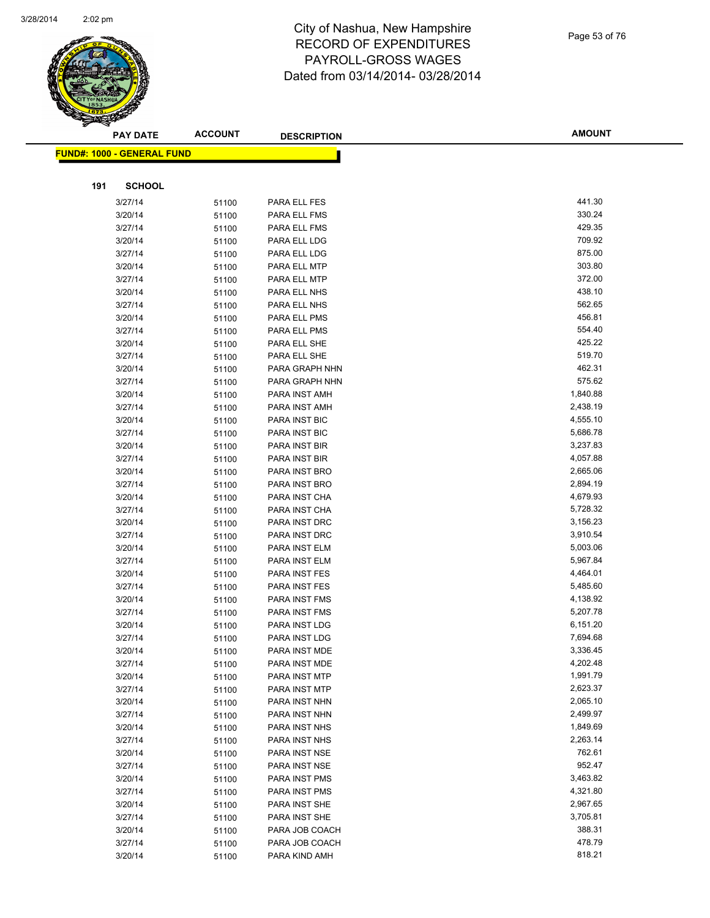

|     | <b>PAY DATE</b>                    | <b>ACCOUNT</b> | <b>DESCRIPTION</b> | <b>AMOUNT</b> |
|-----|------------------------------------|----------------|--------------------|---------------|
|     | <u> FUND#: 1000 - GENERAL FUND</u> |                |                    |               |
|     |                                    |                |                    |               |
| 191 | <b>SCHOOL</b>                      |                |                    |               |
|     | 3/27/14                            | 51100          | PARA ELL FES       | 441.30        |
|     | 3/20/14                            | 51100          | PARA ELL FMS       | 330.24        |
|     | 3/27/14                            | 51100          | PARA ELL FMS       | 429.35        |
|     | 3/20/14                            | 51100          | PARA ELL LDG       | 709.92        |
|     | 3/27/14                            | 51100          | PARA ELL LDG       | 875.00        |
|     | 3/20/14                            | 51100          | PARA ELL MTP       | 303.80        |
|     | 3/27/14                            | 51100          | PARA ELL MTP       | 372.00        |
|     | 3/20/14                            | 51100          | PARA ELL NHS       | 438.10        |
|     | 3/27/14                            | 51100          | PARA ELL NHS       | 562.65        |
|     | 3/20/14                            | 51100          | PARA ELL PMS       | 456.81        |
|     | 3/27/14                            | 51100          | PARA ELL PMS       | 554.40        |
|     | 3/20/14                            | 51100          | PARA ELL SHE       | 425.22        |
|     | 3/27/14                            | 51100          | PARA ELL SHE       | 519.70        |
|     | 3/20/14                            | 51100          | PARA GRAPH NHN     | 462.31        |
|     | 3/27/14                            | 51100          | PARA GRAPH NHN     | 575.62        |
|     | 3/20/14                            | 51100          | PARA INST AMH      | 1,840.88      |
|     | 3/27/14                            | 51100          | PARA INST AMH      | 2,438.19      |
|     | 3/20/14                            | 51100          | PARA INST BIC      | 4,555.10      |
|     | 3/27/14                            | 51100          | PARA INST BIC      | 5,686.78      |
|     | 3/20/14                            | 51100          | PARA INST BIR      | 3,237.83      |
|     | 3/27/14                            | 51100          | PARA INST BIR      | 4,057.88      |
|     | 3/20/14                            | 51100          | PARA INST BRO      | 2,665.06      |
|     | 3/27/14                            | 51100          | PARA INST BRO      | 2,894.19      |
|     | 3/20/14                            | 51100          | PARA INST CHA      | 4,679.93      |
|     | 3/27/14                            | 51100          | PARA INST CHA      | 5,728.32      |
|     | 3/20/14                            | 51100          | PARA INST DRC      | 3,156.23      |
|     | 3/27/14                            | 51100          | PARA INST DRC      | 3,910.54      |
|     | 3/20/14                            | 51100          | PARA INST ELM      | 5,003.06      |
|     | 3/27/14                            | 51100          | PARA INST ELM      | 5,967.84      |
|     | 3/20/14                            | 51100          | PARA INST FES      | 4,464.01      |
|     | 3/27/14                            | 51100          | PARA INST FES      | 5,485.60      |
|     | 3/20/14                            | 51100          | PARA INST FMS      | 4,138.92      |
|     | 3/27/14                            | 51100          | PARA INST FMS      | 5,207.78      |
|     | 3/20/14                            | 51100          | PARA INST LDG      | 6,151.20      |
|     | 3/27/14                            | 51100          | PARA INST LDG      | 7,694.68      |
|     | 3/20/14                            | 51100          | PARA INST MDE      | 3,336.45      |
|     | 3/27/14                            | 51100          | PARA INST MDE      | 4,202.48      |
|     | 3/20/14                            | 51100          | PARA INST MTP      | 1,991.79      |
|     | 3/27/14                            | 51100          | PARA INST MTP      | 2,623.37      |
|     | 3/20/14                            | 51100          | PARA INST NHN      | 2,065.10      |
|     | 3/27/14                            | 51100          | PARA INST NHN      | 2,499.97      |
|     | 3/20/14                            | 51100          | PARA INST NHS      | 1,849.69      |
|     | 3/27/14                            | 51100          | PARA INST NHS      | 2,263.14      |
|     | 3/20/14                            | 51100          | PARA INST NSE      | 762.61        |
|     | 3/27/14                            | 51100          | PARA INST NSE      | 952.47        |
|     | 3/20/14                            | 51100          | PARA INST PMS      | 3,463.82      |
|     | 3/27/14                            | 51100          | PARA INST PMS      | 4,321.80      |
|     | 3/20/14                            | 51100          | PARA INST SHE      | 2,967.65      |
|     | 3/27/14                            | 51100          | PARA INST SHE      | 3,705.81      |
|     | 3/20/14                            | 51100          | PARA JOB COACH     | 388.31        |
|     | 3/27/14                            | 51100          | PARA JOB COACH     | 478.79        |
|     | 3/20/14                            | 51100          | PARA KIND AMH      | 818.21        |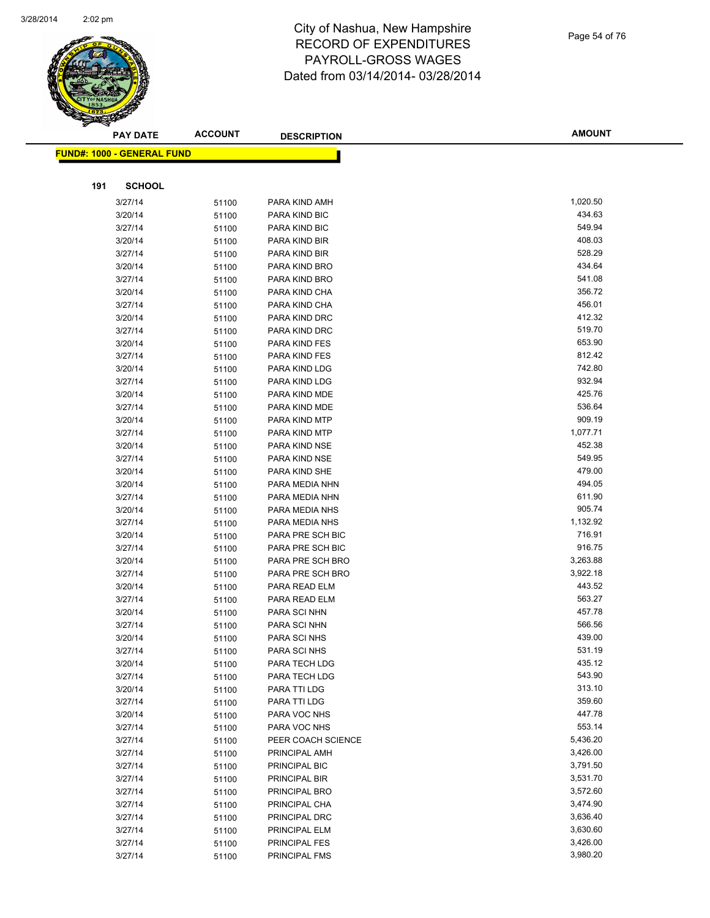

|     | <b>PAY DATE</b>                    | <b>ACCOUNT</b> | <b>DESCRIPTION</b>             | <b>AMOUNT</b>    |
|-----|------------------------------------|----------------|--------------------------------|------------------|
|     | <u> FUND#: 1000 - GENERAL FUND</u> |                |                                |                  |
|     |                                    |                |                                |                  |
|     |                                    |                |                                |                  |
| 191 | <b>SCHOOL</b>                      |                |                                |                  |
|     | 3/27/14                            | 51100          | PARA KIND AMH                  | 1,020.50         |
|     | 3/20/14                            | 51100          | PARA KIND BIC                  | 434.63           |
|     | 3/27/14                            | 51100          | PARA KIND BIC                  | 549.94           |
|     | 3/20/14                            | 51100          | PARA KIND BIR                  | 408.03           |
|     | 3/27/14                            | 51100          | PARA KIND BIR                  | 528.29           |
|     | 3/20/14                            | 51100          | PARA KIND BRO                  | 434.64           |
|     | 3/27/14                            | 51100          | PARA KIND BRO                  | 541.08           |
|     | 3/20/14                            | 51100          | PARA KIND CHA                  | 356.72           |
|     | 3/27/14                            | 51100          | PARA KIND CHA                  | 456.01           |
|     | 3/20/14                            | 51100          | PARA KIND DRC                  | 412.32           |
|     | 3/27/14                            | 51100          | PARA KIND DRC                  | 519.70<br>653.90 |
|     | 3/20/14                            | 51100          | PARA KIND FES                  | 812.42           |
|     | 3/27/14                            | 51100          | PARA KIND FES                  | 742.80           |
|     | 3/20/14                            | 51100          | PARA KIND LDG                  | 932.94           |
|     | 3/27/14                            | 51100          | PARA KIND LDG                  | 425.76           |
|     | 3/20/14                            | 51100          | PARA KIND MDE<br>PARA KIND MDE | 536.64           |
|     | 3/27/14<br>3/20/14                 | 51100          |                                | 909.19           |
|     |                                    | 51100          | PARA KIND MTP                  | 1,077.71         |
|     | 3/27/14                            | 51100          | PARA KIND MTP                  | 452.38           |
|     | 3/20/14<br>3/27/14                 | 51100          | PARA KIND NSE<br>PARA KIND NSE | 549.95           |
|     | 3/20/14                            | 51100          | PARA KIND SHE                  | 479.00           |
|     | 3/20/14                            | 51100          | PARA MEDIA NHN                 | 494.05           |
|     | 3/27/14                            | 51100          | PARA MEDIA NHN                 | 611.90           |
|     | 3/20/14                            | 51100<br>51100 | PARA MEDIA NHS                 | 905.74           |
|     | 3/27/14                            | 51100          | PARA MEDIA NHS                 | 1,132.92         |
|     | 3/20/14                            | 51100          | PARA PRE SCH BIC               | 716.91           |
|     | 3/27/14                            | 51100          | PARA PRE SCH BIC               | 916.75           |
|     | 3/20/14                            | 51100          | PARA PRE SCH BRO               | 3,263.88         |
|     | 3/27/14                            | 51100          | PARA PRE SCH BRO               | 3,922.18         |
|     | 3/20/14                            | 51100          | PARA READ ELM                  | 443.52           |
|     | 3/27/14                            | 51100          | PARA READ ELM                  | 563.27           |
|     | 3/20/14                            | 51100          | PARA SCI NHN                   | 457.78           |
|     | 3/27/14                            | 51100          | PARA SCI NHN                   | 566.56           |
|     | 3/20/14                            | 51100          | PARA SCI NHS                   | 439.00           |
|     | 3/27/14                            | 51100          | PARA SCI NHS                   | 531.19           |
|     | 3/20/14                            | 51100          | PARA TECH LDG                  | 435.12           |
|     | 3/27/14                            | 51100          | PARA TECH LDG                  | 543.90           |
|     | 3/20/14                            | 51100          | PARA TTI LDG                   | 313.10           |
|     | 3/27/14                            | 51100          | PARA TTI LDG                   | 359.60           |
|     | 3/20/14                            | 51100          | PARA VOC NHS                   | 447.78           |
|     | 3/27/14                            | 51100          | PARA VOC NHS                   | 553.14           |
|     | 3/27/14                            | 51100          | PEER COACH SCIENCE             | 5,436.20         |
|     | 3/27/14                            | 51100          | PRINCIPAL AMH                  | 3,426.00         |
|     | 3/27/14                            | 51100          | PRINCIPAL BIC                  | 3,791.50         |
|     | 3/27/14                            | 51100          | PRINCIPAL BIR                  | 3,531.70         |
|     | 3/27/14                            | 51100          | PRINCIPAL BRO                  | 3,572.60         |
|     | 3/27/14                            | 51100          | PRINCIPAL CHA                  | 3,474.90         |
|     | 3/27/14                            | 51100          | PRINCIPAL DRC                  | 3,636.40         |
|     | 3/27/14                            | 51100          | PRINCIPAL ELM                  | 3,630.60         |
|     | 3/27/14                            | 51100          | <b>PRINCIPAL FES</b>           | 3,426.00         |
|     | 3/27/14                            | 51100          | <b>PRINCIPAL FMS</b>           | 3,980.20         |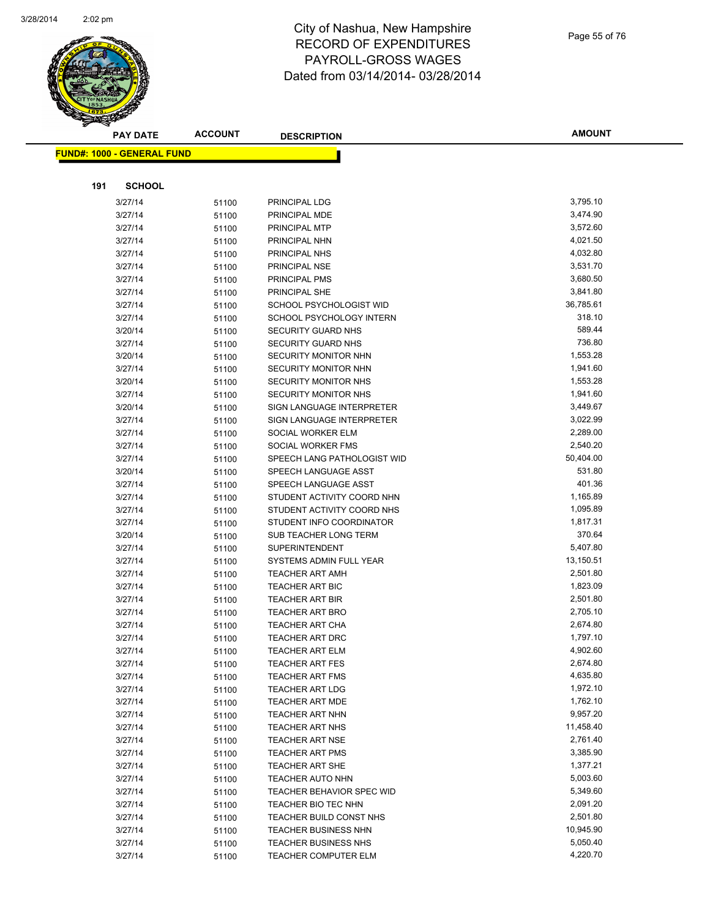

| Page 55 of 76 |  |  |  |  |
|---------------|--|--|--|--|
|---------------|--|--|--|--|

| <b>PAY DATE</b>                   | <b>ACCOUNT</b> | <b>DESCRIPTION</b>                                    | <b>AMOUNT</b>         |
|-----------------------------------|----------------|-------------------------------------------------------|-----------------------|
| <b>FUND#: 1000 - GENERAL FUND</b> |                |                                                       |                       |
|                                   |                |                                                       |                       |
|                                   |                |                                                       |                       |
| 191<br><b>SCHOOL</b>              |                |                                                       |                       |
| 3/27/14                           | 51100          | PRINCIPAL LDG                                         | 3,795.10              |
| 3/27/14                           | 51100          | PRINCIPAL MDE                                         | 3,474.90              |
| 3/27/14                           | 51100          | PRINCIPAL MTP                                         | 3,572.60              |
| 3/27/14                           | 51100          | PRINCIPAL NHN                                         | 4,021.50              |
| 3/27/14                           | 51100          | PRINCIPAL NHS                                         | 4,032.80              |
| 3/27/14                           | 51100          | PRINCIPAL NSE                                         | 3,531.70              |
| 3/27/14                           | 51100          | <b>PRINCIPAL PMS</b>                                  | 3,680.50              |
| 3/27/14                           | 51100          | PRINCIPAL SHE                                         | 3,841.80<br>36,785.61 |
| 3/27/14                           | 51100          | SCHOOL PSYCHOLOGIST WID                               | 318.10                |
| 3/27/14<br>3/20/14                | 51100          | SCHOOL PSYCHOLOGY INTERN<br><b>SECURITY GUARD NHS</b> | 589.44                |
| 3/27/14                           | 51100          | <b>SECURITY GUARD NHS</b>                             | 736.80                |
| 3/20/14                           | 51100<br>51100 | SECURITY MONITOR NHN                                  | 1,553.28              |
| 3/27/14                           | 51100          | SECURITY MONITOR NHN                                  | 1,941.60              |
| 3/20/14                           | 51100          | <b>SECURITY MONITOR NHS</b>                           | 1,553.28              |
| 3/27/14                           | 51100          | <b>SECURITY MONITOR NHS</b>                           | 1,941.60              |
| 3/20/14                           | 51100          | SIGN LANGUAGE INTERPRETER                             | 3,449.67              |
| 3/27/14                           | 51100          | SIGN LANGUAGE INTERPRETER                             | 3,022.99              |
| 3/27/14                           | 51100          | SOCIAL WORKER ELM                                     | 2,289.00              |
| 3/27/14                           | 51100          | SOCIAL WORKER FMS                                     | 2,540.20              |
| 3/27/14                           | 51100          | SPEECH LANG PATHOLOGIST WID                           | 50,404.00             |
| 3/20/14                           | 51100          | SPEECH LANGUAGE ASST                                  | 531.80                |
| 3/27/14                           | 51100          | SPEECH LANGUAGE ASST                                  | 401.36                |
| 3/27/14                           | 51100          | STUDENT ACTIVITY COORD NHN                            | 1,165.89              |
| 3/27/14                           | 51100          | STUDENT ACTIVITY COORD NHS                            | 1,095.89              |
| 3/27/14                           | 51100          | STUDENT INFO COORDINATOR                              | 1,817.31              |
| 3/20/14                           | 51100          | SUB TEACHER LONG TERM                                 | 370.64                |
| 3/27/14                           | 51100          | <b>SUPERINTENDENT</b>                                 | 5,407.80              |
| 3/27/14                           | 51100          | SYSTEMS ADMIN FULL YEAR                               | 13,150.51             |
| 3/27/14                           | 51100          | <b>TEACHER ART AMH</b>                                | 2,501.80              |
| 3/27/14                           | 51100          | TEACHER ART BIC                                       | 1,823.09              |
| 3/27/14                           | 51100          | <b>TEACHER ART BIR</b>                                | 2,501.80              |
| 3/27/14                           | 51100          | <b>TEACHER ART BRO</b>                                | 2,705.10              |
| 3/27/14                           | 51100          | <b>TEACHER ART CHA</b>                                | 2,674.80              |
| 3/27/14                           | 51100          | <b>TEACHER ART DRC</b>                                | 1,797.10              |
| 3/27/14                           | 51100          | TEACHER ART ELM                                       | 4,902.60              |
| 3/27/14                           | 51100          | <b>TEACHER ART FES</b>                                | 2,674.80              |
| 3/27/14                           | 51100          | <b>TEACHER ART FMS</b>                                | 4,635.80              |
| 3/27/14                           | 51100          | <b>TEACHER ART LDG</b>                                | 1,972.10              |
| 3/27/14                           | 51100          | <b>TEACHER ART MDE</b>                                | 1,762.10              |
| 3/27/14                           | 51100          | <b>TEACHER ART NHN</b>                                | 9,957.20              |
| 3/27/14                           | 51100          | <b>TEACHER ART NHS</b>                                | 11,458.40             |
| 3/27/14                           | 51100          | <b>TEACHER ART NSE</b>                                | 2,761.40              |
| 3/27/14                           | 51100          | <b>TEACHER ART PMS</b>                                | 3,385.90              |
| 3/27/14                           | 51100          | <b>TEACHER ART SHE</b>                                | 1,377.21              |
| 3/27/14                           | 51100          | TEACHER AUTO NHN                                      | 5,003.60              |
| 3/27/14                           | 51100          | <b>TEACHER BEHAVIOR SPEC WID</b>                      | 5,349.60              |
| 3/27/14                           | 51100          | TEACHER BIO TEC NHN                                   | 2,091.20              |
| 3/27/14                           | 51100          | TEACHER BUILD CONST NHS                               | 2,501.80              |
| 3/27/14                           | 51100          | <b>TEACHER BUSINESS NHN</b>                           | 10,945.90             |
| 3/27/14                           | 51100          | <b>TEACHER BUSINESS NHS</b>                           | 5,050.40              |
| 3/27/14                           | 51100          | TEACHER COMPUTER ELM                                  | 4,220.70              |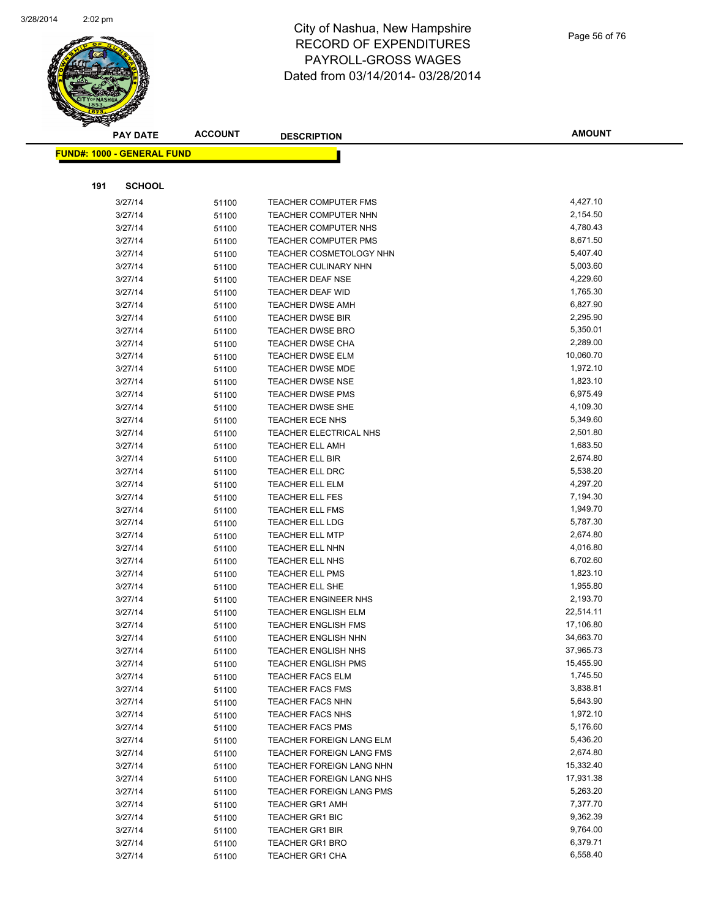

|     | <b>PAY DATE</b>                   | <b>ACCOUNT</b> | <b>DESCRIPTION</b>                               | <b>AMOUNT</b>        |
|-----|-----------------------------------|----------------|--------------------------------------------------|----------------------|
|     | <b>FUND#: 1000 - GENERAL FUND</b> |                |                                                  |                      |
|     |                                   |                |                                                  |                      |
|     |                                   |                |                                                  |                      |
| 191 | <b>SCHOOL</b>                     |                |                                                  |                      |
|     | 3/27/14                           | 51100          | <b>TEACHER COMPUTER FMS</b>                      | 4,427.10             |
|     | 3/27/14                           | 51100          | <b>TEACHER COMPUTER NHN</b>                      | 2,154.50             |
|     | 3/27/14                           | 51100          | <b>TEACHER COMPUTER NHS</b>                      | 4,780.43             |
|     | 3/27/14                           | 51100          | TEACHER COMPUTER PMS                             | 8,671.50             |
|     | 3/27/14                           | 51100          | TEACHER COSMETOLOGY NHN                          | 5,407.40             |
|     | 3/27/14                           | 51100          | TEACHER CULINARY NHN                             | 5,003.60             |
|     | 3/27/14                           | 51100          | TEACHER DEAF NSE                                 | 4,229.60             |
|     | 3/27/14                           | 51100          | <b>TEACHER DEAF WID</b>                          | 1,765.30             |
|     | 3/27/14                           | 51100          | <b>TEACHER DWSE AMH</b>                          | 6,827.90             |
|     | 3/27/14                           | 51100          | <b>TEACHER DWSE BIR</b>                          | 2,295.90             |
|     | 3/27/14                           | 51100          | <b>TEACHER DWSE BRO</b>                          | 5,350.01             |
|     | 3/27/14                           | 51100          | <b>TEACHER DWSE CHA</b>                          | 2,289.00             |
|     | 3/27/14                           | 51100          | <b>TEACHER DWSE ELM</b>                          | 10,060.70            |
|     | 3/27/14                           | 51100          | <b>TEACHER DWSE MDE</b>                          | 1,972.10             |
|     | 3/27/14                           | 51100          | <b>TEACHER DWSE NSE</b>                          | 1,823.10             |
|     | 3/27/14                           | 51100          | <b>TEACHER DWSE PMS</b>                          | 6,975.49             |
|     | 3/27/14                           | 51100          | <b>TEACHER DWSE SHE</b>                          | 4,109.30             |
|     | 3/27/14                           | 51100          | <b>TEACHER ECE NHS</b>                           | 5,349.60             |
|     | 3/27/14                           | 51100          | TEACHER ELECTRICAL NHS                           | 2,501.80             |
|     | 3/27/14                           | 51100          | <b>TEACHER ELL AMH</b>                           | 1,683.50             |
|     | 3/27/14                           | 51100          | <b>TEACHER ELL BIR</b>                           | 2,674.80             |
|     | 3/27/14                           | 51100          | <b>TEACHER ELL DRC</b>                           | 5,538.20             |
|     | 3/27/14                           | 51100          | TEACHER ELL ELM                                  | 4,297.20             |
|     | 3/27/14                           | 51100          | <b>TEACHER ELL FES</b>                           | 7,194.30             |
|     | 3/27/14<br>3/27/14                | 51100          | <b>TEACHER ELL FMS</b>                           | 1,949.70<br>5,787.30 |
|     |                                   | 51100          | <b>TEACHER ELL LDG</b>                           | 2,674.80             |
|     | 3/27/14<br>3/27/14                | 51100          | <b>TEACHER ELL MTP</b>                           | 4,016.80             |
|     | 3/27/14                           | 51100          | <b>TEACHER ELL NHN</b><br><b>TEACHER ELL NHS</b> | 6,702.60             |
|     | 3/27/14                           | 51100          | <b>TEACHER ELL PMS</b>                           | 1,823.10             |
|     | 3/27/14                           | 51100<br>51100 | TEACHER ELL SHE                                  | 1,955.80             |
|     | 3/27/14                           | 51100          | <b>TEACHER ENGINEER NHS</b>                      | 2,193.70             |
|     | 3/27/14                           | 51100          | <b>TEACHER ENGLISH ELM</b>                       | 22,514.11            |
|     | 3/27/14                           | 51100          | <b>TEACHER ENGLISH FMS</b>                       | 17,106.80            |
|     | 3/27/14                           | 51100          | TEACHER ENGLISH NHN                              | 34,663.70            |
|     | 3/27/14                           | 51100          | TEACHER ENGLISH NHS                              | 37,965.73            |
|     | 3/27/14                           | 51100          | <b>TEACHER ENGLISH PMS</b>                       | 15,455.90            |
|     | 3/27/14                           | 51100          | <b>TEACHER FACS ELM</b>                          | 1,745.50             |
|     | 3/27/14                           | 51100          | <b>TEACHER FACS FMS</b>                          | 3,838.81             |
|     | 3/27/14                           | 51100          | <b>TEACHER FACS NHN</b>                          | 5,643.90             |
|     | 3/27/14                           | 51100          | <b>TEACHER FACS NHS</b>                          | 1,972.10             |
|     | 3/27/14                           | 51100          | <b>TEACHER FACS PMS</b>                          | 5,176.60             |
|     | 3/27/14                           | 51100          | TEACHER FOREIGN LANG ELM                         | 5,436.20             |
|     | 3/27/14                           | 51100          | TEACHER FOREIGN LANG FMS                         | 2,674.80             |
|     | 3/27/14                           | 51100          | TEACHER FOREIGN LANG NHN                         | 15,332.40            |
|     | 3/27/14                           | 51100          | TEACHER FOREIGN LANG NHS                         | 17,931.38            |
|     | 3/27/14                           | 51100          | TEACHER FOREIGN LANG PMS                         | 5,263.20             |
|     | 3/27/14                           | 51100          | <b>TEACHER GR1 AMH</b>                           | 7,377.70             |
|     | 3/27/14                           | 51100          | <b>TEACHER GR1 BIC</b>                           | 9,362.39             |
|     | 3/27/14                           | 51100          | <b>TEACHER GR1 BIR</b>                           | 9,764.00             |
|     | 3/27/14                           | 51100          | <b>TEACHER GR1 BRO</b>                           | 6,379.71             |
|     | 3/27/14                           | 51100          | <b>TEACHER GR1 CHA</b>                           | 6,558.40             |
|     |                                   |                |                                                  |                      |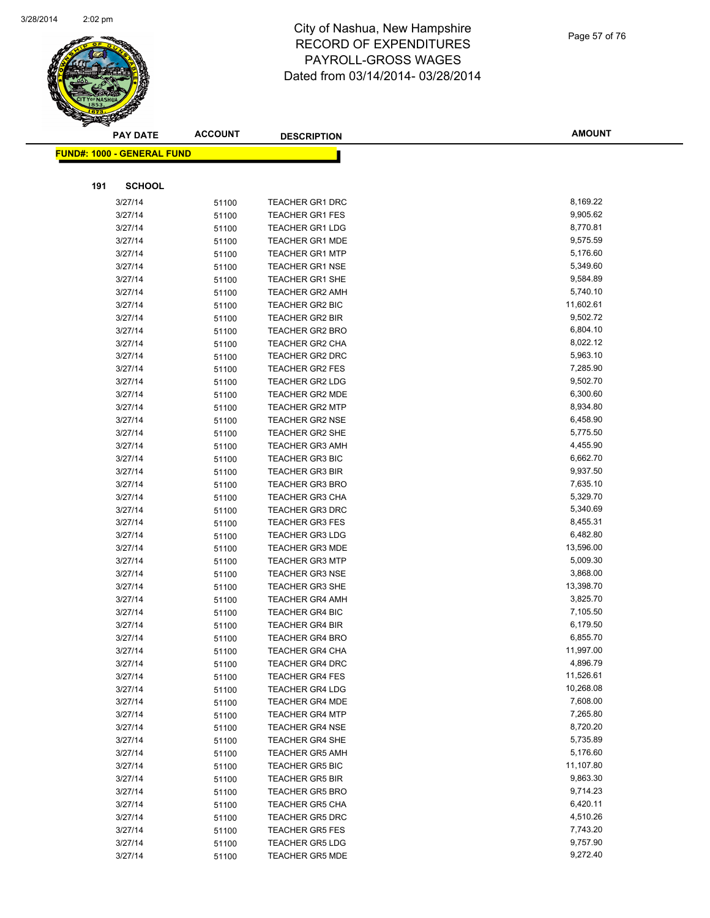

|     | <b>PAY DATE</b>                    | <b>ACCOUNT</b> | <b>DESCRIPTION</b>                               | <b>AMOUNT</b>        |
|-----|------------------------------------|----------------|--------------------------------------------------|----------------------|
|     | <u> FUND#: 1000 - GENERAL FUND</u> |                |                                                  |                      |
|     |                                    |                |                                                  |                      |
|     |                                    |                |                                                  |                      |
| 191 | <b>SCHOOL</b>                      |                |                                                  |                      |
|     | 3/27/14                            | 51100          | <b>TEACHER GR1 DRC</b>                           | 8,169.22             |
|     | 3/27/14                            | 51100          | <b>TEACHER GR1 FES</b>                           | 9,905.62             |
|     | 3/27/14                            | 51100          | <b>TEACHER GR1 LDG</b>                           | 8,770.81             |
|     | 3/27/14                            | 51100          | <b>TEACHER GR1 MDE</b>                           | 9,575.59             |
|     | 3/27/14                            | 51100          | <b>TEACHER GR1 MTP</b>                           | 5,176.60             |
|     | 3/27/14                            | 51100          | <b>TEACHER GR1 NSE</b>                           | 5,349.60             |
|     | 3/27/14                            | 51100          | <b>TEACHER GR1 SHE</b>                           | 9,584.89             |
|     | 3/27/14                            | 51100          | <b>TEACHER GR2 AMH</b>                           | 5,740.10             |
|     | 3/27/14                            | 51100          | <b>TEACHER GR2 BIC</b>                           | 11,602.61            |
|     | 3/27/14                            | 51100          | <b>TEACHER GR2 BIR</b>                           | 9,502.72             |
|     | 3/27/14                            | 51100          | <b>TEACHER GR2 BRO</b>                           | 6,804.10             |
|     | 3/27/14                            | 51100          | TEACHER GR2 CHA<br><b>TEACHER GR2 DRC</b>        | 8,022.12             |
|     | 3/27/14                            | 51100          |                                                  | 5,963.10<br>7,285.90 |
|     | 3/27/14                            | 51100          | <b>TEACHER GR2 FES</b>                           | 9,502.70             |
|     | 3/27/14<br>3/27/14                 | 51100          | <b>TEACHER GR2 LDG</b><br><b>TEACHER GR2 MDE</b> | 6,300.60             |
|     | 3/27/14                            | 51100          | <b>TEACHER GR2 MTP</b>                           | 8,934.80             |
|     | 3/27/14                            | 51100          | <b>TEACHER GR2 NSE</b>                           | 6,458.90             |
|     |                                    | 51100          | <b>TEACHER GR2 SHE</b>                           | 5,775.50             |
|     | 3/27/14<br>3/27/14                 | 51100          | <b>TEACHER GR3 AMH</b>                           | 4,455.90             |
|     | 3/27/14                            | 51100          | <b>TEACHER GR3 BIC</b>                           | 6,662.70             |
|     | 3/27/14                            | 51100          | <b>TEACHER GR3 BIR</b>                           | 9,937.50             |
|     | 3/27/14                            | 51100          | <b>TEACHER GR3 BRO</b>                           | 7,635.10             |
|     | 3/27/14                            | 51100<br>51100 | <b>TEACHER GR3 CHA</b>                           | 5,329.70             |
|     | 3/27/14                            | 51100          | <b>TEACHER GR3 DRC</b>                           | 5,340.69             |
|     | 3/27/14                            | 51100          | <b>TEACHER GR3 FES</b>                           | 8,455.31             |
|     | 3/27/14                            | 51100          | <b>TEACHER GR3 LDG</b>                           | 6,482.80             |
|     | 3/27/14                            | 51100          | <b>TEACHER GR3 MDE</b>                           | 13,596.00            |
|     | 3/27/14                            | 51100          | <b>TEACHER GR3 MTP</b>                           | 5,009.30             |
|     | 3/27/14                            | 51100          | <b>TEACHER GR3 NSE</b>                           | 3,868.00             |
|     | 3/27/14                            | 51100          | <b>TEACHER GR3 SHE</b>                           | 13,398.70            |
|     | 3/27/14                            | 51100          | <b>TEACHER GR4 AMH</b>                           | 3,825.70             |
|     | 3/27/14                            | 51100          | <b>TEACHER GR4 BIC</b>                           | 7,105.50             |
|     | 3/27/14                            | 51100          | <b>TEACHER GR4 BIR</b>                           | 6,179.50             |
|     | 3/27/14                            | 51100          | <b>TEACHER GR4 BRO</b>                           | 6,855.70             |
|     | 3/27/14                            | 51100          | <b>TEACHER GR4 CHA</b>                           | 11,997.00            |
|     | 3/27/14                            | 51100          | <b>TEACHER GR4 DRC</b>                           | 4,896.79             |
|     | 3/27/14                            | 51100          | <b>TEACHER GR4 FES</b>                           | 11,526.61            |
|     | 3/27/14                            | 51100          | <b>TEACHER GR4 LDG</b>                           | 10,268.08            |
|     | 3/27/14                            | 51100          | <b>TEACHER GR4 MDE</b>                           | 7,608.00             |
|     | 3/27/14                            | 51100          | <b>TEACHER GR4 MTP</b>                           | 7,265.80             |
|     | 3/27/14                            | 51100          | <b>TEACHER GR4 NSE</b>                           | 8,720.20             |
|     | 3/27/14                            | 51100          | <b>TEACHER GR4 SHE</b>                           | 5,735.89             |
|     | 3/27/14                            | 51100          | <b>TEACHER GR5 AMH</b>                           | 5,176.60             |
|     | 3/27/14                            | 51100          | <b>TEACHER GR5 BIC</b>                           | 11,107.80            |
|     | 3/27/14                            | 51100          | <b>TEACHER GR5 BIR</b>                           | 9,863.30             |
|     | 3/27/14                            | 51100          | <b>TEACHER GR5 BRO</b>                           | 9,714.23             |
|     | 3/27/14                            | 51100          | <b>TEACHER GR5 CHA</b>                           | 6,420.11             |
|     | 3/27/14                            | 51100          | <b>TEACHER GR5 DRC</b>                           | 4,510.26             |
|     | 3/27/14                            | 51100          | <b>TEACHER GR5 FES</b>                           | 7,743.20             |
|     | 3/27/14                            | 51100          | <b>TEACHER GR5 LDG</b>                           | 9,757.90             |
|     | 3/27/14                            | 51100          | <b>TEACHER GR5 MDE</b>                           | 9,272.40             |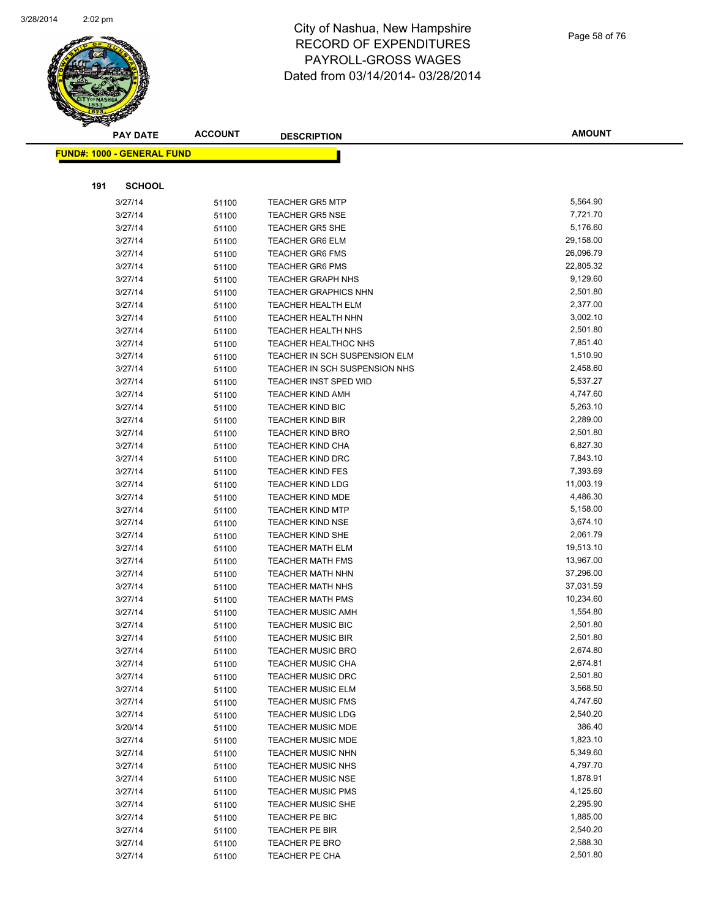

|     | <b>PAY DATE</b>                    | <b>ACCOUNT</b> | <b>DESCRIPTION</b>                                            | <b>AMOUNT</b>        |
|-----|------------------------------------|----------------|---------------------------------------------------------------|----------------------|
|     | <u> FUND#: 1000 - GENERAL FUND</u> |                |                                                               |                      |
|     |                                    |                |                                                               |                      |
|     |                                    |                |                                                               |                      |
| 191 | <b>SCHOOL</b>                      |                |                                                               |                      |
|     | 3/27/14                            | 51100          | <b>TEACHER GR5 MTP</b>                                        | 5,564.90             |
|     | 3/27/14                            | 51100          | <b>TEACHER GR5 NSE</b>                                        | 7,721.70             |
|     | 3/27/14                            | 51100          | <b>TEACHER GR5 SHE</b>                                        | 5,176.60             |
|     | 3/27/14                            | 51100          | <b>TEACHER GR6 ELM</b>                                        | 29,158.00            |
|     | 3/27/14                            | 51100          | <b>TEACHER GR6 FMS</b>                                        | 26,096.79            |
|     | 3/27/14                            | 51100          | <b>TEACHER GR6 PMS</b>                                        | 22,805.32            |
|     | 3/27/14                            | 51100          | <b>TEACHER GRAPH NHS</b>                                      | 9,129.60             |
|     | 3/27/14                            | 51100          | <b>TEACHER GRAPHICS NHN</b>                                   | 2,501.80             |
|     | 3/27/14                            | 51100          | <b>TEACHER HEALTH ELM</b>                                     | 2,377.00             |
|     | 3/27/14                            | 51100          | <b>TEACHER HEALTH NHN</b>                                     | 3,002.10             |
|     | 3/27/14                            | 51100          | <b>TEACHER HEALTH NHS</b>                                     | 2,501.80             |
|     | 3/27/14                            | 51100          | TEACHER HEALTHOC NHS<br><b>TEACHER IN SCH SUSPENSION ELM</b>  | 7,851.40             |
|     | 3/27/14                            | 51100          |                                                               | 1,510.90<br>2,458.60 |
|     | 3/27/14<br>3/27/14                 | 51100          | TEACHER IN SCH SUSPENSION NHS<br><b>TEACHER INST SPED WID</b> | 5,537.27             |
|     | 3/27/14                            | 51100          | <b>TEACHER KIND AMH</b>                                       | 4,747.60             |
|     | 3/27/14                            | 51100          | <b>TEACHER KIND BIC</b>                                       | 5,263.10             |
|     | 3/27/14                            | 51100<br>51100 | <b>TEACHER KIND BIR</b>                                       | 2,289.00             |
|     | 3/27/14                            |                | <b>TEACHER KIND BRO</b>                                       | 2,501.80             |
|     | 3/27/14                            | 51100<br>51100 | <b>TEACHER KIND CHA</b>                                       | 6,827.30             |
|     | 3/27/14                            | 51100          | <b>TEACHER KIND DRC</b>                                       | 7,843.10             |
|     | 3/27/14                            | 51100          | <b>TEACHER KIND FES</b>                                       | 7,393.69             |
|     | 3/27/14                            | 51100          | <b>TEACHER KIND LDG</b>                                       | 11,003.19            |
|     | 3/27/14                            | 51100          | <b>TEACHER KIND MDE</b>                                       | 4,486.30             |
|     | 3/27/14                            | 51100          | <b>TEACHER KIND MTP</b>                                       | 5,158.00             |
|     | 3/27/14                            | 51100          | <b>TEACHER KIND NSE</b>                                       | 3,674.10             |
|     | 3/27/14                            | 51100          | <b>TEACHER KIND SHE</b>                                       | 2,061.79             |
|     | 3/27/14                            | 51100          | <b>TEACHER MATH ELM</b>                                       | 19,513.10            |
|     | 3/27/14                            | 51100          | <b>TEACHER MATH FMS</b>                                       | 13,967.00            |
|     | 3/27/14                            | 51100          | <b>TEACHER MATH NHN</b>                                       | 37,296.00            |
|     | 3/27/14                            | 51100          | <b>TEACHER MATH NHS</b>                                       | 37,031.59            |
|     | 3/27/14                            | 51100          | <b>TEACHER MATH PMS</b>                                       | 10,234.60            |
|     | 3/27/14                            | 51100          | <b>TEACHER MUSIC AMH</b>                                      | 1,554.80             |
|     | 3/27/14                            | 51100          | <b>TEACHER MUSIC BIC</b>                                      | 2,501.80             |
|     | 3/27/14                            | 51100          | <b>TEACHER MUSIC BIR</b>                                      | 2,501.80             |
|     | 3/27/14                            | 51100          | TEACHER MUSIC BRO                                             | 2,674.80             |
|     | 3/27/14                            | 51100          | <b>TEACHER MUSIC CHA</b>                                      | 2,674.81             |
|     | 3/27/14                            | 51100          | <b>TEACHER MUSIC DRC</b>                                      | 2,501.80             |
|     | 3/27/14                            | 51100          | <b>TEACHER MUSIC ELM</b>                                      | 3,568.50             |
|     | 3/27/14                            | 51100          | <b>TEACHER MUSIC FMS</b>                                      | 4,747.60             |
|     | 3/27/14                            | 51100          | <b>TEACHER MUSIC LDG</b>                                      | 2,540.20             |
|     | 3/20/14                            | 51100          | <b>TEACHER MUSIC MDE</b>                                      | 386.40               |
|     | 3/27/14                            | 51100          | <b>TEACHER MUSIC MDE</b>                                      | 1,823.10             |
|     | 3/27/14                            | 51100          | <b>TEACHER MUSIC NHN</b>                                      | 5,349.60             |
|     | 3/27/14                            | 51100          | <b>TEACHER MUSIC NHS</b>                                      | 4,797.70             |
|     | 3/27/14                            | 51100          | <b>TEACHER MUSIC NSE</b>                                      | 1,878.91             |
|     | 3/27/14                            | 51100          | <b>TEACHER MUSIC PMS</b>                                      | 4,125.60             |
|     | 3/27/14                            | 51100          | <b>TEACHER MUSIC SHE</b>                                      | 2,295.90             |
|     | 3/27/14                            | 51100          | TEACHER PE BIC                                                | 1,885.00             |
|     | 3/27/14                            | 51100          | TEACHER PE BIR                                                | 2,540.20             |
|     | 3/27/14                            | 51100          | TEACHER PE BRO                                                | 2,588.30             |
|     | 3/27/14                            | 51100          | TEACHER PE CHA                                                | 2,501.80             |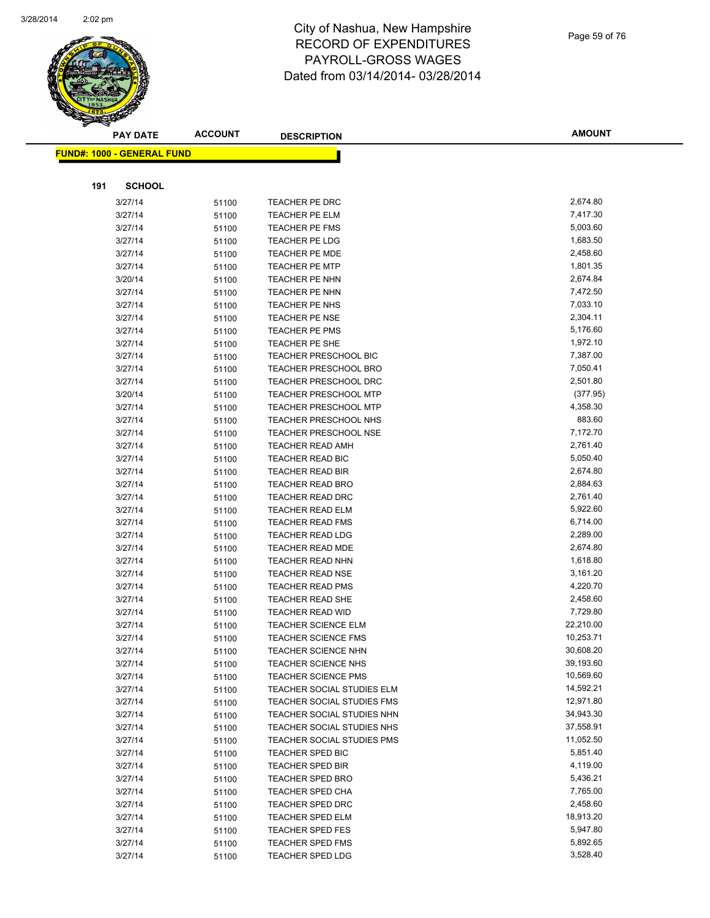

|     | <b>PAY DATE</b>                    | <b>ACCOUNT</b> | <b>DESCRIPTION</b>                                 | <b>AMOUNT</b>        |
|-----|------------------------------------|----------------|----------------------------------------------------|----------------------|
|     | <u> FUND#: 1000 - GENERAL FUND</u> |                |                                                    |                      |
|     |                                    |                |                                                    |                      |
|     |                                    |                |                                                    |                      |
| 191 | <b>SCHOOL</b>                      |                |                                                    |                      |
|     | 3/27/14                            | 51100          | TEACHER PE DRC                                     | 2,674.80             |
|     | 3/27/14                            | 51100          | <b>TEACHER PE ELM</b>                              | 7,417.30             |
|     | 3/27/14                            | 51100          | TEACHER PE FMS                                     | 5,003.60             |
|     | 3/27/14                            | 51100          | TEACHER PE LDG                                     | 1,683.50             |
|     | 3/27/14                            | 51100          | <b>TEACHER PE MDE</b>                              | 2,458.60             |
|     | 3/27/14                            | 51100          | <b>TEACHER PE MTP</b>                              | 1,801.35             |
|     | 3/20/14                            | 51100          | TEACHER PE NHN                                     | 2,674.84             |
|     | 3/27/14                            | 51100          | TEACHER PE NHN                                     | 7,472.50             |
|     | 3/27/14                            | 51100          | TEACHER PE NHS                                     | 7,033.10             |
|     | 3/27/14                            | 51100          | <b>TEACHER PE NSE</b>                              | 2,304.11             |
|     | 3/27/14                            | 51100          | <b>TEACHER PE PMS</b>                              | 5,176.60             |
|     | 3/27/14                            | 51100          | TEACHER PE SHE                                     | 1,972.10             |
|     | 3/27/14                            | 51100          | <b>TEACHER PRESCHOOL BIC</b>                       | 7,387.00             |
|     | 3/27/14                            | 51100          | <b>TEACHER PRESCHOOL BRO</b>                       | 7,050.41             |
|     | 3/27/14                            | 51100          | <b>TEACHER PRESCHOOL DRC</b>                       | 2,501.80             |
|     | 3/20/14                            | 51100          | <b>TEACHER PRESCHOOL MTP</b>                       | (377.95)             |
|     | 3/27/14                            | 51100          | <b>TEACHER PRESCHOOL MTP</b>                       | 4,358.30             |
|     | 3/27/14                            | 51100          | TEACHER PRESCHOOL NHS                              | 883.60<br>7,172.70   |
|     | 3/27/14                            | 51100          | <b>TEACHER PRESCHOOL NSE</b>                       |                      |
|     | 3/27/14                            | 51100          | <b>TEACHER READ AMH</b>                            | 2,761.40             |
|     | 3/27/14                            | 51100          | <b>TEACHER READ BIC</b>                            | 5,050.40<br>2,674.80 |
|     | 3/27/14                            | 51100          | <b>TEACHER READ BIR</b>                            | 2,884.63             |
|     | 3/27/14<br>3/27/14                 | 51100          | <b>TEACHER READ BRO</b><br><b>TEACHER READ DRC</b> | 2,761.40             |
|     | 3/27/14                            | 51100          | TEACHER READ ELM                                   | 5,922.60             |
|     | 3/27/14                            | 51100          | <b>TEACHER READ FMS</b>                            | 6,714.00             |
|     | 3/27/14                            | 51100          | <b>TEACHER READ LDG</b>                            | 2,289.00             |
|     | 3/27/14                            | 51100          | <b>TEACHER READ MDE</b>                            | 2,674.80             |
|     | 3/27/14                            | 51100<br>51100 | TEACHER READ NHN                                   | 1,618.80             |
|     | 3/27/14                            |                | <b>TEACHER READ NSE</b>                            | 3,161.20             |
|     | 3/27/14                            | 51100<br>51100 | <b>TEACHER READ PMS</b>                            | 4,220.70             |
|     | 3/27/14                            | 51100          | <b>TEACHER READ SHE</b>                            | 2,458.60             |
|     | 3/27/14                            | 51100          | <b>TEACHER READ WID</b>                            | 7,729.80             |
|     | 3/27/14                            | 51100          | <b>TEACHER SCIENCE ELM</b>                         | 22,210.00            |
|     | 3/27/14                            | 51100          | <b>TEACHER SCIENCE FMS</b>                         | 10,253.71            |
|     | 3/27/14                            | 51100          | TEACHER SCIENCE NHN                                | 30,608.20            |
|     | 3/27/14                            | 51100          | <b>TEACHER SCIENCE NHS</b>                         | 39,193.60            |
|     | 3/27/14                            | 51100          | <b>TEACHER SCIENCE PMS</b>                         | 10,569.60            |
|     | 3/27/14                            | 51100          | TEACHER SOCIAL STUDIES ELM                         | 14,592.21            |
|     | 3/27/14                            | 51100          | TEACHER SOCIAL STUDIES FMS                         | 12,971.80            |
|     | 3/27/14                            | 51100          | TEACHER SOCIAL STUDIES NHN                         | 34,943.30            |
|     | 3/27/14                            | 51100          | TEACHER SOCIAL STUDIES NHS                         | 37,558.91            |
|     | 3/27/14                            | 51100          | TEACHER SOCIAL STUDIES PMS                         | 11,052.50            |
|     | 3/27/14                            | 51100          | <b>TEACHER SPED BIC</b>                            | 5,851.40             |
|     | 3/27/14                            | 51100          | <b>TEACHER SPED BIR</b>                            | 4,119.00             |
|     | 3/27/14                            | 51100          | <b>TEACHER SPED BRO</b>                            | 5,436.21             |
|     | 3/27/14                            | 51100          | <b>TEACHER SPED CHA</b>                            | 7,765.00             |
|     | 3/27/14                            | 51100          | <b>TEACHER SPED DRC</b>                            | 2,458.60             |
|     | 3/27/14                            | 51100          | <b>TEACHER SPED ELM</b>                            | 18,913.20            |
|     | 3/27/14                            | 51100          | <b>TEACHER SPED FES</b>                            | 5,947.80             |
|     | 3/27/14                            | 51100          | <b>TEACHER SPED FMS</b>                            | 5,892.65             |
|     | 3/27/14                            | 51100          | <b>TEACHER SPED LDG</b>                            | 3,528.40             |
|     |                                    |                |                                                    |                      |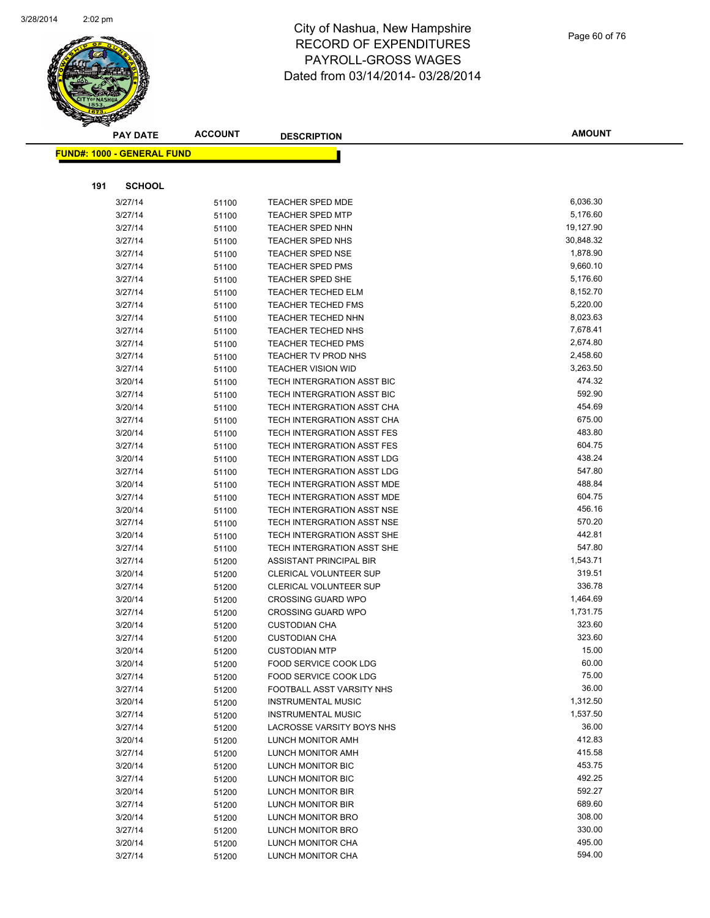

| Page 60 of 76 |  |  |  |
|---------------|--|--|--|
|---------------|--|--|--|

| <b>PAY DATE</b>                   | <b>ACCOUNT</b> | <b>DESCRIPTION</b>                                     | <b>AMOUNT</b>        |
|-----------------------------------|----------------|--------------------------------------------------------|----------------------|
| <b>FUND#: 1000 - GENERAL FUND</b> |                |                                                        |                      |
|                                   |                |                                                        |                      |
| <b>SCHOOL</b>                     |                |                                                        |                      |
| 191                               |                |                                                        |                      |
| 3/27/14                           | 51100          | <b>TEACHER SPED MDE</b>                                | 6,036.30             |
| 3/27/14                           | 51100          | <b>TEACHER SPED MTP</b>                                | 5,176.60             |
| 3/27/14                           | 51100          | <b>TEACHER SPED NHN</b>                                | 19,127.90            |
| 3/27/14                           | 51100          | TEACHER SPED NHS                                       | 30,848.32            |
| 3/27/14                           | 51100          | TEACHER SPED NSE                                       | 1,878.90             |
| 3/27/14                           | 51100          | <b>TEACHER SPED PMS</b>                                | 9,660.10             |
| 3/27/14                           | 51100          | <b>TEACHER SPED SHE</b>                                | 5,176.60<br>8,152.70 |
| 3/27/14                           | 51100          | <b>TEACHER TECHED ELM</b><br><b>TEACHER TECHED FMS</b> | 5,220.00             |
| 3/27/14<br>3/27/14                | 51100          | TEACHER TECHED NHN                                     | 8,023.63             |
| 3/27/14                           | 51100<br>51100 | TEACHER TECHED NHS                                     | 7,678.41             |
| 3/27/14                           |                | <b>TEACHER TECHED PMS</b>                              | 2,674.80             |
| 3/27/14                           | 51100<br>51100 | TEACHER TV PROD NHS                                    | 2,458.60             |
| 3/27/14                           | 51100          | <b>TEACHER VISION WID</b>                              | 3,263.50             |
| 3/20/14                           | 51100          | TECH INTERGRATION ASST BIC                             | 474.32               |
| 3/27/14                           | 51100          | TECH INTERGRATION ASST BIC                             | 592.90               |
| 3/20/14                           | 51100          | TECH INTERGRATION ASST CHA                             | 454.69               |
| 3/27/14                           | 51100          | TECH INTERGRATION ASST CHA                             | 675.00               |
| 3/20/14                           | 51100          | TECH INTERGRATION ASST FES                             | 483.80               |
| 3/27/14                           | 51100          | TECH INTERGRATION ASST FES                             | 604.75               |
| 3/20/14                           | 51100          | TECH INTERGRATION ASST LDG                             | 438.24               |
| 3/27/14                           | 51100          | TECH INTERGRATION ASST LDG                             | 547.80               |
| 3/20/14                           | 51100          | TECH INTERGRATION ASST MDE                             | 488.84               |
| 3/27/14                           | 51100          | TECH INTERGRATION ASST MDE                             | 604.75               |
| 3/20/14                           | 51100          | TECH INTERGRATION ASST NSE                             | 456.16               |
| 3/27/14                           | 51100          | TECH INTERGRATION ASST NSE                             | 570.20               |
| 3/20/14                           | 51100          | TECH INTERGRATION ASST SHE                             | 442.81               |
| 3/27/14                           | 51100          | TECH INTERGRATION ASST SHE                             | 547.80               |
| 3/27/14                           | 51200          | ASSISTANT PRINCIPAL BIR                                | 1,543.71             |
| 3/20/14                           | 51200          | CLERICAL VOLUNTEER SUP                                 | 319.51               |
| 3/27/14                           | 51200          | CLERICAL VOLUNTEER SUP                                 | 336.78               |
| 3/20/14                           | 51200          | <b>CROSSING GUARD WPO</b>                              | 1,464.69             |
| 3/27/14                           | 51200          | <b>CROSSING GUARD WPO</b>                              | 1,731.75             |
| 3/20/14                           | 51200          | <b>CUSTODIAN CHA</b>                                   | 323.60               |
| 3/27/14                           | 51200          | <b>CUSTODIAN CHA</b>                                   | 323.60               |
| 3/20/14                           | 51200          | <b>CUSTODIAN MTP</b>                                   | 15.00                |
| 3/20/14                           | 51200          | FOOD SERVICE COOK LDG                                  | 60.00                |
| 3/27/14                           | 51200          | FOOD SERVICE COOK LDG                                  | 75.00                |
| 3/27/14                           | 51200          | FOOTBALL ASST VARSITY NHS                              | 36.00                |
| 3/20/14                           | 51200          | <b>INSTRUMENTAL MUSIC</b>                              | 1,312.50             |
| 3/27/14                           | 51200          | <b>INSTRUMENTAL MUSIC</b>                              | 1,537.50             |
| 3/27/14                           | 51200          | LACROSSE VARSITY BOYS NHS                              | 36.00                |
| 3/20/14                           | 51200          | LUNCH MONITOR AMH                                      | 412.83               |
| 3/27/14                           | 51200          | LUNCH MONITOR AMH                                      | 415.58               |
| 3/20/14                           | 51200          | LUNCH MONITOR BIC                                      | 453.75               |
| 3/27/14                           | 51200          | LUNCH MONITOR BIC                                      | 492.25               |
| 3/20/14                           | 51200          | LUNCH MONITOR BIR                                      | 592.27               |
| 3/27/14                           | 51200          | LUNCH MONITOR BIR                                      | 689.60               |
| 3/20/14                           | 51200          | LUNCH MONITOR BRO                                      | 308.00               |
| 3/27/14                           | 51200          | LUNCH MONITOR BRO                                      | 330.00               |
| 3/20/14                           | 51200          | LUNCH MONITOR CHA                                      | 495.00               |
| 3/27/14                           | 51200          | LUNCH MONITOR CHA                                      | 594.00               |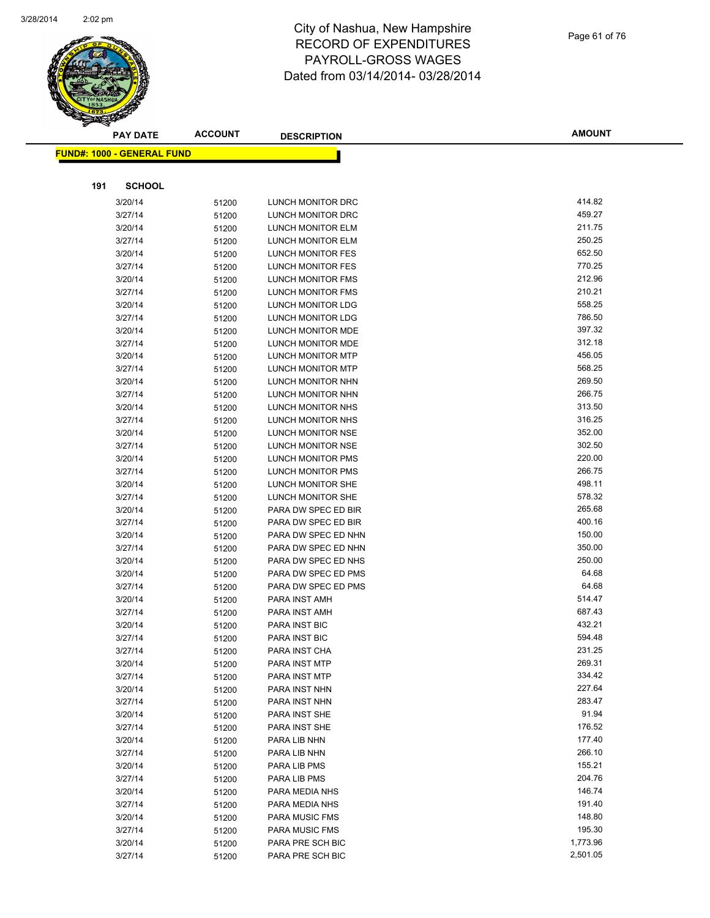

|     | <b>PAY DATE</b>                    | <b>ACCOUNT</b> | <b>DESCRIPTION</b>                         | <b>AMOUNT</b>    |
|-----|------------------------------------|----------------|--------------------------------------------|------------------|
|     | <u> FUND#: 1000 - GENERAL FUND</u> |                |                                            |                  |
|     |                                    |                |                                            |                  |
|     |                                    |                |                                            |                  |
| 191 | <b>SCHOOL</b>                      |                |                                            |                  |
|     | 3/20/14                            | 51200          | LUNCH MONITOR DRC                          | 414.82           |
|     | 3/27/14                            | 51200          | LUNCH MONITOR DRC                          | 459.27           |
|     | 3/20/14                            | 51200          | LUNCH MONITOR ELM                          | 211.75           |
|     | 3/27/14                            | 51200          | LUNCH MONITOR ELM                          | 250.25           |
|     | 3/20/14                            | 51200          | LUNCH MONITOR FES                          | 652.50           |
|     | 3/27/14                            | 51200          | LUNCH MONITOR FES                          | 770.25           |
|     | 3/20/14                            | 51200          | LUNCH MONITOR FMS                          | 212.96           |
|     | 3/27/14                            | 51200          | LUNCH MONITOR FMS                          | 210.21           |
|     | 3/20/14                            | 51200          | LUNCH MONITOR LDG                          | 558.25           |
|     | 3/27/14                            | 51200          | LUNCH MONITOR LDG                          | 786.50           |
|     | 3/20/14                            | 51200          | LUNCH MONITOR MDE                          | 397.32           |
|     | 3/27/14                            | 51200          | LUNCH MONITOR MDE                          | 312.18           |
|     | 3/20/14                            | 51200          | LUNCH MONITOR MTP                          | 456.05           |
|     | 3/27/14                            | 51200          | <b>LUNCH MONITOR MTP</b>                   | 568.25           |
|     | 3/20/14                            | 51200          | LUNCH MONITOR NHN                          | 269.50           |
|     | 3/27/14                            | 51200          | LUNCH MONITOR NHN                          | 266.75           |
|     | 3/20/14                            | 51200          | LUNCH MONITOR NHS                          | 313.50           |
|     | 3/27/14                            | 51200          | LUNCH MONITOR NHS                          | 316.25           |
|     | 3/20/14                            | 51200          | LUNCH MONITOR NSE                          | 352.00<br>302.50 |
|     | 3/27/14                            | 51200          | LUNCH MONITOR NSE                          |                  |
|     | 3/20/14                            | 51200          | LUNCH MONITOR PMS                          | 220.00<br>266.75 |
|     | 3/27/14                            | 51200          | LUNCH MONITOR PMS                          | 498.11           |
|     | 3/20/14                            | 51200          | LUNCH MONITOR SHE                          | 578.32           |
|     | 3/27/14                            | 51200          | LUNCH MONITOR SHE                          | 265.68           |
|     | 3/20/14<br>3/27/14                 | 51200          | PARA DW SPEC ED BIR<br>PARA DW SPEC ED BIR | 400.16           |
|     | 3/20/14                            | 51200          | PARA DW SPEC ED NHN                        | 150.00           |
|     | 3/27/14                            | 51200          | PARA DW SPEC ED NHN                        | 350.00           |
|     | 3/20/14                            | 51200<br>51200 | PARA DW SPEC ED NHS                        | 250.00           |
|     | 3/20/14                            | 51200          | PARA DW SPEC ED PMS                        | 64.68            |
|     | 3/27/14                            | 51200          | PARA DW SPEC ED PMS                        | 64.68            |
|     | 3/20/14                            | 51200          | PARA INST AMH                              | 514.47           |
|     | 3/27/14                            | 51200          | PARA INST AMH                              | 687.43           |
|     | 3/20/14                            | 51200          | <b>PARA INST BIC</b>                       | 432.21           |
|     | 3/27/14                            | 51200          | <b>PARA INST BIC</b>                       | 594.48           |
|     | 3/27/14                            | 51200          | PARA INST CHA                              | 231.25           |
|     | 3/20/14                            | 51200          | PARA INST MTP                              | 269.31           |
|     | 3/27/14                            | 51200          | PARA INST MTP                              | 334.42           |
|     | 3/20/14                            | 51200          | PARA INST NHN                              | 227.64           |
|     | 3/27/14                            | 51200          | PARA INST NHN                              | 283.47           |
|     | 3/20/14                            | 51200          | PARA INST SHE                              | 91.94            |
|     | 3/27/14                            | 51200          | PARA INST SHE                              | 176.52           |
|     | 3/20/14                            | 51200          | PARA LIB NHN                               | 177.40           |
|     | 3/27/14                            | 51200          | PARA LIB NHN                               | 266.10           |
|     | 3/20/14                            | 51200          | PARA LIB PMS                               | 155.21           |
|     | 3/27/14                            | 51200          | PARA LIB PMS                               | 204.76           |
|     | 3/20/14                            | 51200          | PARA MEDIA NHS                             | 146.74           |
|     | 3/27/14                            | 51200          | PARA MEDIA NHS                             | 191.40           |
|     | 3/20/14                            | 51200          | <b>PARA MUSIC FMS</b>                      | 148.80           |
|     | 3/27/14                            | 51200          | <b>PARA MUSIC FMS</b>                      | 195.30           |
|     | 3/20/14                            | 51200          | PARA PRE SCH BIC                           | 1,773.96         |
|     | 3/27/14                            | 51200          | PARA PRE SCH BIC                           | 2,501.05         |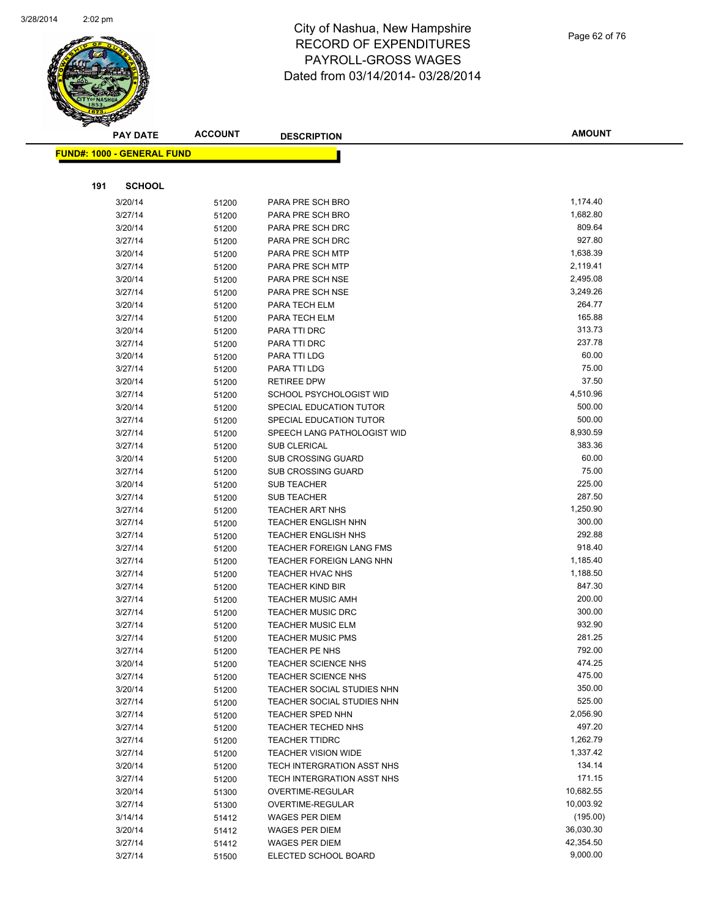

|     | <b>PAY DATE</b>                    | <b>ACCOUNT</b> | <b>DESCRIPTION</b>              | <b>AMOUNT</b>    |
|-----|------------------------------------|----------------|---------------------------------|------------------|
|     | <u> FUND#: 1000 - GENERAL FUND</u> |                |                                 |                  |
|     |                                    |                |                                 |                  |
|     |                                    |                |                                 |                  |
| 191 | <b>SCHOOL</b>                      |                |                                 |                  |
|     | 3/20/14                            | 51200          | PARA PRE SCH BRO                | 1,174.40         |
|     | 3/27/14                            | 51200          | PARA PRE SCH BRO                | 1,682.80         |
|     | 3/20/14                            | 51200          | PARA PRE SCH DRC                | 809.64           |
|     | 3/27/14                            | 51200          | PARA PRE SCH DRC                | 927.80           |
|     | 3/20/14                            | 51200          | PARA PRE SCH MTP                | 1,638.39         |
|     | 3/27/14                            | 51200          | PARA PRE SCH MTP                | 2,119.41         |
|     | 3/20/14                            | 51200          | PARA PRE SCH NSE                | 2,495.08         |
|     | 3/27/14                            | 51200          | PARA PRE SCH NSE                | 3,249.26         |
|     | 3/20/14                            | 51200          | PARA TECH ELM                   | 264.77           |
|     | 3/27/14                            | 51200          | PARA TECH ELM                   | 165.88           |
|     | 3/20/14                            | 51200          | PARA TTI DRC                    | 313.73<br>237.78 |
|     | 3/27/14                            | 51200          | PARA TTI DRC                    | 60.00            |
|     | 3/20/14<br>3/27/14                 | 51200          | PARA TTI LDG<br>PARA TTI LDG    | 75.00            |
|     | 3/20/14                            | 51200          | <b>RETIREE DPW</b>              | 37.50            |
|     | 3/27/14                            | 51200          | <b>SCHOOL PSYCHOLOGIST WID</b>  | 4,510.96         |
|     | 3/20/14                            | 51200          | SPECIAL EDUCATION TUTOR         | 500.00           |
|     | 3/27/14                            | 51200<br>51200 | SPECIAL EDUCATION TUTOR         | 500.00           |
|     | 3/27/14                            |                | SPEECH LANG PATHOLOGIST WID     | 8,930.59         |
|     | 3/27/14                            | 51200<br>51200 | <b>SUB CLERICAL</b>             | 383.36           |
|     | 3/20/14                            | 51200          | <b>SUB CROSSING GUARD</b>       | 60.00            |
|     | 3/27/14                            | 51200          | <b>SUB CROSSING GUARD</b>       | 75.00            |
|     | 3/20/14                            | 51200          | <b>SUB TEACHER</b>              | 225.00           |
|     | 3/27/14                            | 51200          | <b>SUB TEACHER</b>              | 287.50           |
|     | 3/27/14                            | 51200          | <b>TEACHER ART NHS</b>          | 1,250.90         |
|     | 3/27/14                            | 51200          | <b>TEACHER ENGLISH NHN</b>      | 300.00           |
|     | 3/27/14                            | 51200          | <b>TEACHER ENGLISH NHS</b>      | 292.88           |
|     | 3/27/14                            | 51200          | <b>TEACHER FOREIGN LANG FMS</b> | 918.40           |
|     | 3/27/14                            | 51200          | TEACHER FOREIGN LANG NHN        | 1,185.40         |
|     | 3/27/14                            | 51200          | TEACHER HVAC NHS                | 1,188.50         |
|     | 3/27/14                            | 51200          | <b>TEACHER KIND BIR</b>         | 847.30           |
|     | 3/27/14                            | 51200          | <b>TEACHER MUSIC AMH</b>        | 200.00           |
|     | 3/27/14                            | 51200          | <b>TEACHER MUSIC DRC</b>        | 300.00           |
|     | 3/27/14                            | 51200          | <b>TEACHER MUSIC ELM</b>        | 932.90           |
|     | 3/27/14                            | 51200          | <b>TEACHER MUSIC PMS</b>        | 281.25           |
|     | 3/27/14                            | 51200          | TEACHER PE NHS                  | 792.00           |
|     | 3/20/14                            | 51200          | <b>TEACHER SCIENCE NHS</b>      | 474.25           |
|     | 3/27/14                            | 51200          | <b>TEACHER SCIENCE NHS</b>      | 475.00           |
|     | 3/20/14                            | 51200          | TEACHER SOCIAL STUDIES NHN      | 350.00           |
|     | 3/27/14                            | 51200          | TEACHER SOCIAL STUDIES NHN      | 525.00           |
|     | 3/27/14                            | 51200          | <b>TEACHER SPED NHN</b>         | 2,056.90         |
|     | 3/27/14                            | 51200          | <b>TEACHER TECHED NHS</b>       | 497.20           |
|     | 3/27/14                            | 51200          | <b>TEACHER TTIDRC</b>           | 1,262.79         |
|     | 3/27/14                            | 51200          | <b>TEACHER VISION WIDE</b>      | 1,337.42         |
|     | 3/20/14                            | 51200          | TECH INTERGRATION ASST NHS      | 134.14           |
|     | 3/27/14                            | 51200          | TECH INTERGRATION ASST NHS      | 171.15           |
|     | 3/20/14                            | 51300          | <b>OVERTIME-REGULAR</b>         | 10,682.55        |
|     | 3/27/14                            | 51300          | OVERTIME-REGULAR                | 10,003.92        |
|     | 3/14/14                            | 51412          | <b>WAGES PER DIEM</b>           | (195.00)         |
|     | 3/20/14                            | 51412          | <b>WAGES PER DIEM</b>           | 36,030.30        |
|     | 3/27/14                            | 51412          | <b>WAGES PER DIEM</b>           | 42,354.50        |
|     | 3/27/14                            | 51500          | ELECTED SCHOOL BOARD            | 9,000.00         |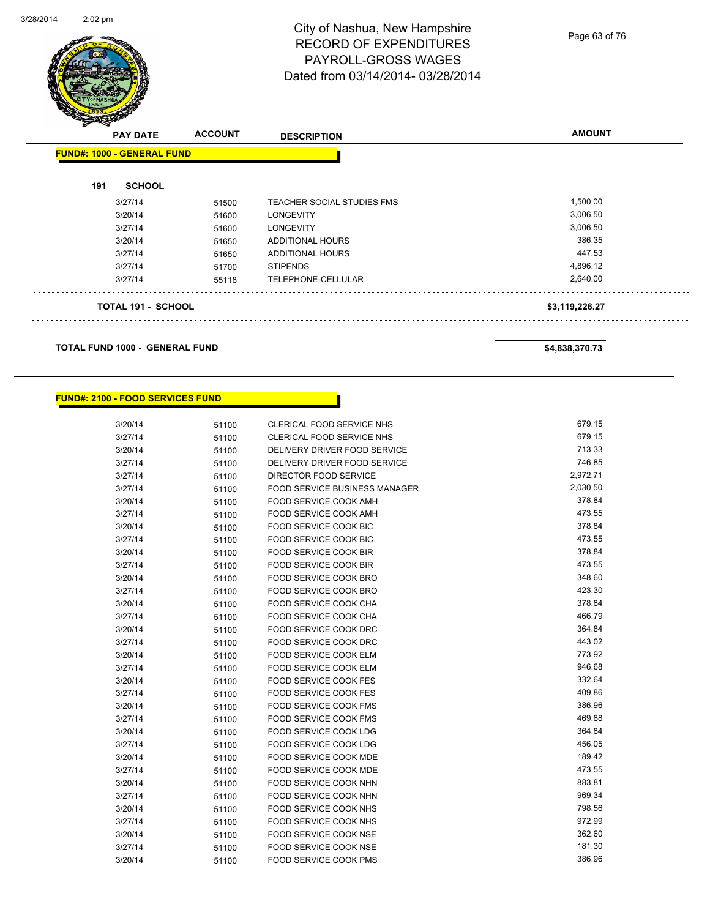Page 63 of 76

| <b>PAY DATE</b>                   | <b>ACCOUNT</b> | <b>DESCRIPTION</b>         | <b>AMOUNT</b>  |
|-----------------------------------|----------------|----------------------------|----------------|
| <b>FUND#: 1000 - GENERAL FUND</b> |                |                            |                |
| <b>SCHOOL</b><br>191              |                |                            |                |
| 3/27/14                           | 51500          | TEACHER SOCIAL STUDIES FMS | 1,500.00       |
| 3/20/14                           | 51600          | <b>LONGEVITY</b>           | 3,006.50       |
| 3/27/14                           | 51600          | <b>LONGEVITY</b>           | 3,006.50       |
| 3/20/14                           | 51650          | ADDITIONAL HOURS           | 386.35         |
| 3/27/14                           | 51650          | ADDITIONAL HOURS           | 447.53         |
| 3/27/14                           | 51700          | <b>STIPENDS</b>            | 4,896.12       |
| 3/27/14                           | 55118          | TELEPHONE-CELLULAR         | 2,640.00       |
| <b>TOTAL 191 - SCHOOL</b>         |                |                            | \$3,119,226.27 |

**TOTAL FUND 1000 - GENERAL FUND \$4,838,370.73** 

#### **FUND#: 2100 - FOOD SERVICES FUND**

| 3/20/14 | 51100 | CLERICAL FOOD SERVICE NHS            | 679.15   |
|---------|-------|--------------------------------------|----------|
| 3/27/14 | 51100 | <b>CLERICAL FOOD SERVICE NHS</b>     | 679.15   |
| 3/20/14 | 51100 | DELIVERY DRIVER FOOD SERVICE         | 713.33   |
| 3/27/14 | 51100 | DELIVERY DRIVER FOOD SERVICE         | 746.85   |
| 3/27/14 | 51100 | DIRECTOR FOOD SERVICE                | 2,972.71 |
| 3/27/14 | 51100 | <b>FOOD SERVICE BUSINESS MANAGER</b> | 2,030.50 |
| 3/20/14 | 51100 | <b>FOOD SERVICE COOK AMH</b>         | 378.84   |
| 3/27/14 | 51100 | <b>FOOD SERVICE COOK AMH</b>         | 473.55   |
| 3/20/14 | 51100 | FOOD SERVICE COOK BIC                | 378.84   |
| 3/27/14 | 51100 | <b>FOOD SERVICE COOK BIC</b>         | 473.55   |
| 3/20/14 | 51100 | FOOD SERVICE COOK BIR                | 378.84   |
| 3/27/14 | 51100 | <b>FOOD SERVICE COOK BIR</b>         | 473.55   |
| 3/20/14 | 51100 | FOOD SERVICE COOK BRO                | 348.60   |
| 3/27/14 | 51100 | FOOD SERVICE COOK BRO                | 423.30   |
| 3/20/14 | 51100 | FOOD SERVICE COOK CHA                | 378.84   |
| 3/27/14 | 51100 | FOOD SERVICE COOK CHA                | 466.79   |
| 3/20/14 | 51100 | FOOD SERVICE COOK DRC                | 364.84   |
| 3/27/14 | 51100 | FOOD SERVICE COOK DRC                | 443.02   |
| 3/20/14 | 51100 | FOOD SERVICE COOK ELM                | 773.92   |
| 3/27/14 | 51100 | <b>FOOD SERVICE COOK ELM</b>         | 946.68   |
| 3/20/14 | 51100 | FOOD SERVICE COOK FES                | 332.64   |
| 3/27/14 | 51100 | <b>FOOD SERVICE COOK FES</b>         | 409.86   |
| 3/20/14 | 51100 | FOOD SERVICE COOK FMS                | 386.96   |
| 3/27/14 | 51100 | <b>FOOD SERVICE COOK FMS</b>         | 469.88   |
| 3/20/14 | 51100 | <b>FOOD SERVICE COOK LDG</b>         | 364.84   |
| 3/27/14 | 51100 | FOOD SERVICE COOK LDG                | 456.05   |
| 3/20/14 | 51100 | <b>FOOD SERVICE COOK MDE</b>         | 189.42   |
| 3/27/14 | 51100 | FOOD SERVICE COOK MDE                | 473.55   |
| 3/20/14 | 51100 | <b>FOOD SERVICE COOK NHN</b>         | 883.81   |
| 3/27/14 | 51100 | FOOD SERVICE COOK NHN                | 969.34   |
| 3/20/14 | 51100 | FOOD SERVICE COOK NHS                | 798.56   |
| 3/27/14 | 51100 | <b>FOOD SERVICE COOK NHS</b>         | 972.99   |
| 3/20/14 | 51100 | FOOD SERVICE COOK NSE                | 362.60   |
| 3/27/14 | 51100 | FOOD SERVICE COOK NSE                | 181.30   |
| 3/20/14 | 51100 | <b>FOOD SERVICE COOK PMS</b>         | 386.96   |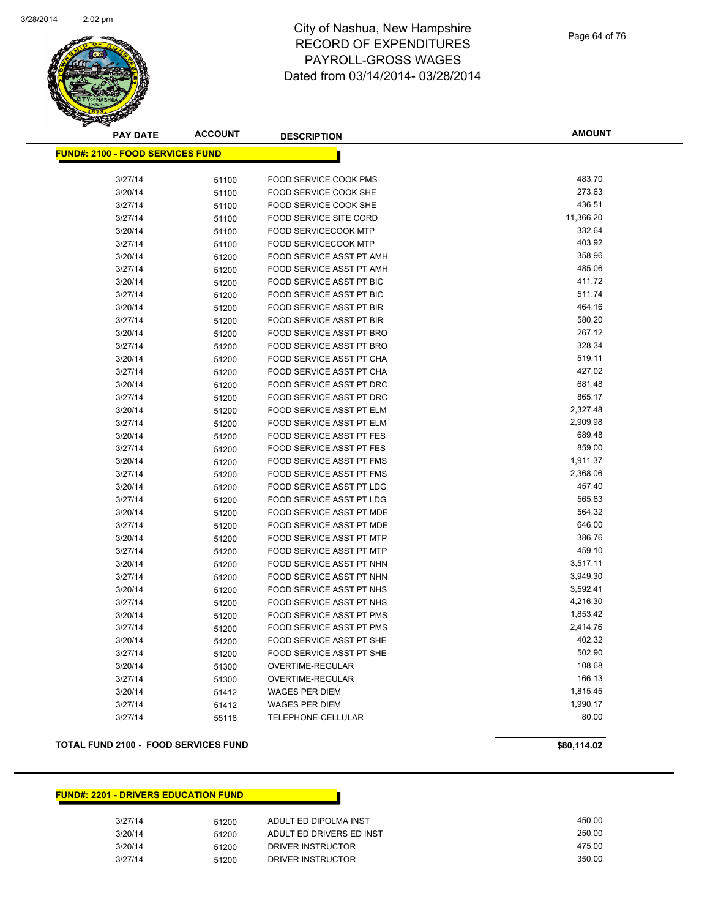

Page 64 of 76

| <b>PAY DATE</b>                         | <b>ACCOUNT</b> | <b>DESCRIPTION</b>              | <b>AMOUNT</b> |
|-----------------------------------------|----------------|---------------------------------|---------------|
| <b>FUND#: 2100 - FOOD SERVICES FUND</b> |                |                                 |               |
|                                         |                |                                 |               |
| 3/27/14                                 | 51100          | FOOD SERVICE COOK PMS           | 483.70        |
| 3/20/14                                 | 51100          | FOOD SERVICE COOK SHE           | 273.63        |
| 3/27/14                                 | 51100          | FOOD SERVICE COOK SHE           | 436.51        |
| 3/27/14                                 | 51100          | <b>FOOD SERVICE SITE CORD</b>   | 11,366.20     |
| 3/20/14                                 | 51100          | <b>FOOD SERVICECOOK MTP</b>     | 332.64        |
| 3/27/14                                 | 51100          | <b>FOOD SERVICECOOK MTP</b>     | 403.92        |
| 3/20/14                                 | 51200          | FOOD SERVICE ASST PT AMH        | 358.96        |
| 3/27/14                                 | 51200          | FOOD SERVICE ASST PT AMH        | 485.06        |
| 3/20/14                                 | 51200          | FOOD SERVICE ASST PT BIC        | 411.72        |
| 3/27/14                                 | 51200          | FOOD SERVICE ASST PT BIC        | 511.74        |
| 3/20/14                                 | 51200          | <b>FOOD SERVICE ASST PT BIR</b> | 464.16        |
| 3/27/14                                 | 51200          | FOOD SERVICE ASST PT BIR        | 580.20        |
| 3/20/14                                 | 51200          | <b>FOOD SERVICE ASST PT BRO</b> | 267.12        |
| 3/27/14                                 | 51200          | FOOD SERVICE ASST PT BRO        | 328.34        |
| 3/20/14                                 | 51200          | FOOD SERVICE ASST PT CHA        | 519.11        |
| 3/27/14                                 | 51200          | FOOD SERVICE ASST PT CHA        | 427.02        |
| 3/20/14                                 | 51200          | FOOD SERVICE ASST PT DRC        | 681.48        |
| 3/27/14                                 | 51200          | FOOD SERVICE ASST PT DRC        | 865.17        |
| 3/20/14                                 | 51200          | FOOD SERVICE ASST PT ELM        | 2,327.48      |
| 3/27/14                                 | 51200          | FOOD SERVICE ASST PT ELM        | 2,909.98      |
| 3/20/14                                 | 51200          | FOOD SERVICE ASST PT FES        | 689.48        |
| 3/27/14                                 | 51200          | FOOD SERVICE ASST PT FES        | 859.00        |
| 3/20/14                                 | 51200          | FOOD SERVICE ASST PT FMS        | 1,911.37      |
| 3/27/14                                 | 51200          | FOOD SERVICE ASST PT FMS        | 2,368.06      |
| 3/20/14                                 | 51200          | FOOD SERVICE ASST PT LDG        | 457.40        |
| 3/27/14                                 | 51200          | FOOD SERVICE ASST PT LDG        | 565.83        |
| 3/20/14                                 | 51200          | FOOD SERVICE ASST PT MDE        | 564.32        |
| 3/27/14                                 | 51200          | FOOD SERVICE ASST PT MDE        | 646.00        |
| 3/20/14                                 | 51200          | FOOD SERVICE ASST PT MTP        | 386.76        |
| 3/27/14                                 | 51200          | FOOD SERVICE ASST PT MTP        | 459.10        |
| 3/20/14                                 | 51200          | FOOD SERVICE ASST PT NHN        | 3,517.11      |
| 3/27/14                                 | 51200          | FOOD SERVICE ASST PT NHN        | 3,949.30      |
| 3/20/14                                 | 51200          | FOOD SERVICE ASST PT NHS        | 3,592.41      |
| 3/27/14                                 | 51200          | <b>FOOD SERVICE ASST PT NHS</b> | 4,216.30      |
| 3/20/14                                 | 51200          | FOOD SERVICE ASST PT PMS        | 1,853.42      |
| 3/27/14                                 | 51200          | FOOD SERVICE ASST PT PMS        | 2,414.76      |
| 3/20/14                                 | 51200          | FOOD SERVICE ASST PT SHE        | 402.32        |
| 3/27/14                                 | 51200          | FOOD SERVICE ASST PT SHE        | 502.90        |
| 3/20/14                                 | 51300          | OVERTIME-REGULAR                | 108.68        |
| 3/27/14                                 | 51300          | OVERTIME-REGULAR                | 166.13        |
| 3/20/14                                 | 51412          | <b>WAGES PER DIEM</b>           | 1,815.45      |
| 3/27/14                                 | 51412          | <b>WAGES PER DIEM</b>           | 1,990.17      |
| 3/27/14                                 | 55118          | TELEPHONE-CELLULAR              | 80.00         |

#### **TOTAL FUND 2100 - FOOD SERVICES FUND \$80,114.02**

#### **FUND#: 2201 - DRIVERS EDUCATION FUND**

| 3/27/14 | 51200 | ADULT ED DIPOLMA INST    | 450.00 |
|---------|-------|--------------------------|--------|
| 3/20/14 | 51200 | ADULT ED DRIVERS ED INST | 250.00 |
| 3/20/14 | 51200 | DRIVER INSTRUCTOR        | 475.00 |
| 3/27/14 | 51200 | DRIVER INSTRUCTOR        | 350.00 |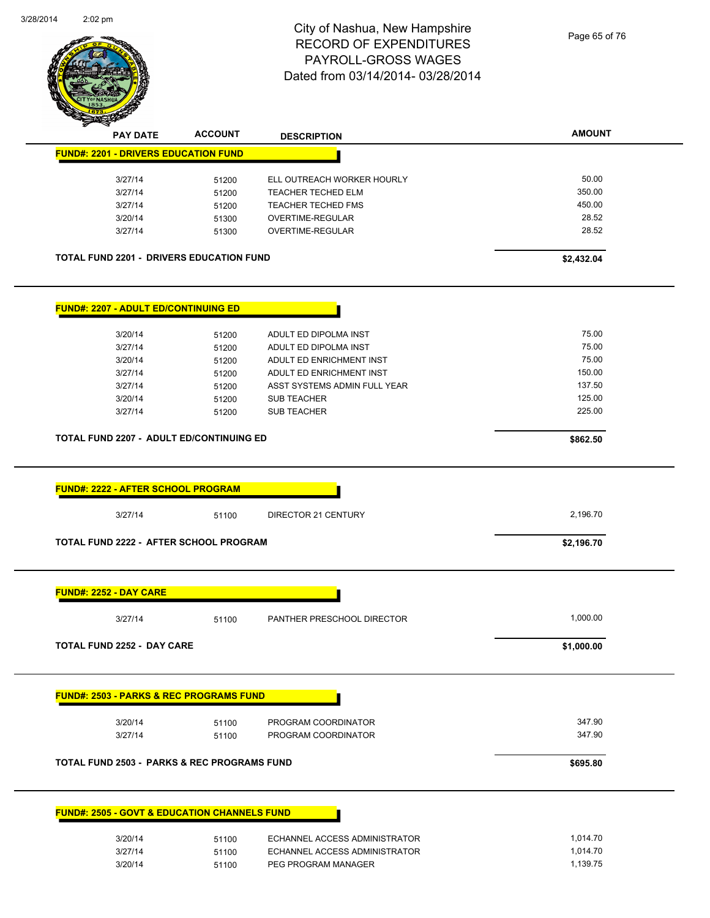

Page 65 of 76

| <b>PAY DATE</b>                             | <b>ACCOUNT</b>                                          | <b>DESCRIPTION</b>                                   | <b>AMOUNT</b>        |
|---------------------------------------------|---------------------------------------------------------|------------------------------------------------------|----------------------|
| <b>FUND#: 2201 - DRIVERS EDUCATION FUND</b> |                                                         |                                                      |                      |
| 3/27/14                                     |                                                         | ELL OUTREACH WORKER HOURLY                           | 50.00                |
|                                             | 51200                                                   |                                                      | 350.00               |
| 3/27/14                                     | 51200                                                   | TEACHER TECHED ELM                                   | 450.00               |
| 3/27/14                                     | 51200                                                   | TEACHER TECHED FMS                                   | 28.52                |
| 3/20/14<br>3/27/14                          | 51300<br>51300                                          | OVERTIME-REGULAR<br>OVERTIME-REGULAR                 | 28.52                |
|                                             |                                                         |                                                      |                      |
|                                             | <b>TOTAL FUND 2201 - DRIVERS EDUCATION FUND</b>         |                                                      | \$2,432.04           |
| <b>FUND#: 2207 - ADULT ED/CONTINUING ED</b> |                                                         |                                                      |                      |
|                                             |                                                         | ADULT ED DIPOLMA INST                                | 75.00                |
| 3/20/14                                     | 51200                                                   |                                                      | 75.00                |
| 3/27/14                                     | 51200                                                   | ADULT ED DIPOLMA INST                                |                      |
| 3/20/14                                     | 51200                                                   | ADULT ED ENRICHMENT INST                             | 75.00                |
| 3/27/14                                     | 51200                                                   | ADULT ED ENRICHMENT INST                             | 150.00               |
| 3/27/14                                     | 51200                                                   | ASST SYSTEMS ADMIN FULL YEAR                         | 137.50               |
| 3/20/14                                     | 51200                                                   | <b>SUB TEACHER</b>                                   | 125.00               |
| 3/27/14                                     | 51200                                                   | <b>SUB TEACHER</b>                                   | 225.00               |
|                                             | TOTAL FUND 2207 - ADULT ED/CONTINUING ED                |                                                      | \$862.50             |
|                                             |                                                         |                                                      |                      |
|                                             |                                                         |                                                      |                      |
| <b>FUND#: 2222 - AFTER SCHOOL PROGRAM</b>   |                                                         |                                                      |                      |
|                                             |                                                         |                                                      |                      |
| 3/27/14                                     | 51100                                                   | DIRECTOR 21 CENTURY                                  | 2,196.70             |
|                                             | <b>TOTAL FUND 2222 - AFTER SCHOOL PROGRAM</b>           |                                                      | \$2,196.70           |
| <b>FUND#: 2252 - DAY CARE</b>               |                                                         |                                                      |                      |
| 3/27/14                                     | 51100                                                   | PANTHER PRESCHOOL DIRECTOR                           | 1,000.00             |
|                                             |                                                         |                                                      |                      |
| TOTAL FUND 2252 - DAY CARE                  |                                                         |                                                      | \$1,000.00           |
|                                             | <b>FUND#: 2503 - PARKS &amp; REC PROGRAMS FUND</b>      |                                                      |                      |
|                                             |                                                         |                                                      |                      |
| 3/20/14                                     | 51100                                                   | PROGRAM COORDINATOR                                  | 347.90               |
| 3/27/14                                     | 51100                                                   | PROGRAM COORDINATOR                                  | 347.90               |
|                                             | <b>TOTAL FUND 2503 - PARKS &amp; REC PROGRAMS FUND</b>  |                                                      | \$695.80             |
|                                             | <b>FUND#: 2505 - GOVT &amp; EDUCATION CHANNELS FUND</b> |                                                      |                      |
|                                             |                                                         |                                                      |                      |
| 3/20/14                                     | 51100                                                   | ECHANNEL ACCESS ADMINISTRATOR                        | 1,014.70             |
| 3/27/14<br>3/20/14                          | 51100<br>51100                                          | ECHANNEL ACCESS ADMINISTRATOR<br>PEG PROGRAM MANAGER | 1,014.70<br>1,139.75 |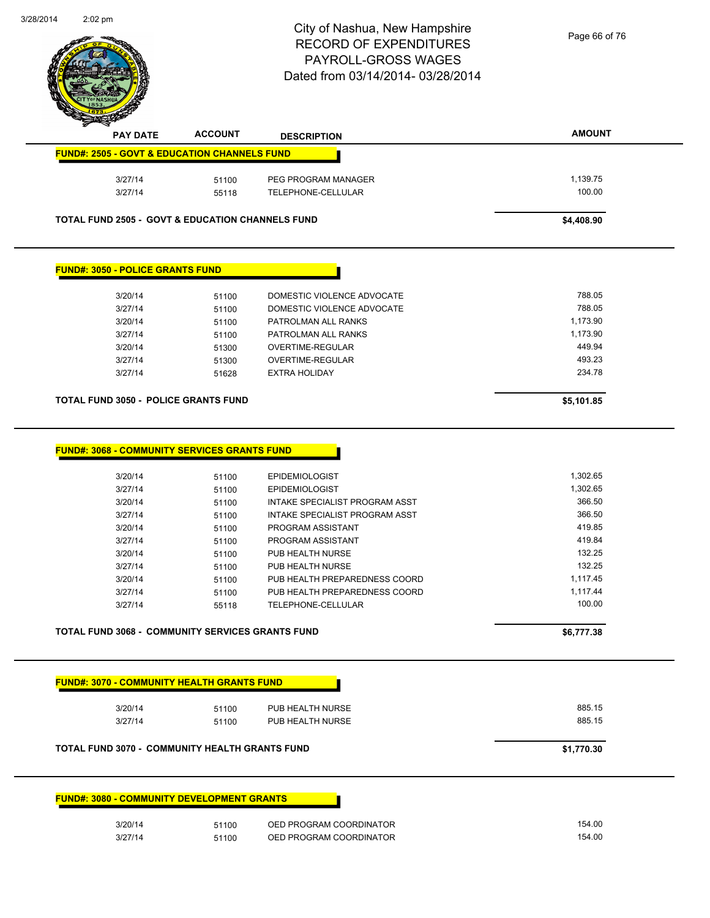

| <b>PAY DATE</b>                                             | <b>ACCOUNT</b> | <b>DESCRIPTION</b>             | <b>AMOUNT</b> |
|-------------------------------------------------------------|----------------|--------------------------------|---------------|
| <b>FUND#: 2505 - GOVT &amp; EDUCATION CHANNELS FUND</b>     |                |                                |               |
|                                                             |                |                                |               |
| 3/27/14                                                     | 51100          | PEG PROGRAM MANAGER            | 1,139.75      |
| 3/27/14                                                     | 55118          | TELEPHONE-CELLULAR             | 100.00        |
| <b>TOTAL FUND 2505 - GOVT &amp; EDUCATION CHANNELS FUND</b> |                |                                | \$4,408.90    |
|                                                             |                |                                |               |
| <b>FUND#: 3050 - POLICE GRANTS FUND</b>                     |                |                                |               |
| 3/20/14                                                     | 51100          | DOMESTIC VIOLENCE ADVOCATE     | 788.05        |
| 3/27/14                                                     | 51100          | DOMESTIC VIOLENCE ADVOCATE     | 788.05        |
| 3/20/14                                                     | 51100          | PATROLMAN ALL RANKS            | 1,173.90      |
| 3/27/14                                                     |                | PATROLMAN ALL RANKS            | 1,173.90      |
|                                                             | 51100          |                                |               |
| 3/20/14                                                     | 51300          | OVERTIME-REGULAR               | 449.94        |
| 3/27/14                                                     | 51300          | OVERTIME-REGULAR               | 493.23        |
| 3/27/14                                                     | 51628          | <b>EXTRA HOLIDAY</b>           | 234.78        |
| <b>TOTAL FUND 3050 - POLICE GRANTS FUND</b>                 |                |                                | \$5,101.85    |
|                                                             |                |                                |               |
| <b>FUND#: 3068 - COMMUNITY SERVICES GRANTS FUND</b>         |                |                                |               |
| 3/20/14                                                     | 51100          | <b>EPIDEMIOLOGIST</b>          | 1,302.65      |
| 3/27/14                                                     | 51100          | <b>EPIDEMIOLOGIST</b>          | 1,302.65      |
| 3/20/14                                                     | 51100          | INTAKE SPECIALIST PROGRAM ASST | 366.50        |
| 3/27/14                                                     | 51100          | INTAKE SPECIALIST PROGRAM ASST | 366.50        |
| 3/20/14                                                     |                | PROGRAM ASSISTANT              | 419.85        |
|                                                             | 51100          |                                | 419.84        |
| 3/27/14                                                     | 51100          | PROGRAM ASSISTANT              |               |
| 3/20/14                                                     | 51100          | PUB HEALTH NURSE               | 132.25        |
| 3/27/14                                                     | 51100          | PUB HEALTH NURSE               | 132.25        |
| 3/20/14                                                     | 51100          | PUB HEALTH PREPAREDNESS COORD  | 1,117.45      |
| 3/27/14                                                     | 51100          | PUB HEALTH PREPAREDNESS COORD  | 1,117.44      |
| 3/27/14                                                     | 55118          | TELEPHONE-CELLULAR             | 100.00        |
| <b>TOTAL FUND 3068 - COMMUNITY SERVICES GRANTS FUND</b>     |                |                                | \$6,777.38    |
|                                                             |                |                                |               |
| <b>FUND#: 3070 - COMMUNITY HEALTH GRANTS FUND</b>           |                |                                |               |
| 3/20/14                                                     | 51100          | PUB HEALTH NURSE               | 885.15        |
| 3/27/14                                                     | 51100          | PUB HEALTH NURSE               | 885.15        |
| <b>TOTAL FUND 3070 - COMMUNITY HEALTH GRANTS FUND</b>       |                |                                | \$1,770.30    |
| <b>FUND#: 3080 - COMMUNITY DEVELOPMENT GRANTS</b>           |                |                                |               |
| 3/20/14                                                     | 51100          | OED PROGRAM COORDINATOR        | 154.00        |
| 3/27/14                                                     | 51100          | OED PROGRAM COORDINATOR        | 154.00        |
|                                                             |                |                                |               |
|                                                             |                |                                |               |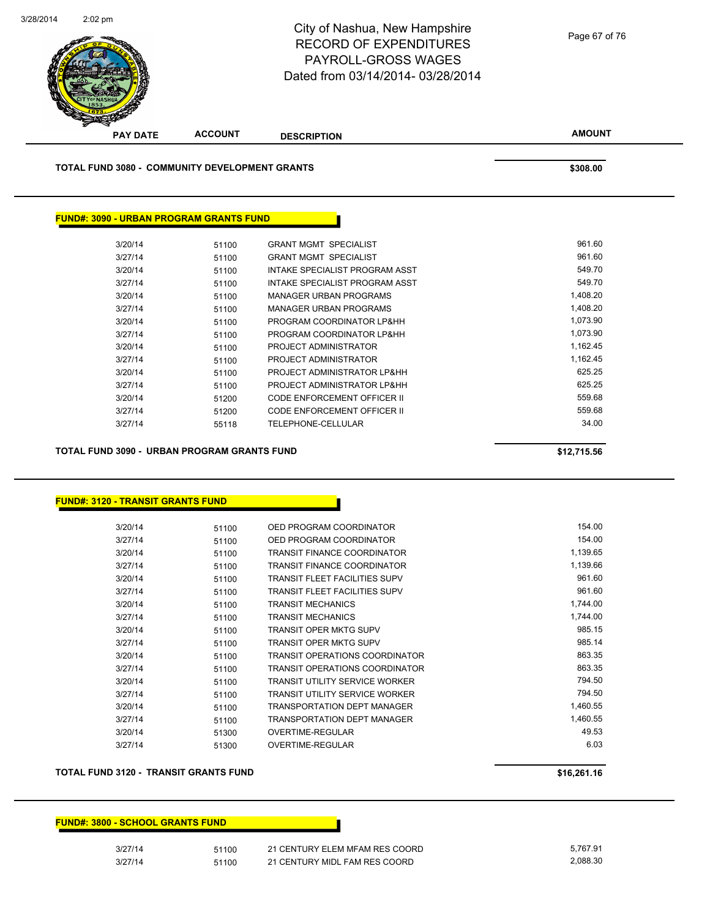

**TOTAL FUND 3080 - COMMUNITY DEVELOPMENT GRANTS \$308.00** 

#### **FUND#: 3090 - URBAN PROGRAM GRANTS FUND**

| 3/20/14 | 51100 | <b>GRANT MGMT SPECIALIST</b>   | 961.60   |
|---------|-------|--------------------------------|----------|
| 3/27/14 | 51100 | <b>GRANT MGMT SPECIALIST</b>   | 961.60   |
| 3/20/14 | 51100 | INTAKE SPECIALIST PROGRAM ASST | 549.70   |
| 3/27/14 | 51100 | INTAKE SPECIALIST PROGRAM ASST | 549.70   |
| 3/20/14 | 51100 | <b>MANAGER URBAN PROGRAMS</b>  | 1.408.20 |
| 3/27/14 | 51100 | MANAGER URBAN PROGRAMS         | 1,408.20 |
| 3/20/14 | 51100 | PROGRAM COORDINATOR LP&HH      | 1,073.90 |
| 3/27/14 | 51100 | PROGRAM COORDINATOR LP&HH      | 1.073.90 |
| 3/20/14 | 51100 | PROJECT ADMINISTRATOR          | 1,162.45 |
| 3/27/14 | 51100 | PROJECT ADMINISTRATOR          | 1,162.45 |
| 3/20/14 | 51100 | PROJECT ADMINISTRATOR LP&HH    | 625.25   |
| 3/27/14 | 51100 | PROJECT ADMINISTRATOR LP&HH    | 625.25   |
| 3/20/14 | 51200 | CODE ENFORCEMENT OFFICER II    | 559.68   |
| 3/27/14 | 51200 | CODE ENFORCEMENT OFFICER II    | 559.68   |
| 3/27/14 | 55118 | <b>TELEPHONE-CELLULAR</b>      | 34.00    |
|         |       |                                |          |

**TOTAL FUND 3090 - URBAN PROGRAM GRANTS FUND \$12,715.56** 

#### **FUND#: 3120 - TRANSIT GRANTS FUND**

| 3/20/14 | 51100 | OED PROGRAM COORDINATOR              | 154.00   |
|---------|-------|--------------------------------------|----------|
| 3/27/14 | 51100 | OED PROGRAM COORDINATOR              | 154.00   |
| 3/20/14 | 51100 | <b>TRANSIT FINANCE COORDINATOR</b>   | 1,139.65 |
| 3/27/14 | 51100 | TRANSIT FINANCE COORDINATOR          | 1,139.66 |
| 3/20/14 | 51100 | <b>TRANSIT FLEET FACILITIES SUPV</b> | 961.60   |
| 3/27/14 | 51100 | TRANSIT FLEET FACILITIES SUPV        | 961.60   |
| 3/20/14 | 51100 | <b>TRANSIT MECHANICS</b>             | 1,744.00 |
| 3/27/14 | 51100 | <b>TRANSIT MECHANICS</b>             | 1,744.00 |
| 3/20/14 | 51100 | TRANSIT OPER MKTG SUPV               | 985.15   |
| 3/27/14 | 51100 | TRANSIT OPER MKTG SUPV               | 985.14   |
| 3/20/14 | 51100 | TRANSIT OPERATIONS COORDINATOR       | 863.35   |
| 3/27/14 | 51100 | TRANSIT OPERATIONS COORDINATOR       | 863.35   |
| 3/20/14 | 51100 | TRANSIT UTILITY SERVICE WORKER       | 794.50   |
| 3/27/14 | 51100 | TRANSIT UTILITY SERVICE WORKER       | 794.50   |
| 3/20/14 | 51100 | TRANSPORTATION DEPT MANAGER          | 1,460.55 |
| 3/27/14 | 51100 | TRANSPORTATION DEPT MANAGER          | 1,460.55 |
| 3/20/14 | 51300 | OVERTIME-REGULAR                     | 49.53    |
| 3/27/14 | 51300 | OVERTIME-REGULAR                     | 6.03     |
|         |       |                                      |          |

#### **TOTAL FUND 3120 - TRANSIT GRANTS FUND \$16,261.16**

| \$16,261.16 |  |  |  |
|-------------|--|--|--|
|             |  |  |  |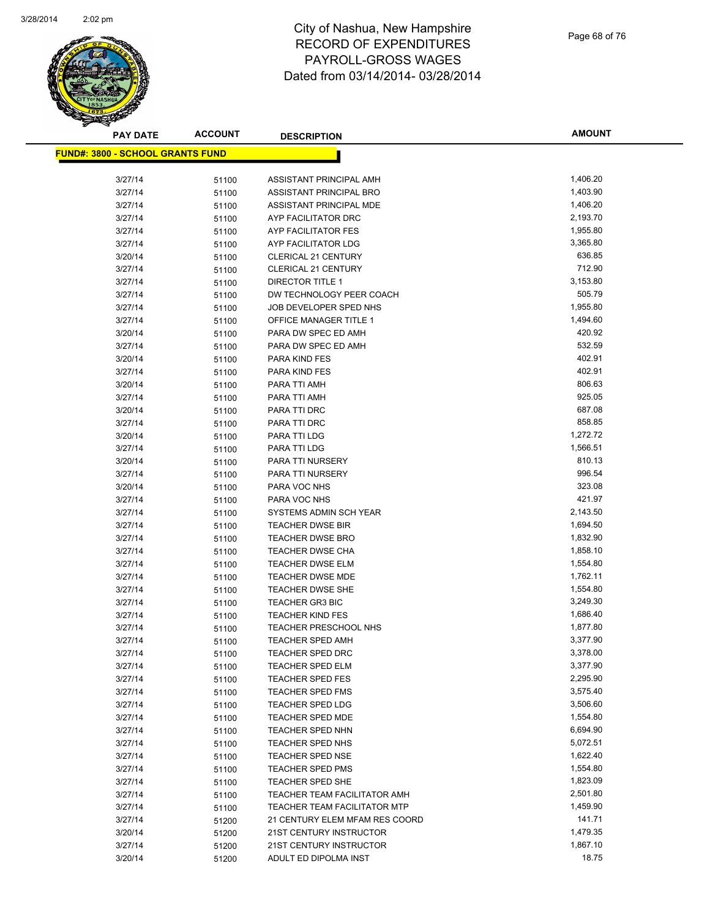

**AMOUNT**

| <b>FUND#: 3800 - SCHOOL GRANTS FUND</b> |       |                                     |          |
|-----------------------------------------|-------|-------------------------------------|----------|
|                                         |       |                                     |          |
| 3/27/14                                 | 51100 | ASSISTANT PRINCIPAL AMH             | 1,406.20 |
| 3/27/14                                 | 51100 | ASSISTANT PRINCIPAL BRO             | 1,403.90 |
| 3/27/14                                 | 51100 | ASSISTANT PRINCIPAL MDE             | 1,406.20 |
| 3/27/14                                 | 51100 | AYP FACILITATOR DRC                 | 2,193.70 |
| 3/27/14                                 | 51100 | AYP FACILITATOR FES                 | 1,955.80 |
| 3/27/14                                 | 51100 | AYP FACILITATOR LDG                 | 3,365.80 |
| 3/20/14                                 | 51100 | <b>CLERICAL 21 CENTURY</b>          | 636.85   |
| 3/27/14                                 | 51100 | <b>CLERICAL 21 CENTURY</b>          | 712.90   |
| 3/27/14                                 | 51100 | <b>DIRECTOR TITLE 1</b>             | 3,153.80 |
| 3/27/14                                 | 51100 | DW TECHNOLOGY PEER COACH            | 505.79   |
| 3/27/14                                 | 51100 | JOB DEVELOPER SPED NHS              | 1,955.80 |
| 3/27/14                                 | 51100 | OFFICE MANAGER TITLE 1              | 1,494.60 |
| 3/20/14                                 | 51100 | PARA DW SPEC ED AMH                 | 420.92   |
| 3/27/14                                 | 51100 | PARA DW SPEC ED AMH                 | 532.59   |
| 3/20/14                                 | 51100 | <b>PARA KIND FES</b>                | 402.91   |
| 3/27/14                                 | 51100 | PARA KIND FES                       | 402.91   |
| 3/20/14                                 | 51100 | PARA TTI AMH                        | 806.63   |
| 3/27/14                                 | 51100 | PARA TTI AMH                        | 925.05   |
| 3/20/14                                 | 51100 | PARA TTI DRC                        | 687.08   |
| 3/27/14                                 | 51100 | PARA TTI DRC                        | 858.85   |
| 3/20/14                                 | 51100 | PARA TTI LDG                        | 1,272.72 |
| 3/27/14                                 | 51100 | PARA TTI LDG                        | 1,566.51 |
| 3/20/14                                 | 51100 | PARA TTI NURSERY                    | 810.13   |
| 3/27/14                                 | 51100 | PARA TTI NURSERY                    | 996.54   |
| 3/20/14                                 | 51100 | PARA VOC NHS                        | 323.08   |
| 3/27/14                                 | 51100 | PARA VOC NHS                        | 421.97   |
| 3/27/14                                 | 51100 | SYSTEMS ADMIN SCH YEAR              | 2,143.50 |
| 3/27/14                                 | 51100 | <b>TEACHER DWSE BIR</b>             | 1,694.50 |
| 3/27/14                                 | 51100 | <b>TEACHER DWSE BRO</b>             | 1,832.90 |
| 3/27/14                                 | 51100 | <b>TEACHER DWSE CHA</b>             | 1,858.10 |
| 3/27/14                                 | 51100 | <b>TEACHER DWSE ELM</b>             | 1,554.80 |
| 3/27/14                                 | 51100 | <b>TEACHER DWSE MDE</b>             | 1,762.11 |
| 3/27/14                                 | 51100 | <b>TEACHER DWSE SHE</b>             | 1,554.80 |
| 3/27/14                                 | 51100 | <b>TEACHER GR3 BIC</b>              | 3,249.30 |
| 3/27/14                                 | 51100 | <b>TEACHER KIND FES</b>             | 1,686.40 |
| 3/27/14                                 | 51100 | <b>TEACHER PRESCHOOL NHS</b>        | 1,877.80 |
| 3/27/14                                 | 51100 | <b>TEACHER SPED AMH</b>             | 3,377.90 |
| 3/27/14                                 | 51100 | <b>TEACHER SPED DRC</b>             | 3,378.00 |
| 3/27/14                                 | 51100 | <b>TEACHER SPED ELM</b>             | 3,377.90 |
| 3/27/14                                 | 51100 | <b>TEACHER SPED FES</b>             | 2,295.90 |
| 3/27/14                                 | 51100 | <b>TEACHER SPED FMS</b>             | 3,575.40 |
| 3/27/14                                 | 51100 | <b>TEACHER SPED LDG</b>             | 3,506.60 |
| 3/27/14                                 | 51100 | <b>TEACHER SPED MDE</b>             | 1,554.80 |
| 3/27/14                                 | 51100 | <b>TEACHER SPED NHN</b>             | 6,694.90 |
| 3/27/14                                 | 51100 | TEACHER SPED NHS                    | 5,072.51 |
| 3/27/14                                 | 51100 | <b>TEACHER SPED NSE</b>             | 1,622.40 |
| 3/27/14                                 | 51100 | <b>TEACHER SPED PMS</b>             | 1,554.80 |
| 3/27/14                                 | 51100 | <b>TEACHER SPED SHE</b>             | 1,823.09 |
| 3/27/14                                 | 51100 | TEACHER TEAM FACILITATOR AMH        | 2,501.80 |
| 3/27/14                                 | 51100 | <b>TEACHER TEAM FACILITATOR MTP</b> | 1,459.90 |
| 3/27/14                                 | 51200 | 21 CENTURY ELEM MFAM RES COORD      | 141.71   |
| 3/20/14                                 | 51200 | 21ST CENTURY INSTRUCTOR             | 1,479.35 |
| 3/27/14                                 | 51200 | 21ST CENTURY INSTRUCTOR             | 1,867.10 |
| 3/20/14                                 | 51200 | ADULT ED DIPOLMA INST               | 18.75    |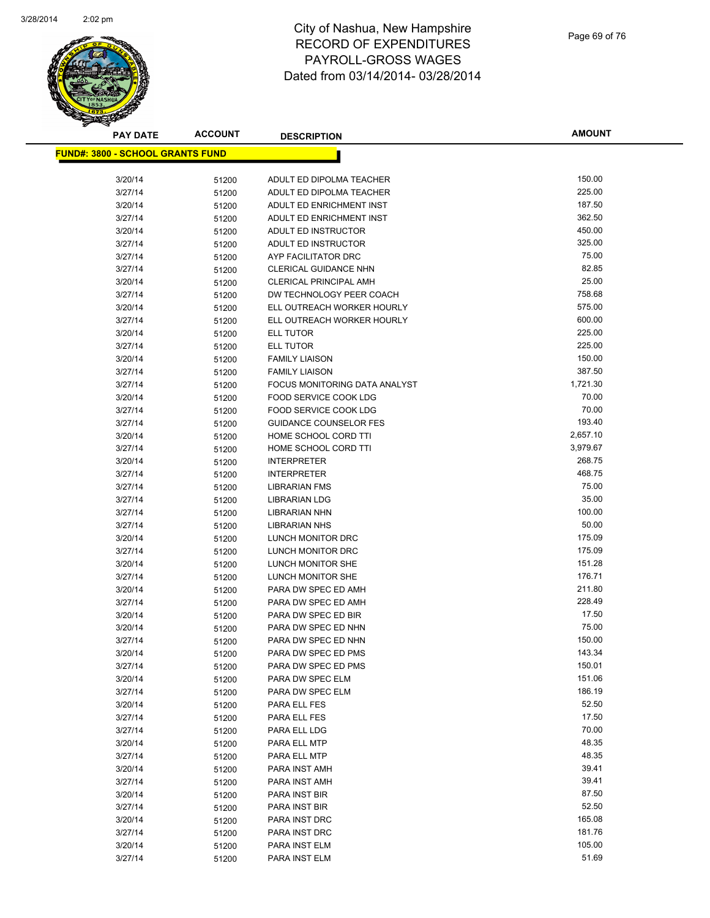

**AMOUNT**

| <u> FUND#: 3800 - SCHOOL GRANTS FUND</u> |                |                                                       |                      |
|------------------------------------------|----------------|-------------------------------------------------------|----------------------|
|                                          |                |                                                       |                      |
| 3/20/14                                  | 51200          | ADULT ED DIPOLMA TEACHER                              | 150.00               |
| 3/27/14                                  | 51200          | ADULT ED DIPOLMA TEACHER                              | 225.00               |
| 3/20/14                                  | 51200          | ADULT ED ENRICHMENT INST                              | 187.50               |
| 3/27/14                                  | 51200          | ADULT ED ENRICHMENT INST                              | 362.50               |
| 3/20/14                                  | 51200          | ADULT ED INSTRUCTOR                                   | 450.00               |
| 3/27/14                                  | 51200          | ADULT ED INSTRUCTOR                                   | 325.00               |
| 3/27/14                                  | 51200          | AYP FACILITATOR DRC                                   | 75.00                |
| 3/27/14                                  | 51200          | <b>CLERICAL GUIDANCE NHN</b>                          | 82.85                |
| 3/20/14                                  | 51200          | <b>CLERICAL PRINCIPAL AMH</b>                         | 25.00                |
| 3/27/14                                  | 51200          | DW TECHNOLOGY PEER COACH                              | 758.68               |
| 3/20/14                                  | 51200          | ELL OUTREACH WORKER HOURLY                            | 575.00               |
| 3/27/14                                  | 51200          | ELL OUTREACH WORKER HOURLY                            | 600.00               |
| 3/20/14                                  | 51200          | ELL TUTOR                                             | 225.00               |
| 3/27/14                                  | 51200          | <b>ELL TUTOR</b>                                      | 225.00<br>150.00     |
| 3/20/14                                  | 51200          | <b>FAMILY LIAISON</b>                                 |                      |
| 3/27/14                                  | 51200          | <b>FAMILY LIAISON</b>                                 | 387.50<br>1,721.30   |
| 3/27/14                                  | 51200          | FOCUS MONITORING DATA ANALYST                         | 70.00                |
| 3/20/14                                  | 51200          | FOOD SERVICE COOK LDG<br><b>FOOD SERVICE COOK LDG</b> | 70.00                |
| 3/27/14<br>3/27/14                       | 51200          | <b>GUIDANCE COUNSELOR FES</b>                         | 193.40               |
|                                          | 51200          |                                                       |                      |
| 3/20/14                                  | 51200          | HOME SCHOOL CORD TTI<br>HOME SCHOOL CORD TTI          | 2,657.10<br>3,979.67 |
| 3/27/14                                  | 51200          |                                                       | 268.75               |
| 3/20/14                                  | 51200          | <b>INTERPRETER</b>                                    | 468.75               |
| 3/27/14<br>3/27/14                       | 51200          | <b>INTERPRETER</b><br><b>LIBRARIAN FMS</b>            | 75.00                |
| 3/27/14                                  | 51200          | <b>LIBRARIAN LDG</b>                                  | 35.00                |
| 3/27/14                                  | 51200          | <b>LIBRARIAN NHN</b>                                  | 100.00               |
| 3/27/14                                  | 51200          | <b>LIBRARIAN NHS</b>                                  | 50.00                |
| 3/20/14                                  | 51200          | LUNCH MONITOR DRC                                     | 175.09               |
| 3/27/14                                  | 51200<br>51200 | LUNCH MONITOR DRC                                     | 175.09               |
| 3/20/14                                  | 51200          | LUNCH MONITOR SHE                                     | 151.28               |
| 3/27/14                                  | 51200          | LUNCH MONITOR SHE                                     | 176.71               |
| 3/20/14                                  | 51200          | PARA DW SPEC ED AMH                                   | 211.80               |
| 3/27/14                                  | 51200          | PARA DW SPEC ED AMH                                   | 228.49               |
| 3/20/14                                  | 51200          | PARA DW SPEC ED BIR                                   | 17.50                |
| 3/20/14                                  | 51200          | PARA DW SPEC ED NHN                                   | 75.00                |
| 3/27/14                                  | 51200          | PARA DW SPEC ED NHN                                   | 150.00               |
| 3/20/14                                  | 51200          | PARA DW SPEC ED PMS                                   | 143.34               |
| 3/27/14                                  | 51200          | PARA DW SPEC ED PMS                                   | 150.01               |
| 3/20/14                                  | 51200          | PARA DW SPEC ELM                                      | 151.06               |
| 3/27/14                                  | 51200          | PARA DW SPEC ELM                                      | 186.19               |
| 3/20/14                                  | 51200          | PARA ELL FES                                          | 52.50                |
| 3/27/14                                  | 51200          | PARA ELL FES                                          | 17.50                |
| 3/27/14                                  | 51200          | PARA ELL LDG                                          | 70.00                |
| 3/20/14                                  | 51200          | PARA ELL MTP                                          | 48.35                |
| 3/27/14                                  | 51200          | PARA ELL MTP                                          | 48.35                |
| 3/20/14                                  | 51200          | PARA INST AMH                                         | 39.41                |
| 3/27/14                                  | 51200          | PARA INST AMH                                         | 39.41                |
| 3/20/14                                  | 51200          | PARA INST BIR                                         | 87.50                |
| 3/27/14                                  | 51200          | PARA INST BIR                                         | 52.50                |
| 3/20/14                                  | 51200          | PARA INST DRC                                         | 165.08               |
| 3/27/14                                  | 51200          | PARA INST DRC                                         | 181.76               |
| 3/20/14                                  | 51200          | PARA INST ELM                                         | 105.00               |
| 3/27/14                                  | 51200          | PARA INST ELM                                         | 51.69                |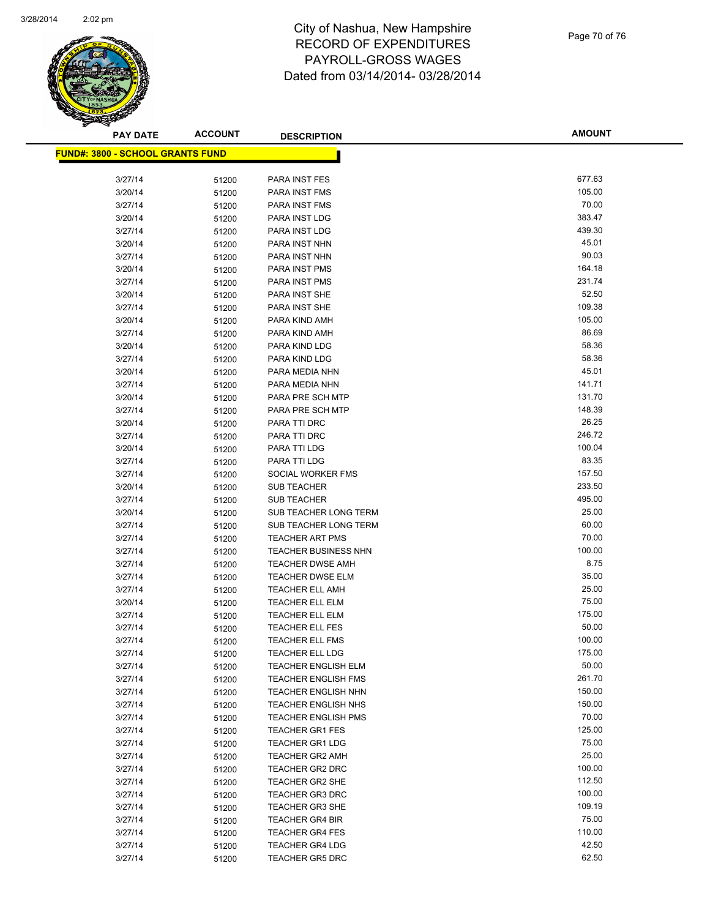

| <b>PAY DATE</b>                          | <b>ACCOUNT</b> | <b>DESCRIPTION</b>          | <b>AMOUNT</b> |
|------------------------------------------|----------------|-----------------------------|---------------|
| <u> FUND#: 3800 - SCHOOL GRANTS FUND</u> |                |                             |               |
|                                          |                |                             |               |
| 3/27/14                                  | 51200          | PARA INST FES               | 677.63        |
| 3/20/14                                  | 51200          | PARA INST FMS               | 105.00        |
| 3/27/14                                  | 51200          | PARA INST FMS               | 70.00         |
| 3/20/14                                  | 51200          | PARA INST LDG               | 383.47        |
| 3/27/14                                  | 51200          | PARA INST LDG               | 439.30        |
| 3/20/14                                  | 51200          | PARA INST NHN               | 45.01         |
| 3/27/14                                  | 51200          | PARA INST NHN               | 90.03         |
| 3/20/14                                  | 51200          | <b>PARA INST PMS</b>        | 164.18        |
| 3/27/14                                  | 51200          | PARA INST PMS               | 231.74        |
| 3/20/14                                  | 51200          | PARA INST SHE               | 52.50         |
| 3/27/14                                  | 51200          | PARA INST SHE               | 109.38        |
| 3/20/14                                  | 51200          | PARA KIND AMH               | 105.00        |
| 3/27/14                                  | 51200          | PARA KIND AMH               | 86.69         |
| 3/20/14                                  | 51200          | PARA KIND LDG               | 58.36         |
| 3/27/14                                  | 51200          | PARA KIND LDG               | 58.36         |
| 3/20/14                                  | 51200          | PARA MEDIA NHN              | 45.01         |
| 3/27/14                                  | 51200          | PARA MEDIA NHN              | 141.71        |
| 3/20/14                                  | 51200          | PARA PRE SCH MTP            | 131.70        |
| 3/27/14                                  | 51200          | PARA PRE SCH MTP            | 148.39        |
| 3/20/14                                  | 51200          | PARA TTI DRC                | 26.25         |
| 3/27/14                                  | 51200          | PARA TTI DRC                | 246.72        |
| 3/20/14                                  | 51200          | PARA TTI LDG                | 100.04        |
| 3/27/14                                  | 51200          | PARA TTI LDG                | 83.35         |
| 3/27/14                                  | 51200          | SOCIAL WORKER FMS           | 157.50        |
| 3/20/14                                  | 51200          | <b>SUB TEACHER</b>          | 233.50        |
| 3/27/14                                  | 51200          | <b>SUB TEACHER</b>          | 495.00        |
| 3/20/14                                  | 51200          | SUB TEACHER LONG TERM       | 25.00         |
| 3/27/14                                  | 51200          | SUB TEACHER LONG TERM       | 60.00         |
| 3/27/14                                  | 51200          | <b>TEACHER ART PMS</b>      | 70.00         |
| 3/27/14                                  | 51200          | <b>TEACHER BUSINESS NHN</b> | 100.00        |
| 3/27/14                                  | 51200          | <b>TEACHER DWSE AMH</b>     | 8.75          |
| 3/27/14                                  | 51200          | <b>TEACHER DWSE ELM</b>     | 35.00         |
| 3/27/14                                  | 51200          | <b>TEACHER ELL AMH</b>      | 25.00         |
| 3/20/14                                  | 51200          | <b>TEACHER ELL ELM</b>      | 75.00         |
| 3/27/14                                  | 51200          | TEACHER ELL ELM             | 175.00        |
| 3/27/14                                  | 51200          | <b>TEACHER ELL FES</b>      | 50.00         |
| 3/27/14                                  | 51200          | <b>TEACHER ELL FMS</b>      | 100.00        |
| 3/27/14                                  | 51200          | <b>TEACHER ELL LDG</b>      | 175.00        |
| 3/27/14                                  | 51200          | <b>TEACHER ENGLISH ELM</b>  | 50.00         |
| 3/27/14                                  | 51200          | <b>TEACHER ENGLISH FMS</b>  | 261.70        |
| 3/27/14                                  | 51200          | <b>TEACHER ENGLISH NHN</b>  | 150.00        |
| 3/27/14                                  | 51200          | <b>TEACHER ENGLISH NHS</b>  | 150.00        |
| 3/27/14                                  | 51200          | <b>TEACHER ENGLISH PMS</b>  | 70.00         |
| 3/27/14                                  | 51200          | <b>TEACHER GR1 FES</b>      | 125.00        |
| 3/27/14                                  | 51200          | <b>TEACHER GR1 LDG</b>      | 75.00         |
| 3/27/14                                  | 51200          | <b>TEACHER GR2 AMH</b>      | 25.00         |
| 3/27/14                                  | 51200          | <b>TEACHER GR2 DRC</b>      | 100.00        |
| 3/27/14                                  | 51200          | <b>TEACHER GR2 SHE</b>      | 112.50        |
| 3/27/14                                  | 51200          | <b>TEACHER GR3 DRC</b>      | 100.00        |
| 3/27/14                                  | 51200          | <b>TEACHER GR3 SHE</b>      | 109.19        |
| 3/27/14                                  | 51200          | <b>TEACHER GR4 BIR</b>      | 75.00         |
| 3/27/14                                  | 51200          | <b>TEACHER GR4 FES</b>      | 110.00        |
| 3/27/14                                  | 51200          | <b>TEACHER GR4 LDG</b>      | 42.50         |
| 3/27/14                                  | 51200          | <b>TEACHER GR5 DRC</b>      | 62.50         |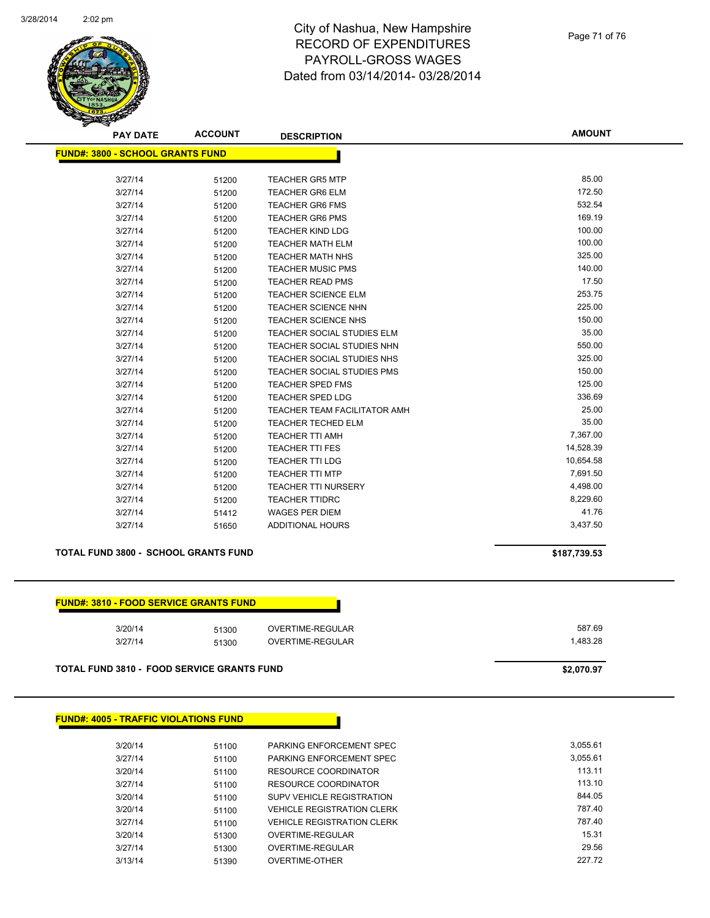

| TURES |
|-------|
|-------|

#### **AMOUNT PAY DATE ACCOUNT DESCRIPTION FUND#: 3800 - SCHOOL GRANTS FUND** 3/27/14 51200 TEACHER GR5 MTP 85.00 3/27/14 51200 TEACHER GR6 ELM 172.50 3/27/14 51200 TEACHER GR6 FMS 532.54 3/27/14 51200 TEACHER GR6 PMS 169.19 3/27/14 51200 TEACHER KIND LDG 100.00 3/27/14 51200 TEACHER MATH ELM 100.00 100.00 3/27/14 51200 TEACHER MATH NHS 325.00 3/27/14 51200 TEACHER MUSIC PMS 140.00 3/27/14 51200 TEACHER READ PMS 17.50 3/27/14 51200 TEACHER SCIENCE ELM 253.75 3/27/14 51200 TEACHER SCIENCE NHN 225.00 3/27/14 51200 TEACHER SCIENCE NHS 150.00 3/27/14 51200 TEACHER SOCIAL STUDIES ELM 35.00 3/27/14 51200 TEACHER SOCIAL STUDIES NHN 550.00 3/27/14 51200 TEACHER SOCIAL STUDIES NHS 325.00 3/27/14 51200 TEACHER SOCIAL STUDIES PMS 150.00 3/27/14 51200 TEACHER SPED FMS 125.00 3/27/14 51200 TEACHER SPED LDG 336.69 3/27/14 51200 TEACHER TEAM FACILITATOR AMH 25.00

3/27/14 51200 TEACHER TECHED ELM 35.00 3/27/14 51200 TEACHER TTI AMH<br>3/27/14 51200 TEACHER TTI FES 30 7.367.00

3/27/14 51200 TEACHER TTI LDG 10,654.58 3/27/14 51200 TEACHER TTI MTP 7,691.50 3/27/14 51200 TEACHER TTI NURSERY 4,498.00 3/27/14 51200 TEACHER TTIDRC 8,229.60 3/27/14 51412 WAGES PER DIEM 41.76 3/27/14 51650 ADDITIONAL HOURS 3,437.50

#### **TOTAL FUND 3800 - SCHOOL GRANTS FUND \$187,739.53**

3/27/14 51200 TEACHER TTI FES

#### **FUND#: 3810 - FOOD SERVICE GRANTS FUND**

| 3/20/14 | 51300 | OVERTIME-REGULAR        | 587.69  |
|---------|-------|-------------------------|---------|
| 3/27/14 | 51300 | <b>OVERTIME-REGULAR</b> | .483.28 |

**TOTAL FUND 3810 - FOOD SERVICE GRANTS FUND \$2,070.97** 

| <b>FUND#: 4005 - TRAFFIC VIOLATIONS FUND</b> |       |                                   |          |  |  |
|----------------------------------------------|-------|-----------------------------------|----------|--|--|
| 3/20/14                                      | 51100 | PARKING ENFORCEMENT SPEC          | 3.055.61 |  |  |
| 3/27/14                                      | 51100 | PARKING ENFORCEMENT SPEC          | 3.055.61 |  |  |
| 3/20/14                                      | 51100 | RESOURCE COORDINATOR              | 113.11   |  |  |
| 3/27/14                                      | 51100 | RESOURCE COORDINATOR              | 113.10   |  |  |
| 3/20/14                                      | 51100 | <b>SUPV VEHICLE REGISTRATION</b>  | 844.05   |  |  |
| 3/20/14                                      | 51100 | <b>VEHICLE REGISTRATION CLERK</b> | 787.40   |  |  |
| 3/27/14                                      | 51100 | <b>VEHICLE REGISTRATION CLERK</b> | 787.40   |  |  |
| 3/20/14                                      | 51300 | OVERTIME-REGULAR                  | 15.31    |  |  |
| 3/27/14                                      | 51300 | OVERTIME-REGULAR                  | 29.56    |  |  |
| 3/13/14                                      | 51390 | <b>OVERTIME-OTHER</b>             | 227.72   |  |  |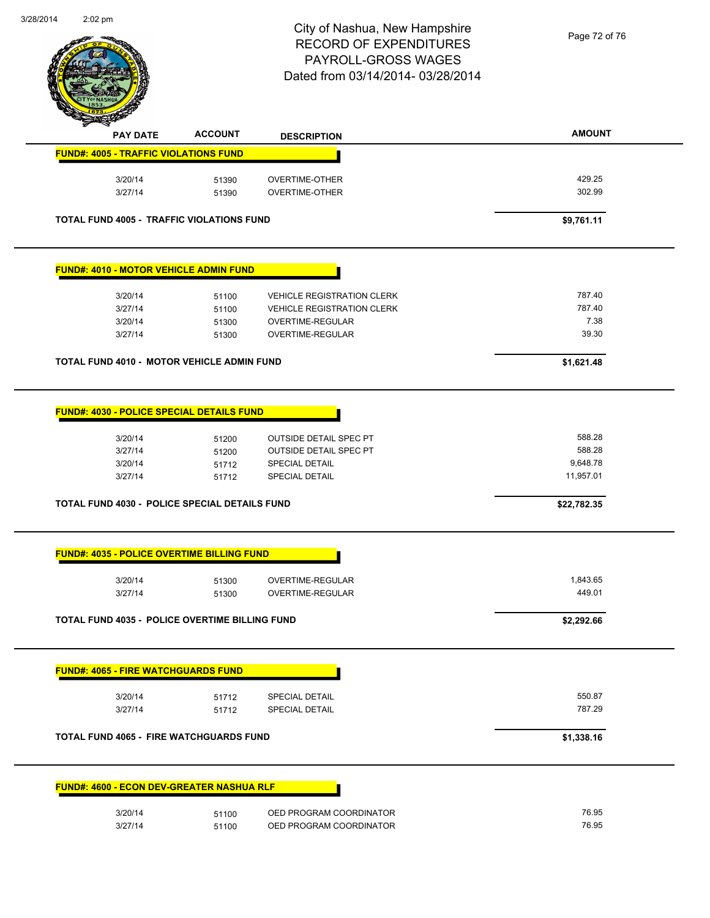$\overline{a}$ 



## City of Nashua, New Hampshire RECORD OF EXPENDITURES PAYROLL-GROSS WAGES Dated from 03/14/2014- 03/28/2014

Page 72 of 76

| <b>PAY DATE</b>                                       | <b>ACCOUNT</b> | <b>DESCRIPTION</b>                | <b>AMOUNT</b>  |
|-------------------------------------------------------|----------------|-----------------------------------|----------------|
| <b>FUND#: 4005 - TRAFFIC VIOLATIONS FUND</b>          |                |                                   |                |
| 3/20/14                                               | 51390          | <b>OVERTIME-OTHER</b>             | 429.25         |
| 3/27/14                                               | 51390          | <b>OVERTIME-OTHER</b>             | 302.99         |
| TOTAL FUND 4005 - TRAFFIC VIOLATIONS FUND             |                |                                   | \$9,761.11     |
| <b>FUND#: 4010 - MOTOR VEHICLE ADMIN FUND</b>         |                |                                   |                |
| 3/20/14                                               | 51100          | <b>VEHICLE REGISTRATION CLERK</b> | 787.40         |
| 3/27/14                                               | 51100          | <b>VEHICLE REGISTRATION CLERK</b> | 787.40         |
| 3/20/14                                               | 51300          | OVERTIME-REGULAR                  | 7.38           |
| 3/27/14                                               | 51300          | OVERTIME-REGULAR                  | 39.30          |
| <b>TOTAL FUND 4010 - MOTOR VEHICLE ADMIN FUND</b>     |                |                                   | \$1,621.48     |
| <b>FUND#: 4030 - POLICE SPECIAL DETAILS FUND</b>      |                |                                   |                |
| 3/20/14                                               | 51200          | <b>OUTSIDE DETAIL SPEC PT</b>     | 588.28         |
| 3/27/14                                               | 51200          | <b>OUTSIDE DETAIL SPEC PT</b>     | 588.28         |
| 3/20/14                                               | 51712          | SPECIAL DETAIL                    | 9,648.78       |
| 3/27/14                                               | 51712          | <b>SPECIAL DETAIL</b>             | 11,957.01      |
| <b>TOTAL FUND 4030 - POLICE SPECIAL DETAILS FUND</b>  |                |                                   | \$22,782.35    |
| <b>FUND#: 4035 - POLICE OVERTIME BILLING FUND</b>     |                |                                   |                |
| 3/20/14                                               | 51300          | OVERTIME-REGULAR                  | 1,843.65       |
| 3/27/14                                               | 51300          | OVERTIME-REGULAR                  | 449.01         |
| <b>TOTAL FUND 4035 - POLICE OVERTIME BILLING FUND</b> |                |                                   | \$2,292.66     |
| <b>FUND#: 4065 - FIRE WATCHGUARDS FUND</b>            |                |                                   |                |
| 3/20/14                                               |                | <b>SPECIAL DETAIL</b>             | 550.87         |
| 3/27/14                                               | 51712<br>51712 | <b>SPECIAL DETAIL</b>             | 787.29         |
| <b>TOTAL FUND 4065 - FIRE WATCHGUARDS FUND</b>        |                |                                   | \$1,338.16     |
| <b>FUND#: 4600 - ECON DEV-GREATER NASHUA RLF</b>      |                |                                   |                |
|                                                       |                |                                   |                |
| 3/20/14                                               | 51100          | OED PROGRAM COORDINATOR           | 76.95<br>76.95 |
| 3/27/14                                               | 51100          | OED PROGRAM COORDINATOR           |                |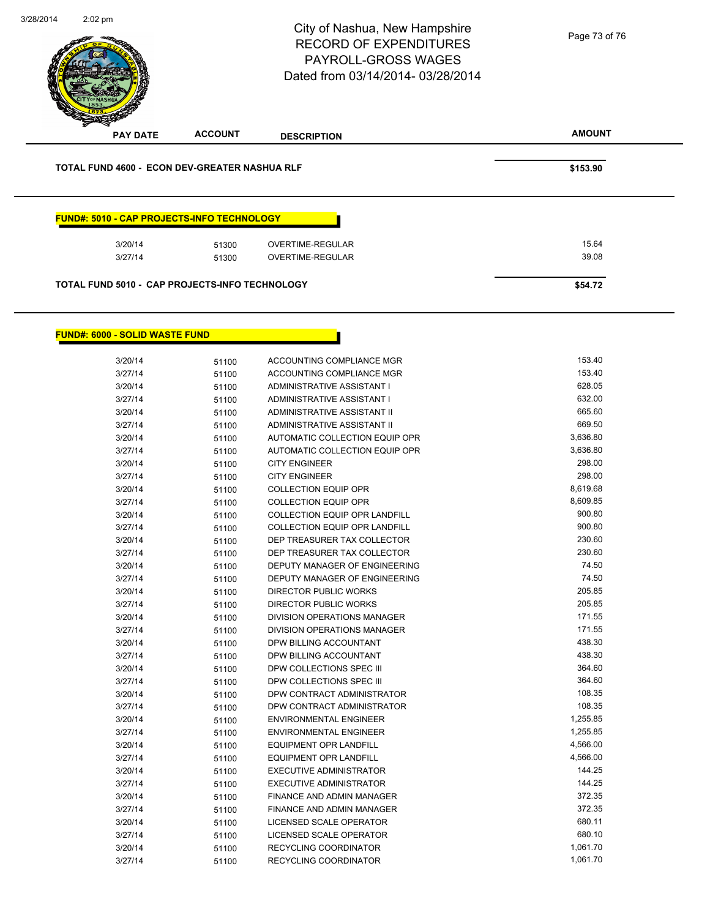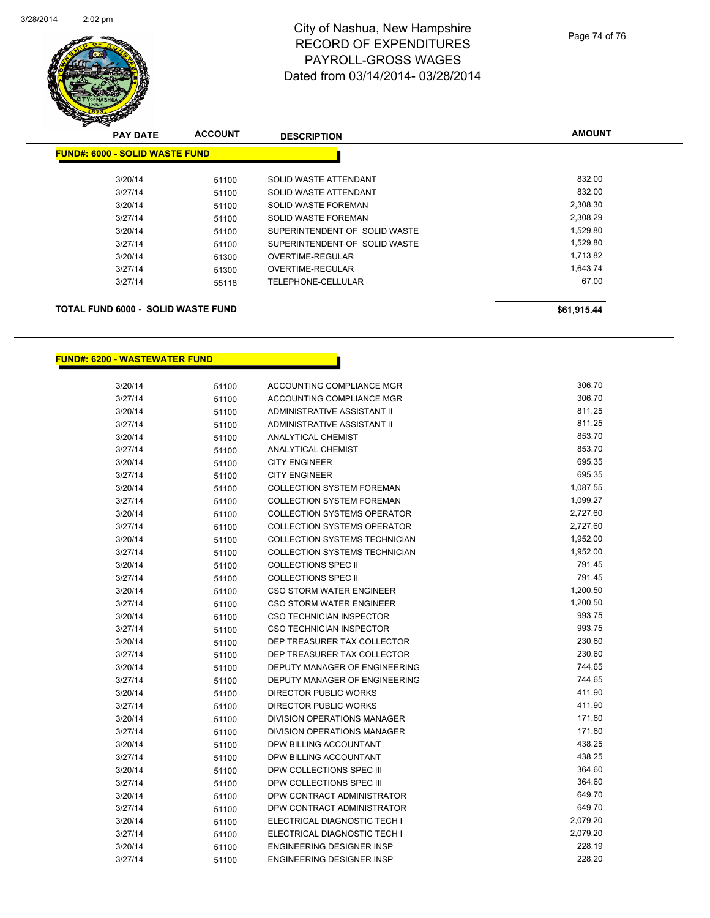

## City of Nashua, New Hampshire RECORD OF EXPENDITURES PAYROLL-GROSS WAGES Dated from 03/14/2014- 03/28/2014

| <b>PAY DATE</b>                       | <b>ACCOUNT</b> | <b>DESCRIPTION</b>            | <b>AMOUNT</b> |
|---------------------------------------|----------------|-------------------------------|---------------|
| <b>FUND#: 6000 - SOLID WASTE FUND</b> |                |                               |               |
| 3/20/14                               | 51100          | SOLID WASTE ATTENDANT         | 832.00        |
| 3/27/14                               | 51100          | SOLID WASTE ATTENDANT         | 832.00        |
| 3/20/14                               | 51100          | SOLID WASTE FOREMAN           | 2,308.30      |
| 3/27/14                               | 51100          | SOLID WASTE FOREMAN           | 2,308.29      |
| 3/20/14                               | 51100          | SUPERINTENDENT OF SOLID WASTE | 1,529.80      |
| 3/27/14                               | 51100          | SUPERINTENDENT OF SOLID WASTE | 1,529.80      |
| 3/20/14                               | 51300          | OVERTIME-REGULAR              | 1,713.82      |
| 3/27/14                               | 51300          | <b>OVERTIME-REGULAR</b>       | 1,643.74      |
| 3/27/14                               | 55118          | TELEPHONE-CELLULAR            | 67.00         |
|                                       |                |                               |               |
|                                       |                |                               |               |

## **TOTAL FUND 6000 - SOLID WASTE FUND \$61,915.44 \$61,915.44**

**FUND#: 6200 - WASTEWATER FUND**

| 3/20/14 | 51100 | <b>ACCOUNTING COMPLIANCE MGR</b>   | 306.70   |
|---------|-------|------------------------------------|----------|
| 3/27/14 | 51100 | <b>ACCOUNTING COMPLIANCE MGR</b>   | 306.70   |
| 3/20/14 | 51100 | ADMINISTRATIVE ASSISTANT II        | 811.25   |
| 3/27/14 | 51100 | ADMINISTRATIVE ASSISTANT II        | 811.25   |
| 3/20/14 | 51100 | <b>ANALYTICAL CHEMIST</b>          | 853.70   |
| 3/27/14 | 51100 | <b>ANALYTICAL CHEMIST</b>          | 853.70   |
| 3/20/14 | 51100 | <b>CITY ENGINEER</b>               | 695.35   |
| 3/27/14 | 51100 | <b>CITY ENGINEER</b>               | 695.35   |
| 3/20/14 | 51100 | <b>COLLECTION SYSTEM FOREMAN</b>   | 1,087.55 |
| 3/27/14 | 51100 | <b>COLLECTION SYSTEM FOREMAN</b>   | 1,099.27 |
| 3/20/14 | 51100 | <b>COLLECTION SYSTEMS OPERATOR</b> | 2,727.60 |
| 3/27/14 | 51100 | <b>COLLECTION SYSTEMS OPERATOR</b> | 2,727.60 |
| 3/20/14 | 51100 | COLLECTION SYSTEMS TECHNICIAN      | 1,952.00 |
| 3/27/14 | 51100 | COLLECTION SYSTEMS TECHNICIAN      | 1,952.00 |
| 3/20/14 | 51100 | <b>COLLECTIONS SPEC II</b>         | 791.45   |
| 3/27/14 | 51100 | <b>COLLECTIONS SPEC II</b>         | 791.45   |
| 3/20/14 | 51100 | CSO STORM WATER ENGINEER           | 1,200.50 |
| 3/27/14 | 51100 | <b>CSO STORM WATER ENGINEER</b>    | 1,200.50 |
| 3/20/14 | 51100 | <b>CSO TECHNICIAN INSPECTOR</b>    | 993.75   |
| 3/27/14 | 51100 | CSO TECHNICIAN INSPECTOR           | 993.75   |
| 3/20/14 | 51100 | DEP TREASURER TAX COLLECTOR        | 230.60   |
| 3/27/14 | 51100 | DEP TREASURER TAX COLLECTOR        | 230.60   |
| 3/20/14 | 51100 | DEPUTY MANAGER OF ENGINEERING      | 744.65   |
| 3/27/14 | 51100 | DEPUTY MANAGER OF ENGINEERING      | 744.65   |
| 3/20/14 | 51100 | <b>DIRECTOR PUBLIC WORKS</b>       | 411.90   |
| 3/27/14 | 51100 | <b>DIRECTOR PUBLIC WORKS</b>       | 411.90   |
| 3/20/14 | 51100 | <b>DIVISION OPERATIONS MANAGER</b> | 171.60   |
| 3/27/14 | 51100 | DIVISION OPERATIONS MANAGER        | 171.60   |
| 3/20/14 | 51100 | DPW BILLING ACCOUNTANT             | 438.25   |
| 3/27/14 | 51100 | DPW BILLING ACCOUNTANT             | 438.25   |
| 3/20/14 | 51100 | DPW COLLECTIONS SPEC III           | 364.60   |
| 3/27/14 | 51100 | DPW COLLECTIONS SPEC III           | 364.60   |
| 3/20/14 | 51100 | DPW CONTRACT ADMINISTRATOR         | 649.70   |
| 3/27/14 | 51100 | DPW CONTRACT ADMINISTRATOR         | 649.70   |
| 3/20/14 | 51100 | ELECTRICAL DIAGNOSTIC TECH I       | 2,079.20 |
| 3/27/14 | 51100 | ELECTRICAL DIAGNOSTIC TECH I       | 2,079.20 |
| 3/20/14 | 51100 | ENGINEERING DESIGNER INSP          | 228.19   |
| 3/27/14 | 51100 | <b>ENGINEERING DESIGNER INSP</b>   | 228.20   |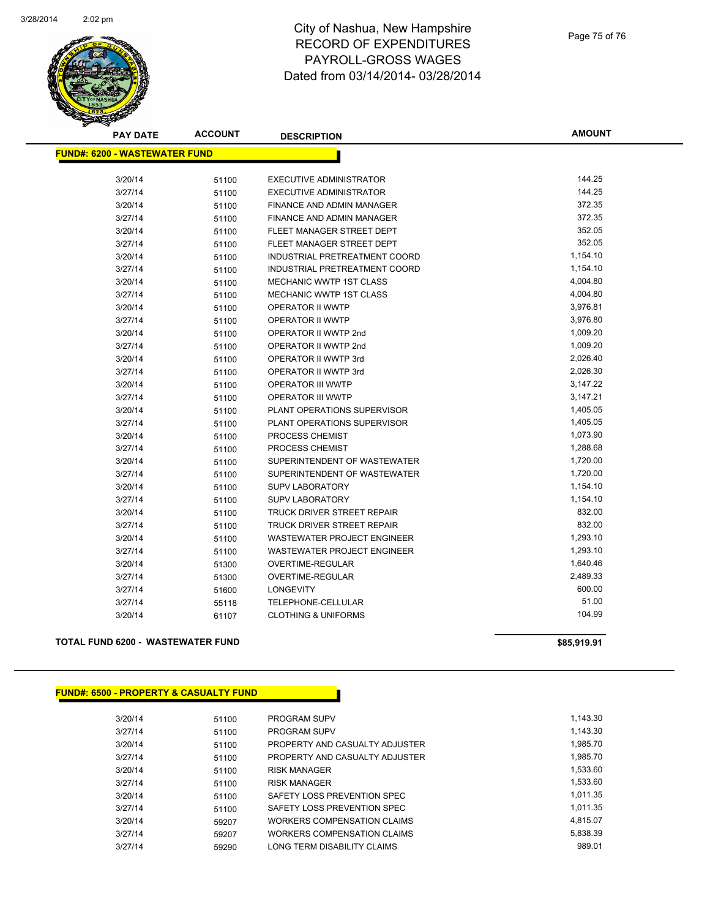

## City of Nashua, New Hampshire RECORD OF EXPENDITURES PAYROLL-GROSS WAGES Dated from 03/14/2014- 03/28/2014

| <b>PAY DATE</b>                      | <b>ACCOUNT</b> | <b>DESCRIPTION</b>                 | <b>AMOUNT</b> |
|--------------------------------------|----------------|------------------------------------|---------------|
| <b>FUND#: 6200 - WASTEWATER FUND</b> |                |                                    |               |
| 3/20/14                              | 51100          | <b>EXECUTIVE ADMINISTRATOR</b>     | 144.25        |
| 3/27/14                              | 51100          | <b>EXECUTIVE ADMINISTRATOR</b>     | 144.25        |
| 3/20/14                              | 51100          | <b>FINANCE AND ADMIN MANAGER</b>   | 372.35        |
| 3/27/14                              | 51100          | FINANCE AND ADMIN MANAGER          | 372.35        |
| 3/20/14                              | 51100          | FLEET MANAGER STREET DEPT          | 352.05        |
| 3/27/14                              | 51100          | FLEET MANAGER STREET DEPT          | 352.05        |
| 3/20/14                              | 51100          | INDUSTRIAL PRETREATMENT COORD      | 1,154.10      |
| 3/27/14                              | 51100          | INDUSTRIAL PRETREATMENT COORD      | 1,154.10      |
| 3/20/14                              | 51100          | <b>MECHANIC WWTP 1ST CLASS</b>     | 4,004.80      |
| 3/27/14                              | 51100          | <b>MECHANIC WWTP 1ST CLASS</b>     | 4,004.80      |
| 3/20/14                              | 51100          | <b>OPERATOR II WWTP</b>            | 3,976.81      |
| 3/27/14                              | 51100          | OPERATOR II WWTP                   | 3,976.80      |
| 3/20/14                              | 51100          | OPERATOR II WWTP 2nd               | 1,009.20      |
| 3/27/14                              | 51100          | OPERATOR II WWTP 2nd               | 1,009.20      |
| 3/20/14                              | 51100          | <b>OPERATOR II WWTP 3rd</b>        | 2,026.40      |
| 3/27/14                              | 51100          | OPERATOR II WWTP 3rd               | 2,026.30      |
| 3/20/14                              | 51100          | <b>OPERATOR III WWTP</b>           | 3,147.22      |
| 3/27/14                              | 51100          | <b>OPERATOR III WWTP</b>           | 3,147.21      |
| 3/20/14                              | 51100          | PLANT OPERATIONS SUPERVISOR        | 1,405.05      |
| 3/27/14                              | 51100          | PLANT OPERATIONS SUPERVISOR        | 1,405.05      |
| 3/20/14                              | 51100          | PROCESS CHEMIST                    | 1,073.90      |
| 3/27/14                              | 51100          | PROCESS CHEMIST                    | 1,288.68      |
| 3/20/14                              | 51100          | SUPERINTENDENT OF WASTEWATER       | 1,720.00      |
| 3/27/14                              | 51100          | SUPERINTENDENT OF WASTEWATER       | 1,720.00      |
| 3/20/14                              | 51100          | <b>SUPV LABORATORY</b>             | 1,154.10      |
| 3/27/14                              | 51100          | <b>SUPV LABORATORY</b>             | 1,154.10      |
| 3/20/14                              | 51100          | TRUCK DRIVER STREET REPAIR         | 832.00        |
| 3/27/14                              | 51100          | <b>TRUCK DRIVER STREET REPAIR</b>  | 832.00        |
| 3/20/14                              | 51100          | <b>WASTEWATER PROJECT ENGINEER</b> | 1,293.10      |
| 3/27/14                              | 51100          | <b>WASTEWATER PROJECT ENGINEER</b> | 1,293.10      |
| 3/20/14                              | 51300          | <b>OVERTIME-REGULAR</b>            | 1,640.46      |
| 3/27/14                              | 51300          | OVERTIME-REGULAR                   | 2,489.33      |
| 3/27/14                              | 51600          | LONGEVITY                          | 600.00        |
| 3/27/14                              | 55118          | <b>TELEPHONE-CELLULAR</b>          | 51.00         |
| 3/20/14                              | 61107          | <b>CLOTHING &amp; UNIFORMS</b>     | 104.99        |

## **TOTAL FUND 6200 - WASTEWATER FUND \$85,919.91**

| <b>FUND#: 6500 - PROPERTY &amp; CASUALTY FUND</b> |       |                                |          |
|---------------------------------------------------|-------|--------------------------------|----------|
| 3/20/14                                           | 51100 | <b>PROGRAM SUPV</b>            | 1,143.30 |
| 3/27/14                                           | 51100 | <b>PROGRAM SUPV</b>            | 1.143.30 |
| 3/20/14                                           | 51100 | PROPERTY AND CASUALTY ADJUSTER | 1,985.70 |
| 3/27/14                                           | 51100 | PROPERTY AND CASUALTY ADJUSTER | 1,985.70 |
| 3/20/14                                           | 51100 | <b>RISK MANAGER</b>            | 1,533.60 |
| 3/27/14                                           | 51100 | <b>RISK MANAGER</b>            | 1,533.60 |
| 3/20/14                                           | 51100 | SAFETY LOSS PREVENTION SPEC    | 1.011.35 |
| 3/27/14                                           | 51100 | SAFETY LOSS PREVENTION SPEC    | 1.011.35 |
| 3/20/14                                           | 59207 | WORKERS COMPENSATION CLAIMS    | 4.815.07 |
| 3/27/14                                           | 59207 | WORKERS COMPENSATION CLAIMS    | 5,838.39 |
| 3/27/14                                           | 59290 | LONG TERM DISABILITY CLAIMS    | 989.01   |